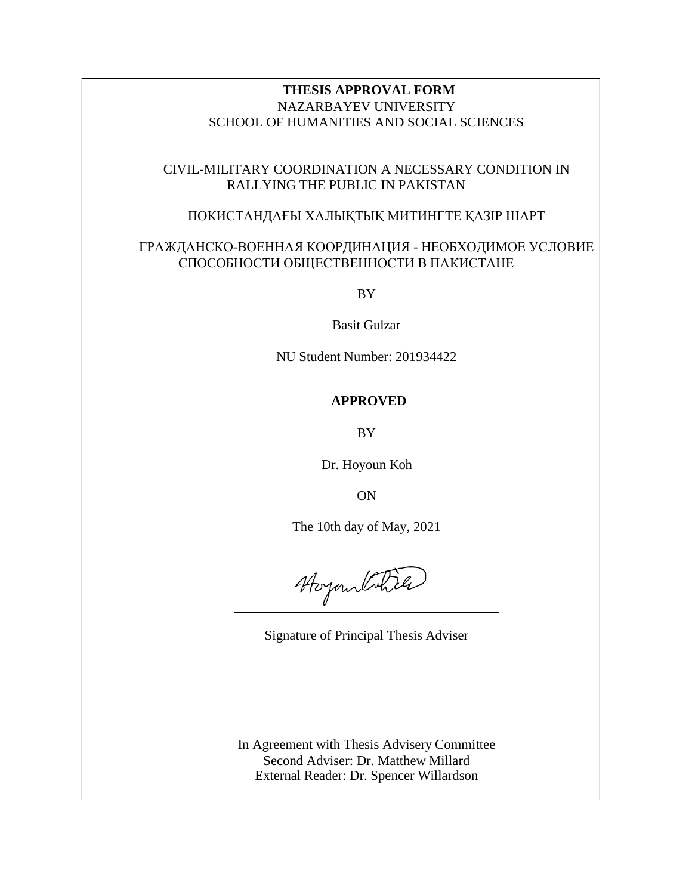# **THESIS APPROVAL FORM** NAZARBAYEV UNIVERSITY SCHOOL OF HUMANITIES AND SOCIAL SCIENCES

# CIVIL-MILITARY COORDINATION A NECESSARY CONDITION IN RALLYING THE PUBLIC IN PAKISTAN

# ПОКИСТАНДАҒЫ ХАЛЫҚТЫҚ МИТИНГТЕ ҚАЗІР ШАРТ

# ГРАЖДАНСКО-ВОЕННАЯ КООРДИНАЦИЯ - НЕОБХОДИМОЕ УСЛОВИЕ СПОСОБНОСТИ ОБЩЕСТВЕННОСТИ В ПАКИСТАНЕ

BY

Basit Gulzar

NU Student Number: 201934422

# **APPROVED**

BY

Dr. Hoyoun Koh

ON

The 10th day of May, 2021

Hoyantotile

Signature of Principal Thesis Adviser

In Agreement with Thesis Advisery Committee Second Adviser: Dr. Matthew Millard External Reader: Dr. Spencer Willardson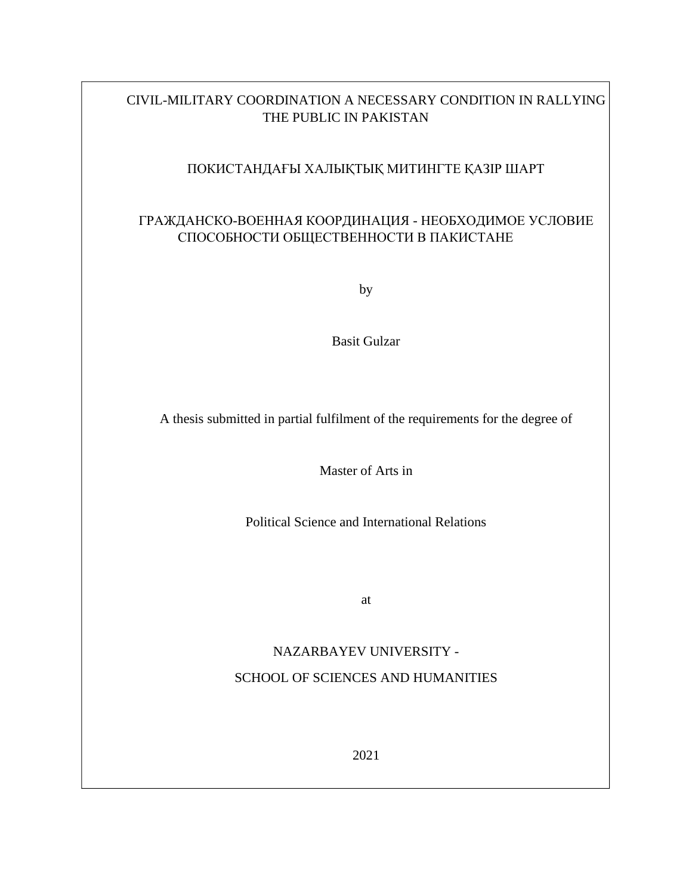# CIVIL-MILITARY COORDINATION A NECESSARY CONDITION IN RALLYING THE PUBLIC IN PAKISTAN

# ПОКИСТАНДАҒЫ ХАЛЫҚТЫҚ МИТИНГТЕ ҚАЗІР ШАРТ

# ГРАЖДАНСКО-ВОЕННАЯ КООРДИНАЦИЯ - НЕОБХОДИМОЕ УСЛОВИЕ СПОСОБНОСТИ ОБЩЕСТВЕННОСТИ В ПАКИСТАНЕ

by

Basit Gulzar

A thesis submitted in partial fulfilment of the requirements for the degree of

Master of Arts in

Political Science and International Relations

at

NAZARBAYEV UNIVERSITY - SCHOOL OF SCIENCES AND HUMANITIES

2021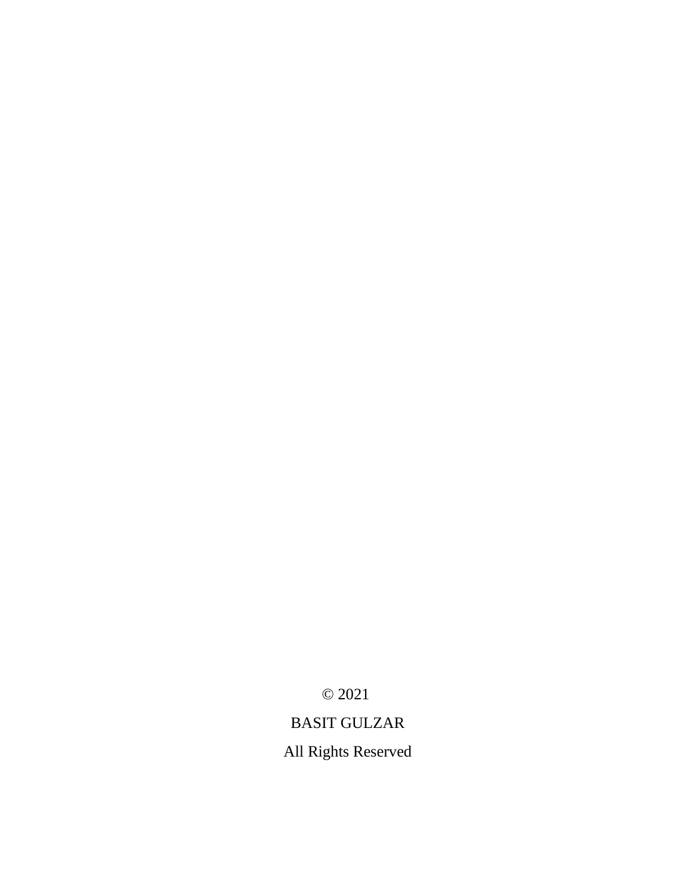© 2021

# BASIT GULZAR

All Rights Reserved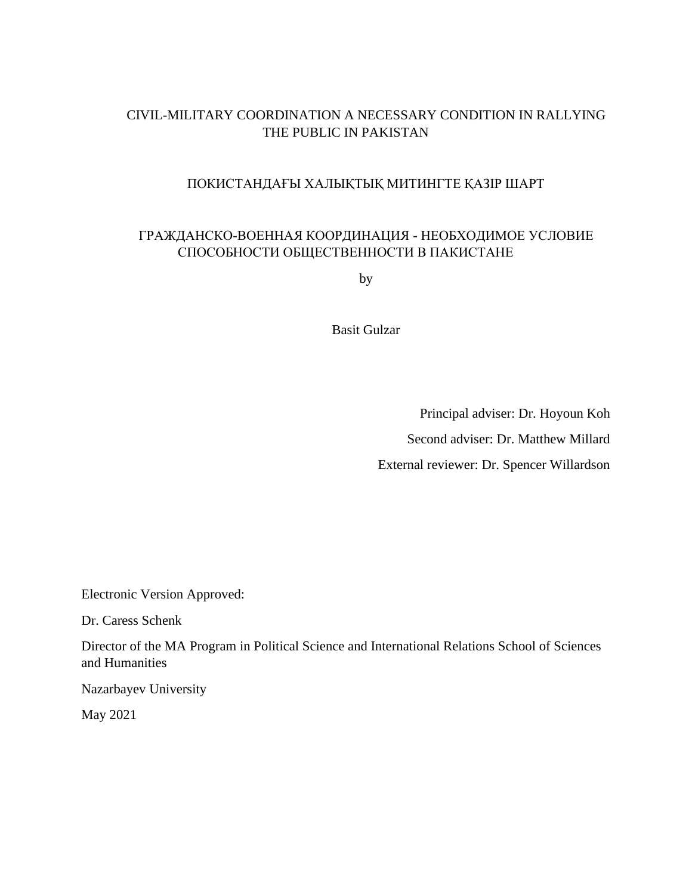# CIVIL-MILITARY COORDINATION A NECESSARY CONDITION IN RALLYING THE PUBLIC IN PAKISTAN

# ПОКИСТАНДАҒЫ ХАЛЫҚТЫҚ МИТИНГТЕ ҚАЗІР ШАРТ

# ГРАЖДАНСКО-ВОЕННАЯ КООРДИНАЦИЯ - НЕОБХОДИМОЕ УСЛОВИЕ СПОСОБНОСТИ ОБЩЕСТВЕННОСТИ В ПАКИСТАНЕ

by

Basit Gulzar

Principal adviser: Dr. Hoyoun Koh

Second adviser: Dr. Matthew Millard

External reviewer: Dr. Spencer Willardson

Electronic Version Approved:

Dr. Caress Schenk

Director of the MA Program in Political Science and International Relations School of Sciences and Humanities

Nazarbayev University

May 2021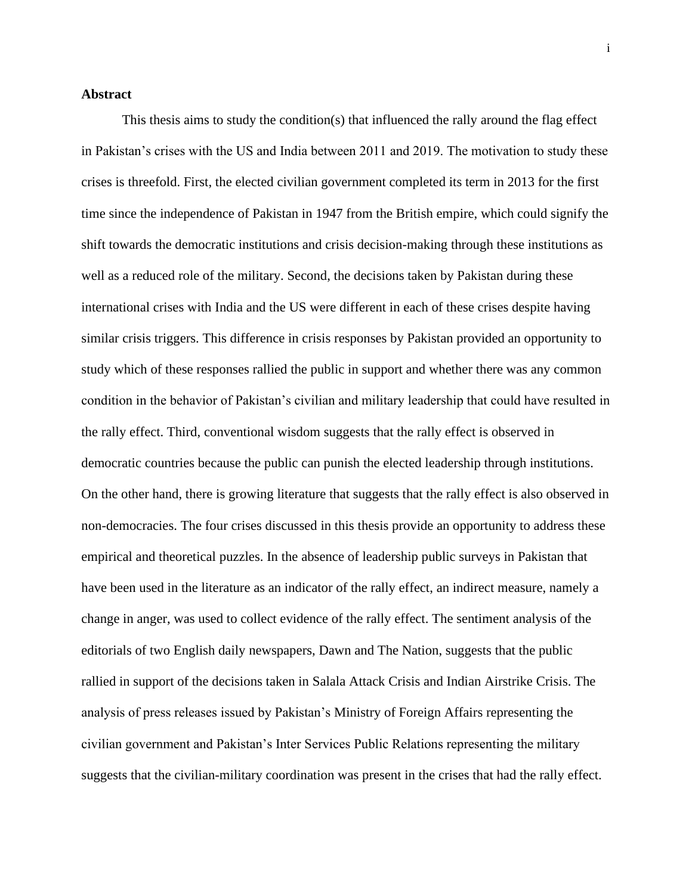# <span id="page-4-0"></span>**Abstract**

This thesis aims to study the condition(s) that influenced the rally around the flag effect in Pakistan's crises with the US and India between 2011 and 2019. The motivation to study these crises is threefold. First, the elected civilian government completed its term in 2013 for the first time since the independence of Pakistan in 1947 from the British empire, which could signify the shift towards the democratic institutions and crisis decision-making through these institutions as well as a reduced role of the military. Second, the decisions taken by Pakistan during these international crises with India and the US were different in each of these crises despite having similar crisis triggers. This difference in crisis responses by Pakistan provided an opportunity to study which of these responses rallied the public in support and whether there was any common condition in the behavior of Pakistan's civilian and military leadership that could have resulted in the rally effect. Third, conventional wisdom suggests that the rally effect is observed in democratic countries because the public can punish the elected leadership through institutions. On the other hand, there is growing literature that suggests that the rally effect is also observed in non-democracies. The four crises discussed in this thesis provide an opportunity to address these empirical and theoretical puzzles. In the absence of leadership public surveys in Pakistan that have been used in the literature as an indicator of the rally effect, an indirect measure, namely a change in anger, was used to collect evidence of the rally effect. The sentiment analysis of the editorials of two English daily newspapers, Dawn and The Nation, suggests that the public rallied in support of the decisions taken in Salala Attack Crisis and Indian Airstrike Crisis. The analysis of press releases issued by Pakistan's Ministry of Foreign Affairs representing the civilian government and Pakistan's Inter Services Public Relations representing the military suggests that the civilian-military coordination was present in the crises that had the rally effect.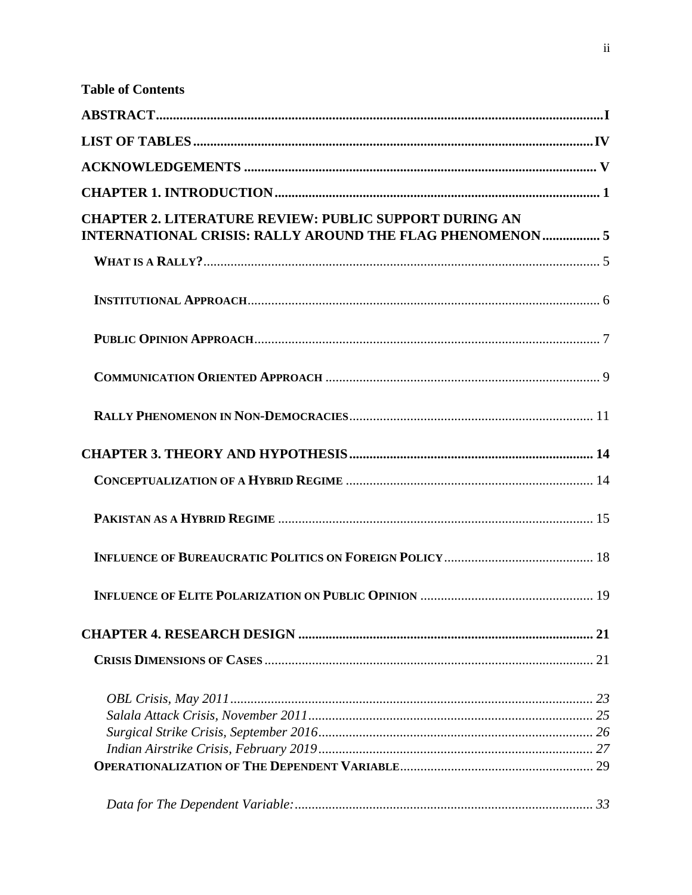| <b>Table of Contents</b>                                      |  |
|---------------------------------------------------------------|--|
|                                                               |  |
|                                                               |  |
|                                                               |  |
|                                                               |  |
| <b>CHAPTER 2. LITERATURE REVIEW: PUBLIC SUPPORT DURING AN</b> |  |
| INTERNATIONAL CRISIS: RALLY AROUND THE FLAG PHENOMENON  5     |  |
|                                                               |  |
|                                                               |  |
|                                                               |  |
|                                                               |  |
|                                                               |  |
|                                                               |  |
|                                                               |  |
|                                                               |  |
|                                                               |  |
|                                                               |  |
|                                                               |  |
|                                                               |  |
|                                                               |  |
|                                                               |  |
|                                                               |  |
|                                                               |  |
|                                                               |  |
|                                                               |  |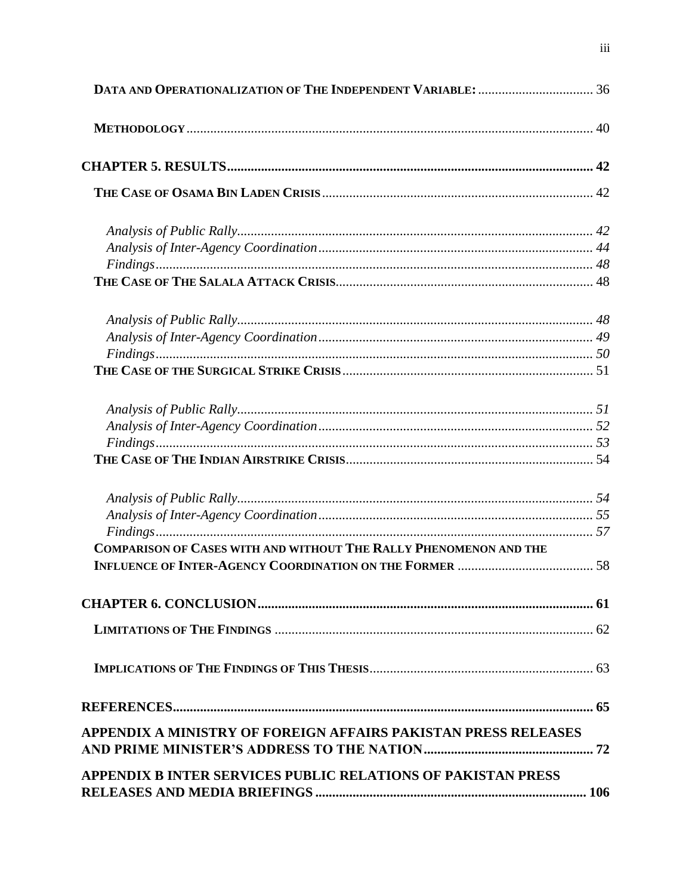| $Findings. 50$                                                           |  |
|--------------------------------------------------------------------------|--|
|                                                                          |  |
|                                                                          |  |
|                                                                          |  |
|                                                                          |  |
|                                                                          |  |
|                                                                          |  |
|                                                                          |  |
|                                                                          |  |
| <b>COMPARISON OF CASES WITH AND WITHOUT THE RALLY PHENOMENON AND THE</b> |  |
|                                                                          |  |
|                                                                          |  |
|                                                                          |  |
|                                                                          |  |
|                                                                          |  |
| APPENDIX A MINISTRY OF FOREIGN AFFAIRS PAKISTAN PRESS RELEASES           |  |
|                                                                          |  |
| <b>APPENDIX B INTER SERVICES PUBLIC RELATIONS OF PAKISTAN PRESS</b>      |  |
|                                                                          |  |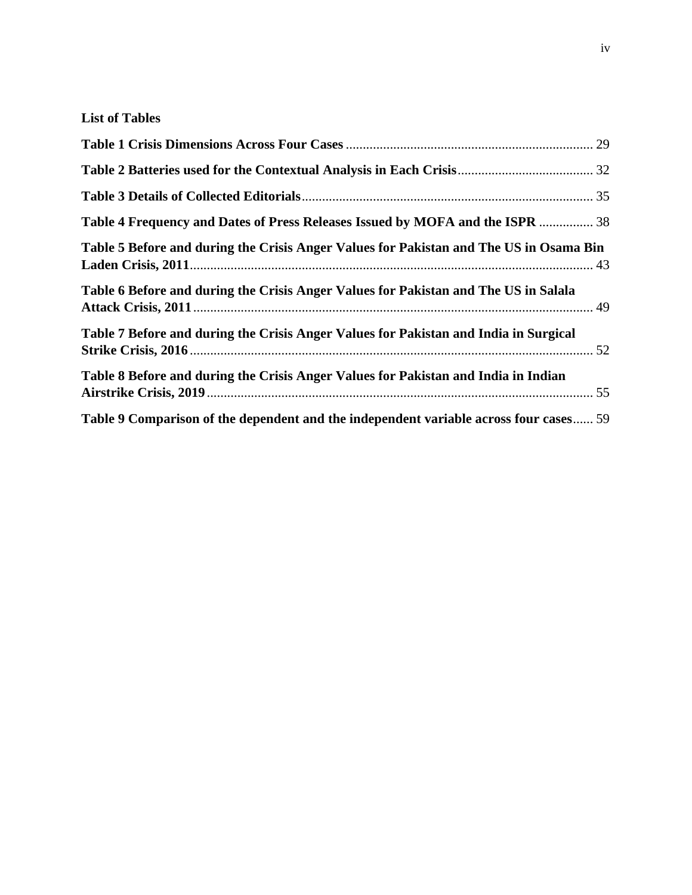# <span id="page-7-0"></span>**List of Tables**

| Table 4 Frequency and Dates of Press Releases Issued by MOFA and the ISPR  38          |  |
|----------------------------------------------------------------------------------------|--|
| Table 5 Before and during the Crisis Anger Values for Pakistan and The US in Osama Bin |  |
| Table 6 Before and during the Crisis Anger Values for Pakistan and The US in Salala    |  |
| Table 7 Before and during the Crisis Anger Values for Pakistan and India in Surgical   |  |
| Table 8 Before and during the Crisis Anger Values for Pakistan and India in Indian     |  |
| Table 9 Comparison of the dependent and the independent variable across four cases 59  |  |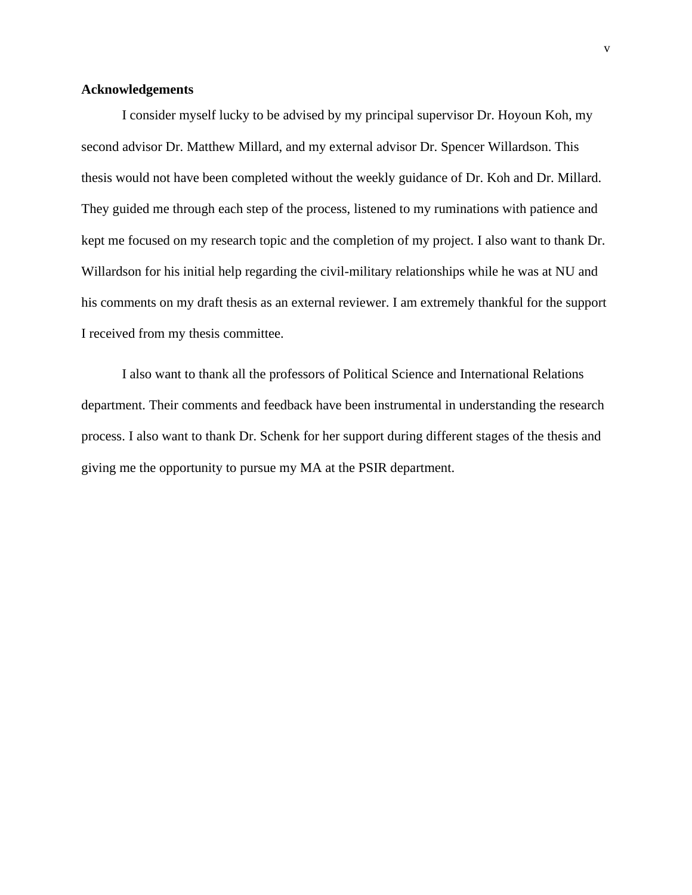# <span id="page-8-0"></span>**Acknowledgements**

I consider myself lucky to be advised by my principal supervisor Dr. Hoyoun Koh, my second advisor Dr. Matthew Millard, and my external advisor Dr. Spencer Willardson. This thesis would not have been completed without the weekly guidance of Dr. Koh and Dr. Millard. They guided me through each step of the process, listened to my ruminations with patience and kept me focused on my research topic and the completion of my project. I also want to thank Dr. Willardson for his initial help regarding the civil-military relationships while he was at NU and his comments on my draft thesis as an external reviewer. I am extremely thankful for the support I received from my thesis committee.

I also want to thank all the professors of Political Science and International Relations department. Their comments and feedback have been instrumental in understanding the research process. I also want to thank Dr. Schenk for her support during different stages of the thesis and giving me the opportunity to pursue my MA at the PSIR department.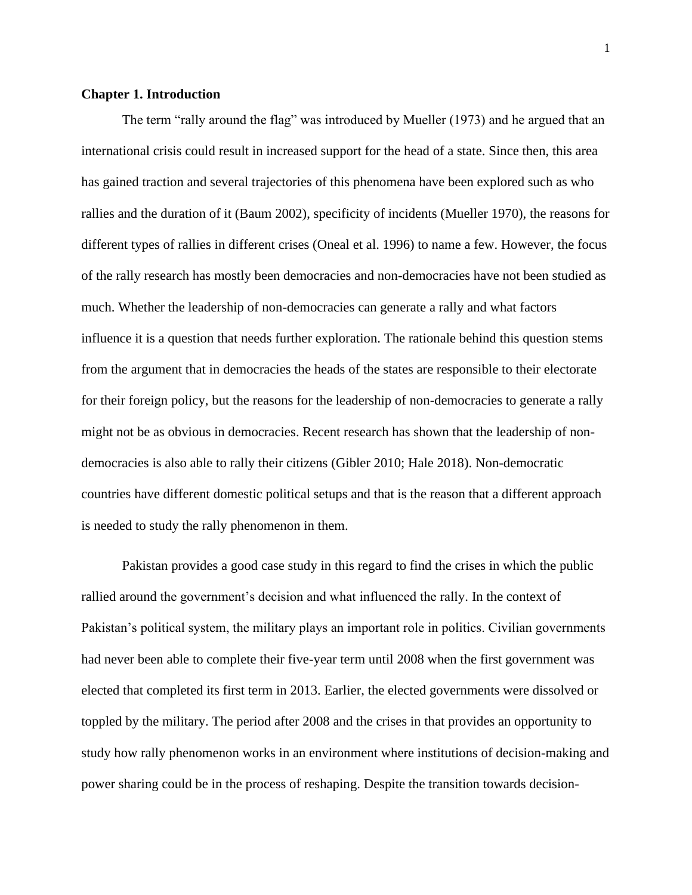## <span id="page-9-0"></span>**Chapter 1. Introduction**

The term "rally around the flag" was introduced by Mueller (1973) and he argued that an international crisis could result in increased support for the head of a state. Since then, this area has gained traction and several trajectories of this phenomena have been explored such as who rallies and the duration of it (Baum 2002), specificity of incidents (Mueller 1970), the reasons for different types of rallies in different crises (Oneal et al. 1996) to name a few. However, the focus of the rally research has mostly been democracies and non-democracies have not been studied as much. Whether the leadership of non-democracies can generate a rally and what factors influence it is a question that needs further exploration. The rationale behind this question stems from the argument that in democracies the heads of the states are responsible to their electorate for their foreign policy, but the reasons for the leadership of non-democracies to generate a rally might not be as obvious in democracies. Recent research has shown that the leadership of nondemocracies is also able to rally their citizens (Gibler 2010; Hale 2018). Non-democratic countries have different domestic political setups and that is the reason that a different approach is needed to study the rally phenomenon in them.

Pakistan provides a good case study in this regard to find the crises in which the public rallied around the government's decision and what influenced the rally. In the context of Pakistan's political system, the military plays an important role in politics. Civilian governments had never been able to complete their five-year term until 2008 when the first government was elected that completed its first term in 2013. Earlier, the elected governments were dissolved or toppled by the military. The period after 2008 and the crises in that provides an opportunity to study how rally phenomenon works in an environment where institutions of decision-making and power sharing could be in the process of reshaping. Despite the transition towards decision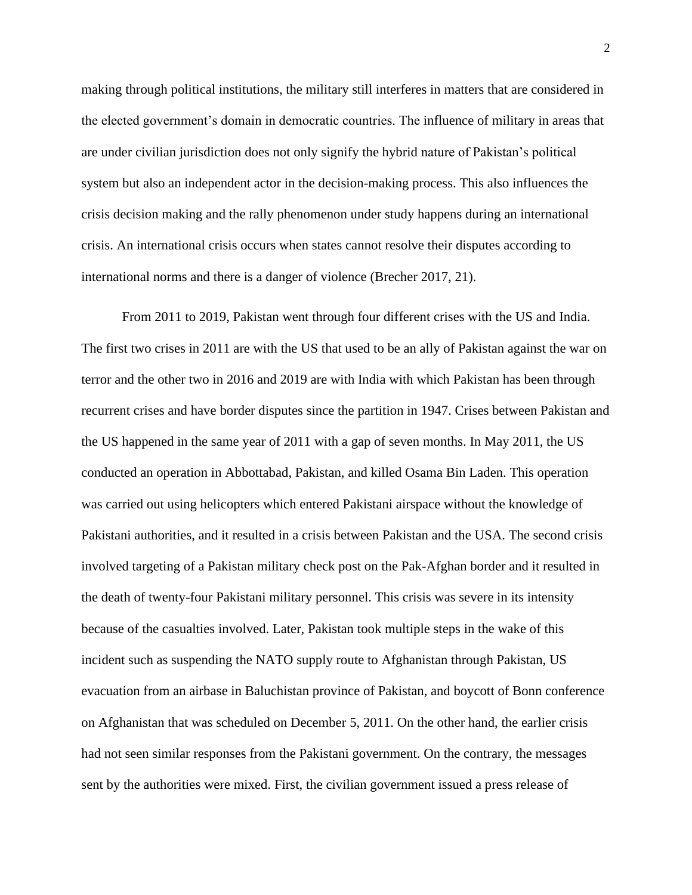making through political institutions, the military still interferes in matters that are considered in the elected government's domain in democratic countries. The influence of military in areas that are under civilian jurisdiction does not only signify the hybrid nature of Pakistan's political system but also an independent actor in the decision-making process. This also influences the crisis decision making and the rally phenomenon under study happens during an international crisis. An international crisis occurs when states cannot resolve their disputes according to international norms and there is a danger of violence (Brecher 2017, 21).

From 2011 to 2019, Pakistan went through four different crises with the US and India. The first two crises in 2011 are with the US that used to be an ally of Pakistan against the war on terror and the other two in 2016 and 2019 are with India with which Pakistan has been through recurrent crises and have border disputes since the partition in 1947. Crises between Pakistan and the US happened in the same year of 2011 with a gap of seven months. In May 2011, the US conducted an operation in Abbottabad, Pakistan, and killed Osama Bin Laden. This operation was carried out using helicopters which entered Pakistani airspace without the knowledge of Pakistani authorities, and it resulted in a crisis between Pakistan and the USA. The second crisis involved targeting of a Pakistan military check post on the Pak-Afghan border and it resulted in the death of twenty-four Pakistani military personnel. This crisis was severe in its intensity because of the casualties involved. Later, Pakistan took multiple steps in the wake of this incident such as suspending the NATO supply route to Afghanistan through Pakistan, US evacuation from an airbase in Baluchistan province of Pakistan, and boycott of Bonn conference on Afghanistan that was scheduled on December 5, 2011. On the other hand, the earlier crisis had not seen similar responses from the Pakistani government. On the contrary, the messages sent by the authorities were mixed. First, the civilian government issued a press release of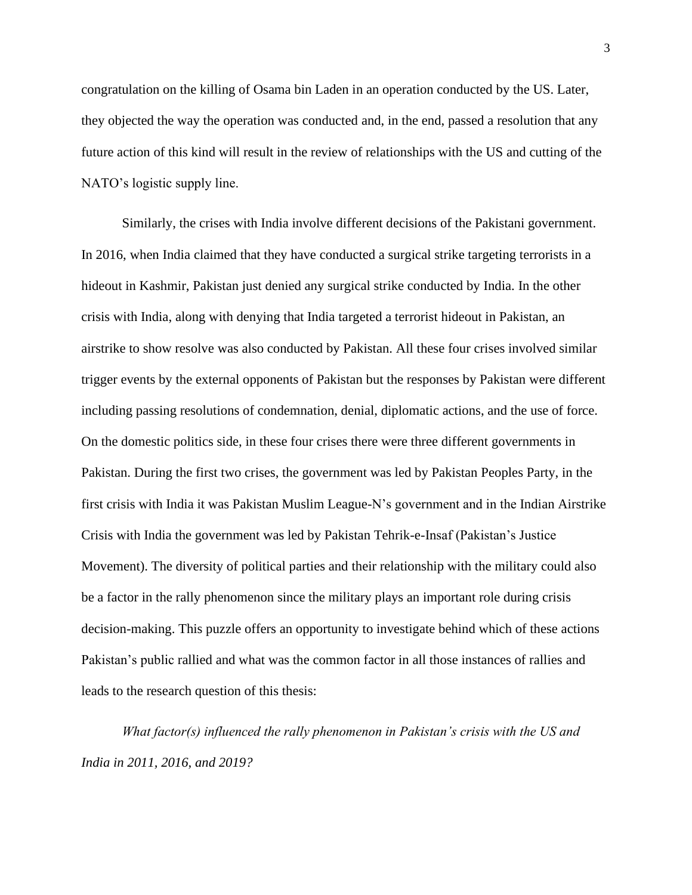congratulation on the killing of Osama bin Laden in an operation conducted by the US. Later, they objected the way the operation was conducted and, in the end, passed a resolution that any future action of this kind will result in the review of relationships with the US and cutting of the NATO's logistic supply line.

Similarly, the crises with India involve different decisions of the Pakistani government. In 2016, when India claimed that they have conducted a surgical strike targeting terrorists in a hideout in Kashmir, Pakistan just denied any surgical strike conducted by India. In the other crisis with India, along with denying that India targeted a terrorist hideout in Pakistan, an airstrike to show resolve was also conducted by Pakistan. All these four crises involved similar trigger events by the external opponents of Pakistan but the responses by Pakistan were different including passing resolutions of condemnation, denial, diplomatic actions, and the use of force. On the domestic politics side, in these four crises there were three different governments in Pakistan. During the first two crises, the government was led by Pakistan Peoples Party, in the first crisis with India it was Pakistan Muslim League-N's government and in the Indian Airstrike Crisis with India the government was led by Pakistan Tehrik-e-Insaf (Pakistan's Justice Movement). The diversity of political parties and their relationship with the military could also be a factor in the rally phenomenon since the military plays an important role during crisis decision-making. This puzzle offers an opportunity to investigate behind which of these actions Pakistan's public rallied and what was the common factor in all those instances of rallies and leads to the research question of this thesis:

*What factor(s) influenced the rally phenomenon in Pakistan's crisis with the US and India in 2011, 2016, and 2019?*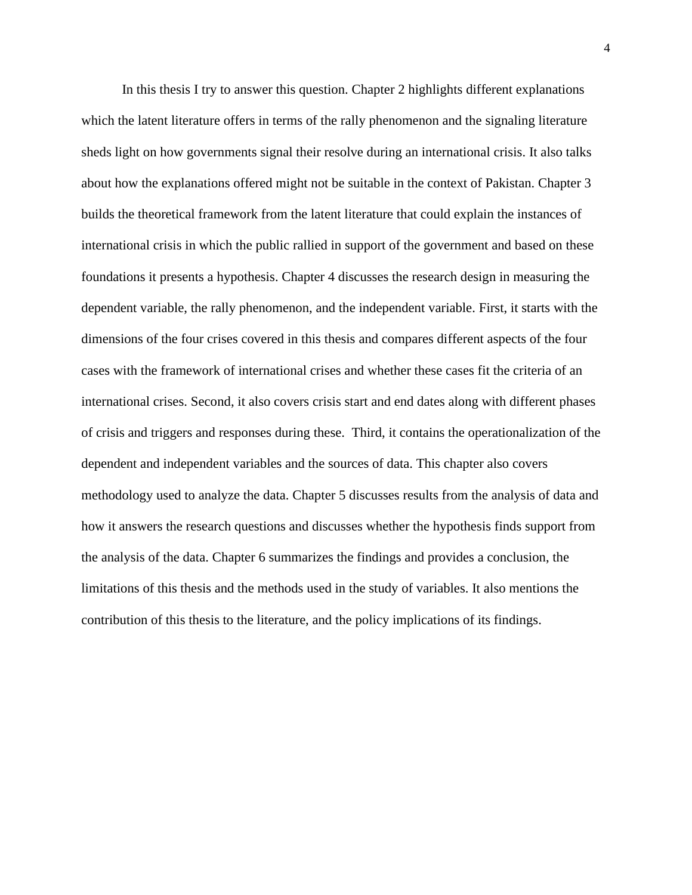In this thesis I try to answer this question. Chapter 2 highlights different explanations which the latent literature offers in terms of the rally phenomenon and the signaling literature sheds light on how governments signal their resolve during an international crisis. It also talks about how the explanations offered might not be suitable in the context of Pakistan. Chapter 3 builds the theoretical framework from the latent literature that could explain the instances of international crisis in which the public rallied in support of the government and based on these foundations it presents a hypothesis. Chapter 4 discusses the research design in measuring the dependent variable, the rally phenomenon, and the independent variable. First, it starts with the dimensions of the four crises covered in this thesis and compares different aspects of the four cases with the framework of international crises and whether these cases fit the criteria of an international crises. Second, it also covers crisis start and end dates along with different phases of crisis and triggers and responses during these. Third, it contains the operationalization of the dependent and independent variables and the sources of data. This chapter also covers methodology used to analyze the data. Chapter 5 discusses results from the analysis of data and how it answers the research questions and discusses whether the hypothesis finds support from the analysis of the data. Chapter 6 summarizes the findings and provides a conclusion, the limitations of this thesis and the methods used in the study of variables. It also mentions the contribution of this thesis to the literature, and the policy implications of its findings.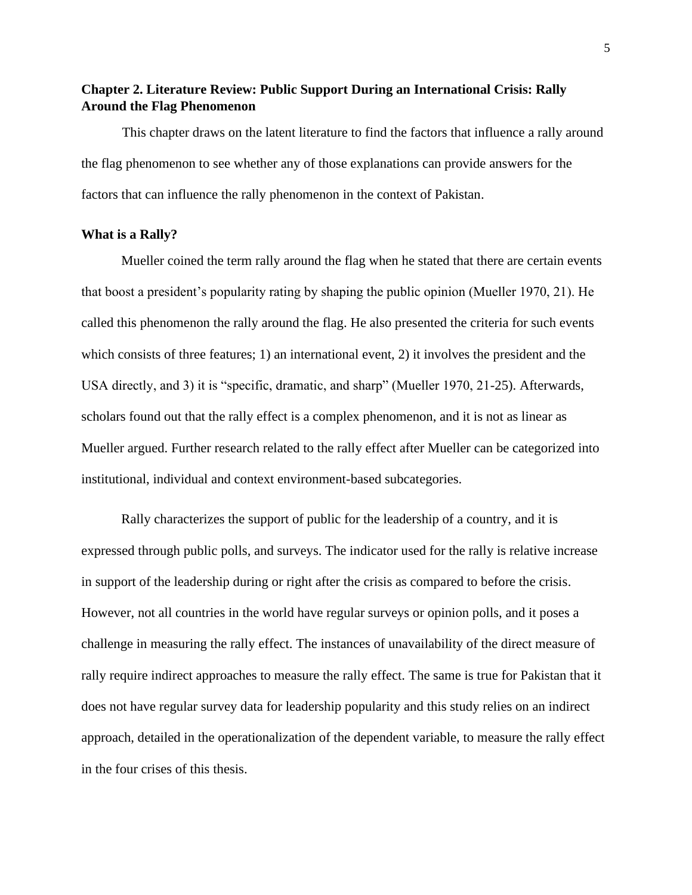# <span id="page-13-0"></span>**Chapter 2. Literature Review: Public Support During an International Crisis: Rally Around the Flag Phenomenon**

This chapter draws on the latent literature to find the factors that influence a rally around the flag phenomenon to see whether any of those explanations can provide answers for the factors that can influence the rally phenomenon in the context of Pakistan.

#### <span id="page-13-1"></span>**What is a Rally?**

Mueller coined the term rally around the flag when he stated that there are certain events that boost a president's popularity rating by shaping the public opinion (Mueller 1970, 21). He called this phenomenon the rally around the flag. He also presented the criteria for such events which consists of three features; 1) an international event, 2) it involves the president and the USA directly, and 3) it is "specific, dramatic, and sharp" (Mueller 1970, 21-25). Afterwards, scholars found out that the rally effect is a complex phenomenon, and it is not as linear as Mueller argued. Further research related to the rally effect after Mueller can be categorized into institutional, individual and context environment-based subcategories.

Rally characterizes the support of public for the leadership of a country, and it is expressed through public polls, and surveys. The indicator used for the rally is relative increase in support of the leadership during or right after the crisis as compared to before the crisis. However, not all countries in the world have regular surveys or opinion polls, and it poses a challenge in measuring the rally effect. The instances of unavailability of the direct measure of rally require indirect approaches to measure the rally effect. The same is true for Pakistan that it does not have regular survey data for leadership popularity and this study relies on an indirect approach, detailed in the operationalization of the dependent variable, to measure the rally effect in the four crises of this thesis.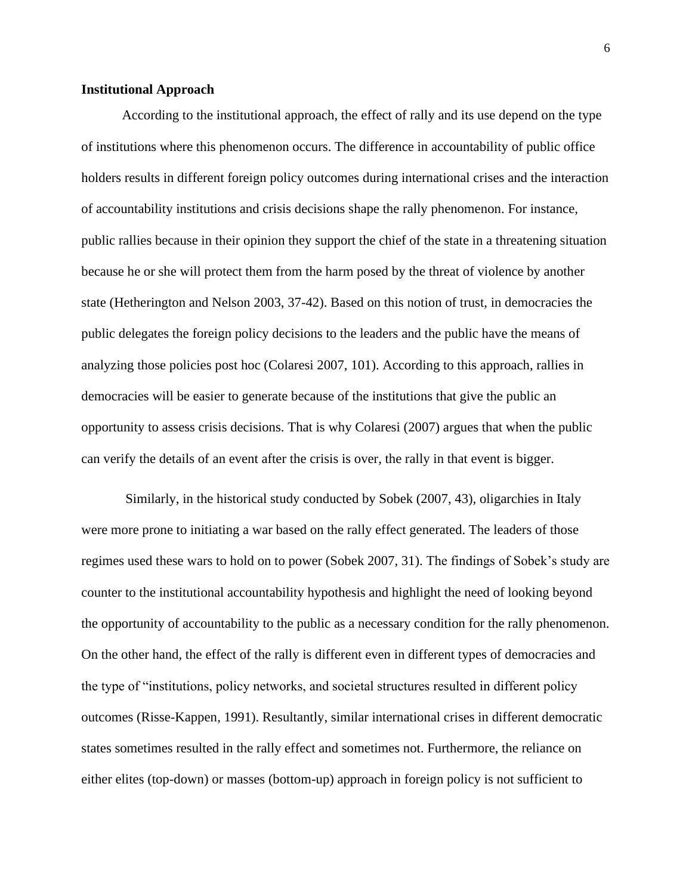# <span id="page-14-0"></span>**Institutional Approach**

According to the institutional approach, the effect of rally and its use depend on the type of institutions where this phenomenon occurs. The difference in accountability of public office holders results in different foreign policy outcomes during international crises and the interaction of accountability institutions and crisis decisions shape the rally phenomenon. For instance, public rallies because in their opinion they support the chief of the state in a threatening situation because he or she will protect them from the harm posed by the threat of violence by another state (Hetherington and Nelson 2003, 37-42). Based on this notion of trust, in democracies the public delegates the foreign policy decisions to the leaders and the public have the means of analyzing those policies post hoc (Colaresi 2007, 101). According to this approach, rallies in democracies will be easier to generate because of the institutions that give the public an opportunity to assess crisis decisions. That is why Colaresi (2007) argues that when the public can verify the details of an event after the crisis is over, the rally in that event is bigger.

Similarly, in the historical study conducted by Sobek (2007, 43), oligarchies in Italy were more prone to initiating a war based on the rally effect generated. The leaders of those regimes used these wars to hold on to power (Sobek 2007, 31). The findings of Sobek's study are counter to the institutional accountability hypothesis and highlight the need of looking beyond the opportunity of accountability to the public as a necessary condition for the rally phenomenon. On the other hand, the effect of the rally is different even in different types of democracies and the type of "institutions, policy networks, and societal structures resulted in different policy outcomes (Risse-Kappen, 1991). Resultantly, similar international crises in different democratic states sometimes resulted in the rally effect and sometimes not. Furthermore, the reliance on either elites (top-down) or masses (bottom-up) approach in foreign policy is not sufficient to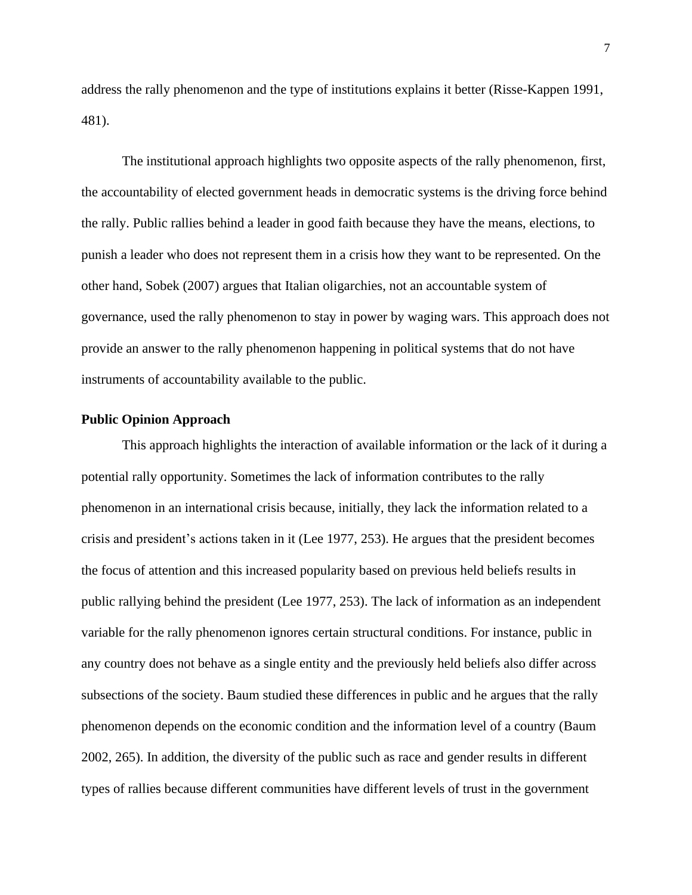address the rally phenomenon and the type of institutions explains it better (Risse-Kappen 1991, 481).

The institutional approach highlights two opposite aspects of the rally phenomenon, first, the accountability of elected government heads in democratic systems is the driving force behind the rally. Public rallies behind a leader in good faith because they have the means, elections, to punish a leader who does not represent them in a crisis how they want to be represented. On the other hand, Sobek (2007) argues that Italian oligarchies, not an accountable system of governance, used the rally phenomenon to stay in power by waging wars. This approach does not provide an answer to the rally phenomenon happening in political systems that do not have instruments of accountability available to the public.

## <span id="page-15-0"></span>**Public Opinion Approach**

This approach highlights the interaction of available information or the lack of it during a potential rally opportunity. Sometimes the lack of information contributes to the rally phenomenon in an international crisis because, initially, they lack the information related to a crisis and president's actions taken in it (Lee 1977, 253). He argues that the president becomes the focus of attention and this increased popularity based on previous held beliefs results in public rallying behind the president (Lee 1977, 253). The lack of information as an independent variable for the rally phenomenon ignores certain structural conditions. For instance, public in any country does not behave as a single entity and the previously held beliefs also differ across subsections of the society. Baum studied these differences in public and he argues that the rally phenomenon depends on the economic condition and the information level of a country (Baum 2002, 265). In addition, the diversity of the public such as race and gender results in different types of rallies because different communities have different levels of trust in the government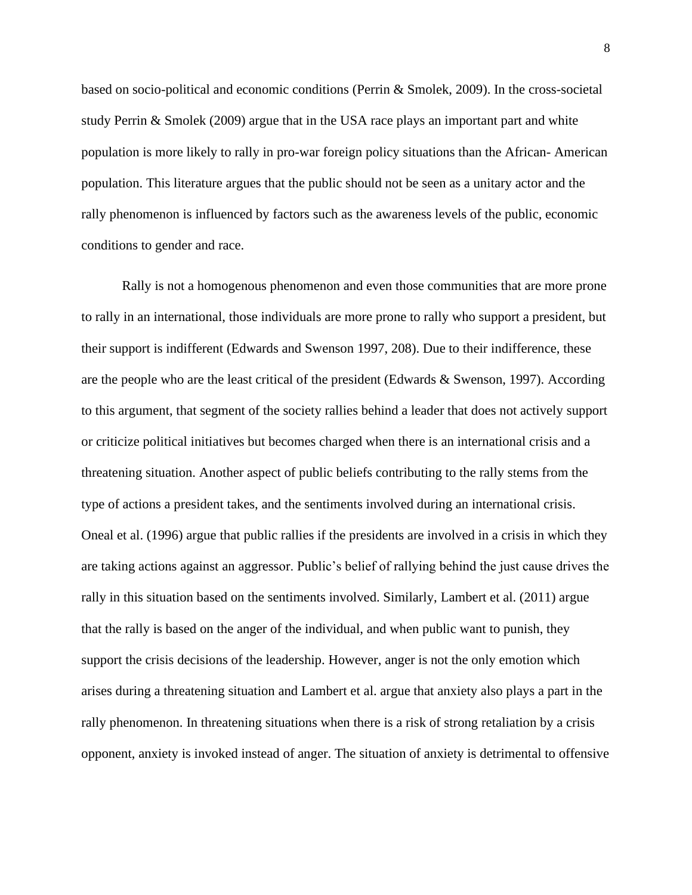based on socio-political and economic conditions (Perrin & Smolek, 2009). In the cross-societal study Perrin & Smolek (2009) argue that in the USA race plays an important part and white population is more likely to rally in pro-war foreign policy situations than the African- American population. This literature argues that the public should not be seen as a unitary actor and the rally phenomenon is influenced by factors such as the awareness levels of the public, economic conditions to gender and race.

Rally is not a homogenous phenomenon and even those communities that are more prone to rally in an international, those individuals are more prone to rally who support a president, but their support is indifferent (Edwards and Swenson 1997, 208). Due to their indifference, these are the people who are the least critical of the president (Edwards & Swenson, 1997). According to this argument, that segment of the society rallies behind a leader that does not actively support or criticize political initiatives but becomes charged when there is an international crisis and a threatening situation. Another aspect of public beliefs contributing to the rally stems from the type of actions a president takes, and the sentiments involved during an international crisis. Oneal et al. (1996) argue that public rallies if the presidents are involved in a crisis in which they are taking actions against an aggressor. Public's belief of rallying behind the just cause drives the rally in this situation based on the sentiments involved. Similarly, Lambert et al. (2011) argue that the rally is based on the anger of the individual, and when public want to punish, they support the crisis decisions of the leadership. However, anger is not the only emotion which arises during a threatening situation and Lambert et al. argue that anxiety also plays a part in the rally phenomenon. In threatening situations when there is a risk of strong retaliation by a crisis opponent, anxiety is invoked instead of anger. The situation of anxiety is detrimental to offensive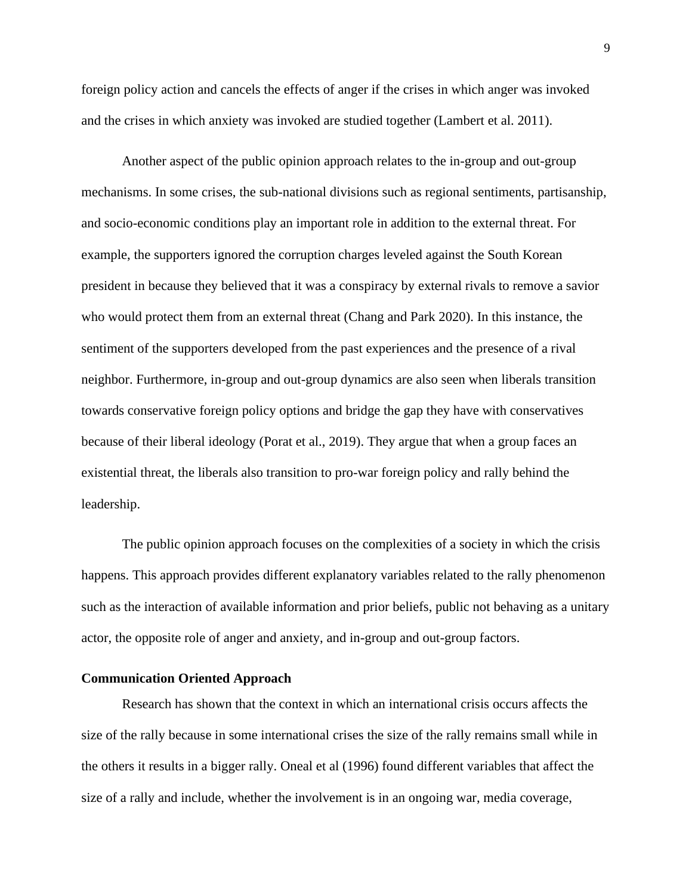foreign policy action and cancels the effects of anger if the crises in which anger was invoked and the crises in which anxiety was invoked are studied together (Lambert et al. 2011).

Another aspect of the public opinion approach relates to the in-group and out-group mechanisms. In some crises, the sub-national divisions such as regional sentiments, partisanship, and socio-economic conditions play an important role in addition to the external threat. For example, the supporters ignored the corruption charges leveled against the South Korean president in because they believed that it was a conspiracy by external rivals to remove a savior who would protect them from an external threat (Chang and Park 2020). In this instance, the sentiment of the supporters developed from the past experiences and the presence of a rival neighbor. Furthermore, in-group and out-group dynamics are also seen when liberals transition towards conservative foreign policy options and bridge the gap they have with conservatives because of their liberal ideology (Porat et al., 2019). They argue that when a group faces an existential threat, the liberals also transition to pro-war foreign policy and rally behind the leadership.

The public opinion approach focuses on the complexities of a society in which the crisis happens. This approach provides different explanatory variables related to the rally phenomenon such as the interaction of available information and prior beliefs, public not behaving as a unitary actor, the opposite role of anger and anxiety, and in-group and out-group factors.

## <span id="page-17-0"></span>**Communication Oriented Approach**

Research has shown that the context in which an international crisis occurs affects the size of the rally because in some international crises the size of the rally remains small while in the others it results in a bigger rally. Oneal et al (1996) found different variables that affect the size of a rally and include, whether the involvement is in an ongoing war, media coverage,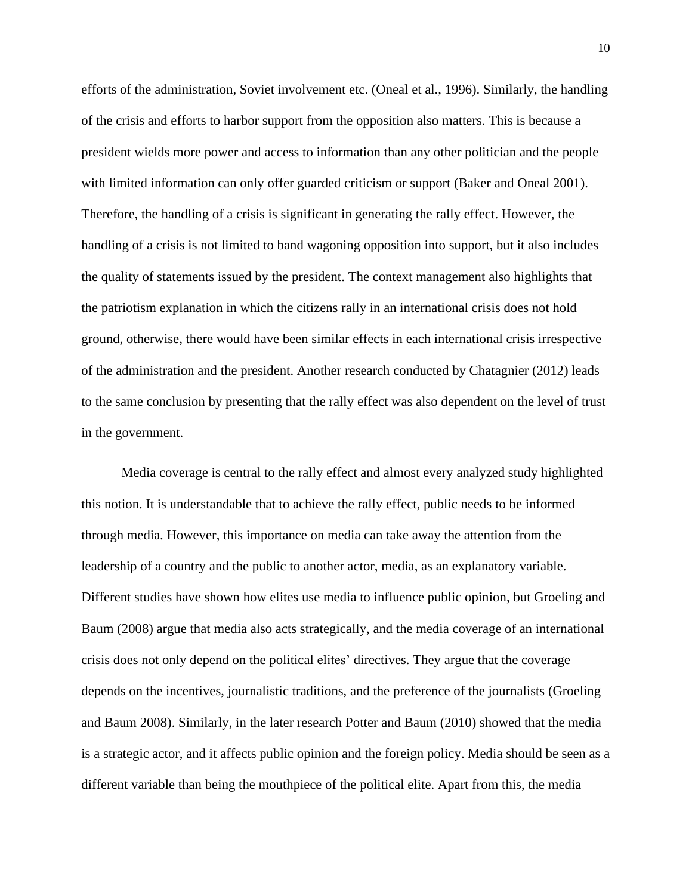efforts of the administration, Soviet involvement etc. (Oneal et al., 1996). Similarly, the handling of the crisis and efforts to harbor support from the opposition also matters. This is because a president wields more power and access to information than any other politician and the people with limited information can only offer guarded criticism or support (Baker and Oneal 2001). Therefore, the handling of a crisis is significant in generating the rally effect. However, the handling of a crisis is not limited to band wagoning opposition into support, but it also includes the quality of statements issued by the president. The context management also highlights that the patriotism explanation in which the citizens rally in an international crisis does not hold ground, otherwise, there would have been similar effects in each international crisis irrespective of the administration and the president. Another research conducted by Chatagnier (2012) leads to the same conclusion by presenting that the rally effect was also dependent on the level of trust in the government.

Media coverage is central to the rally effect and almost every analyzed study highlighted this notion. It is understandable that to achieve the rally effect, public needs to be informed through media. However, this importance on media can take away the attention from the leadership of a country and the public to another actor, media, as an explanatory variable. Different studies have shown how elites use media to influence public opinion, but Groeling and Baum (2008) argue that media also acts strategically, and the media coverage of an international crisis does not only depend on the political elites' directives. They argue that the coverage depends on the incentives, journalistic traditions, and the preference of the journalists (Groeling and Baum 2008). Similarly, in the later research Potter and Baum (2010) showed that the media is a strategic actor, and it affects public opinion and the foreign policy. Media should be seen as a different variable than being the mouthpiece of the political elite. Apart from this, the media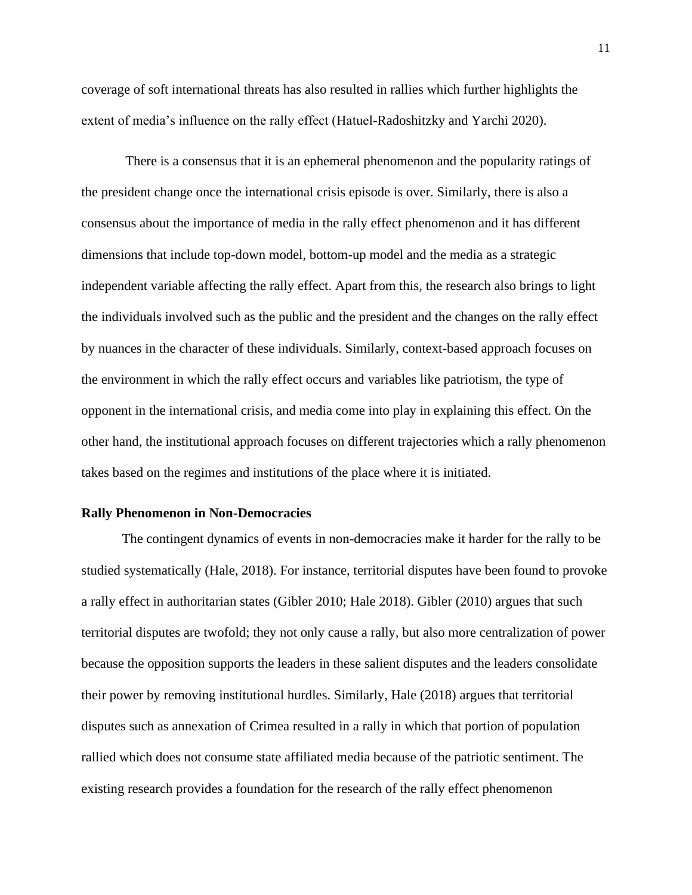coverage of soft international threats has also resulted in rallies which further highlights the extent of media's influence on the rally effect (Hatuel-Radoshitzky and Yarchi 2020).

There is a consensus that it is an ephemeral phenomenon and the popularity ratings of the president change once the international crisis episode is over. Similarly, there is also a consensus about the importance of media in the rally effect phenomenon and it has different dimensions that include top-down model, bottom-up model and the media as a strategic independent variable affecting the rally effect. Apart from this, the research also brings to light the individuals involved such as the public and the president and the changes on the rally effect by nuances in the character of these individuals. Similarly, context-based approach focuses on the environment in which the rally effect occurs and variables like patriotism, the type of opponent in the international crisis, and media come into play in explaining this effect. On the other hand, the institutional approach focuses on different trajectories which a rally phenomenon takes based on the regimes and institutions of the place where it is initiated.

#### <span id="page-19-0"></span>**Rally Phenomenon in Non-Democracies**

The contingent dynamics of events in non-democracies make it harder for the rally to be studied systematically (Hale, 2018). For instance, territorial disputes have been found to provoke a rally effect in authoritarian states (Gibler 2010; Hale 2018). Gibler (2010) argues that such territorial disputes are twofold; they not only cause a rally, but also more centralization of power because the opposition supports the leaders in these salient disputes and the leaders consolidate their power by removing institutional hurdles. Similarly, Hale (2018) argues that territorial disputes such as annexation of Crimea resulted in a rally in which that portion of population rallied which does not consume state affiliated media because of the patriotic sentiment. The existing research provides a foundation for the research of the rally effect phenomenon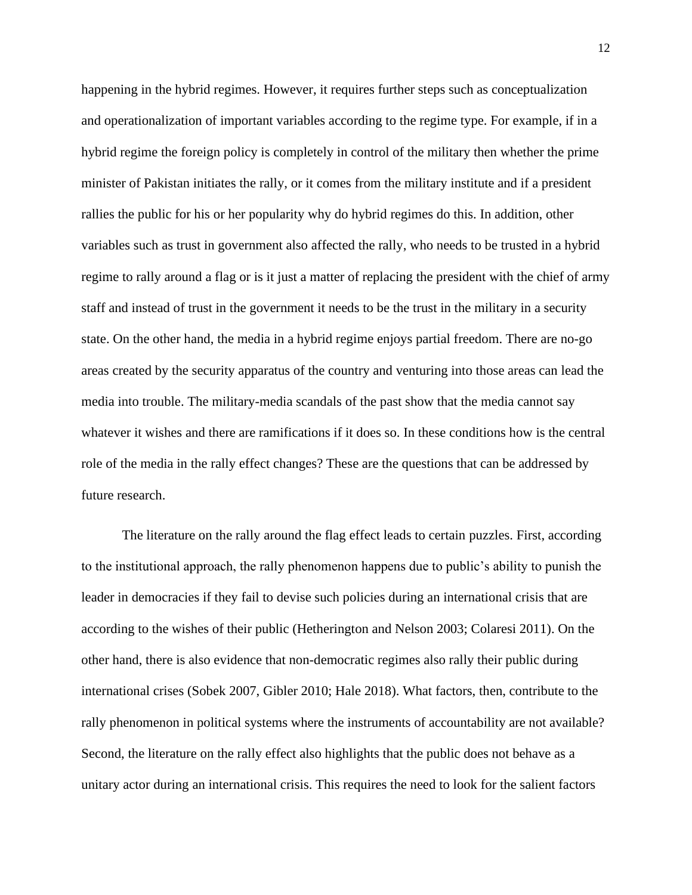happening in the hybrid regimes. However, it requires further steps such as conceptualization and operationalization of important variables according to the regime type. For example, if in a hybrid regime the foreign policy is completely in control of the military then whether the prime minister of Pakistan initiates the rally, or it comes from the military institute and if a president rallies the public for his or her popularity why do hybrid regimes do this. In addition, other variables such as trust in government also affected the rally, who needs to be trusted in a hybrid regime to rally around a flag or is it just a matter of replacing the president with the chief of army staff and instead of trust in the government it needs to be the trust in the military in a security state. On the other hand, the media in a hybrid regime enjoys partial freedom. There are no-go areas created by the security apparatus of the country and venturing into those areas can lead the media into trouble. The military-media scandals of the past show that the media cannot say whatever it wishes and there are ramifications if it does so. In these conditions how is the central role of the media in the rally effect changes? These are the questions that can be addressed by future research.

The literature on the rally around the flag effect leads to certain puzzles. First, according to the institutional approach, the rally phenomenon happens due to public's ability to punish the leader in democracies if they fail to devise such policies during an international crisis that are according to the wishes of their public (Hetherington and Nelson 2003; Colaresi 2011). On the other hand, there is also evidence that non-democratic regimes also rally their public during international crises (Sobek 2007, Gibler 2010; Hale 2018). What factors, then, contribute to the rally phenomenon in political systems where the instruments of accountability are not available? Second, the literature on the rally effect also highlights that the public does not behave as a unitary actor during an international crisis. This requires the need to look for the salient factors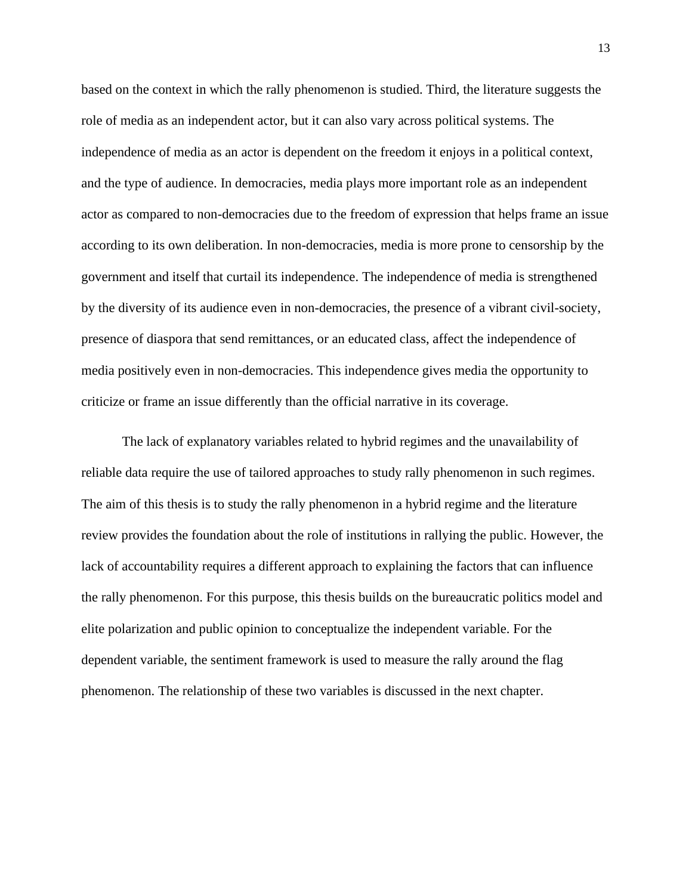based on the context in which the rally phenomenon is studied. Third, the literature suggests the role of media as an independent actor, but it can also vary across political systems. The independence of media as an actor is dependent on the freedom it enjoys in a political context, and the type of audience. In democracies, media plays more important role as an independent actor as compared to non-democracies due to the freedom of expression that helps frame an issue according to its own deliberation. In non-democracies, media is more prone to censorship by the government and itself that curtail its independence. The independence of media is strengthened by the diversity of its audience even in non-democracies, the presence of a vibrant civil-society, presence of diaspora that send remittances, or an educated class, affect the independence of media positively even in non-democracies. This independence gives media the opportunity to criticize or frame an issue differently than the official narrative in its coverage.

The lack of explanatory variables related to hybrid regimes and the unavailability of reliable data require the use of tailored approaches to study rally phenomenon in such regimes. The aim of this thesis is to study the rally phenomenon in a hybrid regime and the literature review provides the foundation about the role of institutions in rallying the public. However, the lack of accountability requires a different approach to explaining the factors that can influence the rally phenomenon. For this purpose, this thesis builds on the bureaucratic politics model and elite polarization and public opinion to conceptualize the independent variable. For the dependent variable, the sentiment framework is used to measure the rally around the flag phenomenon. The relationship of these two variables is discussed in the next chapter.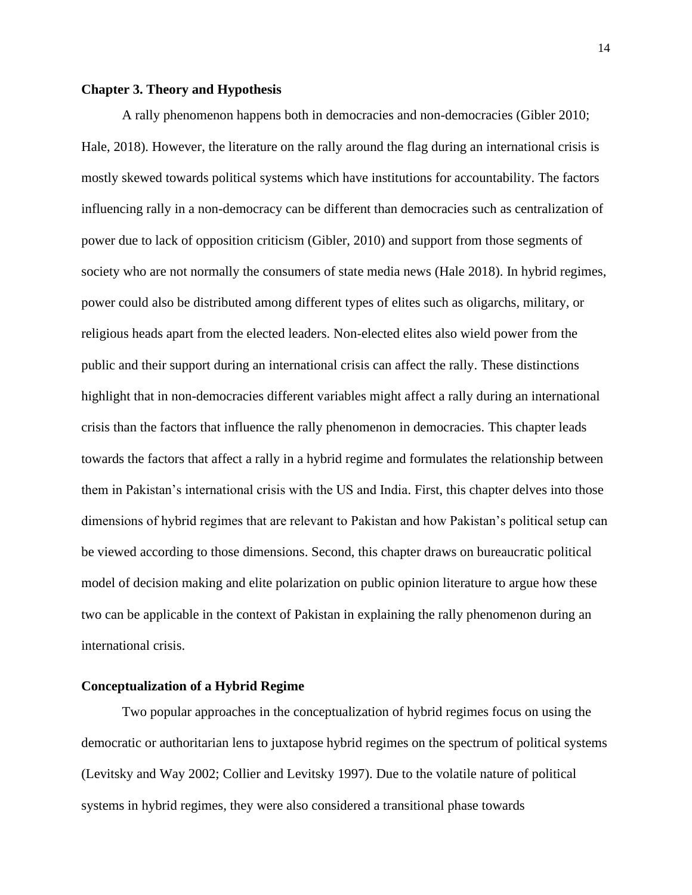## <span id="page-22-0"></span>**Chapter 3. Theory and Hypothesis**

A rally phenomenon happens both in democracies and non-democracies (Gibler 2010; Hale, 2018). However, the literature on the rally around the flag during an international crisis is mostly skewed towards political systems which have institutions for accountability. The factors influencing rally in a non-democracy can be different than democracies such as centralization of power due to lack of opposition criticism (Gibler, 2010) and support from those segments of society who are not normally the consumers of state media news (Hale 2018). In hybrid regimes, power could also be distributed among different types of elites such as oligarchs, military, or religious heads apart from the elected leaders. Non-elected elites also wield power from the public and their support during an international crisis can affect the rally. These distinctions highlight that in non-democracies different variables might affect a rally during an international crisis than the factors that influence the rally phenomenon in democracies. This chapter leads towards the factors that affect a rally in a hybrid regime and formulates the relationship between them in Pakistan's international crisis with the US and India. First, this chapter delves into those dimensions of hybrid regimes that are relevant to Pakistan and how Pakistan's political setup can be viewed according to those dimensions. Second, this chapter draws on bureaucratic political model of decision making and elite polarization on public opinion literature to argue how these two can be applicable in the context of Pakistan in explaining the rally phenomenon during an international crisis.

## <span id="page-22-1"></span>**Conceptualization of a Hybrid Regime**

Two popular approaches in the conceptualization of hybrid regimes focus on using the democratic or authoritarian lens to juxtapose hybrid regimes on the spectrum of political systems (Levitsky and Way 2002; Collier and Levitsky 1997). Due to the volatile nature of political systems in hybrid regimes, they were also considered a transitional phase towards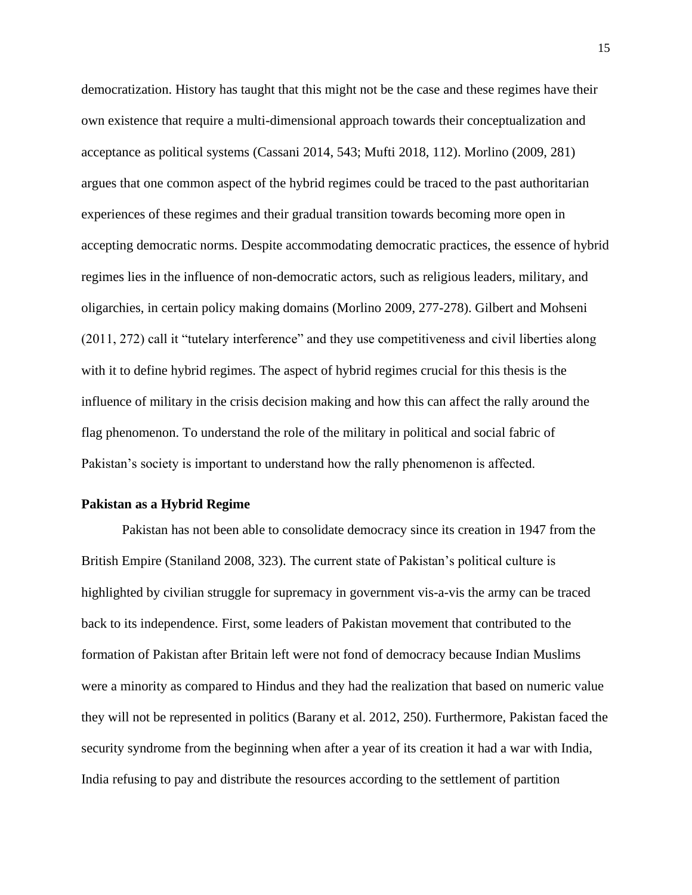democratization. History has taught that this might not be the case and these regimes have their own existence that require a multi-dimensional approach towards their conceptualization and acceptance as political systems (Cassani 2014, 543; Mufti 2018, 112). Morlino (2009, 281) argues that one common aspect of the hybrid regimes could be traced to the past authoritarian experiences of these regimes and their gradual transition towards becoming more open in accepting democratic norms. Despite accommodating democratic practices, the essence of hybrid regimes lies in the influence of non-democratic actors, such as religious leaders, military, and oligarchies, in certain policy making domains (Morlino 2009, 277-278). Gilbert and Mohseni (2011, 272) call it "tutelary interference" and they use competitiveness and civil liberties along with it to define hybrid regimes. The aspect of hybrid regimes crucial for this thesis is the influence of military in the crisis decision making and how this can affect the rally around the flag phenomenon. To understand the role of the military in political and social fabric of Pakistan's society is important to understand how the rally phenomenon is affected.

#### <span id="page-23-0"></span>**Pakistan as a Hybrid Regime**

Pakistan has not been able to consolidate democracy since its creation in 1947 from the British Empire (Staniland 2008, 323). The current state of Pakistan's political culture is highlighted by civilian struggle for supremacy in government vis-a-vis the army can be traced back to its independence. First, some leaders of Pakistan movement that contributed to the formation of Pakistan after Britain left were not fond of democracy because Indian Muslims were a minority as compared to Hindus and they had the realization that based on numeric value they will not be represented in politics (Barany et al. 2012, 250). Furthermore, Pakistan faced the security syndrome from the beginning when after a year of its creation it had a war with India, India refusing to pay and distribute the resources according to the settlement of partition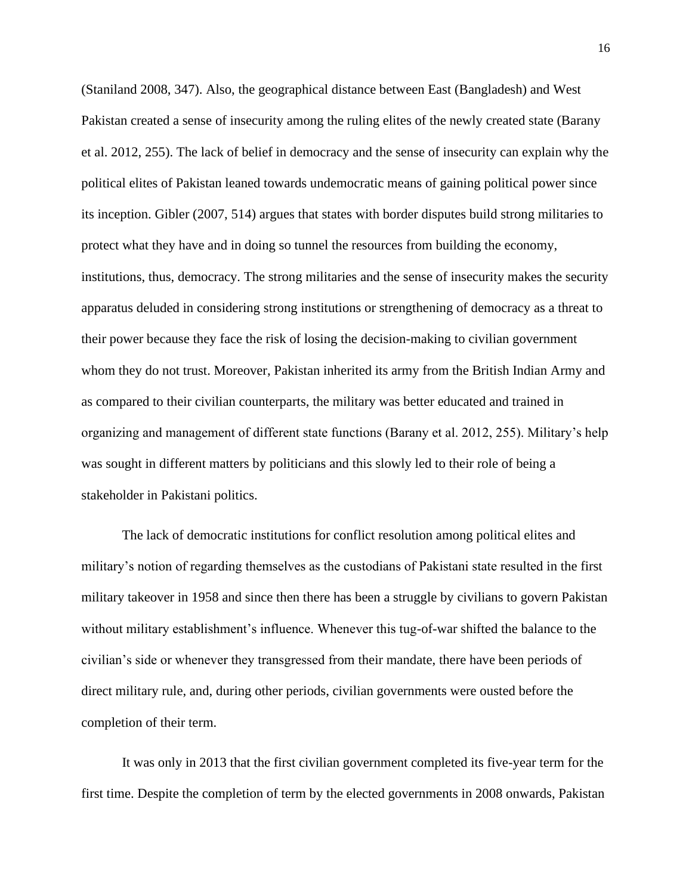(Staniland 2008, 347). Also, the geographical distance between East (Bangladesh) and West Pakistan created a sense of insecurity among the ruling elites of the newly created state (Barany et al. 2012, 255). The lack of belief in democracy and the sense of insecurity can explain why the political elites of Pakistan leaned towards undemocratic means of gaining political power since its inception. Gibler (2007, 514) argues that states with border disputes build strong militaries to protect what they have and in doing so tunnel the resources from building the economy, institutions, thus, democracy. The strong militaries and the sense of insecurity makes the security apparatus deluded in considering strong institutions or strengthening of democracy as a threat to their power because they face the risk of losing the decision-making to civilian government whom they do not trust. Moreover, Pakistan inherited its army from the British Indian Army and as compared to their civilian counterparts, the military was better educated and trained in organizing and management of different state functions (Barany et al. 2012, 255). Military's help was sought in different matters by politicians and this slowly led to their role of being a stakeholder in Pakistani politics.

The lack of democratic institutions for conflict resolution among political elites and military's notion of regarding themselves as the custodians of Pakistani state resulted in the first military takeover in 1958 and since then there has been a struggle by civilians to govern Pakistan without military establishment's influence. Whenever this tug-of-war shifted the balance to the civilian's side or whenever they transgressed from their mandate, there have been periods of direct military rule, and, during other periods, civilian governments were ousted before the completion of their term.

It was only in 2013 that the first civilian government completed its five-year term for the first time. Despite the completion of term by the elected governments in 2008 onwards, Pakistan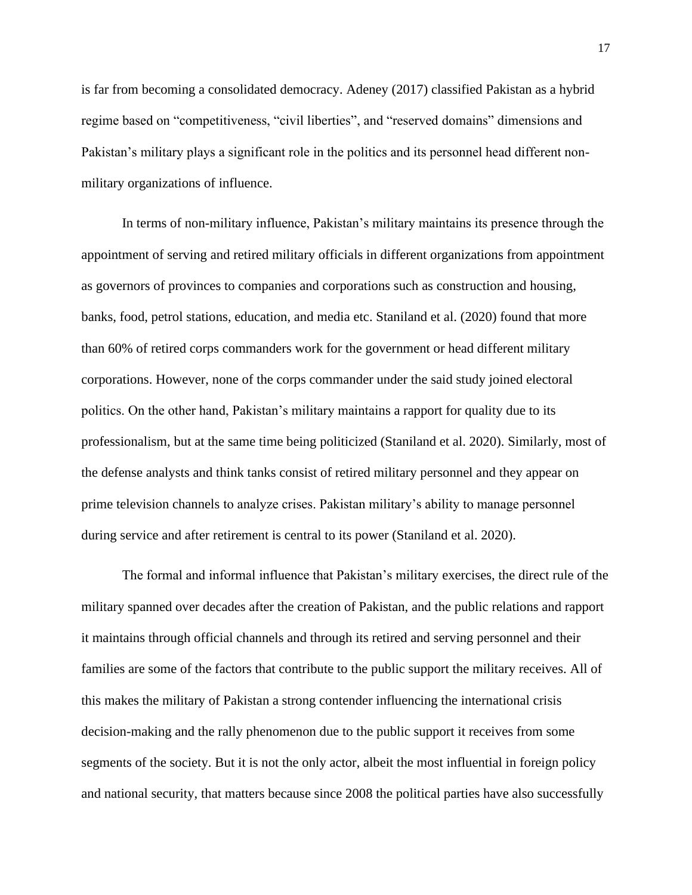is far from becoming a consolidated democracy. Adeney (2017) classified Pakistan as a hybrid regime based on "competitiveness, "civil liberties", and "reserved domains" dimensions and Pakistan's military plays a significant role in the politics and its personnel head different nonmilitary organizations of influence.

In terms of non-military influence, Pakistan's military maintains its presence through the appointment of serving and retired military officials in different organizations from appointment as governors of provinces to companies and corporations such as construction and housing, banks, food, petrol stations, education, and media etc. Staniland et al. (2020) found that more than 60% of retired corps commanders work for the government or head different military corporations. However, none of the corps commander under the said study joined electoral politics. On the other hand, Pakistan's military maintains a rapport for quality due to its professionalism, but at the same time being politicized (Staniland et al. 2020). Similarly, most of the defense analysts and think tanks consist of retired military personnel and they appear on prime television channels to analyze crises. Pakistan military's ability to manage personnel during service and after retirement is central to its power (Staniland et al. 2020).

The formal and informal influence that Pakistan's military exercises, the direct rule of the military spanned over decades after the creation of Pakistan, and the public relations and rapport it maintains through official channels and through its retired and serving personnel and their families are some of the factors that contribute to the public support the military receives. All of this makes the military of Pakistan a strong contender influencing the international crisis decision-making and the rally phenomenon due to the public support it receives from some segments of the society. But it is not the only actor, albeit the most influential in foreign policy and national security, that matters because since 2008 the political parties have also successfully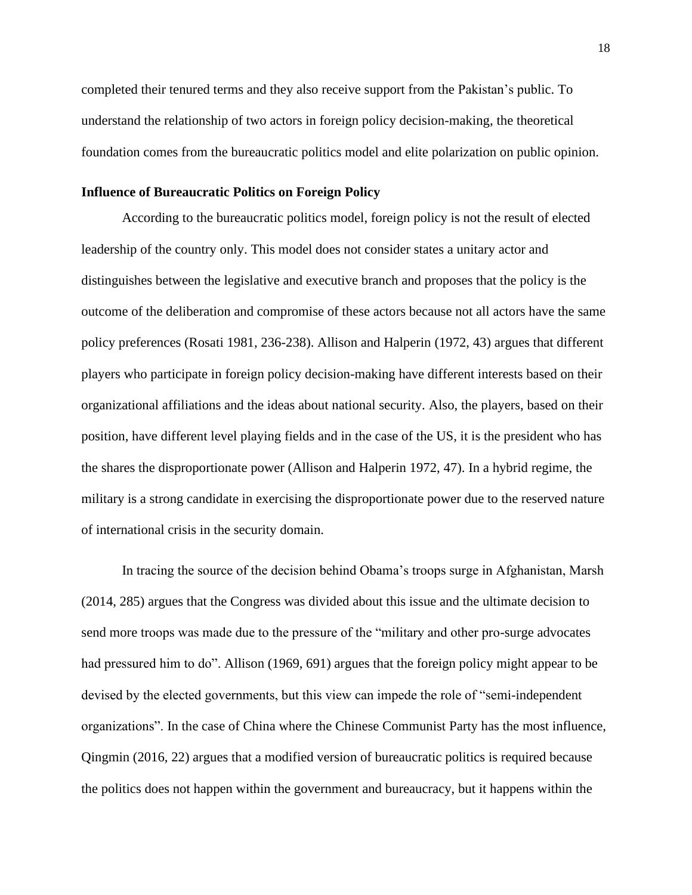completed their tenured terms and they also receive support from the Pakistan's public. To understand the relationship of two actors in foreign policy decision-making, the theoretical foundation comes from the bureaucratic politics model and elite polarization on public opinion.

## <span id="page-26-0"></span>**Influence of Bureaucratic Politics on Foreign Policy**

According to the bureaucratic politics model, foreign policy is not the result of elected leadership of the country only. This model does not consider states a unitary actor and distinguishes between the legislative and executive branch and proposes that the policy is the outcome of the deliberation and compromise of these actors because not all actors have the same policy preferences (Rosati 1981, 236-238). Allison and Halperin (1972, 43) argues that different players who participate in foreign policy decision-making have different interests based on their organizational affiliations and the ideas about national security. Also, the players, based on their position, have different level playing fields and in the case of the US, it is the president who has the shares the disproportionate power (Allison and Halperin 1972, 47). In a hybrid regime, the military is a strong candidate in exercising the disproportionate power due to the reserved nature of international crisis in the security domain.

In tracing the source of the decision behind Obama's troops surge in Afghanistan, Marsh (2014, 285) argues that the Congress was divided about this issue and the ultimate decision to send more troops was made due to the pressure of the "military and other pro-surge advocates had pressured him to do". Allison (1969, 691) argues that the foreign policy might appear to be devised by the elected governments, but this view can impede the role of "semi-independent organizations". In the case of China where the Chinese Communist Party has the most influence, Qingmin (2016, 22) argues that a modified version of bureaucratic politics is required because the politics does not happen within the government and bureaucracy, but it happens within the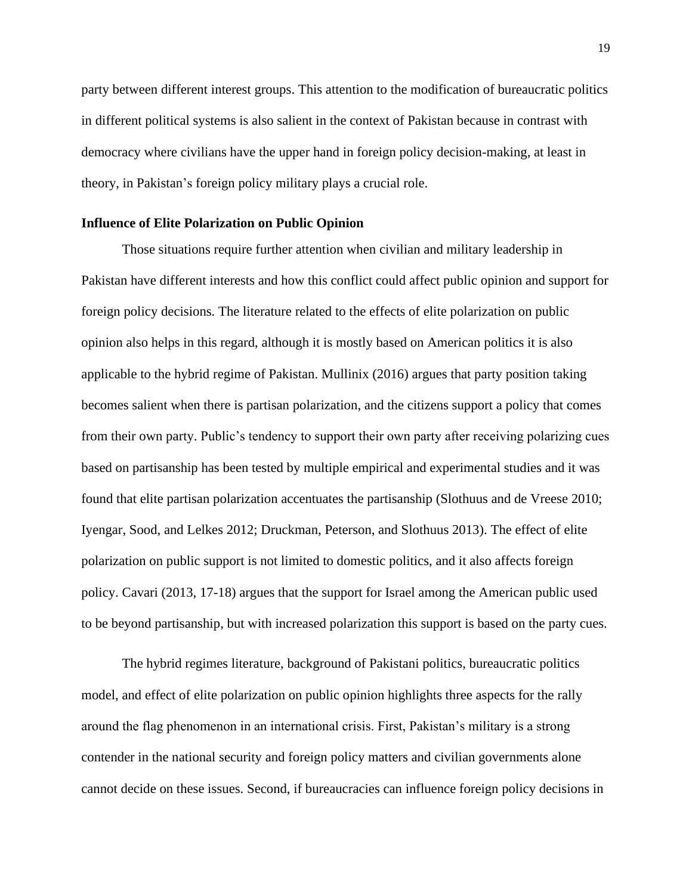party between different interest groups. This attention to the modification of bureaucratic politics in different political systems is also salient in the context of Pakistan because in contrast with democracy where civilians have the upper hand in foreign policy decision-making, at least in theory, in Pakistan's foreign policy military plays a crucial role.

## <span id="page-27-0"></span>**Influence of Elite Polarization on Public Opinion**

Those situations require further attention when civilian and military leadership in Pakistan have different interests and how this conflict could affect public opinion and support for foreign policy decisions. The literature related to the effects of elite polarization on public opinion also helps in this regard, although it is mostly based on American politics it is also applicable to the hybrid regime of Pakistan. Mullinix (2016) argues that party position taking becomes salient when there is partisan polarization, and the citizens support a policy that comes from their own party. Public's tendency to support their own party after receiving polarizing cues based on partisanship has been tested by multiple empirical and experimental studies and it was found that elite partisan polarization accentuates the partisanship (Slothuus and de Vreese 2010; Iyengar, Sood, and Lelkes 2012; Druckman, Peterson, and Slothuus 2013). The effect of elite polarization on public support is not limited to domestic politics, and it also affects foreign policy. Cavari (2013, 17-18) argues that the support for Israel among the American public used to be beyond partisanship, but with increased polarization this support is based on the party cues.

The hybrid regimes literature, background of Pakistani politics, bureaucratic politics model, and effect of elite polarization on public opinion highlights three aspects for the rally around the flag phenomenon in an international crisis. First, Pakistan's military is a strong contender in the national security and foreign policy matters and civilian governments alone cannot decide on these issues. Second, if bureaucracies can influence foreign policy decisions in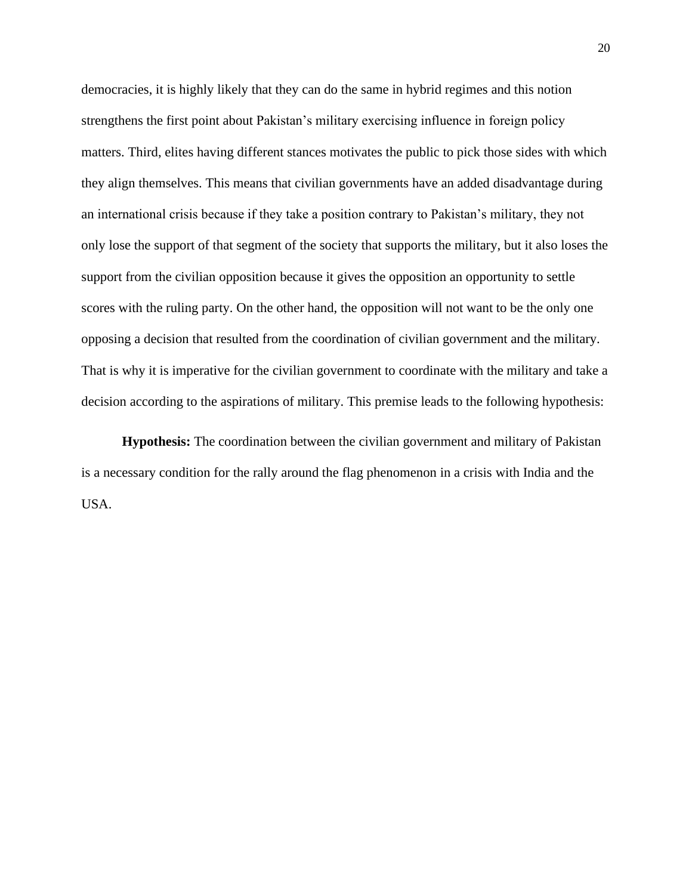democracies, it is highly likely that they can do the same in hybrid regimes and this notion strengthens the first point about Pakistan's military exercising influence in foreign policy matters. Third, elites having different stances motivates the public to pick those sides with which they align themselves. This means that civilian governments have an added disadvantage during an international crisis because if they take a position contrary to Pakistan's military, they not only lose the support of that segment of the society that supports the military, but it also loses the support from the civilian opposition because it gives the opposition an opportunity to settle scores with the ruling party. On the other hand, the opposition will not want to be the only one opposing a decision that resulted from the coordination of civilian government and the military. That is why it is imperative for the civilian government to coordinate with the military and take a decision according to the aspirations of military. This premise leads to the following hypothesis:

**Hypothesis:** The coordination between the civilian government and military of Pakistan is a necessary condition for the rally around the flag phenomenon in a crisis with India and the USA.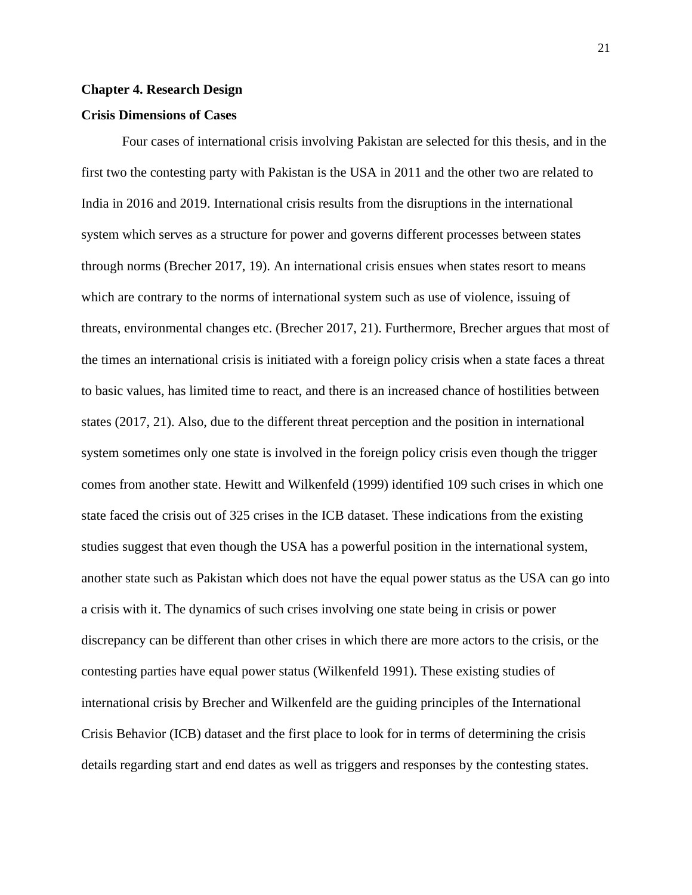## <span id="page-29-0"></span>**Chapter 4. Research Design**

#### <span id="page-29-1"></span>**Crisis Dimensions of Cases**

Four cases of international crisis involving Pakistan are selected for this thesis, and in the first two the contesting party with Pakistan is the USA in 2011 and the other two are related to India in 2016 and 2019. International crisis results from the disruptions in the international system which serves as a structure for power and governs different processes between states through norms (Brecher 2017, 19). An international crisis ensues when states resort to means which are contrary to the norms of international system such as use of violence, issuing of threats, environmental changes etc. (Brecher 2017, 21). Furthermore, Brecher argues that most of the times an international crisis is initiated with a foreign policy crisis when a state faces a threat to basic values, has limited time to react, and there is an increased chance of hostilities between states (2017, 21). Also, due to the different threat perception and the position in international system sometimes only one state is involved in the foreign policy crisis even though the trigger comes from another state. Hewitt and Wilkenfeld (1999) identified 109 such crises in which one state faced the crisis out of 325 crises in the ICB dataset. These indications from the existing studies suggest that even though the USA has a powerful position in the international system, another state such as Pakistan which does not have the equal power status as the USA can go into a crisis with it. The dynamics of such crises involving one state being in crisis or power discrepancy can be different than other crises in which there are more actors to the crisis, or the contesting parties have equal power status (Wilkenfeld 1991). These existing studies of international crisis by Brecher and Wilkenfeld are the guiding principles of the International Crisis Behavior (ICB) dataset and the first place to look for in terms of determining the crisis details regarding start and end dates as well as triggers and responses by the contesting states.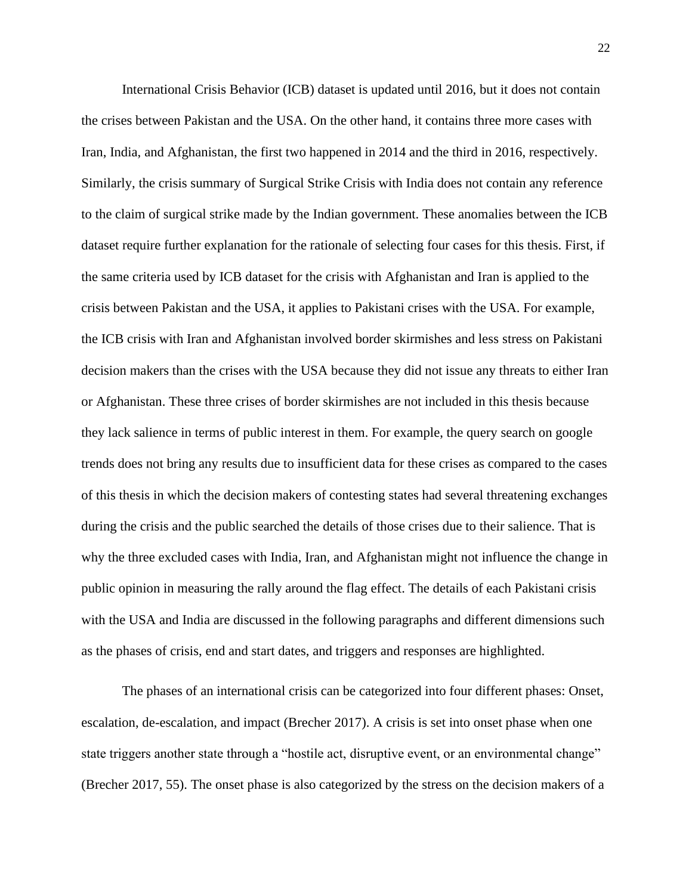International Crisis Behavior (ICB) dataset is updated until 2016, but it does not contain the crises between Pakistan and the USA. On the other hand, it contains three more cases with Iran, India, and Afghanistan, the first two happened in 2014 and the third in 2016, respectively. Similarly, the crisis summary of Surgical Strike Crisis with India does not contain any reference to the claim of surgical strike made by the Indian government. These anomalies between the ICB dataset require further explanation for the rationale of selecting four cases for this thesis. First, if the same criteria used by ICB dataset for the crisis with Afghanistan and Iran is applied to the crisis between Pakistan and the USA, it applies to Pakistani crises with the USA. For example, the ICB crisis with Iran and Afghanistan involved border skirmishes and less stress on Pakistani decision makers than the crises with the USA because they did not issue any threats to either Iran or Afghanistan. These three crises of border skirmishes are not included in this thesis because they lack salience in terms of public interest in them. For example, the query search on google trends does not bring any results due to insufficient data for these crises as compared to the cases of this thesis in which the decision makers of contesting states had several threatening exchanges during the crisis and the public searched the details of those crises due to their salience. That is why the three excluded cases with India, Iran, and Afghanistan might not influence the change in public opinion in measuring the rally around the flag effect. The details of each Pakistani crisis with the USA and India are discussed in the following paragraphs and different dimensions such as the phases of crisis, end and start dates, and triggers and responses are highlighted.

The phases of an international crisis can be categorized into four different phases: Onset, escalation, de-escalation, and impact (Brecher 2017). A crisis is set into onset phase when one state triggers another state through a "hostile act, disruptive event, or an environmental change" (Brecher 2017, 55). The onset phase is also categorized by the stress on the decision makers of a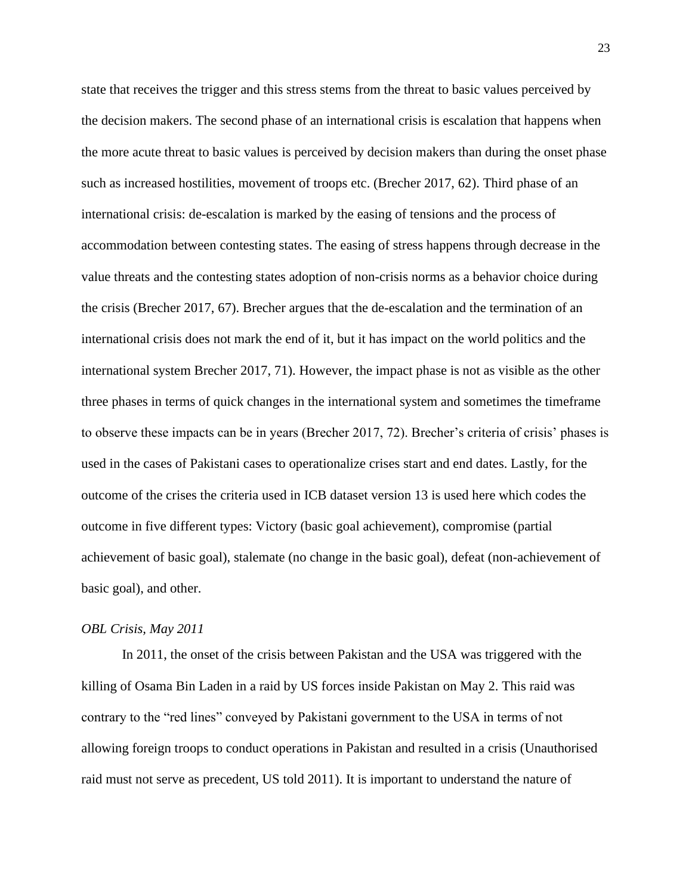state that receives the trigger and this stress stems from the threat to basic values perceived by the decision makers. The second phase of an international crisis is escalation that happens when the more acute threat to basic values is perceived by decision makers than during the onset phase such as increased hostilities, movement of troops etc. (Brecher 2017, 62). Third phase of an international crisis: de-escalation is marked by the easing of tensions and the process of accommodation between contesting states. The easing of stress happens through decrease in the value threats and the contesting states adoption of non-crisis norms as a behavior choice during the crisis (Brecher 2017, 67). Brecher argues that the de-escalation and the termination of an international crisis does not mark the end of it, but it has impact on the world politics and the international system Brecher 2017, 71). However, the impact phase is not as visible as the other three phases in terms of quick changes in the international system and sometimes the timeframe to observe these impacts can be in years (Brecher 2017, 72). Brecher's criteria of crisis' phases is used in the cases of Pakistani cases to operationalize crises start and end dates. Lastly, for the outcome of the crises the criteria used in ICB dataset version 13 is used here which codes the outcome in five different types: Victory (basic goal achievement), compromise (partial achievement of basic goal), stalemate (no change in the basic goal), defeat (non-achievement of basic goal), and other.

#### <span id="page-31-0"></span>*OBL Crisis, May 2011*

In 2011, the onset of the crisis between Pakistan and the USA was triggered with the killing of Osama Bin Laden in a raid by US forces inside Pakistan on May 2. This raid was contrary to the "red lines" conveyed by Pakistani government to the USA in terms of not allowing foreign troops to conduct operations in Pakistan and resulted in a crisis (Unauthorised raid must not serve as precedent, US told 2011). It is important to understand the nature of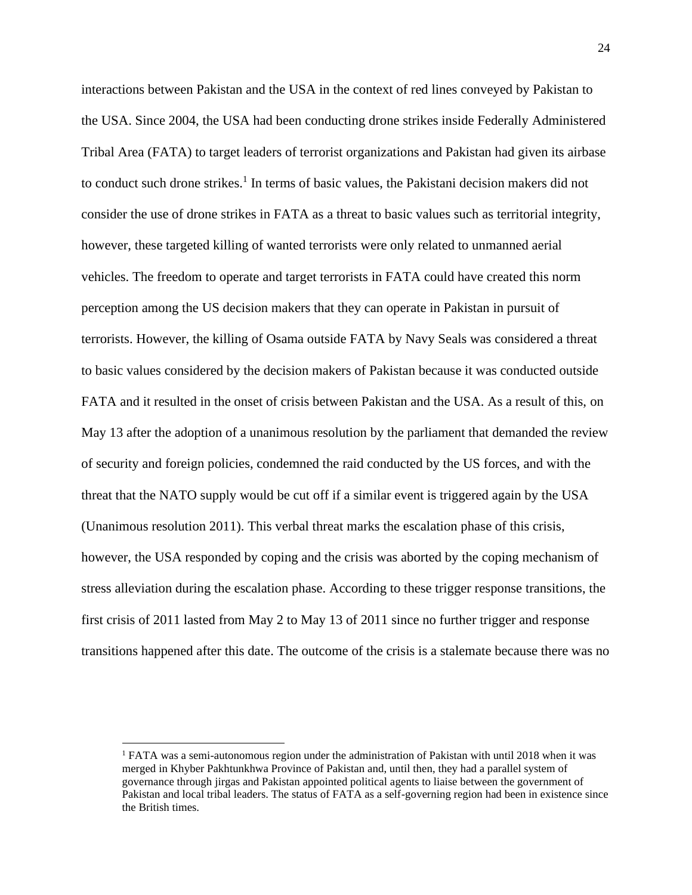interactions between Pakistan and the USA in the context of red lines conveyed by Pakistan to the USA. Since 2004, the USA had been conducting drone strikes inside Federally Administered Tribal Area (FATA) to target leaders of terrorist organizations and Pakistan had given its airbase to conduct such drone strikes.<sup>1</sup> In terms of basic values, the Pakistani decision makers did not consider the use of drone strikes in FATA as a threat to basic values such as territorial integrity, however, these targeted killing of wanted terrorists were only related to unmanned aerial vehicles. The freedom to operate and target terrorists in FATA could have created this norm perception among the US decision makers that they can operate in Pakistan in pursuit of terrorists. However, the killing of Osama outside FATA by Navy Seals was considered a threat to basic values considered by the decision makers of Pakistan because it was conducted outside FATA and it resulted in the onset of crisis between Pakistan and the USA. As a result of this, on May 13 after the adoption of a unanimous resolution by the parliament that demanded the review of security and foreign policies, condemned the raid conducted by the US forces, and with the threat that the NATO supply would be cut off if a similar event is triggered again by the USA (Unanimous resolution 2011). This verbal threat marks the escalation phase of this crisis, however, the USA responded by coping and the crisis was aborted by the coping mechanism of stress alleviation during the escalation phase. According to these trigger response transitions, the first crisis of 2011 lasted from May 2 to May 13 of 2011 since no further trigger and response transitions happened after this date. The outcome of the crisis is a stalemate because there was no

 $<sup>1</sup>$  FATA was a semi-autonomous region under the administration of Pakistan with until 2018 when it was</sup> merged in Khyber Pakhtunkhwa Province of Pakistan and, until then, they had a parallel system of governance through jirgas and Pakistan appointed political agents to liaise between the government of Pakistan and local tribal leaders. The status of FATA as a self-governing region had been in existence since the British times.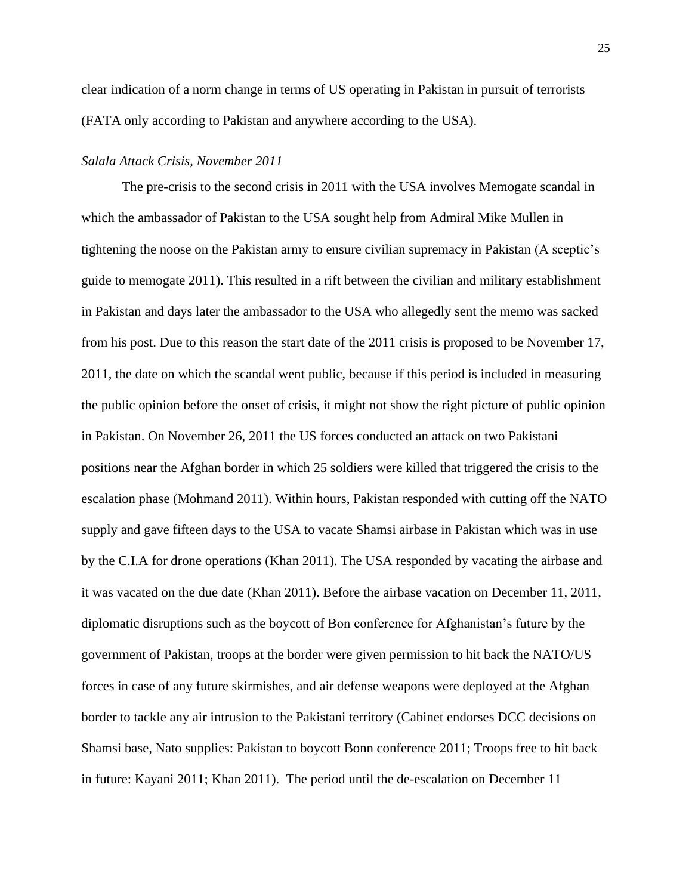clear indication of a norm change in terms of US operating in Pakistan in pursuit of terrorists (FATA only according to Pakistan and anywhere according to the USA).

# <span id="page-33-0"></span>*Salala Attack Crisis, November 2011*

The pre-crisis to the second crisis in 2011 with the USA involves Memogate scandal in which the ambassador of Pakistan to the USA sought help from Admiral Mike Mullen in tightening the noose on the Pakistan army to ensure civilian supremacy in Pakistan (A sceptic's guide to memogate 2011). This resulted in a rift between the civilian and military establishment in Pakistan and days later the ambassador to the USA who allegedly sent the memo was sacked from his post. Due to this reason the start date of the 2011 crisis is proposed to be November 17, 2011, the date on which the scandal went public, because if this period is included in measuring the public opinion before the onset of crisis, it might not show the right picture of public opinion in Pakistan. On November 26, 2011 the US forces conducted an attack on two Pakistani positions near the Afghan border in which 25 soldiers were killed that triggered the crisis to the escalation phase (Mohmand 2011). Within hours, Pakistan responded with cutting off the NATO supply and gave fifteen days to the USA to vacate Shamsi airbase in Pakistan which was in use by the C.I.A for drone operations (Khan 2011). The USA responded by vacating the airbase and it was vacated on the due date (Khan 2011). Before the airbase vacation on December 11, 2011, diplomatic disruptions such as the boycott of Bon conference for Afghanistan's future by the government of Pakistan, troops at the border were given permission to hit back the NATO/US forces in case of any future skirmishes, and air defense weapons were deployed at the Afghan border to tackle any air intrusion to the Pakistani territory (Cabinet endorses DCC decisions on Shamsi base, Nato supplies: Pakistan to boycott Bonn conference 2011; Troops free to hit back in future: Kayani 2011; Khan 2011). The period until the de-escalation on December 11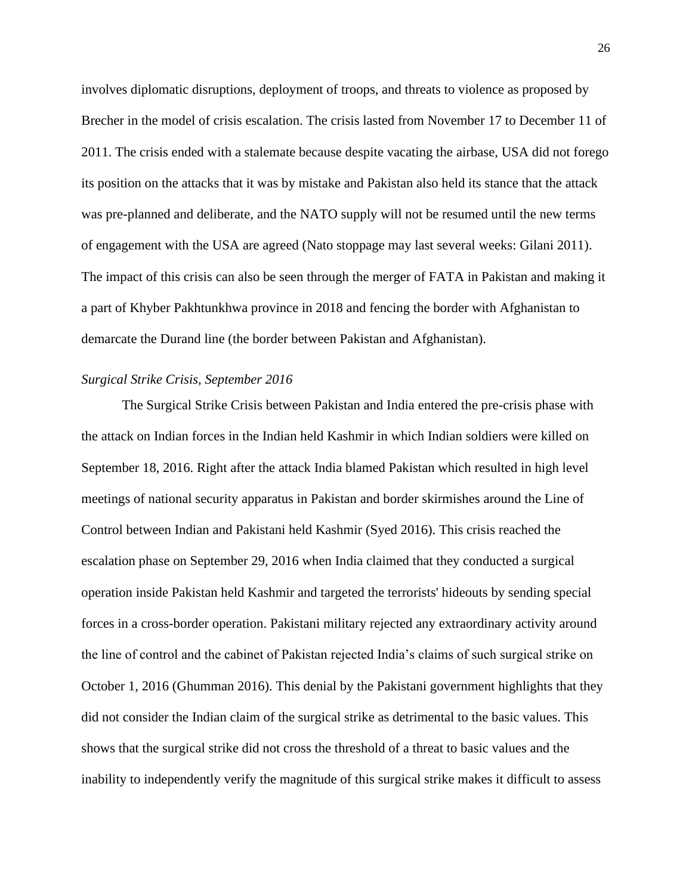involves diplomatic disruptions, deployment of troops, and threats to violence as proposed by Brecher in the model of crisis escalation. The crisis lasted from November 17 to December 11 of 2011. The crisis ended with a stalemate because despite vacating the airbase, USA did not forego its position on the attacks that it was by mistake and Pakistan also held its stance that the attack was pre-planned and deliberate, and the NATO supply will not be resumed until the new terms of engagement with the USA are agreed (Nato stoppage may last several weeks: Gilani 2011). The impact of this crisis can also be seen through the merger of FATA in Pakistan and making it a part of Khyber Pakhtunkhwa province in 2018 and fencing the border with Afghanistan to demarcate the Durand line (the border between Pakistan and Afghanistan).

### <span id="page-34-0"></span>*Surgical Strike Crisis, September 2016*

The Surgical Strike Crisis between Pakistan and India entered the pre-crisis phase with the attack on Indian forces in the Indian held Kashmir in which Indian soldiers were killed on September 18, 2016. Right after the attack India blamed Pakistan which resulted in high level meetings of national security apparatus in Pakistan and border skirmishes around the Line of Control between Indian and Pakistani held Kashmir (Syed 2016). This crisis reached the escalation phase on September 29, 2016 when India claimed that they conducted a surgical operation inside Pakistan held Kashmir and targeted the terrorists' hideouts by sending special forces in a cross-border operation. Pakistani military rejected any extraordinary activity around the line of control and the cabinet of Pakistan rejected India's claims of such surgical strike on October 1, 2016 (Ghumman 2016). This denial by the Pakistani government highlights that they did not consider the Indian claim of the surgical strike as detrimental to the basic values. This shows that the surgical strike did not cross the threshold of a threat to basic values and the inability to independently verify the magnitude of this surgical strike makes it difficult to assess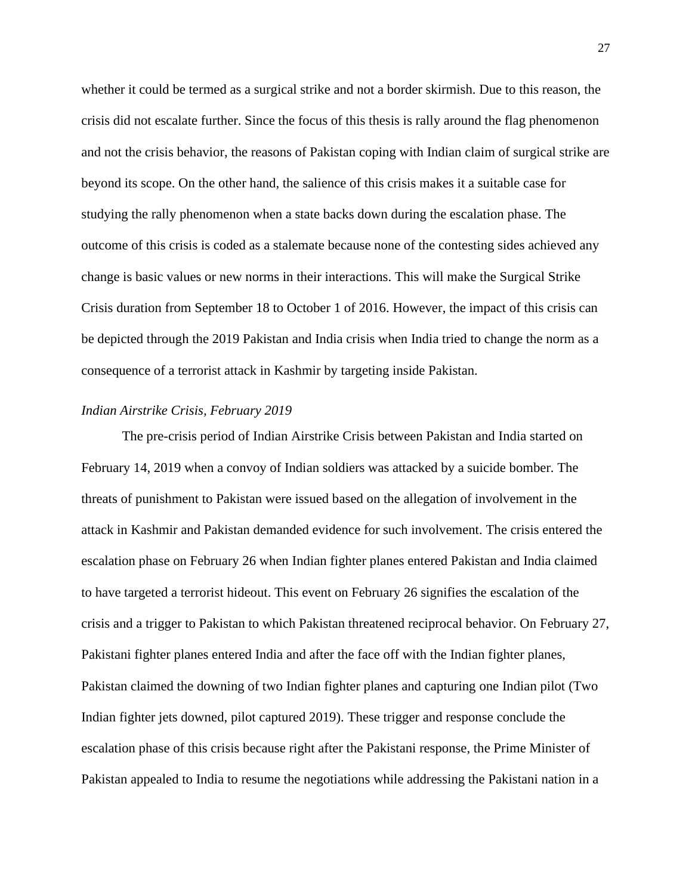whether it could be termed as a surgical strike and not a border skirmish. Due to this reason, the crisis did not escalate further. Since the focus of this thesis is rally around the flag phenomenon and not the crisis behavior, the reasons of Pakistan coping with Indian claim of surgical strike are beyond its scope. On the other hand, the salience of this crisis makes it a suitable case for studying the rally phenomenon when a state backs down during the escalation phase. The outcome of this crisis is coded as a stalemate because none of the contesting sides achieved any change is basic values or new norms in their interactions. This will make the Surgical Strike Crisis duration from September 18 to October 1 of 2016. However, the impact of this crisis can be depicted through the 2019 Pakistan and India crisis when India tried to change the norm as a consequence of a terrorist attack in Kashmir by targeting inside Pakistan.

## <span id="page-35-0"></span>*Indian Airstrike Crisis, February 2019*

The pre-crisis period of Indian Airstrike Crisis between Pakistan and India started on February 14, 2019 when a convoy of Indian soldiers was attacked by a suicide bomber. The threats of punishment to Pakistan were issued based on the allegation of involvement in the attack in Kashmir and Pakistan demanded evidence for such involvement. The crisis entered the escalation phase on February 26 when Indian fighter planes entered Pakistan and India claimed to have targeted a terrorist hideout. This event on February 26 signifies the escalation of the crisis and a trigger to Pakistan to which Pakistan threatened reciprocal behavior. On February 27, Pakistani fighter planes entered India and after the face off with the Indian fighter planes, Pakistan claimed the downing of two Indian fighter planes and capturing one Indian pilot (Two Indian fighter jets downed, pilot captured 2019). These trigger and response conclude the escalation phase of this crisis because right after the Pakistani response, the Prime Minister of Pakistan appealed to India to resume the negotiations while addressing the Pakistani nation in a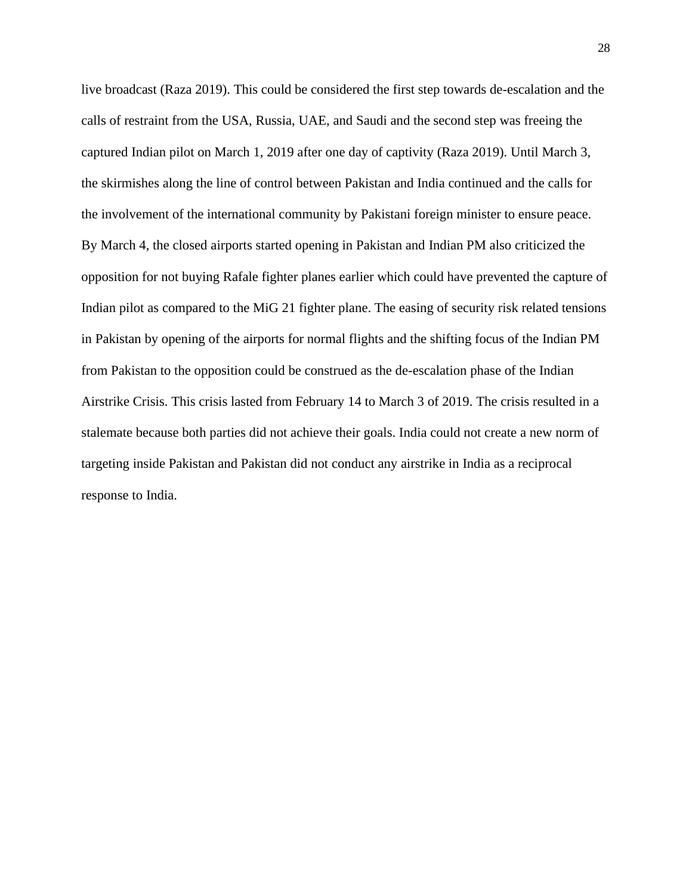live broadcast (Raza 2019). This could be considered the first step towards de-escalation and the calls of restraint from the USA, Russia, UAE, and Saudi and the second step was freeing the captured Indian pilot on March 1, 2019 after one day of captivity (Raza 2019). Until March 3, the skirmishes along the line of control between Pakistan and India continued and the calls for the involvement of the international community by Pakistani foreign minister to ensure peace. By March 4, the closed airports started opening in Pakistan and Indian PM also criticized the opposition for not buying Rafale fighter planes earlier which could have prevented the capture of Indian pilot as compared to the MiG 21 fighter plane. The easing of security risk related tensions in Pakistan by opening of the airports for normal flights and the shifting focus of the Indian PM from Pakistan to the opposition could be construed as the de-escalation phase of the Indian Airstrike Crisis. This crisis lasted from February 14 to March 3 of 2019. The crisis resulted in a stalemate because both parties did not achieve their goals. India could not create a new norm of targeting inside Pakistan and Pakistan did not conduct any airstrike in India as a reciprocal response to India.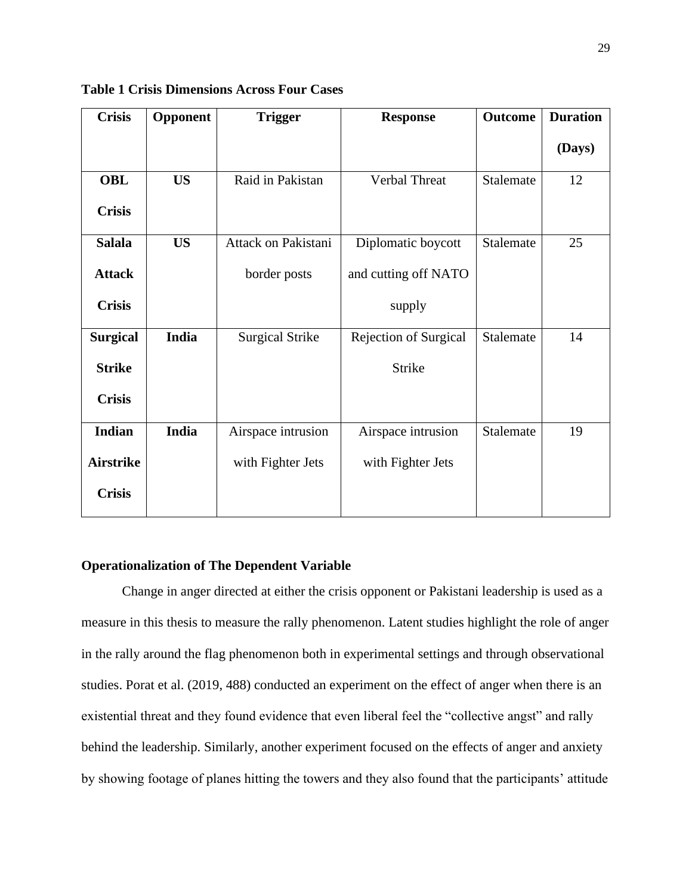| <b>Crisis</b>    | Opponent     | <b>Trigger</b>         | <b>Response</b>       | <b>Outcome</b> | <b>Duration</b> |
|------------------|--------------|------------------------|-----------------------|----------------|-----------------|
|                  |              |                        |                       |                | (Days)          |
| <b>OBL</b>       | <b>US</b>    | Raid in Pakistan       | Verbal Threat         | Stalemate      | 12              |
| <b>Crisis</b>    |              |                        |                       |                |                 |
| <b>Salala</b>    | <b>US</b>    | Attack on Pakistani    | Diplomatic boycott    | Stalemate      | 25              |
| <b>Attack</b>    |              | border posts           | and cutting off NATO  |                |                 |
| <b>Crisis</b>    |              |                        | supply                |                |                 |
| <b>Surgical</b>  | India        | <b>Surgical Strike</b> | Rejection of Surgical | Stalemate      | 14              |
| <b>Strike</b>    |              |                        | <b>Strike</b>         |                |                 |
| <b>Crisis</b>    |              |                        |                       |                |                 |
| <b>Indian</b>    | <b>India</b> | Airspace intrusion     | Airspace intrusion    | Stalemate      | 19              |
| <b>Airstrike</b> |              | with Fighter Jets      | with Fighter Jets     |                |                 |
| <b>Crisis</b>    |              |                        |                       |                |                 |

**Table 1 Crisis Dimensions Across Four Cases**

# **Operationalization of The Dependent Variable**

Change in anger directed at either the crisis opponent or Pakistani leadership is used as a measure in this thesis to measure the rally phenomenon. Latent studies highlight the role of anger in the rally around the flag phenomenon both in experimental settings and through observational studies. Porat et al. (2019, 488) conducted an experiment on the effect of anger when there is an existential threat and they found evidence that even liberal feel the "collective angst" and rally behind the leadership. Similarly, another experiment focused on the effects of anger and anxiety by showing footage of planes hitting the towers and they also found that the participants' attitude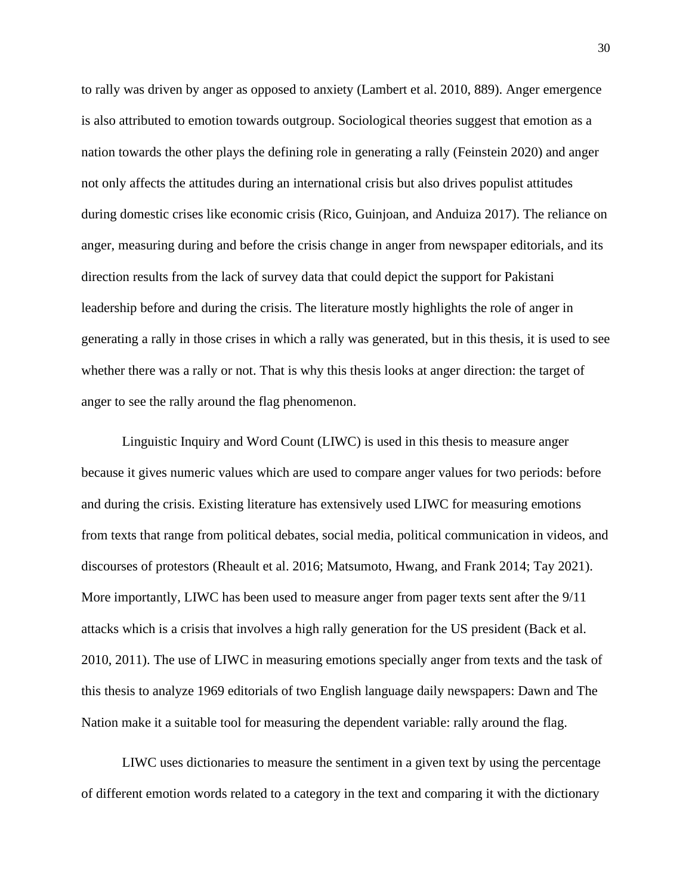to rally was driven by anger as opposed to anxiety (Lambert et al. 2010, 889). Anger emergence is also attributed to emotion towards outgroup. Sociological theories suggest that emotion as a nation towards the other plays the defining role in generating a rally (Feinstein 2020) and anger not only affects the attitudes during an international crisis but also drives populist attitudes during domestic crises like economic crisis (Rico, Guinjoan, and Anduiza 2017). The reliance on anger, measuring during and before the crisis change in anger from newspaper editorials, and its direction results from the lack of survey data that could depict the support for Pakistani leadership before and during the crisis. The literature mostly highlights the role of anger in generating a rally in those crises in which a rally was generated, but in this thesis, it is used to see whether there was a rally or not. That is why this thesis looks at anger direction: the target of anger to see the rally around the flag phenomenon.

Linguistic Inquiry and Word Count (LIWC) is used in this thesis to measure anger because it gives numeric values which are used to compare anger values for two periods: before and during the crisis. Existing literature has extensively used LIWC for measuring emotions from texts that range from political debates, social media, political communication in videos, and discourses of protestors (Rheault et al. 2016; Matsumoto, Hwang, and Frank 2014; Tay 2021). More importantly, LIWC has been used to measure anger from pager texts sent after the 9/11 attacks which is a crisis that involves a high rally generation for the US president (Back et al. 2010, 2011). The use of LIWC in measuring emotions specially anger from texts and the task of this thesis to analyze 1969 editorials of two English language daily newspapers: Dawn and The Nation make it a suitable tool for measuring the dependent variable: rally around the flag.

LIWC uses dictionaries to measure the sentiment in a given text by using the percentage of different emotion words related to a category in the text and comparing it with the dictionary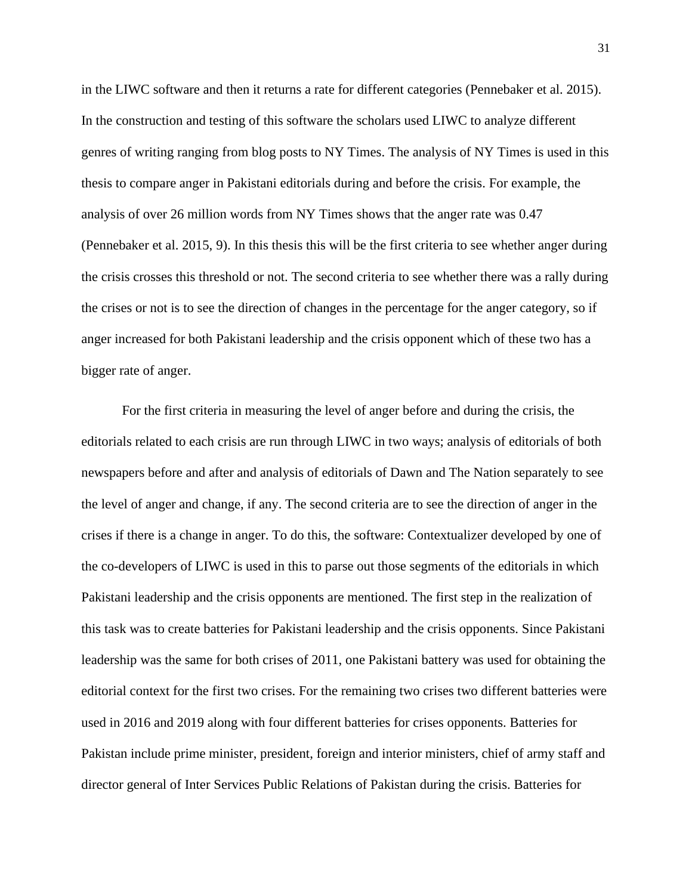in the LIWC software and then it returns a rate for different categories (Pennebaker et al. 2015). In the construction and testing of this software the scholars used LIWC to analyze different genres of writing ranging from blog posts to NY Times. The analysis of NY Times is used in this thesis to compare anger in Pakistani editorials during and before the crisis. For example, the analysis of over 26 million words from NY Times shows that the anger rate was 0.47 (Pennebaker et al. 2015, 9). In this thesis this will be the first criteria to see whether anger during the crisis crosses this threshold or not. The second criteria to see whether there was a rally during the crises or not is to see the direction of changes in the percentage for the anger category, so if anger increased for both Pakistani leadership and the crisis opponent which of these two has a bigger rate of anger.

For the first criteria in measuring the level of anger before and during the crisis, the editorials related to each crisis are run through LIWC in two ways; analysis of editorials of both newspapers before and after and analysis of editorials of Dawn and The Nation separately to see the level of anger and change, if any. The second criteria are to see the direction of anger in the crises if there is a change in anger. To do this, the software: Contextualizer developed by one of the co-developers of LIWC is used in this to parse out those segments of the editorials in which Pakistani leadership and the crisis opponents are mentioned. The first step in the realization of this task was to create batteries for Pakistani leadership and the crisis opponents. Since Pakistani leadership was the same for both crises of 2011, one Pakistani battery was used for obtaining the editorial context for the first two crises. For the remaining two crises two different batteries were used in 2016 and 2019 along with four different batteries for crises opponents. Batteries for Pakistan include prime minister, president, foreign and interior ministers, chief of army staff and director general of Inter Services Public Relations of Pakistan during the crisis. Batteries for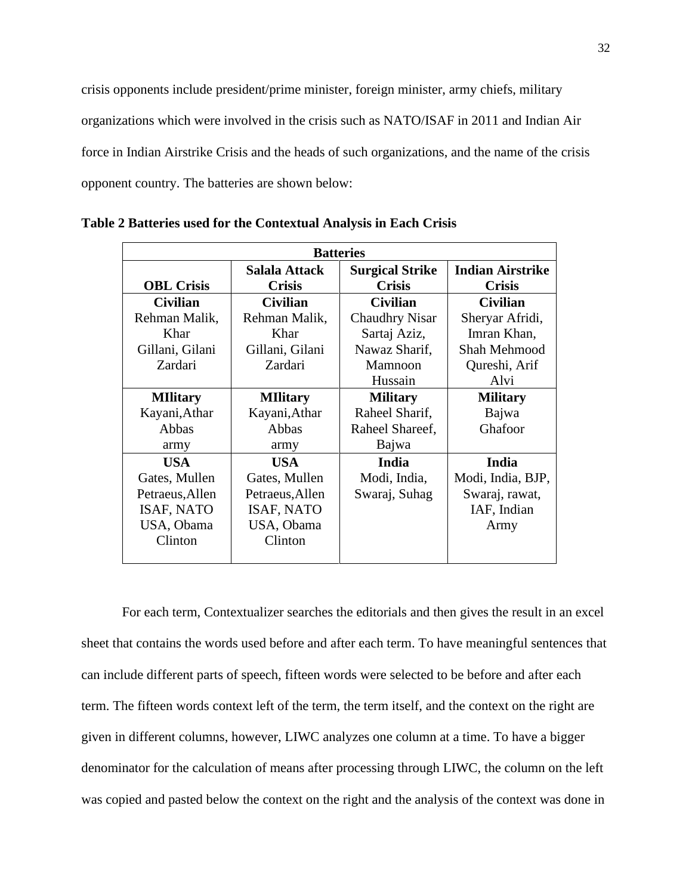crisis opponents include president/prime minister, foreign minister, army chiefs, military organizations which were involved in the crisis such as NATO/ISAF in 2011 and Indian Air force in Indian Airstrike Crisis and the heads of such organizations, and the name of the crisis opponent country. The batteries are shown below:

| <b>Batteries</b>  |                                |                                  |                                          |  |  |  |  |  |
|-------------------|--------------------------------|----------------------------------|------------------------------------------|--|--|--|--|--|
| <b>OBL Crisis</b> | Salala Attack<br><b>Crisis</b> | <b>Surgical Strike</b><br>Crisis | <b>Indian Airstrike</b><br><b>Crisis</b> |  |  |  |  |  |
| <b>Civilian</b>   | <b>Civilian</b>                | <b>Civilian</b>                  | <b>Civilian</b>                          |  |  |  |  |  |
| Rehman Malik,     | Rehman Malik,                  | <b>Chaudhry Nisar</b>            | Sheryar Afridi,                          |  |  |  |  |  |
| Khar              | Khar                           | Sartaj Aziz,                     | Imran Khan,                              |  |  |  |  |  |
| Gillani, Gilani   | Gillani, Gilani                | Nawaz Sharif,                    | Shah Mehmood                             |  |  |  |  |  |
| Zardari           | Zardari                        | Mamnoon                          | Qureshi, Arif                            |  |  |  |  |  |
|                   |                                | Hussain                          | Alvi                                     |  |  |  |  |  |
| <b>MIlitary</b>   | <b>MIlitary</b>                | <b>Military</b>                  | <b>Military</b>                          |  |  |  |  |  |
| Kayani, Athar     | Kayani, Athar                  | Raheel Sharif,                   | Bajwa                                    |  |  |  |  |  |
| Abbas             | Abbas                          | Raheel Shareef,                  | Ghafoor                                  |  |  |  |  |  |
| army              | army                           | Bajwa                            |                                          |  |  |  |  |  |
| <b>USA</b>        | <b>USA</b>                     | India                            | India                                    |  |  |  |  |  |
| Gates, Mullen     | Gates, Mullen                  | Modi, India,                     | Modi, India, BJP,                        |  |  |  |  |  |
| Petraeus, Allen   | Petraeus, Allen                | Swaraj, Suhag                    | Swaraj, rawat,                           |  |  |  |  |  |
| <b>ISAF, NATO</b> | <b>ISAF, NATO</b>              |                                  | IAF, Indian                              |  |  |  |  |  |
| USA, Obama        | USA, Obama                     |                                  | Army                                     |  |  |  |  |  |
| Clinton           | Clinton                        |                                  |                                          |  |  |  |  |  |

**Table 2 Batteries used for the Contextual Analysis in Each Crisis**

For each term, Contextualizer searches the editorials and then gives the result in an excel sheet that contains the words used before and after each term. To have meaningful sentences that can include different parts of speech, fifteen words were selected to be before and after each term. The fifteen words context left of the term, the term itself, and the context on the right are given in different columns, however, LIWC analyzes one column at a time. To have a bigger denominator for the calculation of means after processing through LIWC, the column on the left was copied and pasted below the context on the right and the analysis of the context was done in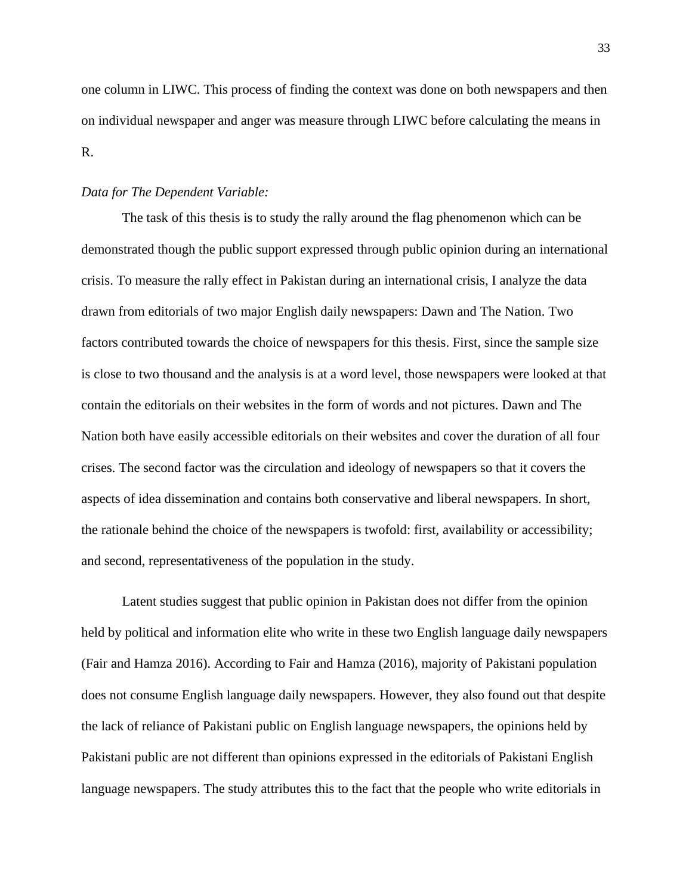one column in LIWC. This process of finding the context was done on both newspapers and then on individual newspaper and anger was measure through LIWC before calculating the means in R.

### *Data for The Dependent Variable:*

The task of this thesis is to study the rally around the flag phenomenon which can be demonstrated though the public support expressed through public opinion during an international crisis. To measure the rally effect in Pakistan during an international crisis, I analyze the data drawn from editorials of two major English daily newspapers: Dawn and The Nation. Two factors contributed towards the choice of newspapers for this thesis. First, since the sample size is close to two thousand and the analysis is at a word level, those newspapers were looked at that contain the editorials on their websites in the form of words and not pictures. Dawn and The Nation both have easily accessible editorials on their websites and cover the duration of all four crises. The second factor was the circulation and ideology of newspapers so that it covers the aspects of idea dissemination and contains both conservative and liberal newspapers. In short, the rationale behind the choice of the newspapers is twofold: first, availability or accessibility; and second, representativeness of the population in the study.

Latent studies suggest that public opinion in Pakistan does not differ from the opinion held by political and information elite who write in these two English language daily newspapers (Fair and Hamza 2016). According to Fair and Hamza (2016), majority of Pakistani population does not consume English language daily newspapers. However, they also found out that despite the lack of reliance of Pakistani public on English language newspapers, the opinions held by Pakistani public are not different than opinions expressed in the editorials of Pakistani English language newspapers. The study attributes this to the fact that the people who write editorials in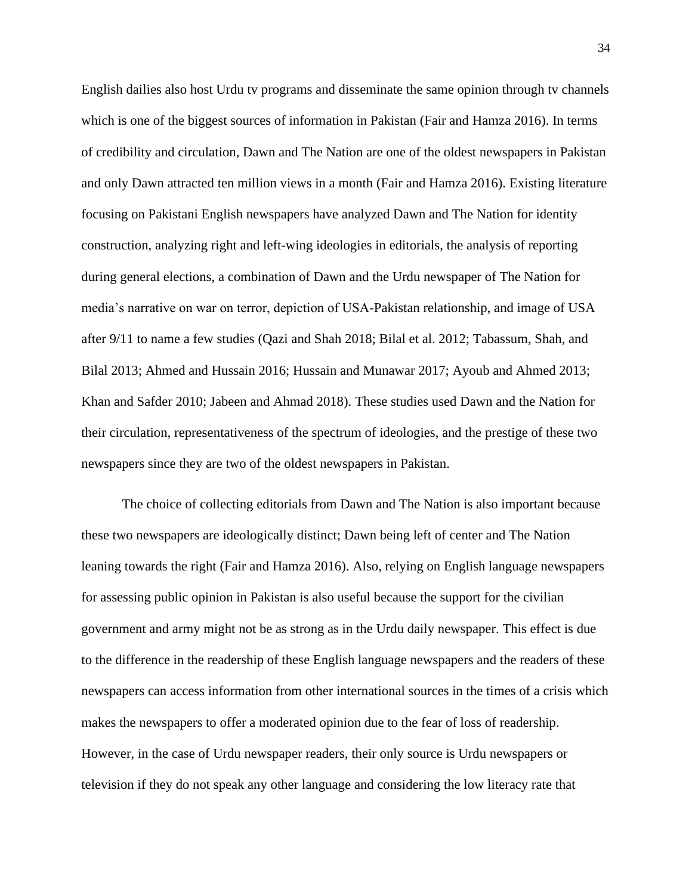English dailies also host Urdu tv programs and disseminate the same opinion through tv channels which is one of the biggest sources of information in Pakistan (Fair and Hamza 2016). In terms of credibility and circulation, Dawn and The Nation are one of the oldest newspapers in Pakistan and only Dawn attracted ten million views in a month (Fair and Hamza 2016). Existing literature focusing on Pakistani English newspapers have analyzed Dawn and The Nation for identity construction, analyzing right and left-wing ideologies in editorials, the analysis of reporting during general elections, a combination of Dawn and the Urdu newspaper of The Nation for media's narrative on war on terror, depiction of USA-Pakistan relationship, and image of USA after 9/11 to name a few studies (Qazi and Shah 2018; Bilal et al. 2012; Tabassum, Shah, and Bilal 2013; Ahmed and Hussain 2016; Hussain and Munawar 2017; Ayoub and Ahmed 2013; Khan and Safder 2010; Jabeen and Ahmad 2018). These studies used Dawn and the Nation for their circulation, representativeness of the spectrum of ideologies, and the prestige of these two newspapers since they are two of the oldest newspapers in Pakistan.

The choice of collecting editorials from Dawn and The Nation is also important because these two newspapers are ideologically distinct; Dawn being left of center and The Nation leaning towards the right (Fair and Hamza 2016). Also, relying on English language newspapers for assessing public opinion in Pakistan is also useful because the support for the civilian government and army might not be as strong as in the Urdu daily newspaper. This effect is due to the difference in the readership of these English language newspapers and the readers of these newspapers can access information from other international sources in the times of a crisis which makes the newspapers to offer a moderated opinion due to the fear of loss of readership. However, in the case of Urdu newspaper readers, their only source is Urdu newspapers or television if they do not speak any other language and considering the low literacy rate that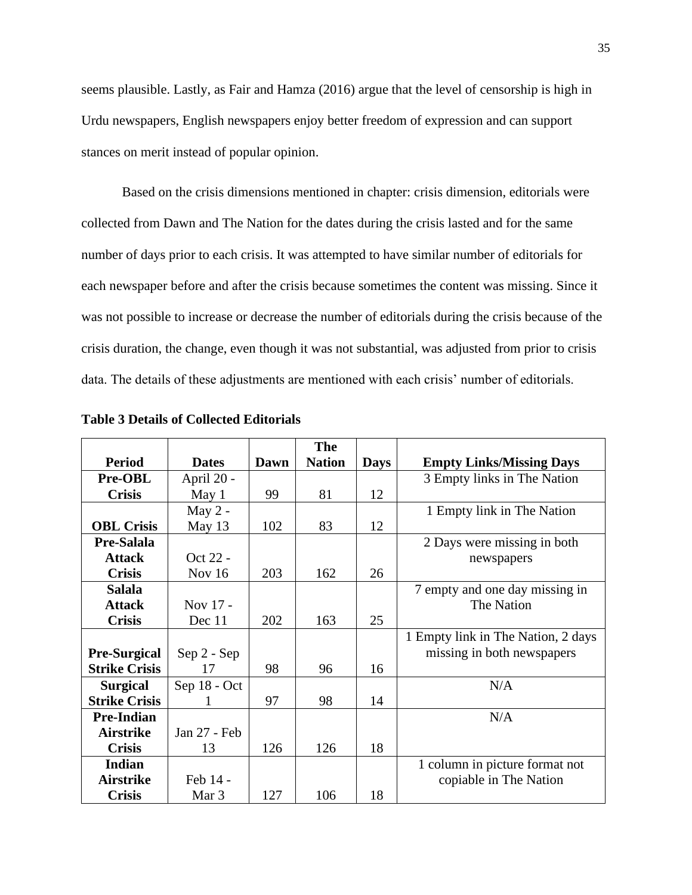seems plausible. Lastly, as Fair and Hamza (2016) argue that the level of censorship is high in Urdu newspapers, English newspapers enjoy better freedom of expression and can support stances on merit instead of popular opinion.

Based on the crisis dimensions mentioned in chapter: crisis dimension, editorials were collected from Dawn and The Nation for the dates during the crisis lasted and for the same number of days prior to each crisis. It was attempted to have similar number of editorials for each newspaper before and after the crisis because sometimes the content was missing. Since it was not possible to increase or decrease the number of editorials during the crisis because of the crisis duration, the change, even though it was not substantial, was adjusted from prior to crisis data. The details of these adjustments are mentioned with each crisis' number of editorials.

|                      |              |      | <b>The</b>    |             |                                    |
|----------------------|--------------|------|---------------|-------------|------------------------------------|
| <b>Period</b>        | <b>Dates</b> | Dawn | <b>Nation</b> | <b>Days</b> | <b>Empty Links/Missing Days</b>    |
| Pre-OBL              | April 20 -   |      |               |             | 3 Empty links in The Nation        |
| <b>Crisis</b>        | May 1        | 99   | 81            | 12          |                                    |
|                      | May $2 -$    |      |               |             | 1 Empty link in The Nation         |
| <b>OBL Crisis</b>    | May 13       | 102  | 83            | 12          |                                    |
| Pre-Salala           |              |      |               |             | 2 Days were missing in both        |
| <b>Attack</b>        | Oct 22 -     |      |               |             | newspapers                         |
| <b>Crisis</b>        | Nov 16       | 203  | 162           | 26          |                                    |
| <b>Salala</b>        |              |      |               |             | 7 empty and one day missing in     |
| <b>Attack</b>        | Nov 17 -     |      |               |             | The Nation                         |
| <b>Crisis</b>        | Dec 11       | 202  | 163           | 25          |                                    |
|                      |              |      |               |             | 1 Empty link in The Nation, 2 days |
| <b>Pre-Surgical</b>  | Sep 2 - Sep  |      |               |             | missing in both newspapers         |
| <b>Strike Crisis</b> | 17           | 98   | 96            | 16          |                                    |
| <b>Surgical</b>      | Sep 18 - Oct |      |               |             | N/A                                |
| <b>Strike Crisis</b> |              | 97   | 98            | 14          |                                    |
| <b>Pre-Indian</b>    |              |      |               |             | N/A                                |
| <b>Airstrike</b>     | Jan 27 - Feb |      |               |             |                                    |
| <b>Crisis</b>        | 13           | 126  | 126           | 18          |                                    |
| <b>Indian</b>        |              |      |               |             | 1 column in picture format not     |
| <b>Airstrike</b>     | Feb 14 -     |      |               |             | copiable in The Nation             |
| <b>Crisis</b>        | Mar 3        | 127  | 106           | 18          |                                    |

**Table 3 Details of Collected Editorials**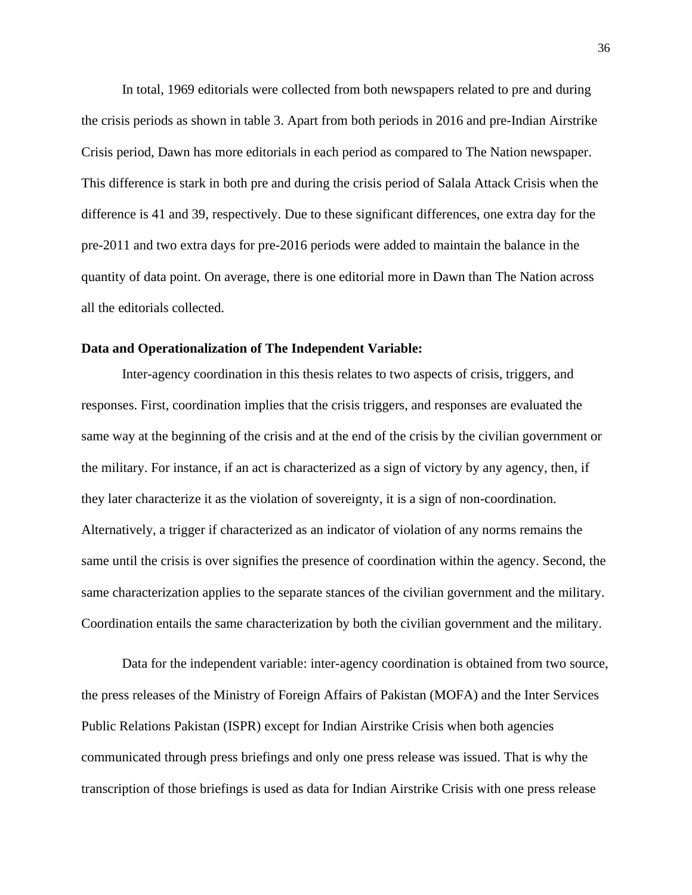In total, 1969 editorials were collected from both newspapers related to pre and during the crisis periods as shown in table 3. Apart from both periods in 2016 and pre-Indian Airstrike Crisis period, Dawn has more editorials in each period as compared to The Nation newspaper. This difference is stark in both pre and during the crisis period of Salala Attack Crisis when the difference is 41 and 39, respectively. Due to these significant differences, one extra day for the pre-2011 and two extra days for pre-2016 periods were added to maintain the balance in the quantity of data point. On average, there is one editorial more in Dawn than The Nation across all the editorials collected.

# **Data and Operationalization of The Independent Variable:**

Inter-agency coordination in this thesis relates to two aspects of crisis, triggers, and responses. First, coordination implies that the crisis triggers, and responses are evaluated the same way at the beginning of the crisis and at the end of the crisis by the civilian government or the military. For instance, if an act is characterized as a sign of victory by any agency, then, if they later characterize it as the violation of sovereignty, it is a sign of non-coordination. Alternatively, a trigger if characterized as an indicator of violation of any norms remains the same until the crisis is over signifies the presence of coordination within the agency. Second, the same characterization applies to the separate stances of the civilian government and the military. Coordination entails the same characterization by both the civilian government and the military.

Data for the independent variable: inter-agency coordination is obtained from two source, the press releases of the Ministry of Foreign Affairs of Pakistan (MOFA) and the Inter Services Public Relations Pakistan (ISPR) except for Indian Airstrike Crisis when both agencies communicated through press briefings and only one press release was issued. That is why the transcription of those briefings is used as data for Indian Airstrike Crisis with one press release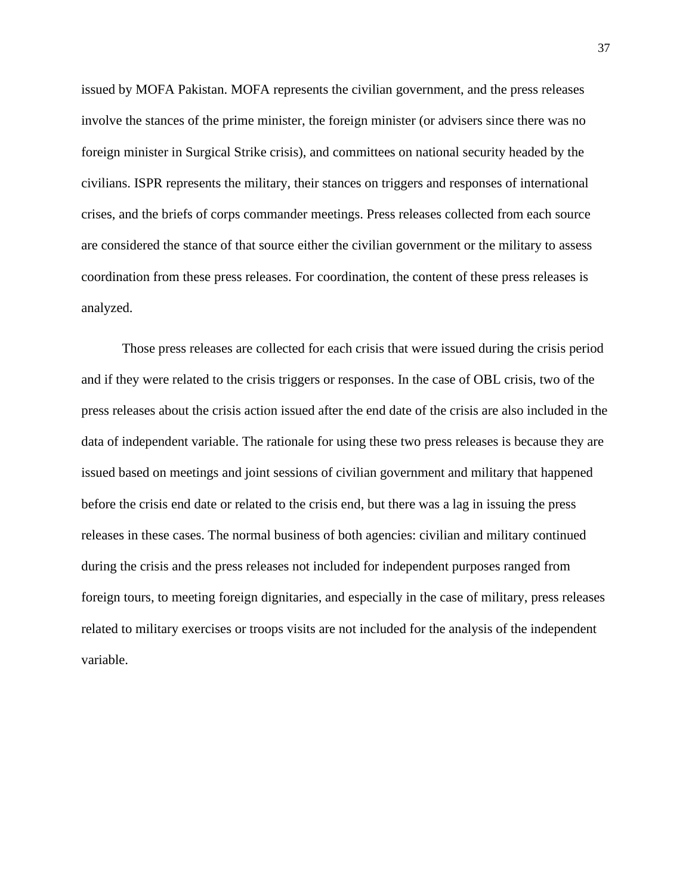issued by MOFA Pakistan. MOFA represents the civilian government, and the press releases involve the stances of the prime minister, the foreign minister (or advisers since there was no foreign minister in Surgical Strike crisis), and committees on national security headed by the civilians. ISPR represents the military, their stances on triggers and responses of international crises, and the briefs of corps commander meetings. Press releases collected from each source are considered the stance of that source either the civilian government or the military to assess coordination from these press releases. For coordination, the content of these press releases is analyzed.

Those press releases are collected for each crisis that were issued during the crisis period and if they were related to the crisis triggers or responses. In the case of OBL crisis, two of the press releases about the crisis action issued after the end date of the crisis are also included in the data of independent variable. The rationale for using these two press releases is because they are issued based on meetings and joint sessions of civilian government and military that happened before the crisis end date or related to the crisis end, but there was a lag in issuing the press releases in these cases. The normal business of both agencies: civilian and military continued during the crisis and the press releases not included for independent purposes ranged from foreign tours, to meeting foreign dignitaries, and especially in the case of military, press releases related to military exercises or troops visits are not included for the analysis of the independent variable.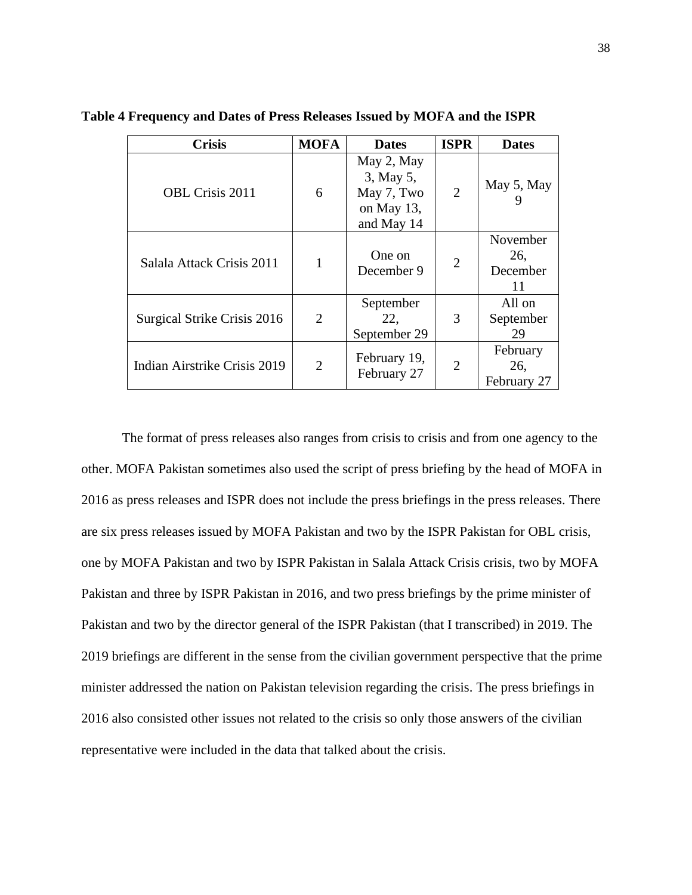| <b>Crisis</b>                | <b>MOFA</b>          | <b>Dates</b>                                                      | <b>ISPR</b>    | <b>Dates</b>                      |
|------------------------------|----------------------|-------------------------------------------------------------------|----------------|-----------------------------------|
| <b>OBL Crisis 2011</b>       | 6                    | May 2, May<br>3, May 5,<br>May 7, Two<br>on May 13,<br>and May 14 | $\overline{2}$ | May 5, May                        |
| Salala Attack Crisis 2011    | One on<br>December 9 |                                                                   | $\overline{2}$ | November<br>26,<br>December<br>11 |
| Surgical Strike Crisis 2016  | 2                    | September<br>22,<br>September 29                                  | 3              | All on<br>September<br>29         |
| Indian Airstrike Crisis 2019 | $\overline{2}$       | February 19,<br>February 27                                       |                | February<br>26,<br>February 27    |

**Table 4 Frequency and Dates of Press Releases Issued by MOFA and the ISPR**

The format of press releases also ranges from crisis to crisis and from one agency to the other. MOFA Pakistan sometimes also used the script of press briefing by the head of MOFA in 2016 as press releases and ISPR does not include the press briefings in the press releases. There are six press releases issued by MOFA Pakistan and two by the ISPR Pakistan for OBL crisis, one by MOFA Pakistan and two by ISPR Pakistan in Salala Attack Crisis crisis, two by MOFA Pakistan and three by ISPR Pakistan in 2016, and two press briefings by the prime minister of Pakistan and two by the director general of the ISPR Pakistan (that I transcribed) in 2019. The 2019 briefings are different in the sense from the civilian government perspective that the prime minister addressed the nation on Pakistan television regarding the crisis. The press briefings in 2016 also consisted other issues not related to the crisis so only those answers of the civilian representative were included in the data that talked about the crisis.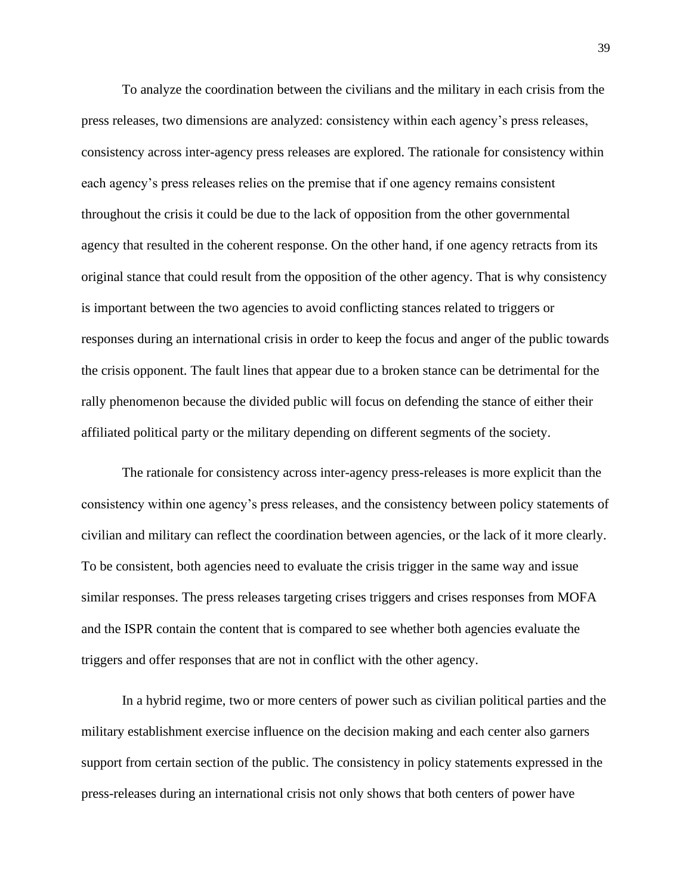To analyze the coordination between the civilians and the military in each crisis from the press releases, two dimensions are analyzed: consistency within each agency's press releases, consistency across inter-agency press releases are explored. The rationale for consistency within each agency's press releases relies on the premise that if one agency remains consistent throughout the crisis it could be due to the lack of opposition from the other governmental agency that resulted in the coherent response. On the other hand, if one agency retracts from its original stance that could result from the opposition of the other agency. That is why consistency is important between the two agencies to avoid conflicting stances related to triggers or responses during an international crisis in order to keep the focus and anger of the public towards the crisis opponent. The fault lines that appear due to a broken stance can be detrimental for the rally phenomenon because the divided public will focus on defending the stance of either their affiliated political party or the military depending on different segments of the society.

The rationale for consistency across inter-agency press-releases is more explicit than the consistency within one agency's press releases, and the consistency between policy statements of civilian and military can reflect the coordination between agencies, or the lack of it more clearly. To be consistent, both agencies need to evaluate the crisis trigger in the same way and issue similar responses. The press releases targeting crises triggers and crises responses from MOFA and the ISPR contain the content that is compared to see whether both agencies evaluate the triggers and offer responses that are not in conflict with the other agency.

In a hybrid regime, two or more centers of power such as civilian political parties and the military establishment exercise influence on the decision making and each center also garners support from certain section of the public. The consistency in policy statements expressed in the press-releases during an international crisis not only shows that both centers of power have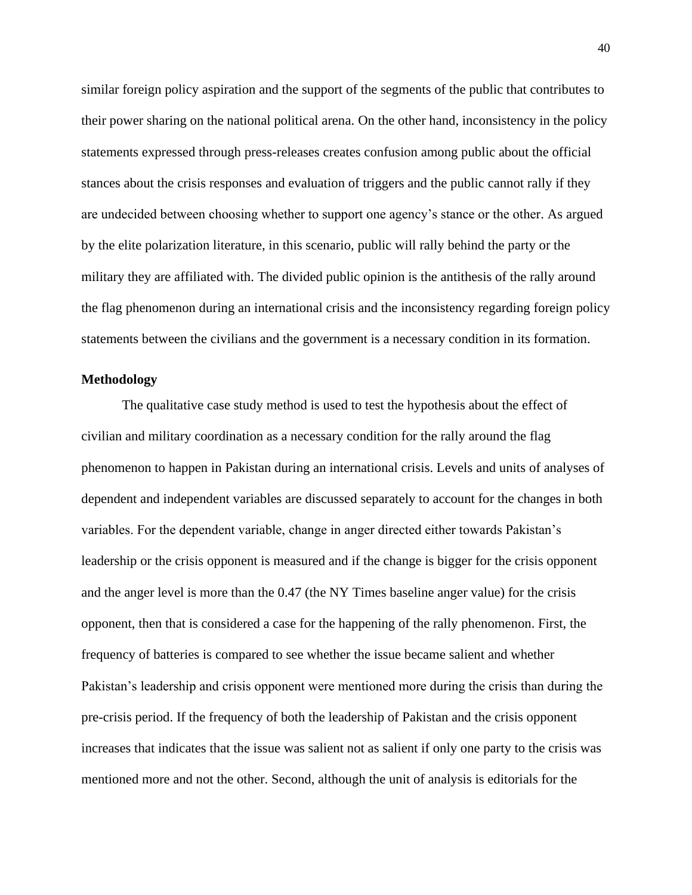similar foreign policy aspiration and the support of the segments of the public that contributes to their power sharing on the national political arena. On the other hand, inconsistency in the policy statements expressed through press-releases creates confusion among public about the official stances about the crisis responses and evaluation of triggers and the public cannot rally if they are undecided between choosing whether to support one agency's stance or the other. As argued by the elite polarization literature, in this scenario, public will rally behind the party or the military they are affiliated with. The divided public opinion is the antithesis of the rally around the flag phenomenon during an international crisis and the inconsistency regarding foreign policy statements between the civilians and the government is a necessary condition in its formation.

## **Methodology**

The qualitative case study method is used to test the hypothesis about the effect of civilian and military coordination as a necessary condition for the rally around the flag phenomenon to happen in Pakistan during an international crisis. Levels and units of analyses of dependent and independent variables are discussed separately to account for the changes in both variables. For the dependent variable, change in anger directed either towards Pakistan's leadership or the crisis opponent is measured and if the change is bigger for the crisis opponent and the anger level is more than the 0.47 (the NY Times baseline anger value) for the crisis opponent, then that is considered a case for the happening of the rally phenomenon. First, the frequency of batteries is compared to see whether the issue became salient and whether Pakistan's leadership and crisis opponent were mentioned more during the crisis than during the pre-crisis period. If the frequency of both the leadership of Pakistan and the crisis opponent increases that indicates that the issue was salient not as salient if only one party to the crisis was mentioned more and not the other. Second, although the unit of analysis is editorials for the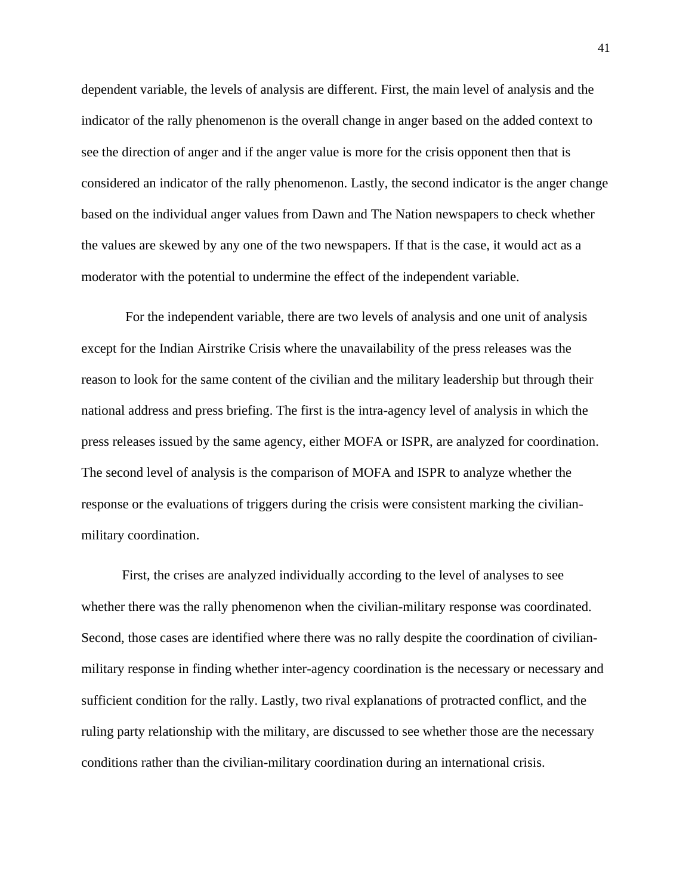dependent variable, the levels of analysis are different. First, the main level of analysis and the indicator of the rally phenomenon is the overall change in anger based on the added context to see the direction of anger and if the anger value is more for the crisis opponent then that is considered an indicator of the rally phenomenon. Lastly, the second indicator is the anger change based on the individual anger values from Dawn and The Nation newspapers to check whether the values are skewed by any one of the two newspapers. If that is the case, it would act as a moderator with the potential to undermine the effect of the independent variable.

For the independent variable, there are two levels of analysis and one unit of analysis except for the Indian Airstrike Crisis where the unavailability of the press releases was the reason to look for the same content of the civilian and the military leadership but through their national address and press briefing. The first is the intra-agency level of analysis in which the press releases issued by the same agency, either MOFA or ISPR, are analyzed for coordination. The second level of analysis is the comparison of MOFA and ISPR to analyze whether the response or the evaluations of triggers during the crisis were consistent marking the civilianmilitary coordination.

First, the crises are analyzed individually according to the level of analyses to see whether there was the rally phenomenon when the civilian-military response was coordinated. Second, those cases are identified where there was no rally despite the coordination of civilianmilitary response in finding whether inter-agency coordination is the necessary or necessary and sufficient condition for the rally. Lastly, two rival explanations of protracted conflict, and the ruling party relationship with the military, are discussed to see whether those are the necessary conditions rather than the civilian-military coordination during an international crisis.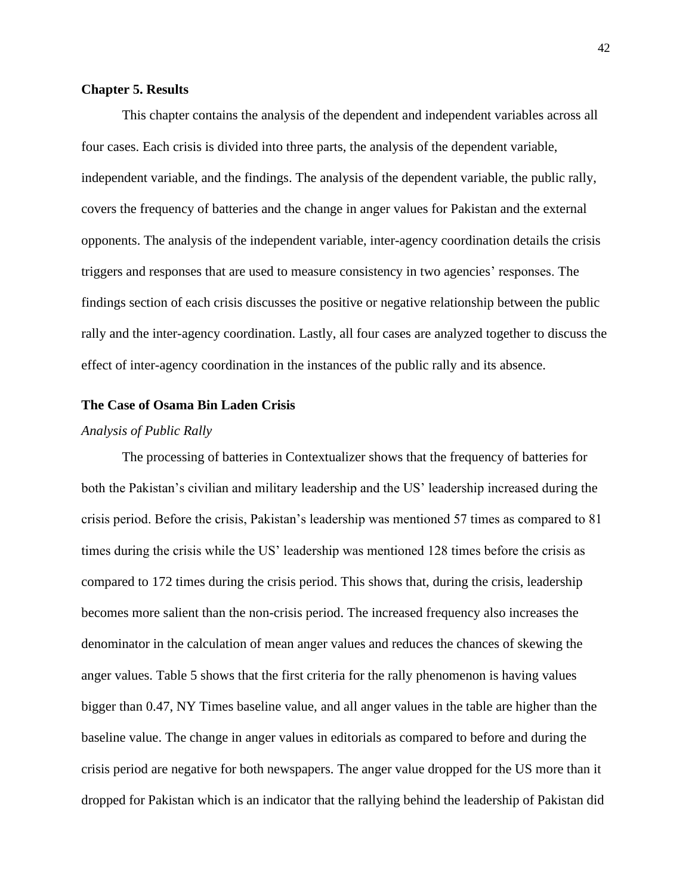# **Chapter 5. Results**

This chapter contains the analysis of the dependent and independent variables across all four cases. Each crisis is divided into three parts, the analysis of the dependent variable, independent variable, and the findings. The analysis of the dependent variable, the public rally, covers the frequency of batteries and the change in anger values for Pakistan and the external opponents. The analysis of the independent variable, inter-agency coordination details the crisis triggers and responses that are used to measure consistency in two agencies' responses. The findings section of each crisis discusses the positive or negative relationship between the public rally and the inter-agency coordination. Lastly, all four cases are analyzed together to discuss the effect of inter-agency coordination in the instances of the public rally and its absence.

### **The Case of Osama Bin Laden Crisis**

# *Analysis of Public Rally*

The processing of batteries in Contextualizer shows that the frequency of batteries for both the Pakistan's civilian and military leadership and the US' leadership increased during the crisis period. Before the crisis, Pakistan's leadership was mentioned 57 times as compared to 81 times during the crisis while the US' leadership was mentioned 128 times before the crisis as compared to 172 times during the crisis period. This shows that, during the crisis, leadership becomes more salient than the non-crisis period. The increased frequency also increases the denominator in the calculation of mean anger values and reduces the chances of skewing the anger values. Table 5 shows that the first criteria for the rally phenomenon is having values bigger than 0.47, NY Times baseline value, and all anger values in the table are higher than the baseline value. The change in anger values in editorials as compared to before and during the crisis period are negative for both newspapers. The anger value dropped for the US more than it dropped for Pakistan which is an indicator that the rallying behind the leadership of Pakistan did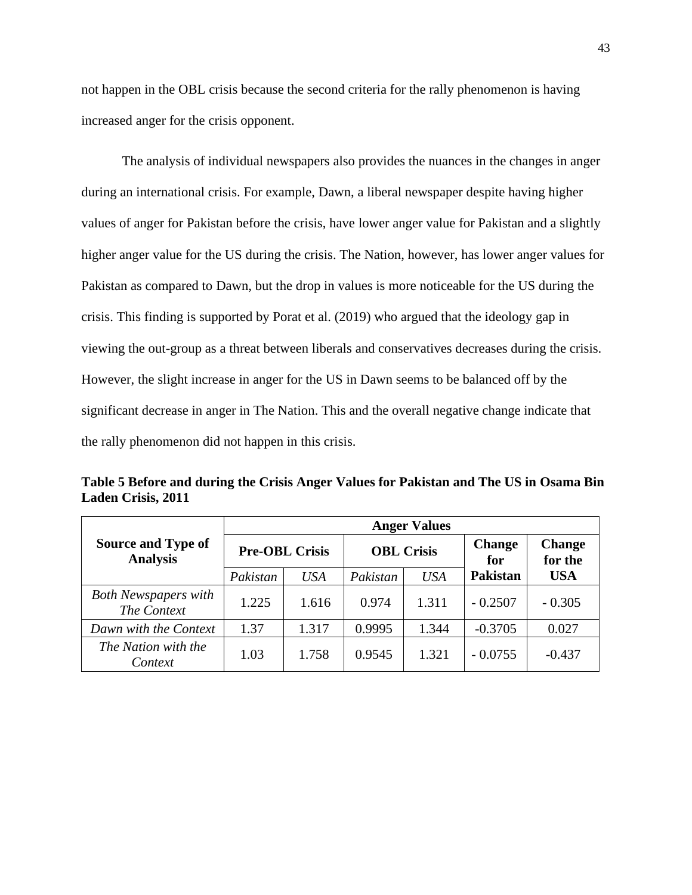not happen in the OBL crisis because the second criteria for the rally phenomenon is having increased anger for the crisis opponent.

The analysis of individual newspapers also provides the nuances in the changes in anger during an international crisis. For example, Dawn, a liberal newspaper despite having higher values of anger for Pakistan before the crisis, have lower anger value for Pakistan and a slightly higher anger value for the US during the crisis. The Nation, however, has lower anger values for Pakistan as compared to Dawn, but the drop in values is more noticeable for the US during the crisis. This finding is supported by Porat et al. (2019) who argued that the ideology gap in viewing the out-group as a threat between liberals and conservatives decreases during the crisis. However, the slight increase in anger for the US in Dawn seems to be balanced off by the significant decrease in anger in The Nation. This and the overall negative change indicate that the rally phenomenon did not happen in this crisis.

**Table 5 Before and during the Crisis Anger Values for Pakistan and The US in Osama Bin Laden Crisis, 2011**

|                                              | <b>Anger Values</b>   |            |                   |            |                      |                          |  |  |  |
|----------------------------------------------|-----------------------|------------|-------------------|------------|----------------------|--------------------------|--|--|--|
| <b>Source and Type of</b><br><b>Analysis</b> | <b>Pre-OBL Crisis</b> |            | <b>OBL Crisis</b> |            | <b>Change</b><br>for | <b>Change</b><br>for the |  |  |  |
|                                              | Pakistan              | <b>USA</b> | Pakistan          | <b>USA</b> | <b>Pakistan</b>      | <b>USA</b>               |  |  |  |
| <b>Both Newspapers with</b><br>The Context   | 1.225                 | 1.616      | 0.974             | 1.311      | $-0.2507$            | $-0.305$                 |  |  |  |
| Dawn with the Context                        | 1.37                  | 1.317      | 0.9995            | 1.344      | $-0.3705$            | 0.027                    |  |  |  |
| The Nation with the<br>Context               | 1.03                  | 1.758      | 0.9545            | 1.321      | $-0.0755$            | $-0.437$                 |  |  |  |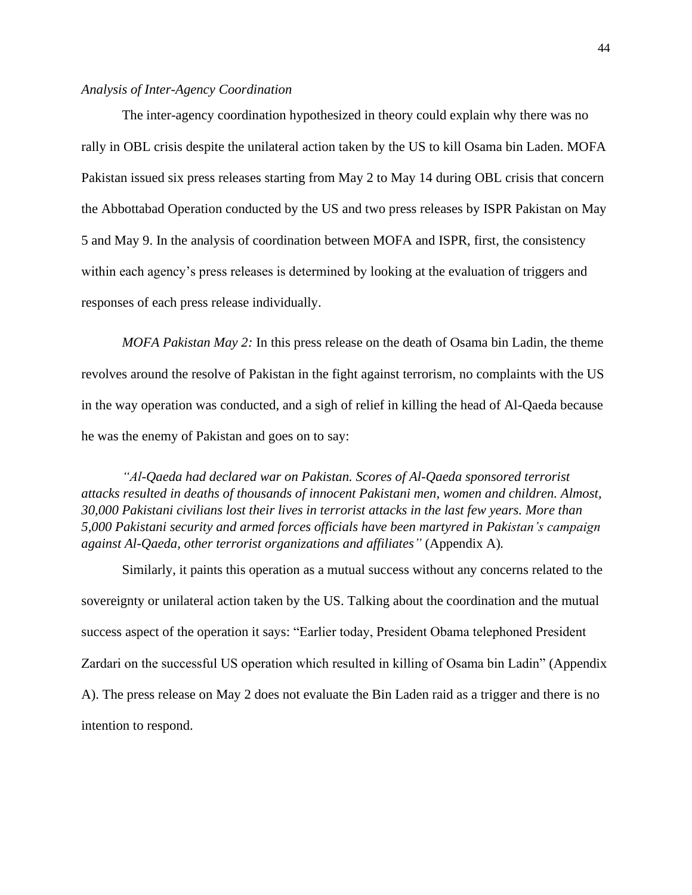# *Analysis of Inter-Agency Coordination*

The inter-agency coordination hypothesized in theory could explain why there was no rally in OBL crisis despite the unilateral action taken by the US to kill Osama bin Laden. MOFA Pakistan issued six press releases starting from May 2 to May 14 during OBL crisis that concern the Abbottabad Operation conducted by the US and two press releases by ISPR Pakistan on May 5 and May 9. In the analysis of coordination between MOFA and ISPR, first, the consistency within each agency's press releases is determined by looking at the evaluation of triggers and responses of each press release individually.

*MOFA Pakistan May 2:* In this press release on the death of Osama bin Ladin, the theme revolves around the resolve of Pakistan in the fight against terrorism, no complaints with the US in the way operation was conducted, and a sigh of relief in killing the head of Al-Qaeda because he was the enemy of Pakistan and goes on to say:

*"Al-Qaeda had declared war on Pakistan. Scores of Al-Qaeda sponsored terrorist attacks resulted in deaths of thousands of innocent Pakistani men, women and children. Almost, 30,000 Pakistani civilians lost their lives in terrorist attacks in the last few years. More than 5,000 Pakistani security and armed forces officials have been martyred in Pakistan's campaign against Al-Qaeda, other terrorist organizations and affiliates"* (Appendix A)*.*

Similarly, it paints this operation as a mutual success without any concerns related to the sovereignty or unilateral action taken by the US. Talking about the coordination and the mutual success aspect of the operation it says: "Earlier today, President Obama telephoned President Zardari on the successful US operation which resulted in killing of Osama bin Ladin" (Appendix A). The press release on May 2 does not evaluate the Bin Laden raid as a trigger and there is no intention to respond.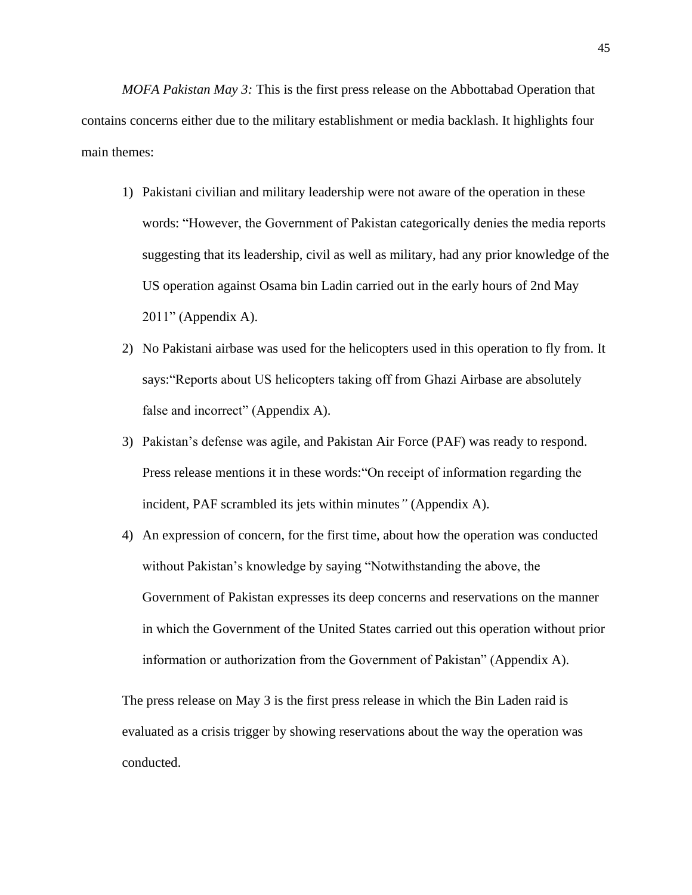*MOFA Pakistan May 3:* This is the first press release on the Abbottabad Operation that contains concerns either due to the military establishment or media backlash. It highlights four main themes:

- 1) Pakistani civilian and military leadership were not aware of the operation in these words: "However, the Government of Pakistan categorically denies the media reports suggesting that its leadership, civil as well as military, had any prior knowledge of the US operation against Osama bin Ladin carried out in the early hours of 2nd May 2011" (Appendix A).
- 2) No Pakistani airbase was used for the helicopters used in this operation to fly from. It says:"Reports about US helicopters taking off from Ghazi Airbase are absolutely false and incorrect" (Appendix A).
- 3) Pakistan's defense was agile, and Pakistan Air Force (PAF) was ready to respond. Press release mentions it in these words:"On receipt of information regarding the incident, PAF scrambled its jets within minutes*"* (Appendix A).
- 4) An expression of concern, for the first time, about how the operation was conducted without Pakistan's knowledge by saying "Notwithstanding the above, the Government of Pakistan expresses its deep concerns and reservations on the manner in which the Government of the United States carried out this operation without prior information or authorization from the Government of Pakistan" (Appendix A).

The press release on May 3 is the first press release in which the Bin Laden raid is evaluated as a crisis trigger by showing reservations about the way the operation was conducted.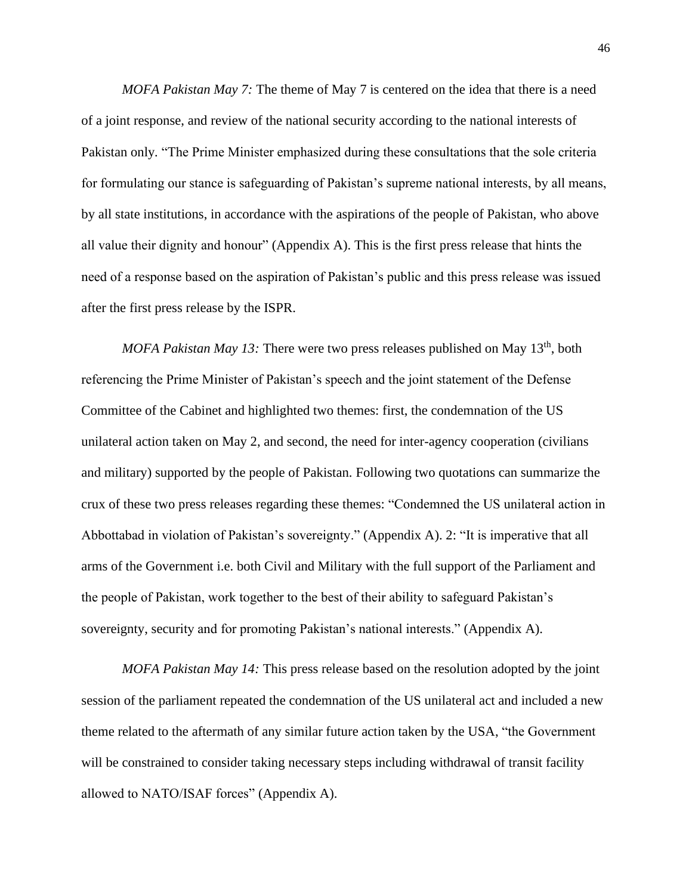*MOFA Pakistan May 7:* The theme of May 7 is centered on the idea that there is a need of a joint response, and review of the national security according to the national interests of Pakistan only*.* "The Prime Minister emphasized during these consultations that the sole criteria for formulating our stance is safeguarding of Pakistan's supreme national interests, by all means, by all state institutions, in accordance with the aspirations of the people of Pakistan, who above all value their dignity and honour" (Appendix A). This is the first press release that hints the need of a response based on the aspiration of Pakistan's public and this press release was issued after the first press release by the ISPR.

*MOFA Pakistan May 13:* There were two press releases published on May 13<sup>th</sup>, both referencing the Prime Minister of Pakistan's speech and the joint statement of the Defense Committee of the Cabinet and highlighted two themes: first, the condemnation of the US unilateral action taken on May 2, and second, the need for inter-agency cooperation (civilians and military) supported by the people of Pakistan. Following two quotations can summarize the crux of these two press releases regarding these themes: "Condemned the US unilateral action in Abbottabad in violation of Pakistan's sovereignty." (Appendix A). 2: "It is imperative that all arms of the Government i.e. both Civil and Military with the full support of the Parliament and the people of Pakistan, work together to the best of their ability to safeguard Pakistan's sovereignty, security and for promoting Pakistan's national interests." (Appendix A).

*MOFA Pakistan May 14:* This press release based on the resolution adopted by the joint session of the parliament repeated the condemnation of the US unilateral act and included a new theme related to the aftermath of any similar future action taken by the USA, "the Government will be constrained to consider taking necessary steps including withdrawal of transit facility allowed to NATO/ISAF forces" (Appendix A).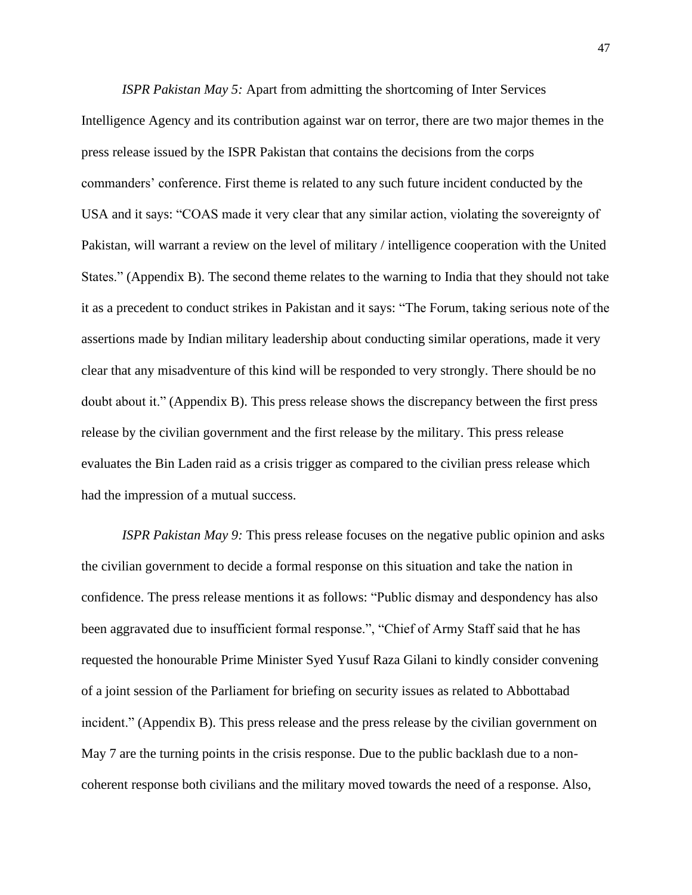*ISPR Pakistan May 5:* Apart from admitting the shortcoming of Inter Services Intelligence Agency and its contribution against war on terror, there are two major themes in the press release issued by the ISPR Pakistan that contains the decisions from the corps commanders' conference. First theme is related to any such future incident conducted by the USA and it says: "COAS made it very clear that any similar action, violating the sovereignty of Pakistan, will warrant a review on the level of military / intelligence cooperation with the United States." (Appendix B). The second theme relates to the warning to India that they should not take it as a precedent to conduct strikes in Pakistan and it says: "The Forum, taking serious note of the assertions made by Indian military leadership about conducting similar operations, made it very clear that any misadventure of this kind will be responded to very strongly. There should be no doubt about it." (Appendix B). This press release shows the discrepancy between the first press release by the civilian government and the first release by the military. This press release evaluates the Bin Laden raid as a crisis trigger as compared to the civilian press release which had the impression of a mutual success.

*ISPR Pakistan May 9:* This press release focuses on the negative public opinion and asks the civilian government to decide a formal response on this situation and take the nation in confidence. The press release mentions it as follows: "Public dismay and despondency has also been aggravated due to insufficient formal response.", "Chief of Army Staff said that he has requested the honourable Prime Minister Syed Yusuf Raza Gilani to kindly consider convening of a joint session of the Parliament for briefing on security issues as related to Abbottabad incident." (Appendix B). This press release and the press release by the civilian government on May 7 are the turning points in the crisis response. Due to the public backlash due to a noncoherent response both civilians and the military moved towards the need of a response. Also,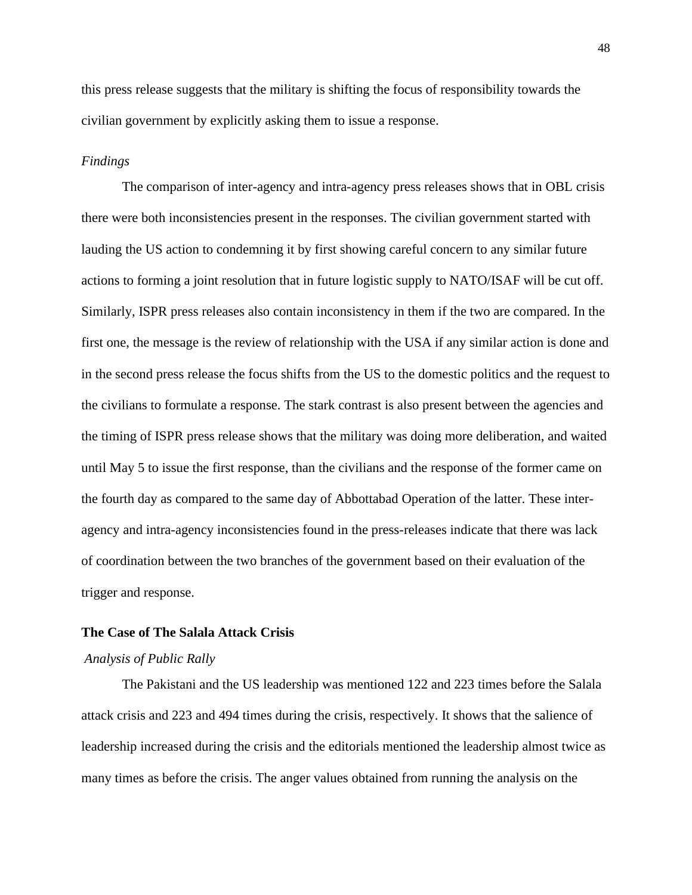this press release suggests that the military is shifting the focus of responsibility towards the civilian government by explicitly asking them to issue a response.

### *Findings*

The comparison of inter-agency and intra-agency press releases shows that in OBL crisis there were both inconsistencies present in the responses. The civilian government started with lauding the US action to condemning it by first showing careful concern to any similar future actions to forming a joint resolution that in future logistic supply to NATO/ISAF will be cut off. Similarly, ISPR press releases also contain inconsistency in them if the two are compared. In the first one, the message is the review of relationship with the USA if any similar action is done and in the second press release the focus shifts from the US to the domestic politics and the request to the civilians to formulate a response. The stark contrast is also present between the agencies and the timing of ISPR press release shows that the military was doing more deliberation, and waited until May 5 to issue the first response, than the civilians and the response of the former came on the fourth day as compared to the same day of Abbottabad Operation of the latter. These interagency and intra-agency inconsistencies found in the press-releases indicate that there was lack of coordination between the two branches of the government based on their evaluation of the trigger and response.

## **The Case of The Salala Attack Crisis**

#### *Analysis of Public Rally*

The Pakistani and the US leadership was mentioned 122 and 223 times before the Salala attack crisis and 223 and 494 times during the crisis, respectively. It shows that the salience of leadership increased during the crisis and the editorials mentioned the leadership almost twice as many times as before the crisis. The anger values obtained from running the analysis on the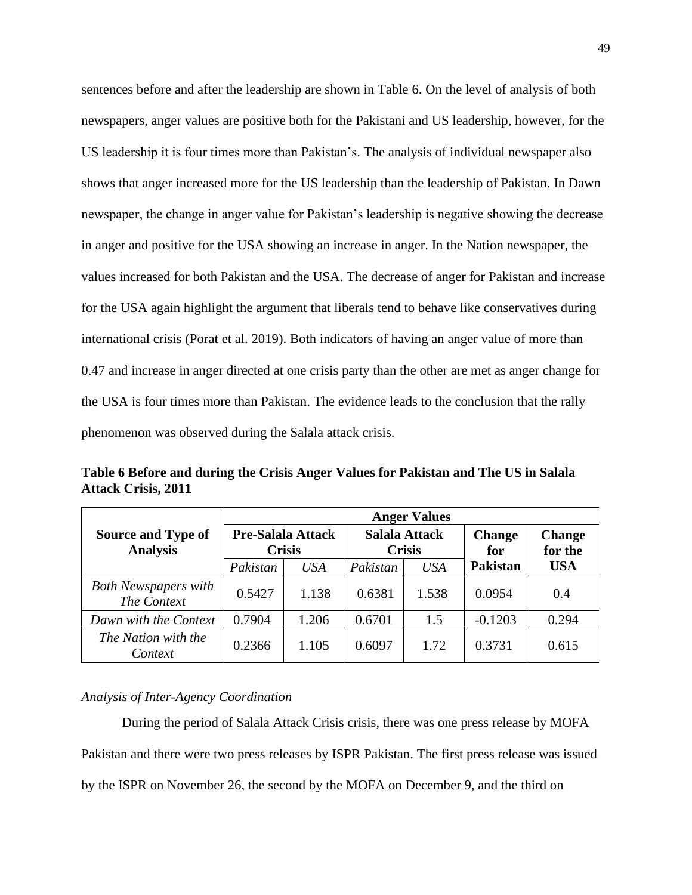sentences before and after the leadership are shown in Table 6. On the level of analysis of both newspapers, anger values are positive both for the Pakistani and US leadership, however, for the US leadership it is four times more than Pakistan's. The analysis of individual newspaper also shows that anger increased more for the US leadership than the leadership of Pakistan. In Dawn newspaper, the change in anger value for Pakistan's leadership is negative showing the decrease in anger and positive for the USA showing an increase in anger. In the Nation newspaper, the values increased for both Pakistan and the USA. The decrease of anger for Pakistan and increase for the USA again highlight the argument that liberals tend to behave like conservatives during international crisis (Porat et al. 2019). Both indicators of having an anger value of more than 0.47 and increase in anger directed at one crisis party than the other are met as anger change for the USA is four times more than Pakistan. The evidence leads to the conclusion that the rally phenomenon was observed during the Salala attack crisis.

**Table 6 Before and during the Crisis Anger Values for Pakistan and The US in Salala Attack Crisis, 2011**

|                                              | <b>Anger Values</b>                       |            |                                       |            |                      |                          |  |  |
|----------------------------------------------|-------------------------------------------|------------|---------------------------------------|------------|----------------------|--------------------------|--|--|
| <b>Source and Type of</b><br><b>Analysis</b> | <b>Pre-Salala Attack</b><br><b>Crisis</b> |            | <b>Salala Attack</b><br><b>Crisis</b> |            | <b>Change</b><br>for | <b>Change</b><br>for the |  |  |
|                                              | Pakistan                                  | <b>USA</b> | Pakistan                              | <b>USA</b> | <b>Pakistan</b>      | <b>USA</b>               |  |  |
| <b>Both Newspapers with</b><br>The Context   | 0.5427                                    | 1.138      | 0.6381                                | 1.538      | 0.0954               | 0.4                      |  |  |
| Dawn with the Context                        | 0.7904                                    | 1.206      | 0.6701                                | 1.5        | $-0.1203$            | 0.294                    |  |  |
| The Nation with the<br>Context               | 0.2366                                    | 1.105      | 0.6097                                | 1.72       | 0.3731               | 0.615                    |  |  |

# *Analysis of Inter-Agency Coordination*

During the period of Salala Attack Crisis crisis, there was one press release by MOFA Pakistan and there were two press releases by ISPR Pakistan. The first press release was issued by the ISPR on November 26, the second by the MOFA on December 9, and the third on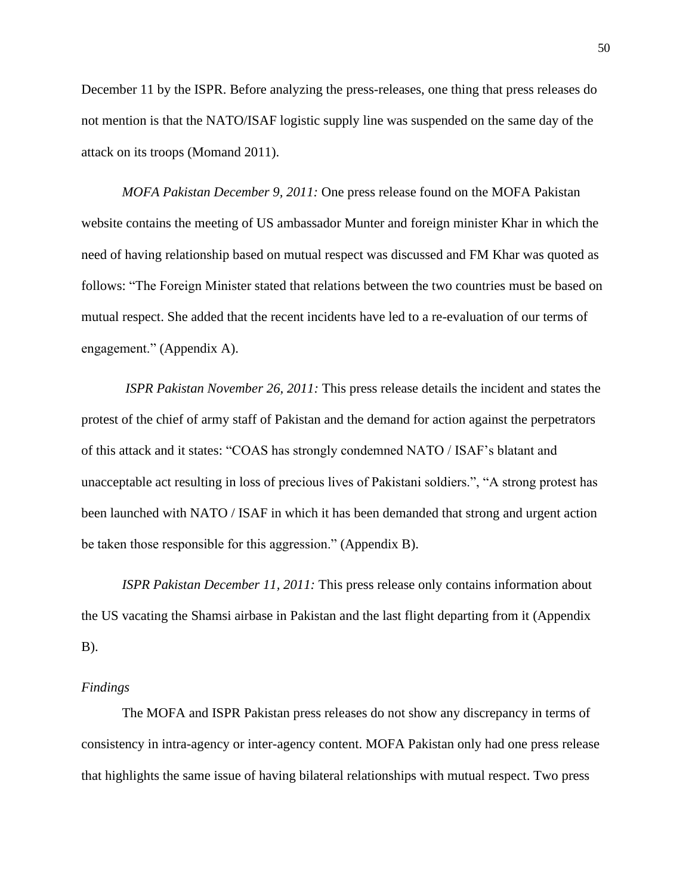December 11 by the ISPR. Before analyzing the press-releases, one thing that press releases do not mention is that the NATO/ISAF logistic supply line was suspended on the same day of the attack on its troops (Momand 2011).

*MOFA Pakistan December 9, 2011:* One press release found on the MOFA Pakistan website contains the meeting of US ambassador Munter and foreign minister Khar in which the need of having relationship based on mutual respect was discussed and FM Khar was quoted as follows: "The Foreign Minister stated that relations between the two countries must be based on mutual respect. She added that the recent incidents have led to a re-evaluation of our terms of engagement." (Appendix A).

*ISPR Pakistan November 26, 2011:* This press release details the incident and states the protest of the chief of army staff of Pakistan and the demand for action against the perpetrators of this attack and it states: "COAS has strongly condemned NATO / ISAF's blatant and unacceptable act resulting in loss of precious lives of Pakistani soldiers.", "A strong protest has been launched with NATO / ISAF in which it has been demanded that strong and urgent action be taken those responsible for this aggression." (Appendix B).

*ISPR Pakistan December 11, 2011:* This press release only contains information about the US vacating the Shamsi airbase in Pakistan and the last flight departing from it (Appendix B).

## *Findings*

The MOFA and ISPR Pakistan press releases do not show any discrepancy in terms of consistency in intra-agency or inter-agency content. MOFA Pakistan only had one press release that highlights the same issue of having bilateral relationships with mutual respect. Two press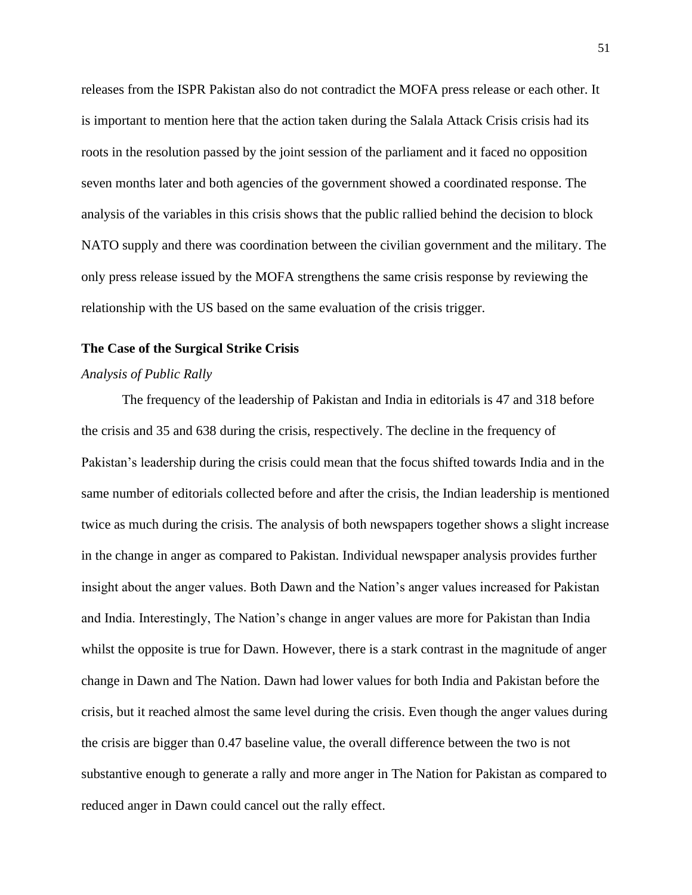releases from the ISPR Pakistan also do not contradict the MOFA press release or each other. It is important to mention here that the action taken during the Salala Attack Crisis crisis had its roots in the resolution passed by the joint session of the parliament and it faced no opposition seven months later and both agencies of the government showed a coordinated response. The analysis of the variables in this crisis shows that the public rallied behind the decision to block NATO supply and there was coordination between the civilian government and the military. The only press release issued by the MOFA strengthens the same crisis response by reviewing the relationship with the US based on the same evaluation of the crisis trigger.

# **The Case of the Surgical Strike Crisis**

# *Analysis of Public Rally*

The frequency of the leadership of Pakistan and India in editorials is 47 and 318 before the crisis and 35 and 638 during the crisis, respectively. The decline in the frequency of Pakistan's leadership during the crisis could mean that the focus shifted towards India and in the same number of editorials collected before and after the crisis, the Indian leadership is mentioned twice as much during the crisis. The analysis of both newspapers together shows a slight increase in the change in anger as compared to Pakistan. Individual newspaper analysis provides further insight about the anger values. Both Dawn and the Nation's anger values increased for Pakistan and India. Interestingly, The Nation's change in anger values are more for Pakistan than India whilst the opposite is true for Dawn. However, there is a stark contrast in the magnitude of anger change in Dawn and The Nation. Dawn had lower values for both India and Pakistan before the crisis, but it reached almost the same level during the crisis. Even though the anger values during the crisis are bigger than 0.47 baseline value, the overall difference between the two is not substantive enough to generate a rally and more anger in The Nation for Pakistan as compared to reduced anger in Dawn could cancel out the rally effect.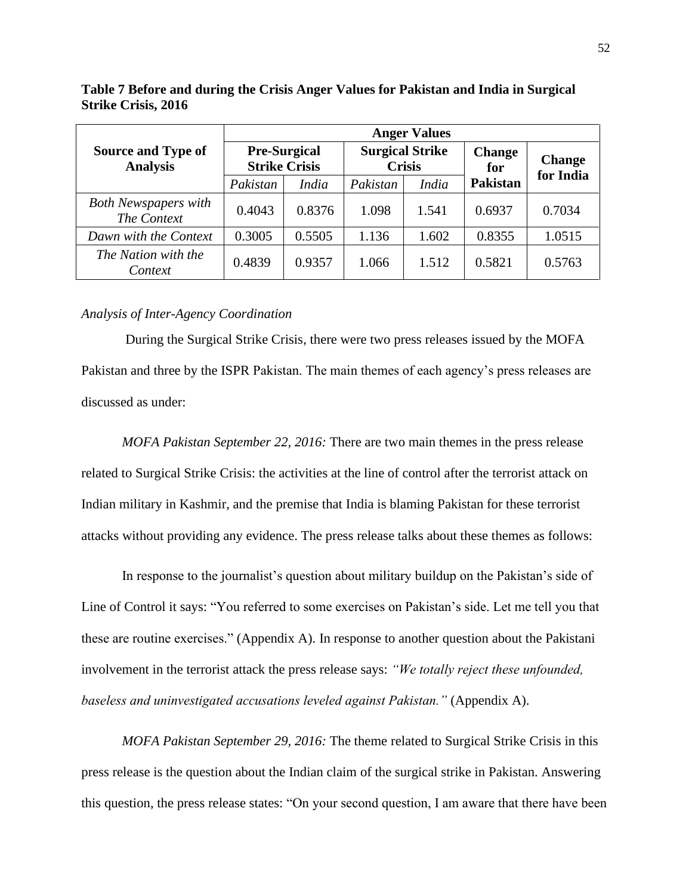|                                              | <b>Anger Values</b>                         |              |                                         |       |                      |                            |  |  |
|----------------------------------------------|---------------------------------------------|--------------|-----------------------------------------|-------|----------------------|----------------------------|--|--|
| <b>Source and Type of</b><br><b>Analysis</b> | <b>Pre-Surgical</b><br><b>Strike Crisis</b> |              | <b>Surgical Strike</b><br><b>Crisis</b> |       | <b>Change</b><br>for | <b>Change</b><br>for India |  |  |
|                                              | Pakistan                                    | <i>India</i> | Pakistan                                | India | <b>Pakistan</b>      |                            |  |  |
| <b>Both Newspapers with</b><br>The Context   | 0.4043                                      | 0.8376       | 1.098                                   | 1.541 | 0.6937               | 0.7034                     |  |  |
| Dawn with the Context                        | 0.3005                                      | 0.5505       | 1.136                                   | 1.602 | 0.8355               | 1.0515                     |  |  |
| The Nation with the<br>Context               | 0.4839                                      | 0.9357       | 1.066                                   | 1.512 | 0.5821               | 0.5763                     |  |  |

**Table 7 Before and during the Crisis Anger Values for Pakistan and India in Surgical Strike Crisis, 2016**

### *Analysis of Inter-Agency Coordination*

During the Surgical Strike Crisis, there were two press releases issued by the MOFA Pakistan and three by the ISPR Pakistan. The main themes of each agency's press releases are discussed as under:

*MOFA Pakistan September 22, 2016:* There are two main themes in the press release related to Surgical Strike Crisis: the activities at the line of control after the terrorist attack on Indian military in Kashmir, and the premise that India is blaming Pakistan for these terrorist attacks without providing any evidence. The press release talks about these themes as follows:

In response to the journalist's question about military buildup on the Pakistan's side of Line of Control it says: "You referred to some exercises on Pakistan's side. Let me tell you that these are routine exercises." (Appendix A). In response to another question about the Pakistani involvement in the terrorist attack the press release says: *"We totally reject these unfounded, baseless and uninvestigated accusations leveled against Pakistan."* (Appendix A).

*MOFA Pakistan September 29, 2016:* The theme related to Surgical Strike Crisis in this press release is the question about the Indian claim of the surgical strike in Pakistan. Answering this question, the press release states: "On your second question, I am aware that there have been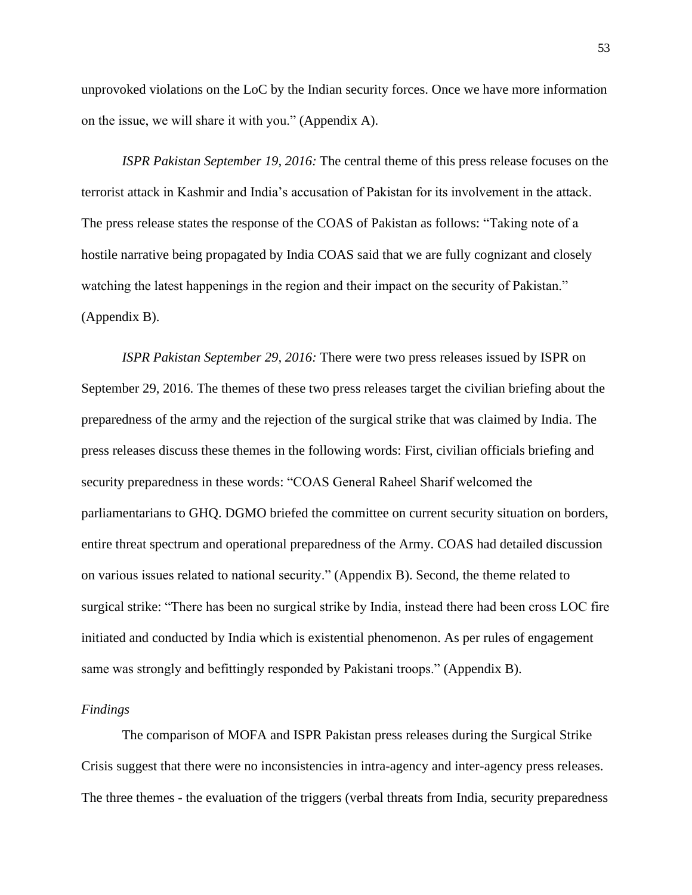unprovoked violations on the LoC by the Indian security forces. Once we have more information on the issue, we will share it with you." (Appendix A).

*ISPR Pakistan September 19, 2016:* The central theme of this press release focuses on the terrorist attack in Kashmir and India's accusation of Pakistan for its involvement in the attack. The press release states the response of the COAS of Pakistan as follows: "Taking note of a hostile narrative being propagated by India COAS said that we are fully cognizant and closely watching the latest happenings in the region and their impact on the security of Pakistan." (Appendix B).

*ISPR Pakistan September 29, 2016:* There were two press releases issued by ISPR on September 29, 2016. The themes of these two press releases target the civilian briefing about the preparedness of the army and the rejection of the surgical strike that was claimed by India. The press releases discuss these themes in the following words: First, civilian officials briefing and security preparedness in these words: "COAS General Raheel Sharif welcomed the parliamentarians to GHQ. DGMO briefed the committee on current security situation on borders, entire threat spectrum and operational preparedness of the Army. COAS had detailed discussion on various issues related to national security." (Appendix B). Second, the theme related to surgical strike: "There has been no surgical strike by India, instead there had been cross LOC fire initiated and conducted by India which is existential phenomenon. As per rules of engagement same was strongly and befittingly responded by Pakistani troops." (Appendix B).

### *Findings*

The comparison of MOFA and ISPR Pakistan press releases during the Surgical Strike Crisis suggest that there were no inconsistencies in intra-agency and inter-agency press releases. The three themes - the evaluation of the triggers (verbal threats from India, security preparedness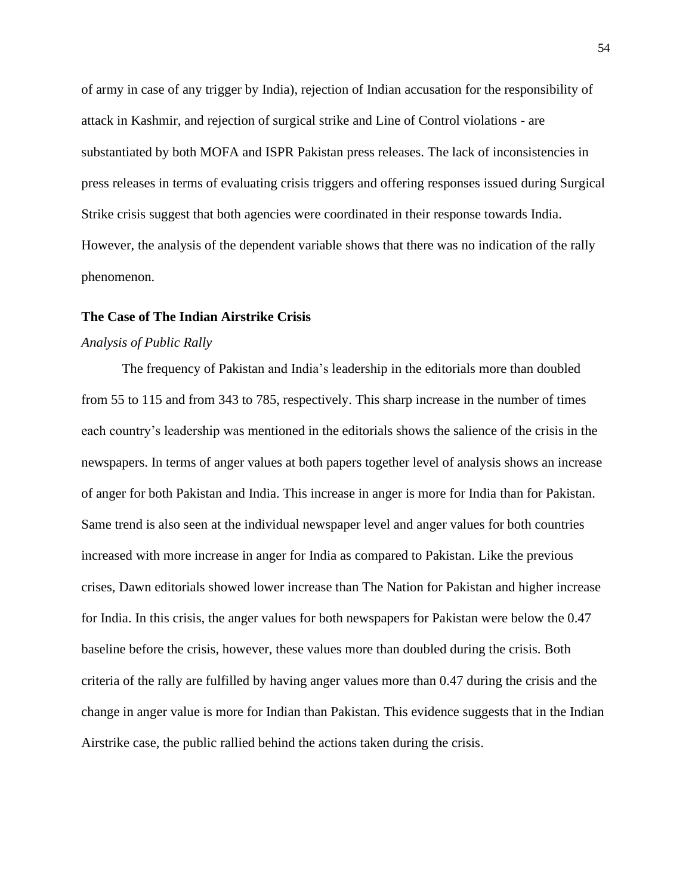of army in case of any trigger by India), rejection of Indian accusation for the responsibility of attack in Kashmir, and rejection of surgical strike and Line of Control violations - are substantiated by both MOFA and ISPR Pakistan press releases. The lack of inconsistencies in press releases in terms of evaluating crisis triggers and offering responses issued during Surgical Strike crisis suggest that both agencies were coordinated in their response towards India. However, the analysis of the dependent variable shows that there was no indication of the rally phenomenon.

# **The Case of The Indian Airstrike Crisis**

#### *Analysis of Public Rally*

The frequency of Pakistan and India's leadership in the editorials more than doubled from 55 to 115 and from 343 to 785, respectively. This sharp increase in the number of times each country's leadership was mentioned in the editorials shows the salience of the crisis in the newspapers. In terms of anger values at both papers together level of analysis shows an increase of anger for both Pakistan and India. This increase in anger is more for India than for Pakistan. Same trend is also seen at the individual newspaper level and anger values for both countries increased with more increase in anger for India as compared to Pakistan. Like the previous crises, Dawn editorials showed lower increase than The Nation for Pakistan and higher increase for India. In this crisis, the anger values for both newspapers for Pakistan were below the 0.47 baseline before the crisis, however, these values more than doubled during the crisis. Both criteria of the rally are fulfilled by having anger values more than 0.47 during the crisis and the change in anger value is more for Indian than Pakistan. This evidence suggests that in the Indian Airstrike case, the public rallied behind the actions taken during the crisis.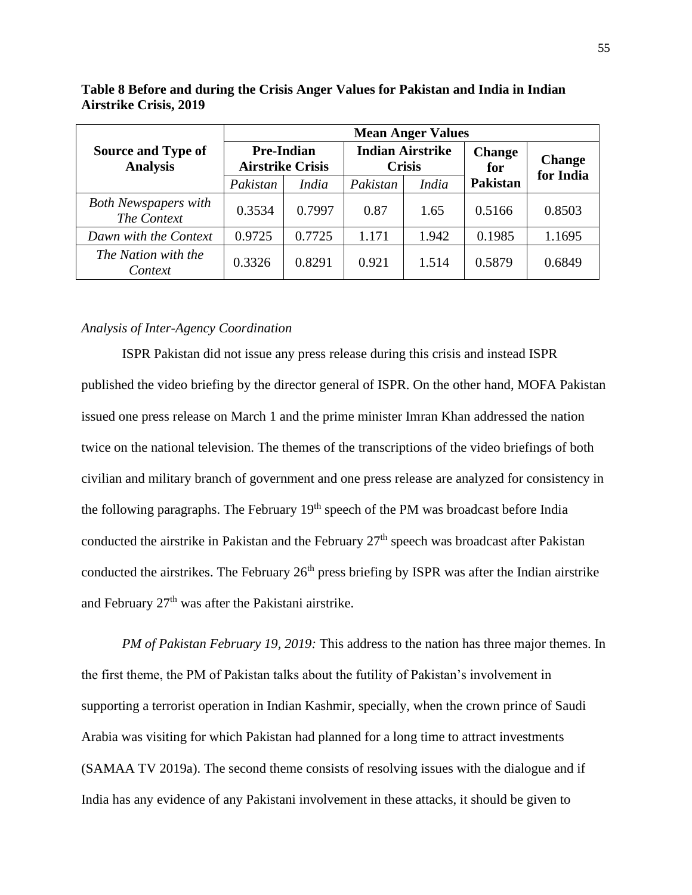|                                              | <b>Mean Anger Values</b>                     |              |                                          |       |                      |                            |  |  |
|----------------------------------------------|----------------------------------------------|--------------|------------------------------------------|-------|----------------------|----------------------------|--|--|
| <b>Source and Type of</b><br><b>Analysis</b> | <b>Pre-Indian</b><br><b>Airstrike Crisis</b> |              | <b>Indian Airstrike</b><br><b>Crisis</b> |       | <b>Change</b><br>for | <b>Change</b><br>for India |  |  |
|                                              | Pakistan                                     | <i>India</i> | Pakistan                                 | India | Pakistan             |                            |  |  |
| <b>Both Newspapers with</b><br>The Context   | 0.3534                                       | 0.7997       | 0.87                                     | 1.65  | 0.5166               | 0.8503                     |  |  |
| Dawn with the Context                        | 0.9725                                       | 0.7725       | 1.171                                    | 1.942 | 0.1985               | 1.1695                     |  |  |
| The Nation with the<br>Context               | 0.3326                                       | 0.8291       | 0.921                                    | 1.514 | 0.5879               | 0.6849                     |  |  |

**Table 8 Before and during the Crisis Anger Values for Pakistan and India in Indian Airstrike Crisis, 2019**

### *Analysis of Inter-Agency Coordination*

ISPR Pakistan did not issue any press release during this crisis and instead ISPR published the video briefing by the director general of ISPR. On the other hand, MOFA Pakistan issued one press release on March 1 and the prime minister Imran Khan addressed the nation twice on the national television. The themes of the transcriptions of the video briefings of both civilian and military branch of government and one press release are analyzed for consistency in the following paragraphs. The February 19<sup>th</sup> speech of the PM was broadcast before India conducted the airstrike in Pakistan and the February 27<sup>th</sup> speech was broadcast after Pakistan conducted the airstrikes. The February  $26<sup>th</sup>$  press briefing by ISPR was after the Indian airstrike and February 27th was after the Pakistani airstrike.

*PM of Pakistan February 19, 2019:* This address to the nation has three major themes. In the first theme, the PM of Pakistan talks about the futility of Pakistan's involvement in supporting a terrorist operation in Indian Kashmir, specially, when the crown prince of Saudi Arabia was visiting for which Pakistan had planned for a long time to attract investments (SAMAA TV 2019a). The second theme consists of resolving issues with the dialogue and if India has any evidence of any Pakistani involvement in these attacks, it should be given to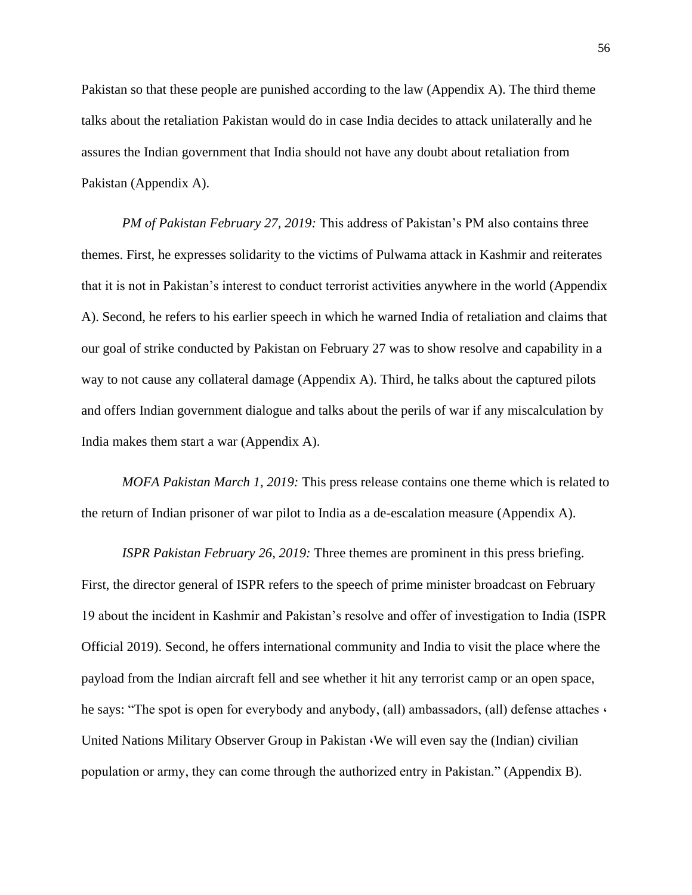Pakistan so that these people are punished according to the law (Appendix A). The third theme talks about the retaliation Pakistan would do in case India decides to attack unilaterally and he assures the Indian government that India should not have any doubt about retaliation from Pakistan (Appendix A).

*PM of Pakistan February 27, 2019:* This address of Pakistan's PM also contains three themes. First, he expresses solidarity to the victims of Pulwama attack in Kashmir and reiterates that it is not in Pakistan's interest to conduct terrorist activities anywhere in the world (Appendix A). Second, he refers to his earlier speech in which he warned India of retaliation and claims that our goal of strike conducted by Pakistan on February 27 was to show resolve and capability in a way to not cause any collateral damage (Appendix A). Third, he talks about the captured pilots and offers Indian government dialogue and talks about the perils of war if any miscalculation by India makes them start a war (Appendix A).

*MOFA Pakistan March 1, 2019:* This press release contains one theme which is related to the return of Indian prisoner of war pilot to India as a de-escalation measure (Appendix A).

*ISPR Pakistan February 26, 2019:* Three themes are prominent in this press briefing. First, the director general of ISPR refers to the speech of prime minister broadcast on February 19 about the incident in Kashmir and Pakistan's resolve and offer of investigation to India (ISPR Official 2019). Second, he offers international community and India to visit the place where the payload from the Indian aircraft fell and see whether it hit any terrorist camp or an open space, he says: "The spot is open for everybody and anybody, (all) ambassadors, (all) defense attaches  $\cdot$ United Nations Military Observer Group in Pakistan ،We will even say the (Indian) civilian population or army, they can come through the authorized entry in Pakistan." (Appendix B).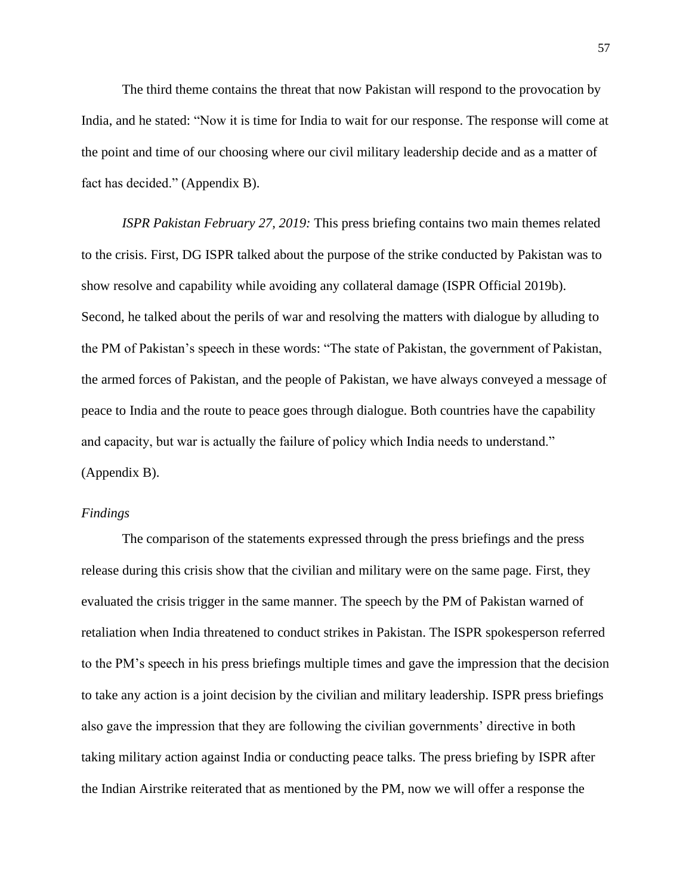The third theme contains the threat that now Pakistan will respond to the provocation by India, and he stated: "Now it is time for India to wait for our response. The response will come at the point and time of our choosing where our civil military leadership decide and as a matter of fact has decided." (Appendix B).

*ISPR Pakistan February 27, 2019:* This press briefing contains two main themes related to the crisis. First, DG ISPR talked about the purpose of the strike conducted by Pakistan was to show resolve and capability while avoiding any collateral damage (ISPR Official 2019b). Second, he talked about the perils of war and resolving the matters with dialogue by alluding to the PM of Pakistan's speech in these words: "The state of Pakistan, the government of Pakistan, the armed forces of Pakistan, and the people of Pakistan, we have always conveyed a message of peace to India and the route to peace goes through dialogue. Both countries have the capability and capacity, but war is actually the failure of policy which India needs to understand." (Appendix B).

# *Findings*

The comparison of the statements expressed through the press briefings and the press release during this crisis show that the civilian and military were on the same page. First, they evaluated the crisis trigger in the same manner. The speech by the PM of Pakistan warned of retaliation when India threatened to conduct strikes in Pakistan. The ISPR spokesperson referred to the PM's speech in his press briefings multiple times and gave the impression that the decision to take any action is a joint decision by the civilian and military leadership. ISPR press briefings also gave the impression that they are following the civilian governments' directive in both taking military action against India or conducting peace talks. The press briefing by ISPR after the Indian Airstrike reiterated that as mentioned by the PM, now we will offer a response the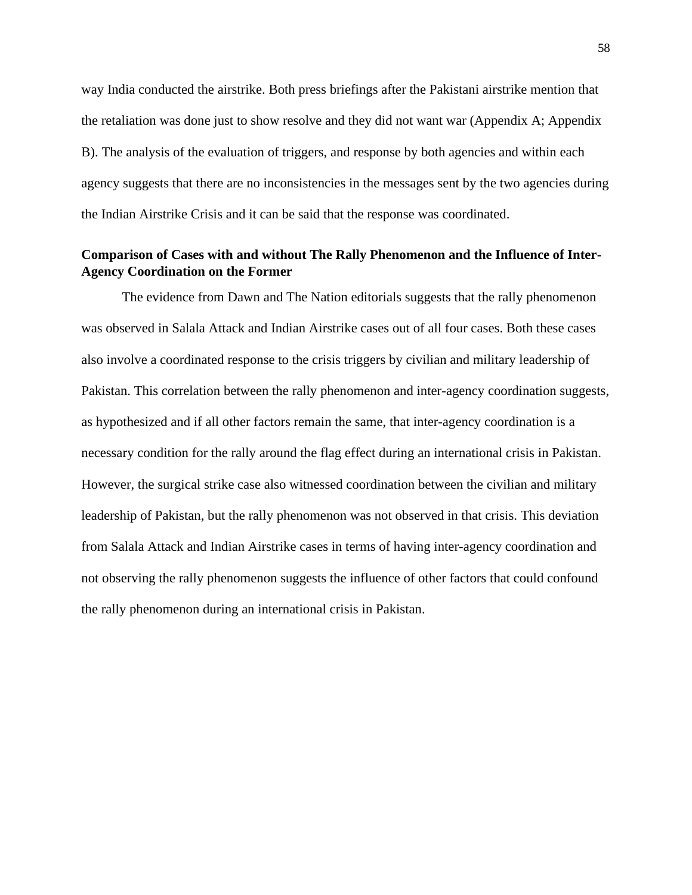way India conducted the airstrike. Both press briefings after the Pakistani airstrike mention that the retaliation was done just to show resolve and they did not want war (Appendix A; Appendix B). The analysis of the evaluation of triggers, and response by both agencies and within each agency suggests that there are no inconsistencies in the messages sent by the two agencies during the Indian Airstrike Crisis and it can be said that the response was coordinated.

# **Comparison of Cases with and without The Rally Phenomenon and the Influence of Inter-Agency Coordination on the Former**

The evidence from Dawn and The Nation editorials suggests that the rally phenomenon was observed in Salala Attack and Indian Airstrike cases out of all four cases. Both these cases also involve a coordinated response to the crisis triggers by civilian and military leadership of Pakistan. This correlation between the rally phenomenon and inter-agency coordination suggests, as hypothesized and if all other factors remain the same, that inter-agency coordination is a necessary condition for the rally around the flag effect during an international crisis in Pakistan. However, the surgical strike case also witnessed coordination between the civilian and military leadership of Pakistan, but the rally phenomenon was not observed in that crisis. This deviation from Salala Attack and Indian Airstrike cases in terms of having inter-agency coordination and not observing the rally phenomenon suggests the influence of other factors that could confound the rally phenomenon during an international crisis in Pakistan.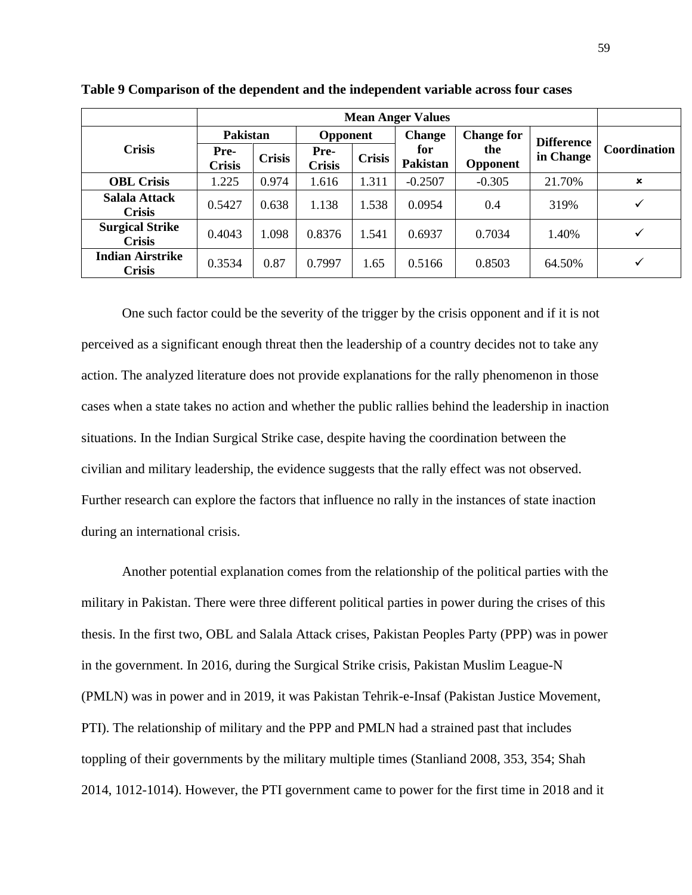|                                          |                       | <b>Mean Anger Values</b> |                       |               |                 |                   |                   |                           |  |  |
|------------------------------------------|-----------------------|--------------------------|-----------------------|---------------|-----------------|-------------------|-------------------|---------------------------|--|--|
|                                          | <b>Pakistan</b>       | <b>Opponent</b>          |                       |               | <b>Change</b>   | <b>Change for</b> | <b>Difference</b> |                           |  |  |
| <b>Crisis</b>                            | Pre-<br><b>Crisis</b> | <b>Crisis</b>            | Pre-<br><b>Crisis</b> | <b>Crisis</b> | for<br>Pakistan | the<br>Opponent   | in Change         | <b>Coordination</b>       |  |  |
| <b>OBL Crisis</b>                        | 1.225                 | 0.974                    | 1.616                 | 1.311         | $-0.2507$       | $-0.305$          | 21.70%            | $\boldsymbol{\mathsf{x}}$ |  |  |
| Salala Attack<br><b>Crisis</b>           | 0.5427                | 0.638                    | 1.138                 | 1.538         | 0.0954          | 0.4               | 319%              | ✓                         |  |  |
| <b>Surgical Strike</b><br><b>Crisis</b>  | 0.4043                | 1.098                    | 0.8376                | 1.541         | 0.6937          | 0.7034            | 1.40%             | ✓                         |  |  |
| <b>Indian Airstrike</b><br><b>Crisis</b> | 0.3534                | 0.87                     | 0.7997                | 1.65          | 0.5166          | 0.8503            | 64.50%            | ✓                         |  |  |

**Table 9 Comparison of the dependent and the independent variable across four cases**

One such factor could be the severity of the trigger by the crisis opponent and if it is not perceived as a significant enough threat then the leadership of a country decides not to take any action. The analyzed literature does not provide explanations for the rally phenomenon in those cases when a state takes no action and whether the public rallies behind the leadership in inaction situations. In the Indian Surgical Strike case, despite having the coordination between the civilian and military leadership, the evidence suggests that the rally effect was not observed. Further research can explore the factors that influence no rally in the instances of state inaction during an international crisis.

Another potential explanation comes from the relationship of the political parties with the military in Pakistan. There were three different political parties in power during the crises of this thesis. In the first two, OBL and Salala Attack crises, Pakistan Peoples Party (PPP) was in power in the government. In 2016, during the Surgical Strike crisis, Pakistan Muslim League-N (PMLN) was in power and in 2019, it was Pakistan Tehrik-e-Insaf (Pakistan Justice Movement, PTI). The relationship of military and the PPP and PMLN had a strained past that includes toppling of their governments by the military multiple times (Stanliand 2008, 353, 354; Shah 2014, 1012-1014). However, the PTI government came to power for the first time in 2018 and it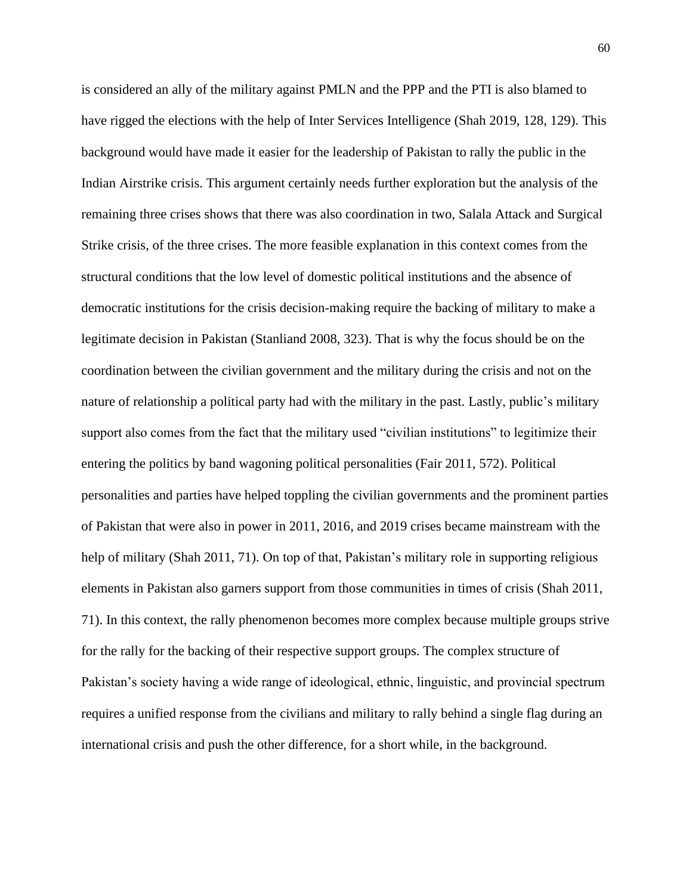is considered an ally of the military against PMLN and the PPP and the PTI is also blamed to have rigged the elections with the help of Inter Services Intelligence (Shah 2019, 128, 129). This background would have made it easier for the leadership of Pakistan to rally the public in the Indian Airstrike crisis. This argument certainly needs further exploration but the analysis of the remaining three crises shows that there was also coordination in two, Salala Attack and Surgical Strike crisis, of the three crises. The more feasible explanation in this context comes from the structural conditions that the low level of domestic political institutions and the absence of democratic institutions for the crisis decision-making require the backing of military to make a legitimate decision in Pakistan (Stanliand 2008, 323). That is why the focus should be on the coordination between the civilian government and the military during the crisis and not on the nature of relationship a political party had with the military in the past. Lastly, public's military support also comes from the fact that the military used "civilian institutions" to legitimize their entering the politics by band wagoning political personalities (Fair 2011, 572). Political personalities and parties have helped toppling the civilian governments and the prominent parties of Pakistan that were also in power in 2011, 2016, and 2019 crises became mainstream with the help of military (Shah 2011, 71). On top of that, Pakistan's military role in supporting religious elements in Pakistan also garners support from those communities in times of crisis (Shah 2011, 71). In this context, the rally phenomenon becomes more complex because multiple groups strive for the rally for the backing of their respective support groups. The complex structure of Pakistan's society having a wide range of ideological, ethnic, linguistic, and provincial spectrum requires a unified response from the civilians and military to rally behind a single flag during an international crisis and push the other difference, for a short while, in the background.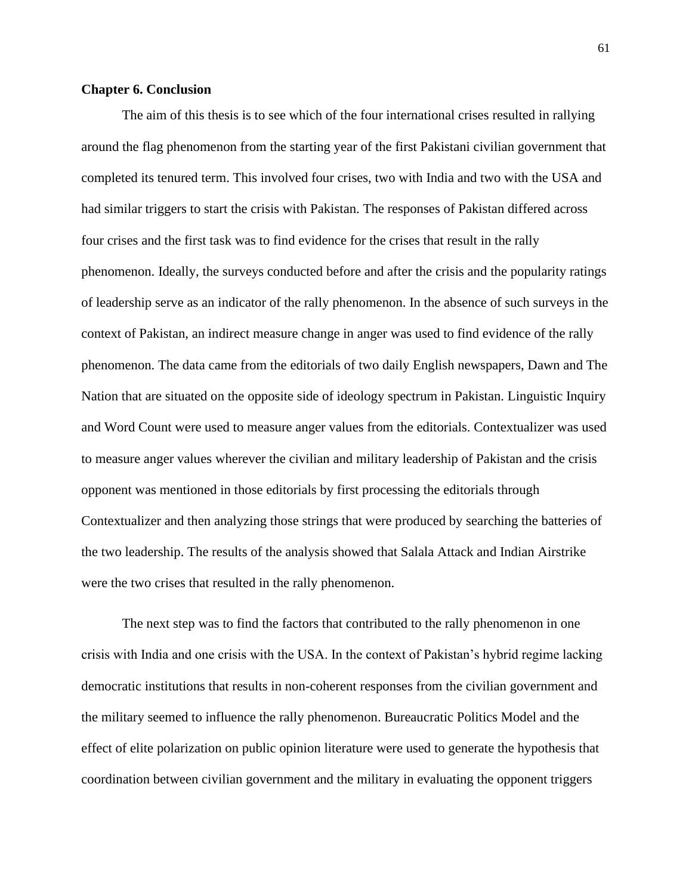# **Chapter 6. Conclusion**

The aim of this thesis is to see which of the four international crises resulted in rallying around the flag phenomenon from the starting year of the first Pakistani civilian government that completed its tenured term. This involved four crises, two with India and two with the USA and had similar triggers to start the crisis with Pakistan. The responses of Pakistan differed across four crises and the first task was to find evidence for the crises that result in the rally phenomenon. Ideally, the surveys conducted before and after the crisis and the popularity ratings of leadership serve as an indicator of the rally phenomenon. In the absence of such surveys in the context of Pakistan, an indirect measure change in anger was used to find evidence of the rally phenomenon. The data came from the editorials of two daily English newspapers, Dawn and The Nation that are situated on the opposite side of ideology spectrum in Pakistan. Linguistic Inquiry and Word Count were used to measure anger values from the editorials. Contextualizer was used to measure anger values wherever the civilian and military leadership of Pakistan and the crisis opponent was mentioned in those editorials by first processing the editorials through Contextualizer and then analyzing those strings that were produced by searching the batteries of the two leadership. The results of the analysis showed that Salala Attack and Indian Airstrike were the two crises that resulted in the rally phenomenon.

The next step was to find the factors that contributed to the rally phenomenon in one crisis with India and one crisis with the USA. In the context of Pakistan's hybrid regime lacking democratic institutions that results in non-coherent responses from the civilian government and the military seemed to influence the rally phenomenon. Bureaucratic Politics Model and the effect of elite polarization on public opinion literature were used to generate the hypothesis that coordination between civilian government and the military in evaluating the opponent triggers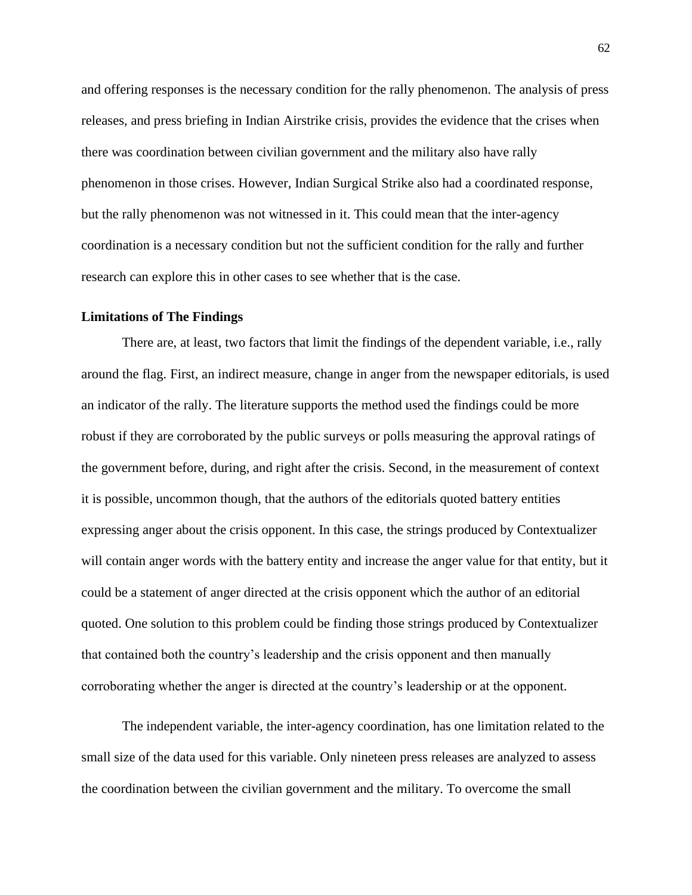and offering responses is the necessary condition for the rally phenomenon. The analysis of press releases, and press briefing in Indian Airstrike crisis, provides the evidence that the crises when there was coordination between civilian government and the military also have rally phenomenon in those crises. However, Indian Surgical Strike also had a coordinated response, but the rally phenomenon was not witnessed in it. This could mean that the inter-agency coordination is a necessary condition but not the sufficient condition for the rally and further research can explore this in other cases to see whether that is the case.

### **Limitations of The Findings**

There are, at least, two factors that limit the findings of the dependent variable, i.e., rally around the flag. First, an indirect measure, change in anger from the newspaper editorials, is used an indicator of the rally. The literature supports the method used the findings could be more robust if they are corroborated by the public surveys or polls measuring the approval ratings of the government before, during, and right after the crisis. Second, in the measurement of context it is possible, uncommon though, that the authors of the editorials quoted battery entities expressing anger about the crisis opponent. In this case, the strings produced by Contextualizer will contain anger words with the battery entity and increase the anger value for that entity, but it could be a statement of anger directed at the crisis opponent which the author of an editorial quoted. One solution to this problem could be finding those strings produced by Contextualizer that contained both the country's leadership and the crisis opponent and then manually corroborating whether the anger is directed at the country's leadership or at the opponent.

The independent variable, the inter-agency coordination, has one limitation related to the small size of the data used for this variable. Only nineteen press releases are analyzed to assess the coordination between the civilian government and the military. To overcome the small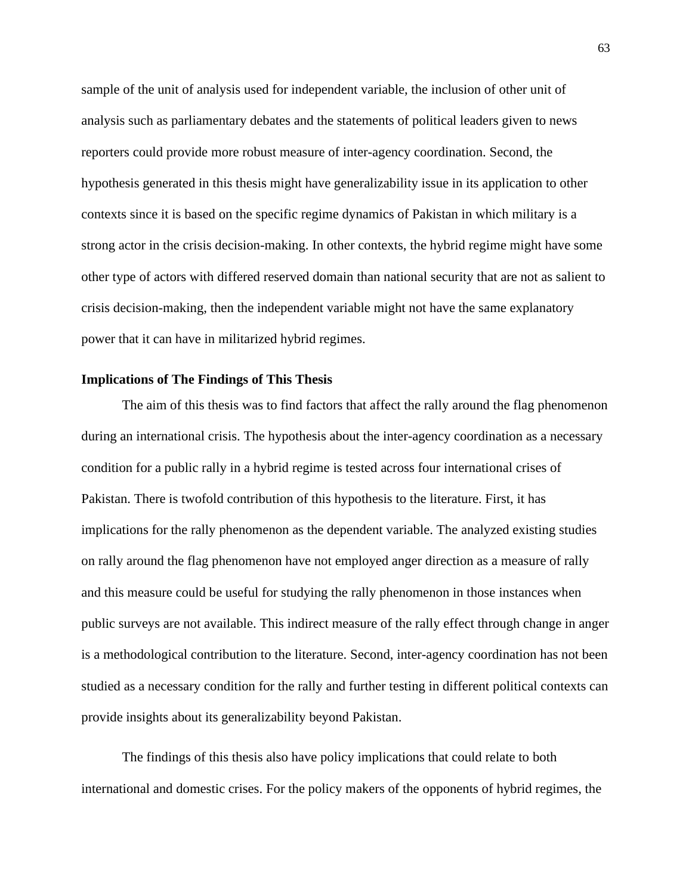sample of the unit of analysis used for independent variable, the inclusion of other unit of analysis such as parliamentary debates and the statements of political leaders given to news reporters could provide more robust measure of inter-agency coordination. Second, the hypothesis generated in this thesis might have generalizability issue in its application to other contexts since it is based on the specific regime dynamics of Pakistan in which military is a strong actor in the crisis decision-making. In other contexts, the hybrid regime might have some other type of actors with differed reserved domain than national security that are not as salient to crisis decision-making, then the independent variable might not have the same explanatory power that it can have in militarized hybrid regimes.

### **Implications of The Findings of This Thesis**

The aim of this thesis was to find factors that affect the rally around the flag phenomenon during an international crisis. The hypothesis about the inter-agency coordination as a necessary condition for a public rally in a hybrid regime is tested across four international crises of Pakistan. There is twofold contribution of this hypothesis to the literature. First, it has implications for the rally phenomenon as the dependent variable. The analyzed existing studies on rally around the flag phenomenon have not employed anger direction as a measure of rally and this measure could be useful for studying the rally phenomenon in those instances when public surveys are not available. This indirect measure of the rally effect through change in anger is a methodological contribution to the literature. Second, inter-agency coordination has not been studied as a necessary condition for the rally and further testing in different political contexts can provide insights about its generalizability beyond Pakistan.

The findings of this thesis also have policy implications that could relate to both international and domestic crises. For the policy makers of the opponents of hybrid regimes, the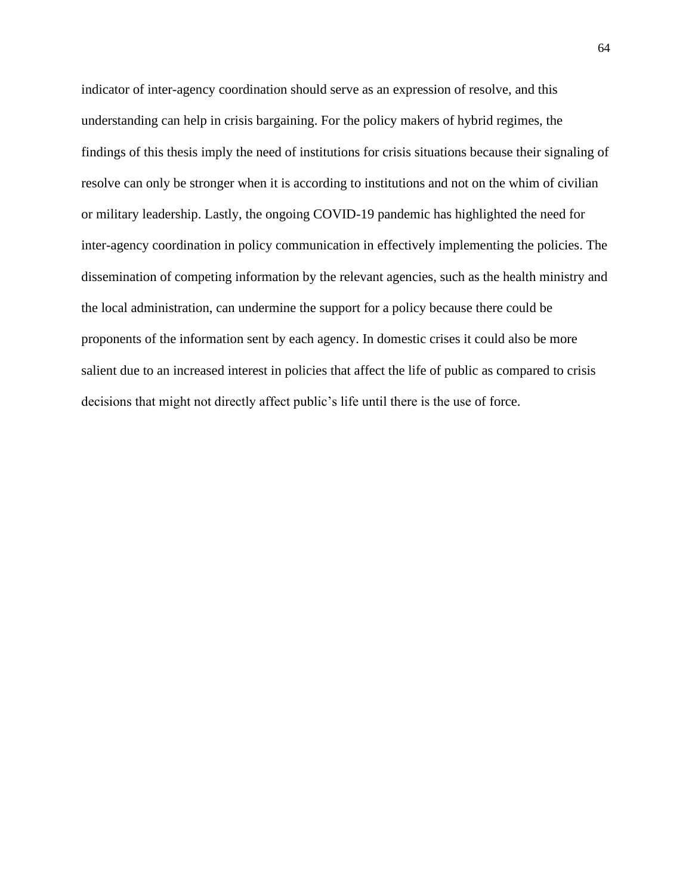indicator of inter-agency coordination should serve as an expression of resolve, and this understanding can help in crisis bargaining. For the policy makers of hybrid regimes, the findings of this thesis imply the need of institutions for crisis situations because their signaling of resolve can only be stronger when it is according to institutions and not on the whim of civilian or military leadership. Lastly, the ongoing COVID-19 pandemic has highlighted the need for inter-agency coordination in policy communication in effectively implementing the policies. The dissemination of competing information by the relevant agencies, such as the health ministry and the local administration, can undermine the support for a policy because there could be proponents of the information sent by each agency. In domestic crises it could also be more salient due to an increased interest in policies that affect the life of public as compared to crisis decisions that might not directly affect public's life until there is the use of force.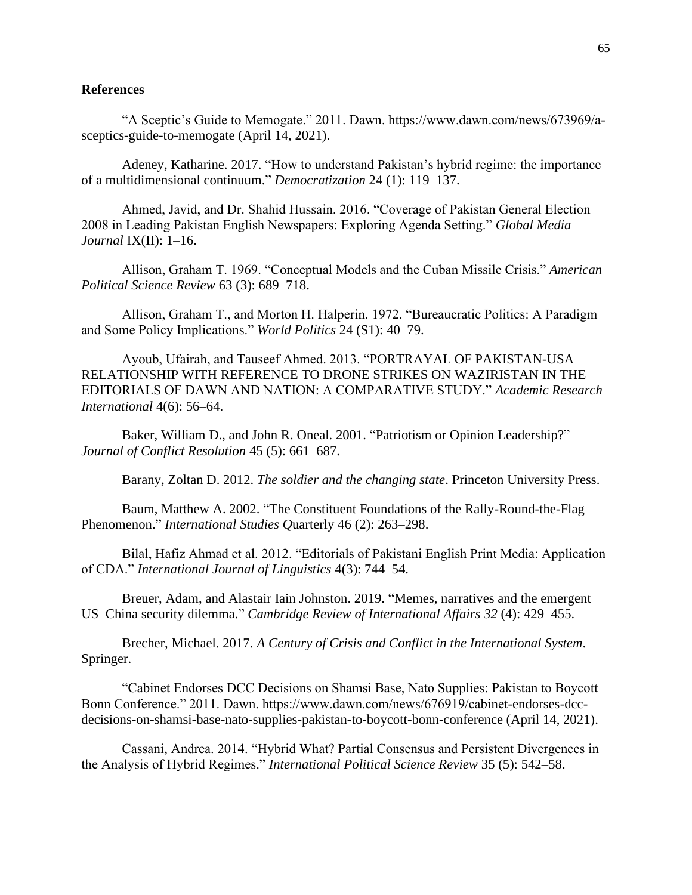### **References**

"A Sceptic's Guide to Memogate." 2011. Dawn. https://www.dawn.com/news/673969/asceptics-guide-to-memogate (April 14, 2021).

Adeney, Katharine. 2017. "How to understand Pakistan's hybrid regime: the importance of a multidimensional continuum." *Democratization* 24 (1): 119–137[.](https://doi.org/10.1080/13510347.2015.1110574)

Ahmed, Javid, and Dr. Shahid Hussain. 2016. "Coverage of Pakistan General Election 2008 in Leading Pakistan English Newspapers: Exploring Agenda Setting." *Global Media Journal* IX(II): 1–16.

Allison, Graham T. 1969. "Conceptual Models and the Cuban Missile Crisis." *American Political Science Review* 63 (3): 689–718.

Allison, Graham T., and Morton H. Halperin. 1972. "Bureaucratic Politics: A Paradigm and Some Policy Implications." *World Politics* 24 (S1): 40–79.

Ayoub, Ufairah, and Tauseef Ahmed. 2013. "PORTRAYAL OF PAKISTAN-USA RELATIONSHIP WITH REFERENCE TO DRONE STRIKES ON WAZIRISTAN IN THE EDITORIALS OF DAWN AND NATION: A COMPARATIVE STUDY." *Academic Research International* 4(6): 56–64.

Baker, William D., and John R. Oneal. 2001. "Patriotism or Opinion Leadership?" *Journal of Conflict Resolution* 45 (5): 661–687.

Barany, Zoltan D. 2012. *The soldier and the changing state*. Princeton University Press.

Baum, Matthew A. 2002. "The Constituent Foundations of the Rally-Round-the-Flag Phenomenon." *International Studies Q*uarterly 46 (2): 263–298[.](https://doi.org/10.1111/1468-2478.00232)

Bilal, Hafiz Ahmad et al. 2012. "Editorials of Pakistani English Print Media: Application of CDA." *International Journal of Linguistics* 4(3): 744–54.

Breuer, Adam, and Alastair Iain Johnston. 2019. "Memes, narratives and the emergent US–China security dilemma." *Cambridge Review of International Affairs 32* (4): 429–455.

Brecher, Michael. 2017. *A Century of Crisis and Conflict in the International System*. Springer.

"Cabinet Endorses DCC Decisions on Shamsi Base, Nato Supplies: Pakistan to Boycott Bonn Conference." 2011. Dawn. https://www.dawn.com/news/676919/cabinet-endorses-dccdecisions-on-shamsi-base-nato-supplies-pakistan-to-boycott-bonn-conference (April 14, 2021).

Cassani, Andrea. 2014. "Hybrid What? Partial Consensus and Persistent Divergences in the Analysis of Hybrid Regimes." *International Political Science Review* 35 (5): 542–58.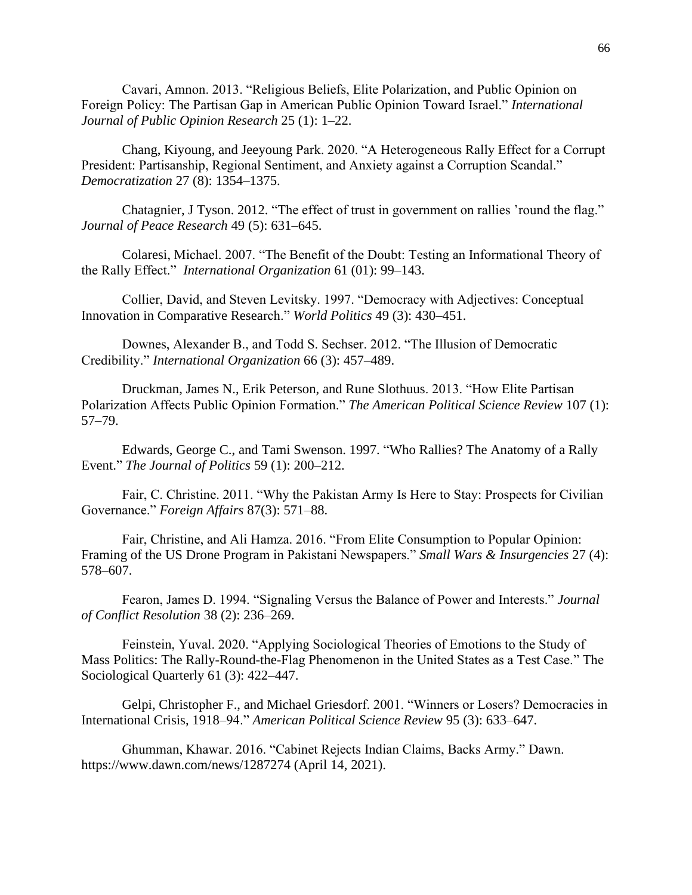Cavari, Amnon. 2013. "Religious Beliefs, Elite Polarization, and Public Opinion on Foreign Policy: The Partisan Gap in American Public Opinion Toward Israel." *International Journal of Public Opinion Research* 25 (1): 1–22.

Chang, Kiyoung, and Jeeyoung Park. 2020. "A Heterogeneous Rally Effect for a Corrupt President: Partisanship, Regional Sentiment, and Anxiety against a Corruption Scandal." *Democratization* 27 (8): 1354–1375.

Chatagnier, J Tyson. 2012. "The effect of trust in government on rallies 'round the flag." *Journal of Peace Research* 49 (5): 631–645[.](https://doi.org/10.1177/0022343312440808)

Colaresi, Michael. 2007. "The Benefit of the Doubt: Testing an Informational Theory of the Rally Effect." *International Organization* 61 (01): 99–143.

Collier, David, and Steven Levitsky. 1997. "Democracy with Adjectives: Conceptual Innovation in Comparative Research." *World Politics* 49 (3): 430–451.

Downes, Alexander B., and Todd S. Sechser. 2012. "The Illusion of Democratic Credibility." *International Organization* 66 (3): 457–489.

Druckman, James N., Erik Peterson, and Rune Slothuus. 2013. "How Elite Partisan Polarization Affects Public Opinion Formation." *The American Political Science Review* 107 (1): 57–79.

Edwards, George C., and Tami Swenson. 1997. "Who Rallies? The Anatomy of a Rally Event." *The Journal of Politics* 59 (1): 200–212.

Fair, C. Christine. 2011. "Why the Pakistan Army Is Here to Stay: Prospects for Civilian Governance." *Foreign Affairs* 87(3): 571–88.

Fair, Christine, and Ali Hamza. 2016. "From Elite Consumption to Popular Opinion: Framing of the US Drone Program in Pakistani Newspapers." *Small Wars & Insurgencies* 27 (4): 578–607.

Fearon, James D. 1994. "Signaling Versus the Balance of Power and Interests." *Journal of Conflict Resolution* 38 (2): 236–269.

Feinstein, Yuval. 2020. "Applying Sociological Theories of Emotions to the Study of Mass Politics: The Rally-Round-the-Flag Phenomenon in the United States as a Test Case." The Sociological Quarterly 61 (3): 422–447.

Gelpi, Christopher F., and Michael Griesdorf. 2001. "Winners or Losers? Democracies in International Crisis, 1918–94." *American Political Science Review* 95 (3): 633–647.

Ghumman, Khawar. 2016. "Cabinet Rejects Indian Claims, Backs Army." Dawn. https://www.dawn.com/news/1287274 (April 14, 2021).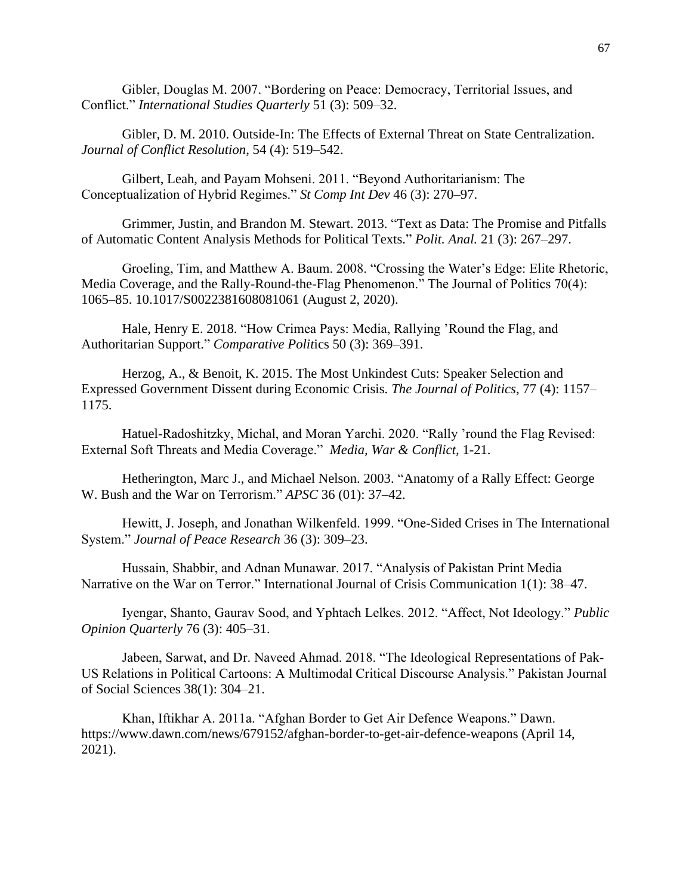Gibler, Douglas M. 2007. "Bordering on Peace: Democracy, Territorial Issues, and Conflict." *International Studies Quarterly* 51 (3): 509–32.

Gibler, D. M. 2010. Outside-In: The Effects of External Threat on State Centralization. *Journal of Conflict Resolution*, 54 (4): 519–542.

Gilbert, Leah, and Payam Mohseni. 2011. "Beyond Authoritarianism: The Conceptualization of Hybrid Regimes." *St Comp Int Dev* 46 (3): 270–97.

Grimmer, Justin, and Brandon M. Stewart. 2013. "Text as Data: The Promise and Pitfalls of Automatic Content Analysis Methods for Political Texts." *Polit. Anal.* 21 (3): 267–297.

Groeling, Tim, and Matthew A. Baum. 2008. "Crossing the Water's Edge: Elite Rhetoric, Media Coverage, and the Rally-Round-the-Flag Phenomenon." The Journal of Politics 70(4): 1065–85. 10.1017/S0022381608081061 (August 2, 2020).

Hale, Henry E. 2018. "How Crimea Pays: Media, Rallying 'Round the Flag, and Authoritarian Support." *Comparative Polit*ics 50 (3): 369–391.

Herzog, A., & Benoit, K. 2015. The Most Unkindest Cuts: Speaker Selection and Expressed Government Dissent during Economic Crisis. *The Journal of Politics*, 77 (4): 1157– 1175.

Hatuel-Radoshitzky, Michal, and Moran Yarchi. 2020. "Rally 'round the Flag Revised: External Soft Threats and Media Coverage." *Media, War & Conflict,* 1-21.

Hetherington, Marc J., and Michael Nelson. 2003. "Anatomy of a Rally Effect: George W. Bush and the War on Terrorism." *APSC* 36 (01): 37–42.

Hewitt, J. Joseph, and Jonathan Wilkenfeld. 1999. "One-Sided Crises in The International System." *Journal of Peace Research* 36 (3): 309–23.

Hussain, Shabbir, and Adnan Munawar. 2017. "Analysis of Pakistan Print Media Narrative on the War on Terror." International Journal of Crisis Communication 1(1): 38–47.

Iyengar, Shanto, Gaurav Sood, and Yphtach Lelkes. 2012. "Affect, Not Ideology." *Public Opinion Quarterly* 76 (3): 405–31.

Jabeen, Sarwat, and Dr. Naveed Ahmad. 2018. "The Ideological Representations of Pak-US Relations in Political Cartoons: A Multimodal Critical Discourse Analysis." Pakistan Journal of Social Sciences 38(1): 304–21.

Khan, Iftikhar A. 2011a. "Afghan Border to Get Air Defence Weapons." Dawn. https://www.dawn.com/news/679152/afghan-border-to-get-air-defence-weapons (April 14, 2021).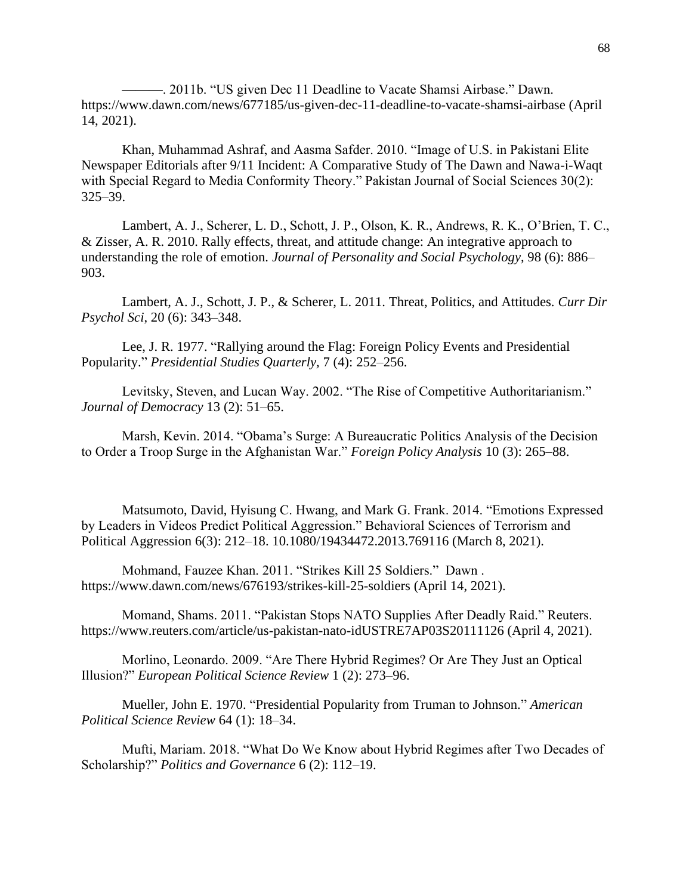———. 2011b. "US given Dec 11 Deadline to Vacate Shamsi Airbase." Dawn. https://www.dawn.com/news/677185/us-given-dec-11-deadline-to-vacate-shamsi-airbase (April 14, 2021).

Khan, Muhammad Ashraf, and Aasma Safder. 2010. "Image of U.S. in Pakistani Elite Newspaper Editorials after 9/11 Incident: A Comparative Study of The Dawn and Nawa-i-Waqt with Special Regard to Media Conformity Theory." Pakistan Journal of Social Sciences 30(2): 325–39.

Lambert, A. J., Scherer, L. D., Schott, J. P., Olson, K. R., Andrews, R. K., O'Brien, T. C., & Zisser, A. R. 2010. Rally effects, threat, and attitude change: An integrative approach to understanding the role of emotion. *Journal of Personality and Social Psychology*, 98 (6): 886– 903.

Lambert, A. J., Schott, J. P., & Scherer, L. 2011. Threat, Politics, and Attitudes. *Curr Dir Psychol Sci*, 20 (6): 343–348.

Lee, J. R. 1977. "Rallying around the Flag: Foreign Policy Events and Presidential Popularity." *Presidential Studies Quarterly,* 7 (4): 252–256.

Levitsky, Steven, and Lucan Way. 2002. "The Rise of Competitive Authoritarianism." *Journal of Democracy* 13 (2): 51–65.

Marsh, Kevin. 2014. "Obama's Surge: A Bureaucratic Politics Analysis of the Decision to Order a Troop Surge in the Afghanistan War." *Foreign Policy Analysis* 10 (3): 265–88.

Matsumoto, David, Hyisung C. Hwang, and Mark G. Frank. 2014. "Emotions Expressed by Leaders in Videos Predict Political Aggression." Behavioral Sciences of Terrorism and Political Aggression 6(3): 212–18. 10.1080/19434472.2013.769116 (March 8, 2021).

Mohmand, Fauzee Khan. 2011. "Strikes Kill 25 Soldiers." Dawn . https://www.dawn.com/news/676193/strikes-kill-25-soldiers (April 14, 2021).

Momand, Shams. 2011. "Pakistan Stops NATO Supplies After Deadly Raid." Reuters. https://www.reuters.com/article/us-pakistan-nato-idUSTRE7AP03S20111126 (April 4, 2021).

Morlino, Leonardo. 2009. "Are There Hybrid Regimes? Or Are They Just an Optical Illusion?" *European Political Science Review* 1 (2): 273–96.

Mueller, John E. 1970. "Presidential Popularity from Truman to Johnson." *American Political Science Review* 64 (1): 18–34[.](https://doi.org/10.2307/1955610)

Mufti, Mariam. 2018. "What Do We Know about Hybrid Regimes after Two Decades of Scholarship?" *Politics and Governance* 6 (2): 112–19.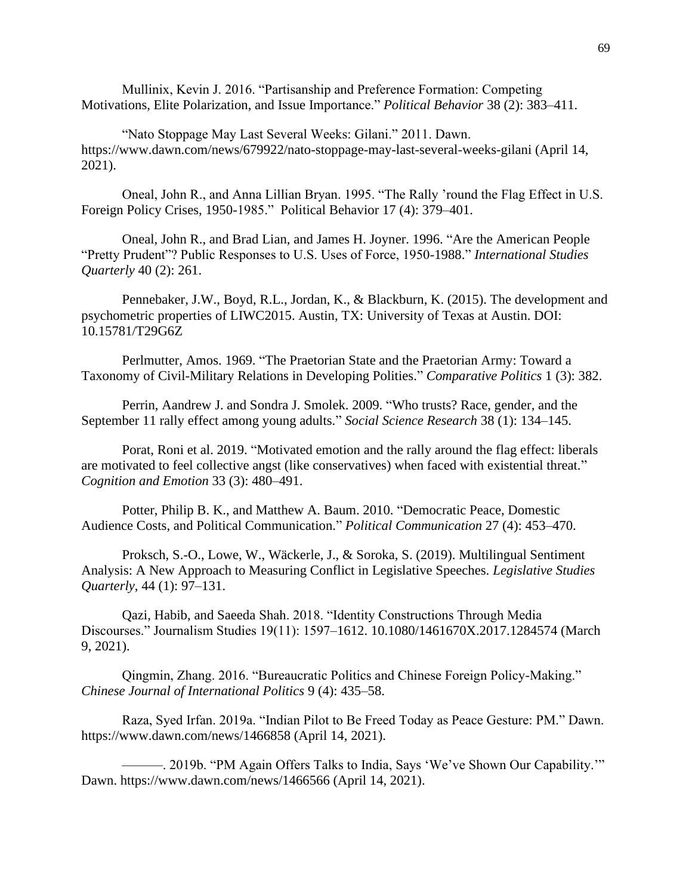Mullinix, Kevin J. 2016. "Partisanship and Preference Formation: Competing Motivations, Elite Polarization, and Issue Importance." *Political Behavior* 38 (2): 383–411.

"Nato Stoppage May Last Several Weeks: Gilani." 2011. Dawn. https://www.dawn.com/news/679922/nato-stoppage-may-last-several-weeks-gilani (April 14, 2021).

Oneal, John R., and Anna Lillian Bryan. 1995. "The Rally 'round the Flag Effect in U.S. Foreign Policy Crises, 1950-1985." Political Behavior 17 (4): 379–401.

Oneal, John R., and Brad Lian, and James H. Joyner. 1996. "Are the American People "Pretty Prudent"? Public Responses to U.S. Uses of Force, 1950-1988." *International Studies Quarterly* 40 (2): 261[.](https://doi.org/10.2307/2600959)

Pennebaker, J.W., Boyd, R.L., Jordan, K., & Blackburn, K. (2015). The development and psychometric properties of LIWC2015. Austin, TX: University of Texas at Austin. DOI: 10.15781/T29G6Z

Perlmutter, Amos. 1969. "The Praetorian State and the Praetorian Army: Toward a Taxonomy of Civil-Military Relations in Developing Polities." *Comparative Politics* 1 (3): 382[.](https://doi.org/10.2307/421446)

Perrin, Aandrew J. and Sondra J. Smolek. 2009. "Who trusts? Race, gender, and the September 11 rally effect among young adults." *Social Science Research* 38 (1): 134–145[.](https://doi.org/10.1016/j.ssresearch.2008.09.001)

Porat, Roni et al. 2019. "Motivated emotion and the rally around the flag effect: liberals are motivated to feel collective angst (like conservatives) when faced with existential threat." *Cognition and Emotion* 33 (3): 480–491[.](https://doi.org/10.1080/02699931.2018.1460321)

Potter, Philip B. K., and Matthew A. Baum. 2010. "Democratic Peace, Domestic Audience Costs, and Political Communication." *Political Communication* 27 (4): 453–470[.](https://doi.org/10.1080/10584609.2010.516802)

Proksch, S.-O., Lowe, W., Wäckerle, J., & Soroka, S. (2019). Multilingual Sentiment Analysis: A New Approach to Measuring Conflict in Legislative Speeches. *Legislative Studies Quarterly*, 44 (1): 97–131.

Qazi, Habib, and Saeeda Shah. 2018. "Identity Constructions Through Media Discourses." Journalism Studies 19(11): 1597–1612. 10.1080/1461670X.2017.1284574 (March 9, 2021).

Qingmin, Zhang. 2016. "Bureaucratic Politics and Chinese Foreign Policy-Making." *Chinese Journal of International Politics* 9 (4): 435–58.

Raza, Syed Irfan. 2019a. "Indian Pilot to Be Freed Today as Peace Gesture: PM." Dawn. https://www.dawn.com/news/1466858 (April 14, 2021).

———. 2019b. "PM Again Offers Talks to India, Says 'We've Shown Our Capability.'" Dawn. https://www.dawn.com/news/1466566 (April 14, 2021).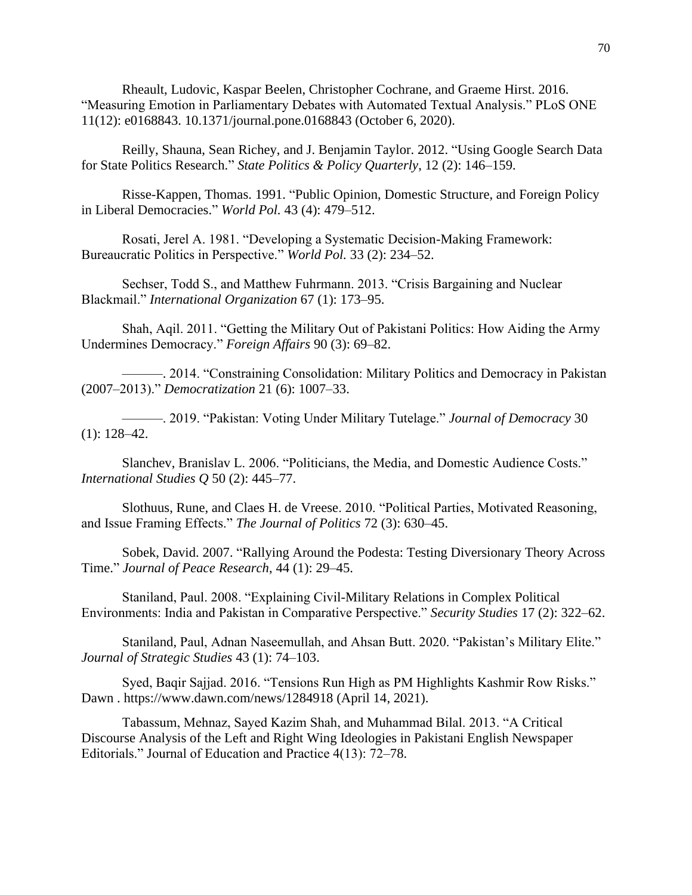Rheault, Ludovic, Kaspar Beelen, Christopher Cochrane, and Graeme Hirst. 2016. "Measuring Emotion in Parliamentary Debates with Automated Textual Analysis." PLoS ONE 11(12): e0168843. 10.1371/journal.pone.0168843 (October 6, 2020).

Reilly, Shauna, Sean Richey, and J. Benjamin Taylor. 2012. "Using Google Search Data for State Politics Research." *State Politics & Policy Quarterly*, 12 (2): 146–159.

Risse-Kappen, Thomas. 1991. "Public Opinion, Domestic Structure, and Foreign Policy in Liberal Democracies." *World Pol.* 43 (4): 479–512[.](https://doi.org/10.2307/2010534)

Rosati, Jerel A. 1981. "Developing a Systematic Decision-Making Framework: Bureaucratic Politics in Perspective." *World Pol.* 33 (2): 234–52.

Sechser, Todd S., and Matthew Fuhrmann. 2013. "Crisis Bargaining and Nuclear Blackmail." *International Organization* 67 (1): 173–95.

Shah, Aqil. 2011. "Getting the Military Out of Pakistani Politics: How Aiding the Army Undermines Democracy." *Foreign Affairs* 90 (3): 69–82.

———. 2014. "Constraining Consolidation: Military Politics and Democracy in Pakistan (2007–2013)." *Democratization* 21 (6): 1007–33.

———. 2019. "Pakistan: Voting Under Military Tutelage." *Journal of Democracy* 30 (1): 128–42.

Slanchev, Branislav L. 2006. "Politicians, the Media, and Domestic Audience Costs." *International Studies Q* 50 (2): 445–77.

Slothuus, Rune, and Claes H. de Vreese. 2010. "Political Parties, Motivated Reasoning, and Issue Framing Effects." *The Journal of Politics* 72 (3): 630–45.

Sobek, David. 2007. "Rallying Around the Podesta: Testing Diversionary Theory Across Time." *Journal of Peace Research*, 44 (1): 29–45[.](https://doi.org/10.1177/0022343307072178)

Staniland, Paul. 2008. "Explaining Civil-Military Relations in Complex Political Environments: India and Pakistan in Comparative Perspective." *Security Studies* 17 (2): 322–62.

Staniland, Paul, Adnan Naseemullah, and Ahsan Butt. 2020. "Pakistan's Military Elite." *Journal of Strategic Studies* 43 (1): 74–103.

Syed, Baqir Sajjad. 2016. "Tensions Run High as PM Highlights Kashmir Row Risks." Dawn . https://www.dawn.com/news/1284918 (April 14, 2021).

Tabassum, Mehnaz, Sayed Kazim Shah, and Muhammad Bilal. 2013. "A Critical Discourse Analysis of the Left and Right Wing Ideologies in Pakistani English Newspaper Editorials." Journal of Education and Practice 4(13): 72–78.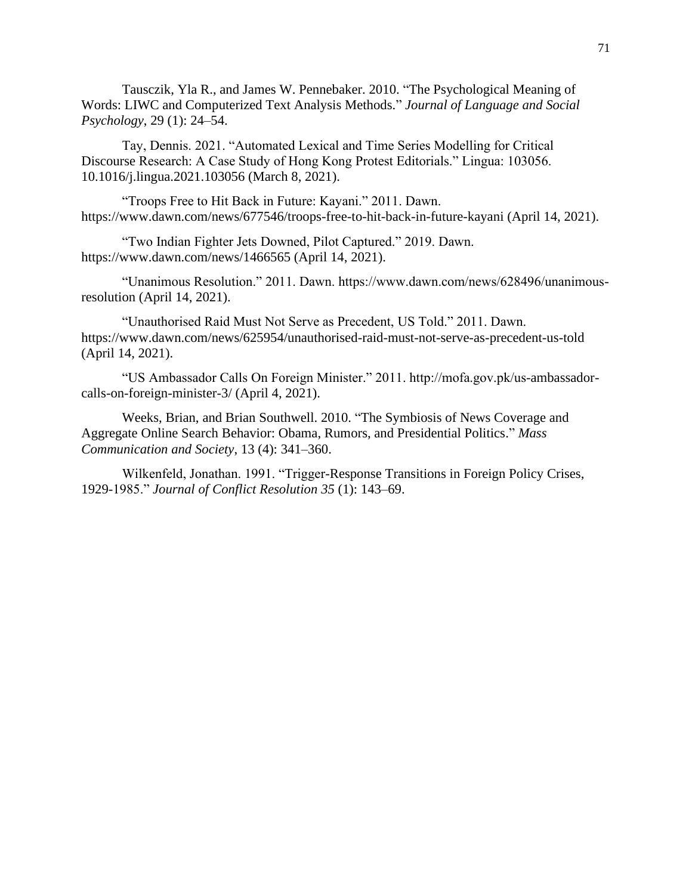Tausczik, Yla R., and James W. Pennebaker. 2010. "The Psychological Meaning of Words: LIWC and Computerized Text Analysis Methods." *Journal of Language and Social Psychology*, 29 (1): 24–54.

Tay, Dennis. 2021. "Automated Lexical and Time Series Modelling for Critical Discourse Research: A Case Study of Hong Kong Protest Editorials." Lingua: 103056. 10.1016/j.lingua.2021.103056 (March 8, 2021).

"Troops Free to Hit Back in Future: Kayani." 2011. Dawn. https://www.dawn.com/news/677546/troops-free-to-hit-back-in-future-kayani (April 14, 2021).

"Two Indian Fighter Jets Downed, Pilot Captured." 2019. Dawn. https://www.dawn.com/news/1466565 (April 14, 2021).

"Unanimous Resolution." 2011. Dawn. https://www.dawn.com/news/628496/unanimousresolution (April 14, 2021).

"Unauthorised Raid Must Not Serve as Precedent, US Told." 2011. Dawn. https://www.dawn.com/news/625954/unauthorised-raid-must-not-serve-as-precedent-us-told (April 14, 2021).

"US Ambassador Calls On Foreign Minister." 2011. http://mofa.gov.pk/us-ambassadorcalls-on-foreign-minister-3/ (April 4, 2021).

Weeks, Brian, and Brian Southwell. 2010. "The Symbiosis of News Coverage and Aggregate Online Search Behavior: Obama, Rumors, and Presidential Politics." *Mass Communication and Society*, 13 (4): 341–360.

Wilkenfeld, Jonathan. 1991. "Trigger-Response Transitions in Foreign Policy Crises, 1929-1985." *Journal of Conflict Resolution 35* (1): 143–69.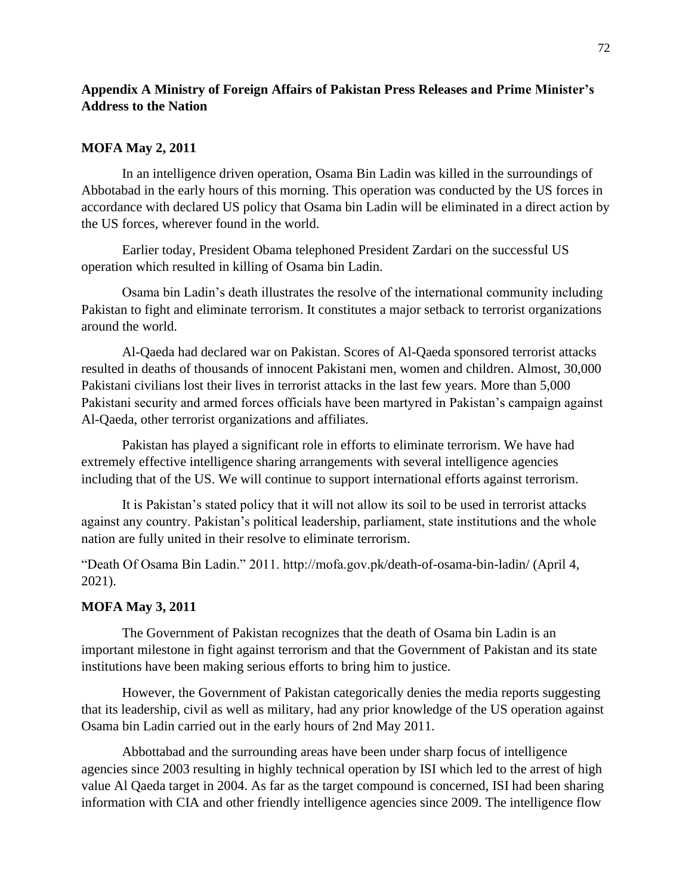# **Appendix A Ministry of Foreign Affairs of Pakistan Press Releases and Prime Minister's Address to the Nation**

### **MOFA May 2, 2011**

In an intelligence driven operation, Osama Bin Ladin was killed in the surroundings of Abbotabad in the early hours of this morning. This operation was conducted by the US forces in accordance with declared US policy that Osama bin Ladin will be eliminated in a direct action by the US forces, wherever found in the world.

Earlier today, President Obama telephoned President Zardari on the successful US operation which resulted in killing of Osama bin Ladin.

Osama bin Ladin's death illustrates the resolve of the international community including Pakistan to fight and eliminate terrorism. It constitutes a major setback to terrorist organizations around the world.

Al-Qaeda had declared war on Pakistan. Scores of Al-Qaeda sponsored terrorist attacks resulted in deaths of thousands of innocent Pakistani men, women and children. Almost, 30,000 Pakistani civilians lost their lives in terrorist attacks in the last few years. More than 5,000 Pakistani security and armed forces officials have been martyred in Pakistan's campaign against Al-Qaeda, other terrorist organizations and affiliates.

Pakistan has played a significant role in efforts to eliminate terrorism. We have had extremely effective intelligence sharing arrangements with several intelligence agencies including that of the US. We will continue to support international efforts against terrorism.

It is Pakistan's stated policy that it will not allow its soil to be used in terrorist attacks against any country. Pakistan's political leadership, parliament, state institutions and the whole nation are fully united in their resolve to eliminate terrorism.

"Death Of Osama Bin Ladin." 2011. http://mofa.gov.pk/death-of-osama-bin-ladin/ (April 4, 2021).

#### **MOFA May 3, 2011**

The Government of Pakistan recognizes that the death of Osama bin Ladin is an important milestone in fight against terrorism and that the Government of Pakistan and its state institutions have been making serious efforts to bring him to justice.

However, the Government of Pakistan categorically denies the media reports suggesting that its leadership, civil as well as military, had any prior knowledge of the US operation against Osama bin Ladin carried out in the early hours of 2nd May 2011.

Abbottabad and the surrounding areas have been under sharp focus of intelligence agencies since 2003 resulting in highly technical operation by ISI which led to the arrest of high value Al Qaeda target in 2004. As far as the target compound is concerned, ISI had been sharing information with CIA and other friendly intelligence agencies since 2009. The intelligence flow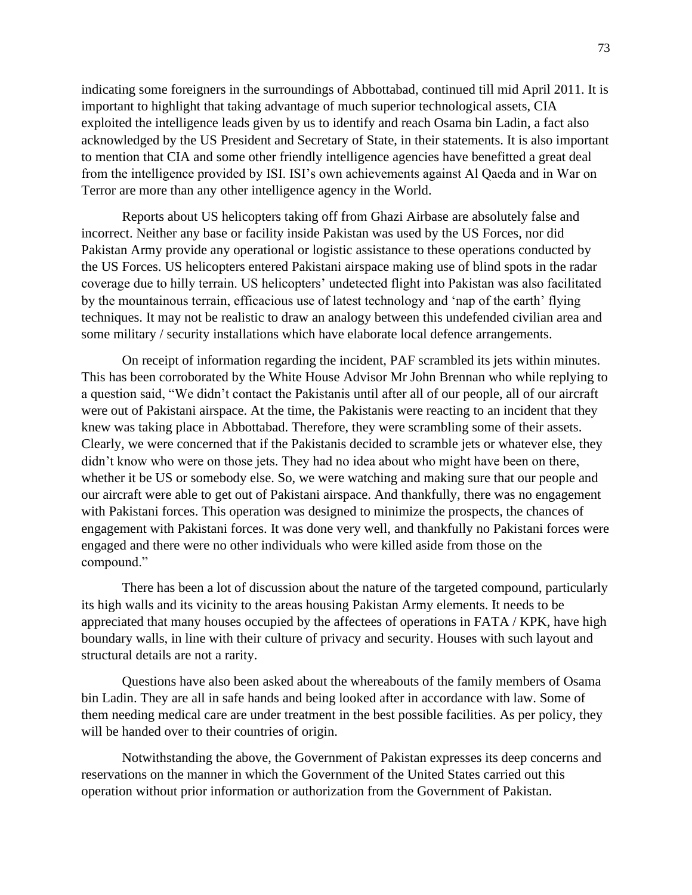indicating some foreigners in the surroundings of Abbottabad, continued till mid April 2011. It is important to highlight that taking advantage of much superior technological assets, CIA exploited the intelligence leads given by us to identify and reach Osama bin Ladin, a fact also acknowledged by the US President and Secretary of State, in their statements. It is also important to mention that CIA and some other friendly intelligence agencies have benefitted a great deal from the intelligence provided by ISI. ISI's own achievements against Al Qaeda and in War on Terror are more than any other intelligence agency in the World.

Reports about US helicopters taking off from Ghazi Airbase are absolutely false and incorrect. Neither any base or facility inside Pakistan was used by the US Forces, nor did Pakistan Army provide any operational or logistic assistance to these operations conducted by the US Forces. US helicopters entered Pakistani airspace making use of blind spots in the radar coverage due to hilly terrain. US helicopters' undetected flight into Pakistan was also facilitated by the mountainous terrain, efficacious use of latest technology and 'nap of the earth' flying techniques. It may not be realistic to draw an analogy between this undefended civilian area and some military / security installations which have elaborate local defence arrangements.

On receipt of information regarding the incident, PAF scrambled its jets within minutes. This has been corroborated by the White House Advisor Mr John Brennan who while replying to a question said, "We didn't contact the Pakistanis until after all of our people, all of our aircraft were out of Pakistani airspace. At the time, the Pakistanis were reacting to an incident that they knew was taking place in Abbottabad. Therefore, they were scrambling some of their assets. Clearly, we were concerned that if the Pakistanis decided to scramble jets or whatever else, they didn't know who were on those jets. They had no idea about who might have been on there, whether it be US or somebody else. So, we were watching and making sure that our people and our aircraft were able to get out of Pakistani airspace. And thankfully, there was no engagement with Pakistani forces. This operation was designed to minimize the prospects, the chances of engagement with Pakistani forces. It was done very well, and thankfully no Pakistani forces were engaged and there were no other individuals who were killed aside from those on the compound."

There has been a lot of discussion about the nature of the targeted compound, particularly its high walls and its vicinity to the areas housing Pakistan Army elements. It needs to be appreciated that many houses occupied by the affectees of operations in FATA / KPK, have high boundary walls, in line with their culture of privacy and security. Houses with such layout and structural details are not a rarity.

Questions have also been asked about the whereabouts of the family members of Osama bin Ladin. They are all in safe hands and being looked after in accordance with law. Some of them needing medical care are under treatment in the best possible facilities. As per policy, they will be handed over to their countries of origin.

Notwithstanding the above, the Government of Pakistan expresses its deep concerns and reservations on the manner in which the Government of the United States carried out this operation without prior information or authorization from the Government of Pakistan.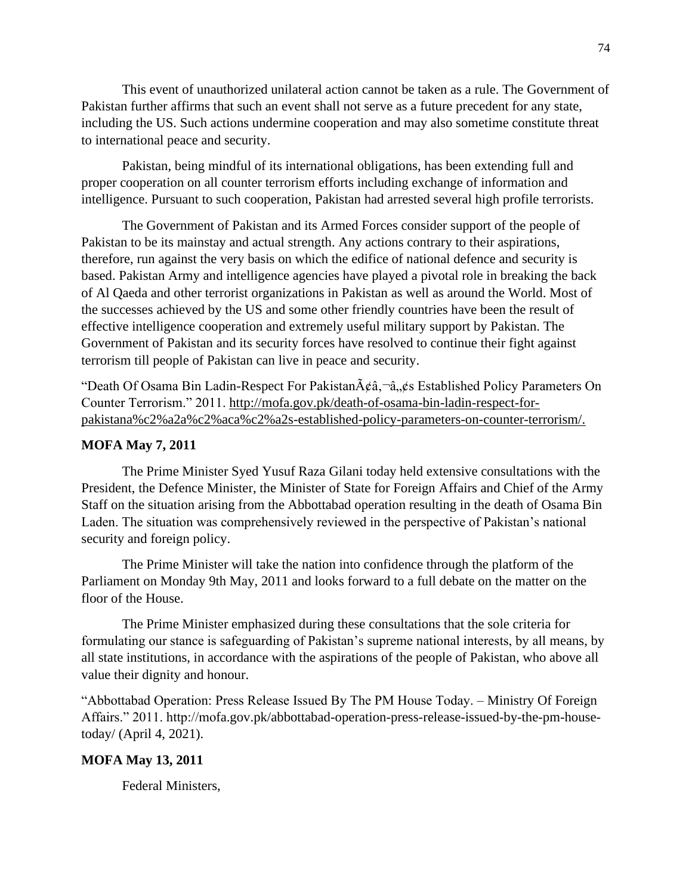This event of unauthorized unilateral action cannot be taken as a rule. The Government of Pakistan further affirms that such an event shall not serve as a future precedent for any state, including the US. Such actions undermine cooperation and may also sometime constitute threat to international peace and security.

Pakistan, being mindful of its international obligations, has been extending full and proper cooperation on all counter terrorism efforts including exchange of information and intelligence. Pursuant to such cooperation, Pakistan had arrested several high profile terrorists.

The Government of Pakistan and its Armed Forces consider support of the people of Pakistan to be its mainstay and actual strength. Any actions contrary to their aspirations, therefore, run against the very basis on which the edifice of national defence and security is based. Pakistan Army and intelligence agencies have played a pivotal role in breaking the back of Al Qaeda and other terrorist organizations in Pakistan as well as around the World. Most of the successes achieved by the US and some other friendly countries have been the result of effective intelligence cooperation and extremely useful military support by Pakistan. The Government of Pakistan and its security forces have resolved to continue their fight against terrorism till people of Pakistan can live in peace and security.

"Death Of Osama Bin Ladin-Respect For Pakistan $\tilde{A}\xi\hat{a}$ ,  $\tilde{a}$ ,  $\xi$ s Established Policy Parameters On Counter Terrorism." 2011. [http://mofa.gov.pk/death-of-osama-bin-ladin-respect-for](http://mofa.gov.pk/death-of-osama-bin-ladin-respect-for-pakistana%c2%a2a%c2%aca%c2%a2s-established-policy-parameters-on-counter-terrorism/)[pakistana%c2%a2a%c2%aca%c2%a2s-established-policy-parameters-on-counter-terrorism/.](http://mofa.gov.pk/death-of-osama-bin-ladin-respect-for-pakistana%c2%a2a%c2%aca%c2%a2s-established-policy-parameters-on-counter-terrorism/)

#### **MOFA May 7, 2011**

The Prime Minister Syed Yusuf Raza Gilani today held extensive consultations with the President, the Defence Minister, the Minister of State for Foreign Affairs and Chief of the Army Staff on the situation arising from the Abbottabad operation resulting in the death of Osama Bin Laden. The situation was comprehensively reviewed in the perspective of Pakistan's national security and foreign policy.

The Prime Minister will take the nation into confidence through the platform of the Parliament on Monday 9th May, 2011 and looks forward to a full debate on the matter on the floor of the House.

The Prime Minister emphasized during these consultations that the sole criteria for formulating our stance is safeguarding of Pakistan's supreme national interests, by all means, by all state institutions, in accordance with the aspirations of the people of Pakistan, who above all value their dignity and honour.

"Abbottabad Operation: Press Release Issued By The PM House Today. – Ministry Of Foreign Affairs." 2011. http://mofa.gov.pk/abbottabad-operation-press-release-issued-by-the-pm-housetoday/ (April 4, 2021).

#### **MOFA May 13, 2011**

Federal Ministers,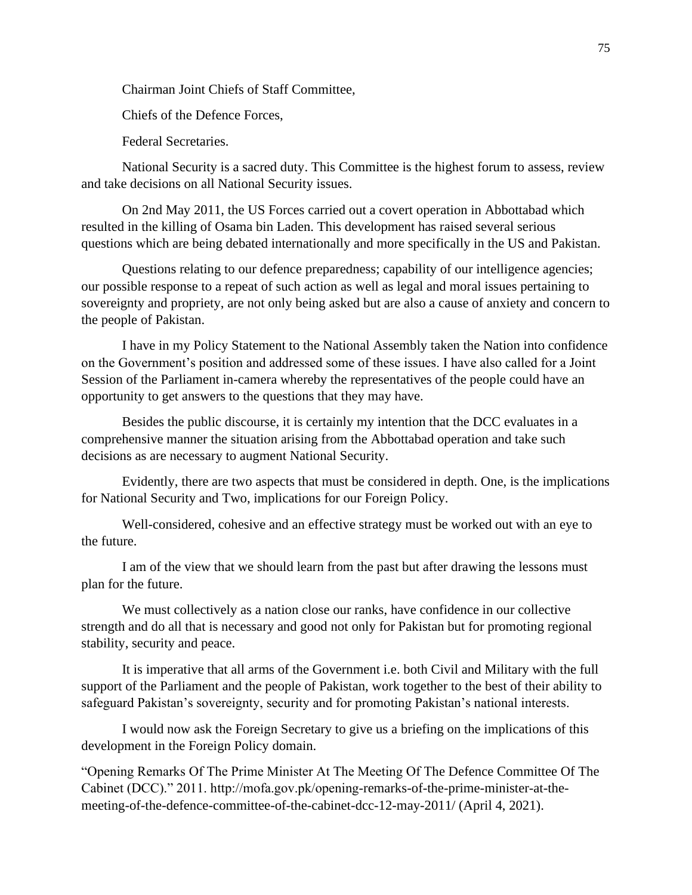Chairman Joint Chiefs of Staff Committee,

Chiefs of the Defence Forces,

Federal Secretaries.

National Security is a sacred duty. This Committee is the highest forum to assess, review and take decisions on all National Security issues.

On 2nd May 2011, the US Forces carried out a covert operation in Abbottabad which resulted in the killing of Osama bin Laden. This development has raised several serious questions which are being debated internationally and more specifically in the US and Pakistan.

Questions relating to our defence preparedness; capability of our intelligence agencies; our possible response to a repeat of such action as well as legal and moral issues pertaining to sovereignty and propriety, are not only being asked but are also a cause of anxiety and concern to the people of Pakistan.

I have in my Policy Statement to the National Assembly taken the Nation into confidence on the Government's position and addressed some of these issues. I have also called for a Joint Session of the Parliament in-camera whereby the representatives of the people could have an opportunity to get answers to the questions that they may have.

Besides the public discourse, it is certainly my intention that the DCC evaluates in a comprehensive manner the situation arising from the Abbottabad operation and take such decisions as are necessary to augment National Security.

Evidently, there are two aspects that must be considered in depth. One, is the implications for National Security and Two, implications for our Foreign Policy.

Well-considered, cohesive and an effective strategy must be worked out with an eye to the future.

I am of the view that we should learn from the past but after drawing the lessons must plan for the future.

We must collectively as a nation close our ranks, have confidence in our collective strength and do all that is necessary and good not only for Pakistan but for promoting regional stability, security and peace.

It is imperative that all arms of the Government i.e. both Civil and Military with the full support of the Parliament and the people of Pakistan, work together to the best of their ability to safeguard Pakistan's sovereignty, security and for promoting Pakistan's national interests.

I would now ask the Foreign Secretary to give us a briefing on the implications of this development in the Foreign Policy domain.

"Opening Remarks Of The Prime Minister At The Meeting Of The Defence Committee Of The Cabinet (DCC)." 2011. http://mofa.gov.pk/opening-remarks-of-the-prime-minister-at-themeeting-of-the-defence-committee-of-the-cabinet-dcc-12-may-2011/ (April 4, 2021).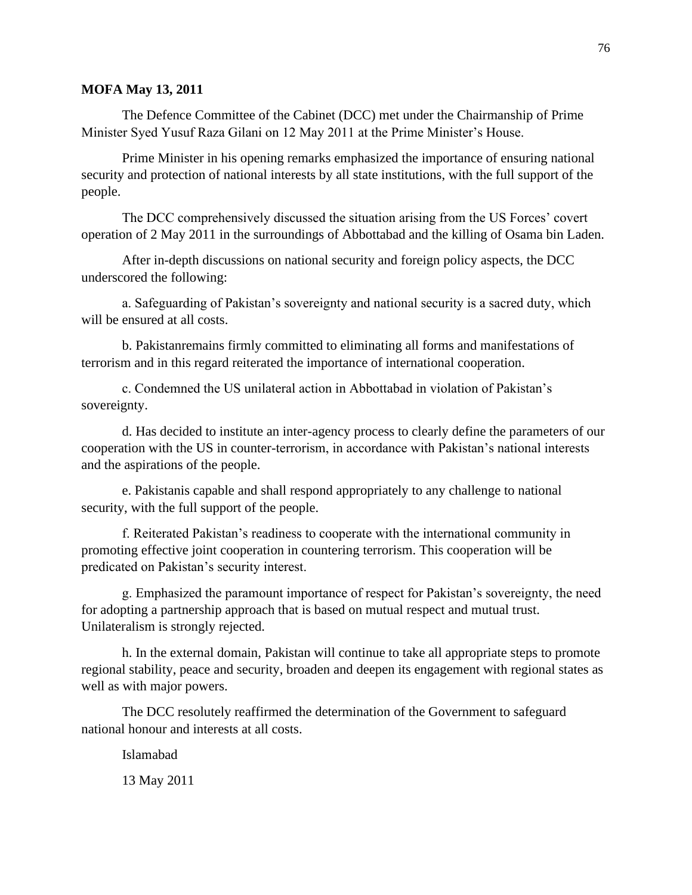#### **MOFA May 13, 2011**

The Defence Committee of the Cabinet (DCC) met under the Chairmanship of Prime Minister Syed Yusuf Raza Gilani on 12 May 2011 at the Prime Minister's House.

Prime Minister in his opening remarks emphasized the importance of ensuring national security and protection of national interests by all state institutions, with the full support of the people.

The DCC comprehensively discussed the situation arising from the US Forces' covert operation of 2 May 2011 in the surroundings of Abbottabad and the killing of Osama bin Laden.

After in-depth discussions on national security and foreign policy aspects, the DCC underscored the following:

a. Safeguarding of Pakistan's sovereignty and national security is a sacred duty, which will be ensured at all costs.

b. Pakistanremains firmly committed to eliminating all forms and manifestations of terrorism and in this regard reiterated the importance of international cooperation.

c. Condemned the US unilateral action in Abbottabad in violation of Pakistan's sovereignty.

d. Has decided to institute an inter-agency process to clearly define the parameters of our cooperation with the US in counter-terrorism, in accordance with Pakistan's national interests and the aspirations of the people.

e. Pakistanis capable and shall respond appropriately to any challenge to national security, with the full support of the people.

f. Reiterated Pakistan's readiness to cooperate with the international community in promoting effective joint cooperation in countering terrorism. This cooperation will be predicated on Pakistan's security interest.

g. Emphasized the paramount importance of respect for Pakistan's sovereignty, the need for adopting a partnership approach that is based on mutual respect and mutual trust. Unilateralism is strongly rejected.

h. In the external domain, Pakistan will continue to take all appropriate steps to promote regional stability, peace and security, broaden and deepen its engagement with regional states as well as with major powers.

The DCC resolutely reaffirmed the determination of the Government to safeguard national honour and interests at all costs.

Islamabad 13 May 2011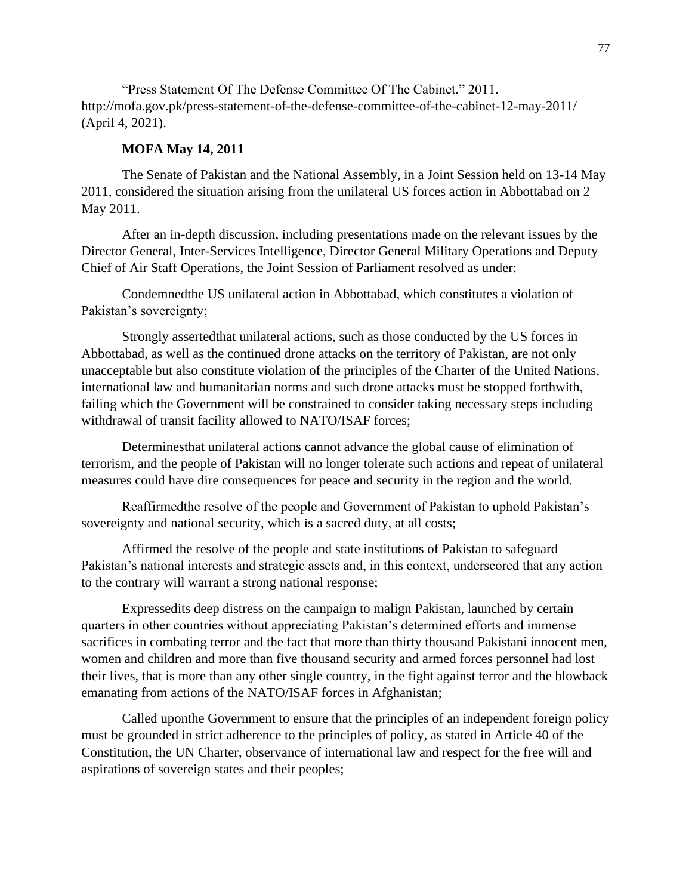"Press Statement Of The Defense Committee Of The Cabinet." 2011. http://mofa.gov.pk/press-statement-of-the-defense-committee-of-the-cabinet-12-may-2011/ (April 4, 2021).

## **MOFA May 14, 2011**

The Senate of Pakistan and the National Assembly, in a Joint Session held on 13-14 May 2011, considered the situation arising from the unilateral US forces action in Abbottabad on 2 May 2011.

After an in-depth discussion, including presentations made on the relevant issues by the Director General, Inter-Services Intelligence, Director General Military Operations and Deputy Chief of Air Staff Operations, the Joint Session of Parliament resolved as under:

Condemnedthe US unilateral action in Abbottabad, which constitutes a violation of Pakistan's sovereignty;

Strongly assertedthat unilateral actions, such as those conducted by the US forces in Abbottabad, as well as the continued drone attacks on the territory of Pakistan, are not only unacceptable but also constitute violation of the principles of the Charter of the United Nations, international law and humanitarian norms and such drone attacks must be stopped forthwith, failing which the Government will be constrained to consider taking necessary steps including withdrawal of transit facility allowed to NATO/ISAF forces;

Determinesthat unilateral actions cannot advance the global cause of elimination of terrorism, and the people of Pakistan will no longer tolerate such actions and repeat of unilateral measures could have dire consequences for peace and security in the region and the world.

Reaffirmedthe resolve of the people and Government of Pakistan to uphold Pakistan's sovereignty and national security, which is a sacred duty, at all costs;

Affirmed the resolve of the people and state institutions of Pakistan to safeguard Pakistan's national interests and strategic assets and, in this context, underscored that any action to the contrary will warrant a strong national response;

Expressedits deep distress on the campaign to malign Pakistan, launched by certain quarters in other countries without appreciating Pakistan's determined efforts and immense sacrifices in combating terror and the fact that more than thirty thousand Pakistani innocent men, women and children and more than five thousand security and armed forces personnel had lost their lives, that is more than any other single country, in the fight against terror and the blowback emanating from actions of the NATO/ISAF forces in Afghanistan;

Called uponthe Government to ensure that the principles of an independent foreign policy must be grounded in strict adherence to the principles of policy, as stated in Article 40 of the Constitution, the UN Charter, observance of international law and respect for the free will and aspirations of sovereign states and their peoples;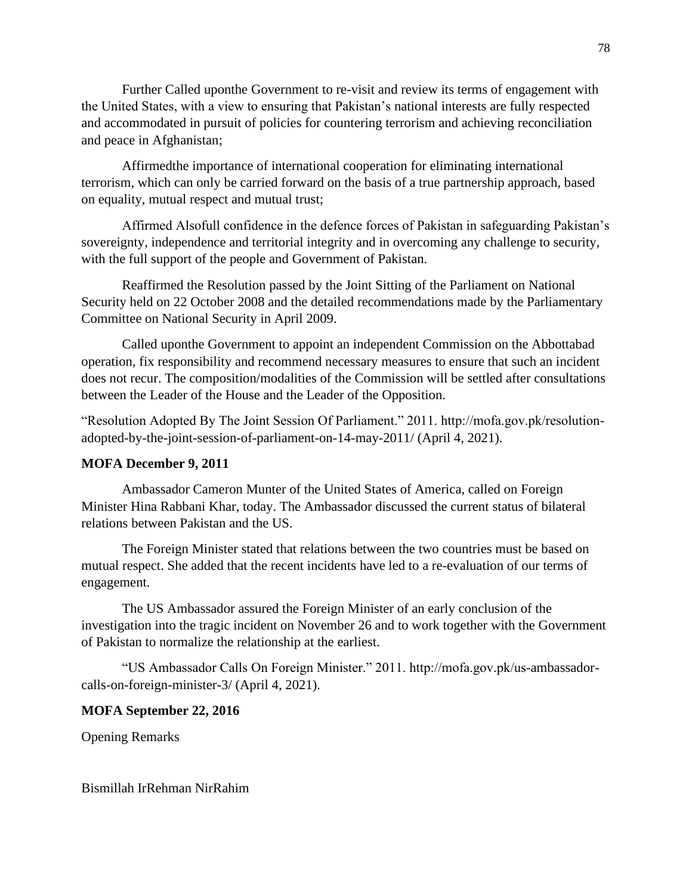Further Called uponthe Government to re-visit and review its terms of engagement with the United States, with a view to ensuring that Pakistan's national interests are fully respected and accommodated in pursuit of policies for countering terrorism and achieving reconciliation and peace in Afghanistan;

Affirmedthe importance of international cooperation for eliminating international terrorism, which can only be carried forward on the basis of a true partnership approach, based on equality, mutual respect and mutual trust;

Affirmed Alsofull confidence in the defence forces of Pakistan in safeguarding Pakistan's sovereignty, independence and territorial integrity and in overcoming any challenge to security, with the full support of the people and Government of Pakistan.

Reaffirmed the Resolution passed by the Joint Sitting of the Parliament on National Security held on 22 October 2008 and the detailed recommendations made by the Parliamentary Committee on National Security in April 2009.

Called uponthe Government to appoint an independent Commission on the Abbottabad operation, fix responsibility and recommend necessary measures to ensure that such an incident does not recur. The composition/modalities of the Commission will be settled after consultations between the Leader of the House and the Leader of the Opposition.

"Resolution Adopted By The Joint Session Of Parliament." 2011. http://mofa.gov.pk/resolutionadopted-by-the-joint-session-of-parliament-on-14-may-2011/ (April 4, 2021).

## **MOFA December 9, 2011**

Ambassador Cameron Munter of the United States of America, called on Foreign Minister Hina Rabbani Khar, today. The Ambassador discussed the current status of bilateral relations between Pakistan and the US.

The Foreign Minister stated that relations between the two countries must be based on mutual respect. She added that the recent incidents have led to a re-evaluation of our terms of engagement.

The US Ambassador assured the Foreign Minister of an early conclusion of the investigation into the tragic incident on November 26 and to work together with the Government of Pakistan to normalize the relationship at the earliest.

"US Ambassador Calls On Foreign Minister." 2011. http://mofa.gov.pk/us-ambassadorcalls-on-foreign-minister-3/ (April 4, 2021).

#### **MOFA September 22, 2016**

Opening Remarks

Bismillah IrRehman NirRahim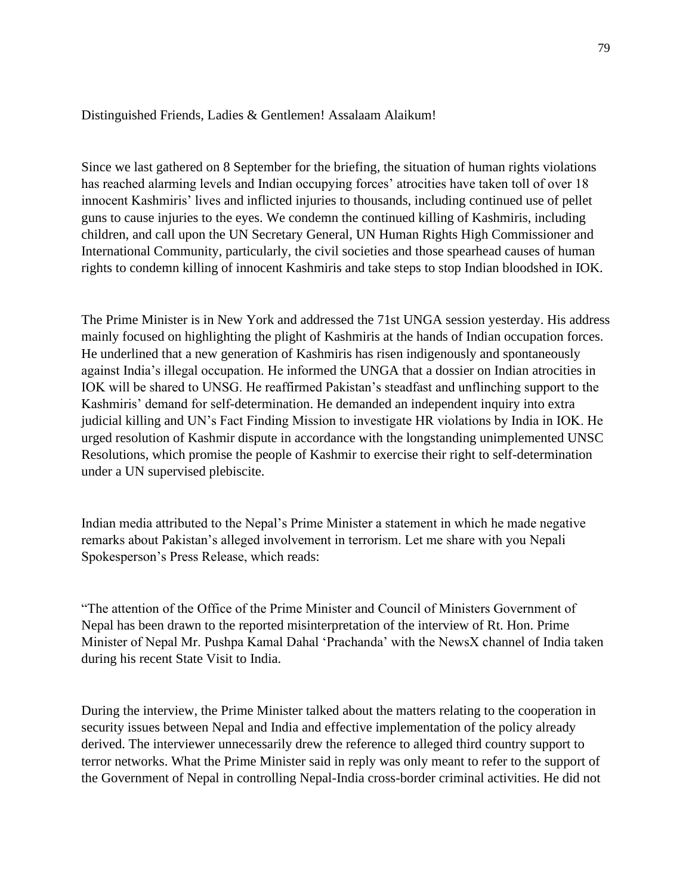## Distinguished Friends, Ladies & Gentlemen! Assalaam Alaikum!

Since we last gathered on 8 September for the briefing, the situation of human rights violations has reached alarming levels and Indian occupying forces' atrocities have taken toll of over 18 innocent Kashmiris' lives and inflicted injuries to thousands, including continued use of pellet guns to cause injuries to the eyes. We condemn the continued killing of Kashmiris, including children, and call upon the UN Secretary General, UN Human Rights High Commissioner and International Community, particularly, the civil societies and those spearhead causes of human rights to condemn killing of innocent Kashmiris and take steps to stop Indian bloodshed in IOK.

The Prime Minister is in New York and addressed the 71st UNGA session yesterday. His address mainly focused on highlighting the plight of Kashmiris at the hands of Indian occupation forces. He underlined that a new generation of Kashmiris has risen indigenously and spontaneously against India's illegal occupation. He informed the UNGA that a dossier on Indian atrocities in IOK will be shared to UNSG. He reaffirmed Pakistan's steadfast and unflinching support to the Kashmiris' demand for self-determination. He demanded an independent inquiry into extra judicial killing and UN's Fact Finding Mission to investigate HR violations by India in IOK. He urged resolution of Kashmir dispute in accordance with the longstanding unimplemented UNSC Resolutions, which promise the people of Kashmir to exercise their right to self-determination under a UN supervised plebiscite.

Indian media attributed to the Nepal's Prime Minister a statement in which he made negative remarks about Pakistan's alleged involvement in terrorism. Let me share with you Nepali Spokesperson's Press Release, which reads:

"The attention of the Office of the Prime Minister and Council of Ministers Government of Nepal has been drawn to the reported misinterpretation of the interview of Rt. Hon. Prime Minister of Nepal Mr. Pushpa Kamal Dahal 'Prachanda' with the NewsX channel of India taken during his recent State Visit to India.

During the interview, the Prime Minister talked about the matters relating to the cooperation in security issues between Nepal and India and effective implementation of the policy already derived. The interviewer unnecessarily drew the reference to alleged third country support to terror networks. What the Prime Minister said in reply was only meant to refer to the support of the Government of Nepal in controlling Nepal-India cross-border criminal activities. He did not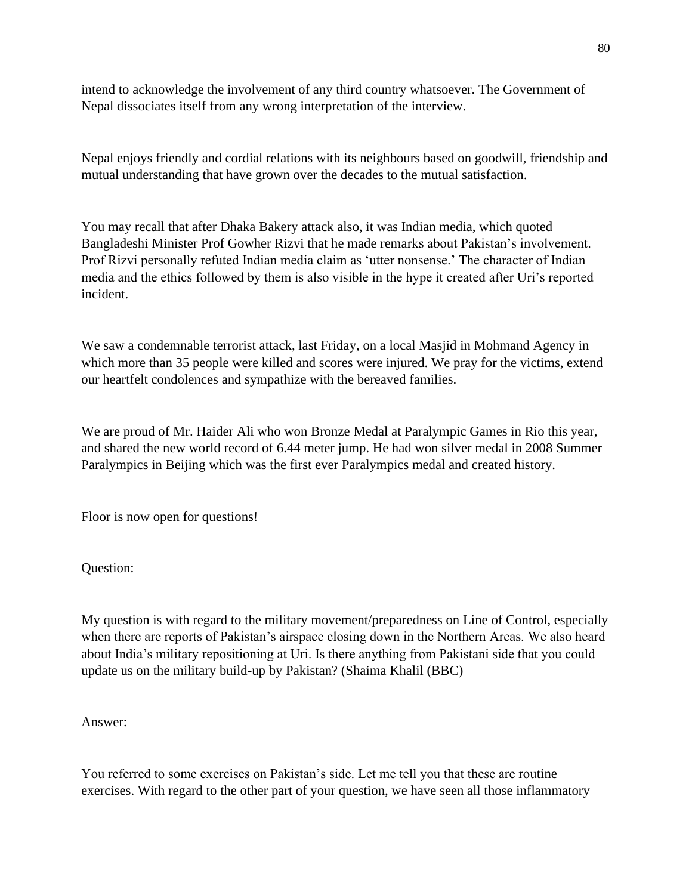intend to acknowledge the involvement of any third country whatsoever. The Government of Nepal dissociates itself from any wrong interpretation of the interview.

Nepal enjoys friendly and cordial relations with its neighbours based on goodwill, friendship and mutual understanding that have grown over the decades to the mutual satisfaction.

You may recall that after Dhaka Bakery attack also, it was Indian media, which quoted Bangladeshi Minister Prof Gowher Rizvi that he made remarks about Pakistan's involvement. Prof Rizvi personally refuted Indian media claim as 'utter nonsense.' The character of Indian media and the ethics followed by them is also visible in the hype it created after Uri's reported incident.

We saw a condemnable terrorist attack, last Friday, on a local Masjid in Mohmand Agency in which more than 35 people were killed and scores were injured. We pray for the victims, extend our heartfelt condolences and sympathize with the bereaved families.

We are proud of Mr. Haider Ali who won Bronze Medal at Paralympic Games in Rio this year, and shared the new world record of 6.44 meter jump. He had won silver medal in 2008 Summer Paralympics in Beijing which was the first ever Paralympics medal and created history.

Floor is now open for questions!

Question:

My question is with regard to the military movement/preparedness on Line of Control, especially when there are reports of Pakistan's airspace closing down in the Northern Areas. We also heard about India's military repositioning at Uri. Is there anything from Pakistani side that you could update us on the military build-up by Pakistan? (Shaima Khalil (BBC)

## Answer:

You referred to some exercises on Pakistan's side. Let me tell you that these are routine exercises. With regard to the other part of your question, we have seen all those inflammatory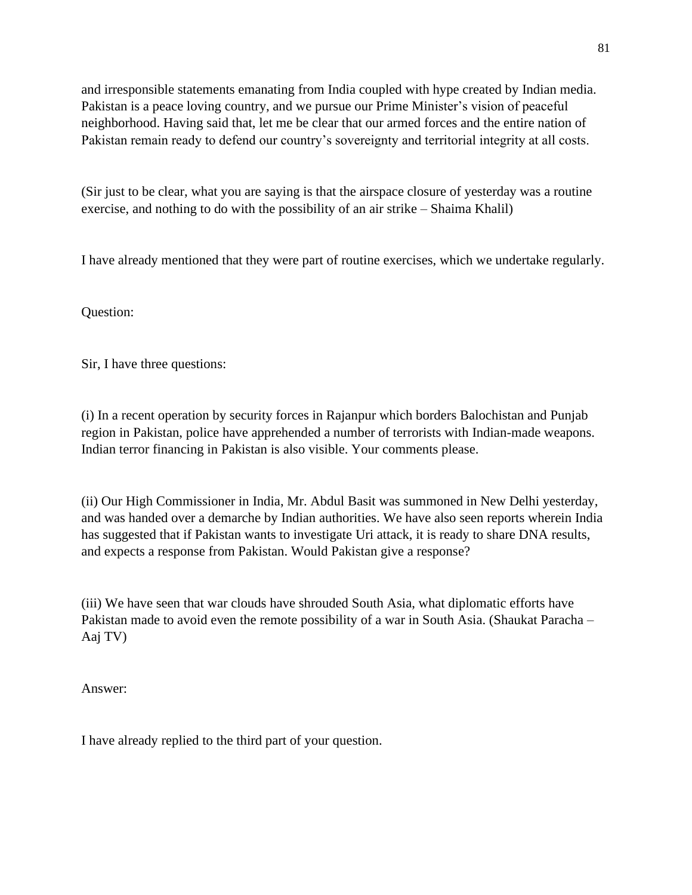and irresponsible statements emanating from India coupled with hype created by Indian media. Pakistan is a peace loving country, and we pursue our Prime Minister's vision of peaceful neighborhood. Having said that, let me be clear that our armed forces and the entire nation of Pakistan remain ready to defend our country's sovereignty and territorial integrity at all costs.

(Sir just to be clear, what you are saying is that the airspace closure of yesterday was a routine exercise, and nothing to do with the possibility of an air strike – Shaima Khalil)

I have already mentioned that they were part of routine exercises, which we undertake regularly.

Question:

Sir, I have three questions:

(i) In a recent operation by security forces in Rajanpur which borders Balochistan and Punjab region in Pakistan, police have apprehended a number of terrorists with Indian-made weapons. Indian terror financing in Pakistan is also visible. Your comments please.

(ii) Our High Commissioner in India, Mr. Abdul Basit was summoned in New Delhi yesterday, and was handed over a demarche by Indian authorities. We have also seen reports wherein India has suggested that if Pakistan wants to investigate Uri attack, it is ready to share DNA results, and expects a response from Pakistan. Would Pakistan give a response?

(iii) We have seen that war clouds have shrouded South Asia, what diplomatic efforts have Pakistan made to avoid even the remote possibility of a war in South Asia. (Shaukat Paracha – Aaj TV)

Answer:

I have already replied to the third part of your question.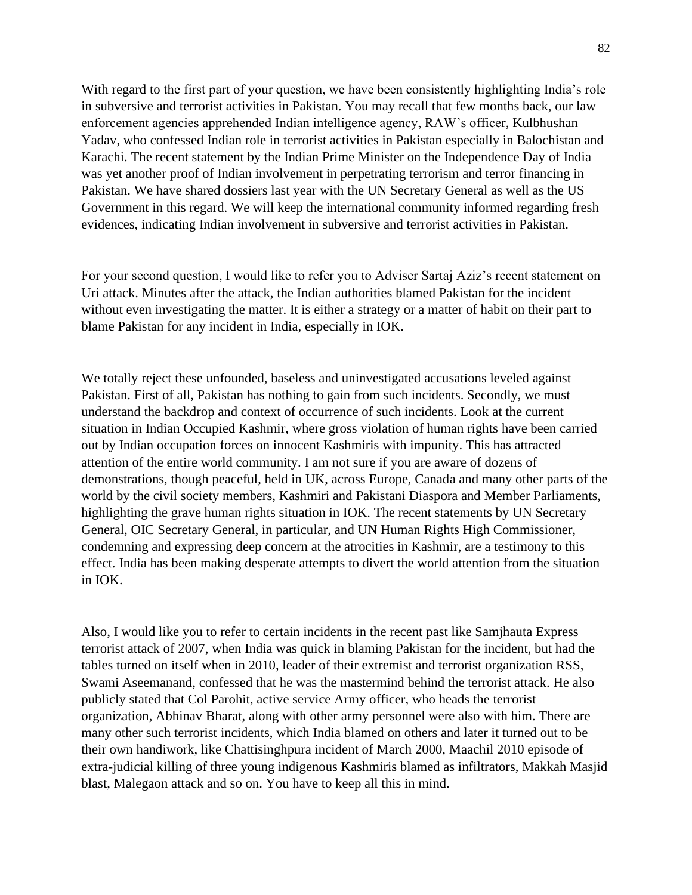With regard to the first part of your question, we have been consistently highlighting India's role in subversive and terrorist activities in Pakistan. You may recall that few months back, our law enforcement agencies apprehended Indian intelligence agency, RAW's officer, Kulbhushan Yadav, who confessed Indian role in terrorist activities in Pakistan especially in Balochistan and Karachi. The recent statement by the Indian Prime Minister on the Independence Day of India was yet another proof of Indian involvement in perpetrating terrorism and terror financing in Pakistan. We have shared dossiers last year with the UN Secretary General as well as the US Government in this regard. We will keep the international community informed regarding fresh evidences, indicating Indian involvement in subversive and terrorist activities in Pakistan.

For your second question, I would like to refer you to Adviser Sartaj Aziz's recent statement on Uri attack. Minutes after the attack, the Indian authorities blamed Pakistan for the incident without even investigating the matter. It is either a strategy or a matter of habit on their part to blame Pakistan for any incident in India, especially in IOK.

We totally reject these unfounded, baseless and uninvestigated accusations leveled against Pakistan. First of all, Pakistan has nothing to gain from such incidents. Secondly, we must understand the backdrop and context of occurrence of such incidents. Look at the current situation in Indian Occupied Kashmir, where gross violation of human rights have been carried out by Indian occupation forces on innocent Kashmiris with impunity. This has attracted attention of the entire world community. I am not sure if you are aware of dozens of demonstrations, though peaceful, held in UK, across Europe, Canada and many other parts of the world by the civil society members, Kashmiri and Pakistani Diaspora and Member Parliaments, highlighting the grave human rights situation in IOK. The recent statements by UN Secretary General, OIC Secretary General, in particular, and UN Human Rights High Commissioner, condemning and expressing deep concern at the atrocities in Kashmir, are a testimony to this effect. India has been making desperate attempts to divert the world attention from the situation in IOK.

Also, I would like you to refer to certain incidents in the recent past like Samjhauta Express terrorist attack of 2007, when India was quick in blaming Pakistan for the incident, but had the tables turned on itself when in 2010, leader of their extremist and terrorist organization RSS, Swami Aseemanand, confessed that he was the mastermind behind the terrorist attack. He also publicly stated that Col Parohit, active service Army officer, who heads the terrorist organization, Abhinav Bharat, along with other army personnel were also with him. There are many other such terrorist incidents, which India blamed on others and later it turned out to be their own handiwork, like Chattisinghpura incident of March 2000, Maachil 2010 episode of extra-judicial killing of three young indigenous Kashmiris blamed as infiltrators, Makkah Masjid blast, Malegaon attack and so on. You have to keep all this in mind.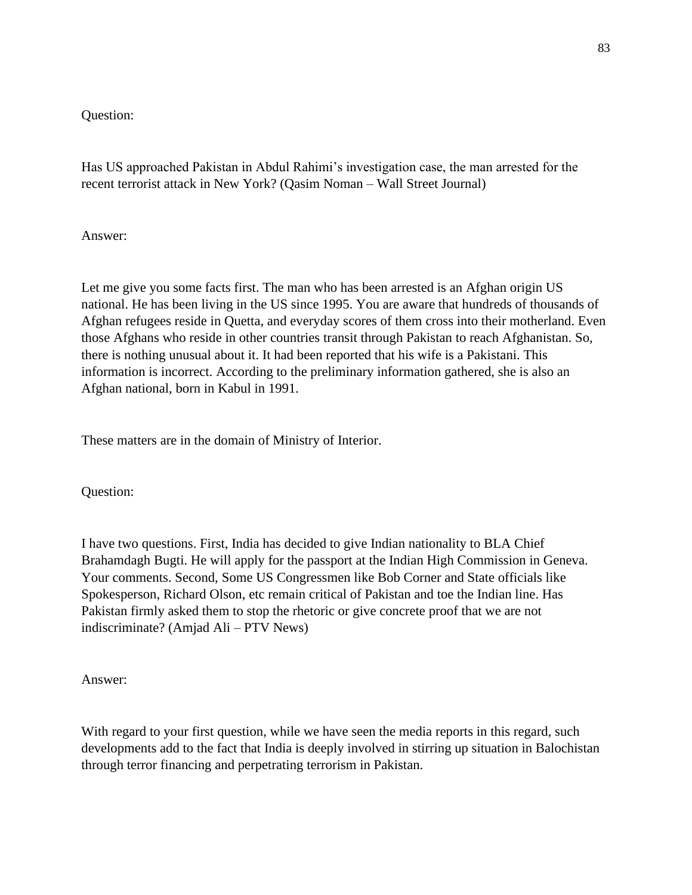# Question:

Has US approached Pakistan in Abdul Rahimi's investigation case, the man arrested for the recent terrorist attack in New York? (Qasim Noman – Wall Street Journal)

Answer:

Let me give you some facts first. The man who has been arrested is an Afghan origin US national. He has been living in the US since 1995. You are aware that hundreds of thousands of Afghan refugees reside in Quetta, and everyday scores of them cross into their motherland. Even those Afghans who reside in other countries transit through Pakistan to reach Afghanistan. So, there is nothing unusual about it. It had been reported that his wife is a Pakistani. This information is incorrect. According to the preliminary information gathered, she is also an Afghan national, born in Kabul in 1991.

These matters are in the domain of Ministry of Interior.

Question:

I have two questions. First, India has decided to give Indian nationality to BLA Chief Brahamdagh Bugti. He will apply for the passport at the Indian High Commission in Geneva. Your comments. Second, Some US Congressmen like Bob Corner and State officials like Spokesperson, Richard Olson, etc remain critical of Pakistan and toe the Indian line. Has Pakistan firmly asked them to stop the rhetoric or give concrete proof that we are not indiscriminate? (Amjad Ali – PTV News)

Answer:

With regard to your first question, while we have seen the media reports in this regard, such developments add to the fact that India is deeply involved in stirring up situation in Balochistan through terror financing and perpetrating terrorism in Pakistan.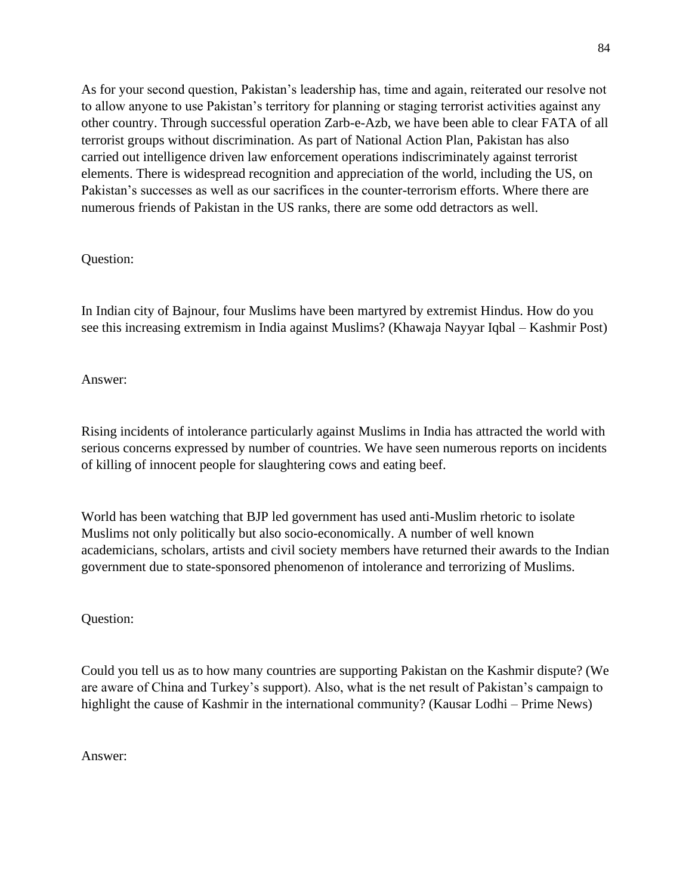As for your second question, Pakistan's leadership has, time and again, reiterated our resolve not to allow anyone to use Pakistan's territory for planning or staging terrorist activities against any other country. Through successful operation Zarb-e-Azb, we have been able to clear FATA of all terrorist groups without discrimination. As part of National Action Plan, Pakistan has also carried out intelligence driven law enforcement operations indiscriminately against terrorist elements. There is widespread recognition and appreciation of the world, including the US, on Pakistan's successes as well as our sacrifices in the counter-terrorism efforts. Where there are numerous friends of Pakistan in the US ranks, there are some odd detractors as well.

# Question:

In Indian city of Bajnour, four Muslims have been martyred by extremist Hindus. How do you see this increasing extremism in India against Muslims? (Khawaja Nayyar Iqbal – Kashmir Post)

## Answer:

Rising incidents of intolerance particularly against Muslims in India has attracted the world with serious concerns expressed by number of countries. We have seen numerous reports on incidents of killing of innocent people for slaughtering cows and eating beef.

World has been watching that BJP led government has used anti-Muslim rhetoric to isolate Muslims not only politically but also socio-economically. A number of well known academicians, scholars, artists and civil society members have returned their awards to the Indian government due to state-sponsored phenomenon of intolerance and terrorizing of Muslims.

Question:

Could you tell us as to how many countries are supporting Pakistan on the Kashmir dispute? (We are aware of China and Turkey's support). Also, what is the net result of Pakistan's campaign to highlight the cause of Kashmir in the international community? (Kausar Lodhi – Prime News)

Answer: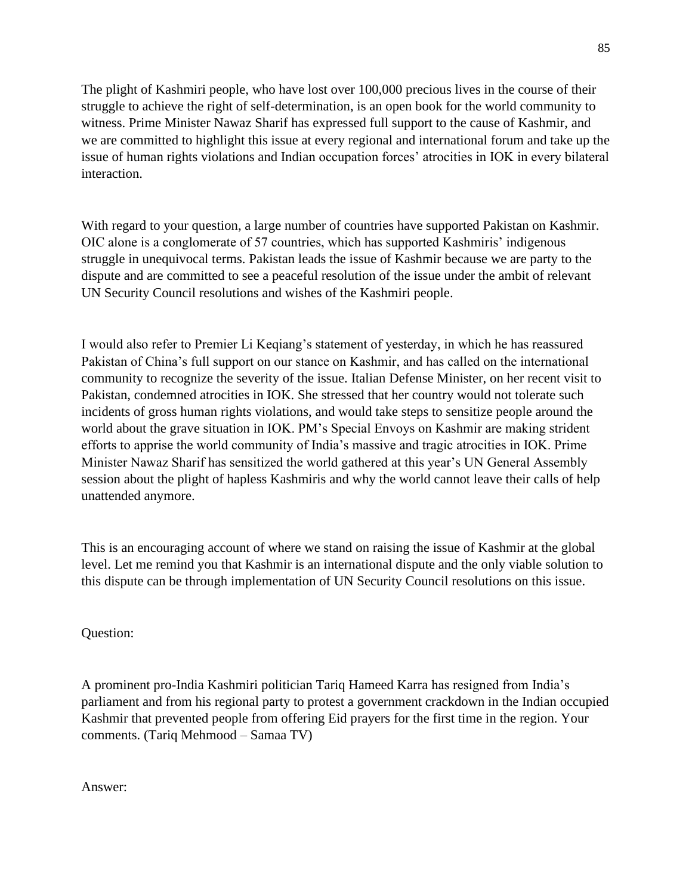The plight of Kashmiri people, who have lost over 100,000 precious lives in the course of their struggle to achieve the right of self-determination, is an open book for the world community to witness. Prime Minister Nawaz Sharif has expressed full support to the cause of Kashmir, and we are committed to highlight this issue at every regional and international forum and take up the issue of human rights violations and Indian occupation forces' atrocities in IOK in every bilateral interaction.

With regard to your question, a large number of countries have supported Pakistan on Kashmir. OIC alone is a conglomerate of 57 countries, which has supported Kashmiris' indigenous struggle in unequivocal terms. Pakistan leads the issue of Kashmir because we are party to the dispute and are committed to see a peaceful resolution of the issue under the ambit of relevant UN Security Council resolutions and wishes of the Kashmiri people.

I would also refer to Premier Li Keqiang's statement of yesterday, in which he has reassured Pakistan of China's full support on our stance on Kashmir, and has called on the international community to recognize the severity of the issue. Italian Defense Minister, on her recent visit to Pakistan, condemned atrocities in IOK. She stressed that her country would not tolerate such incidents of gross human rights violations, and would take steps to sensitize people around the world about the grave situation in IOK. PM's Special Envoys on Kashmir are making strident efforts to apprise the world community of India's massive and tragic atrocities in IOK. Prime Minister Nawaz Sharif has sensitized the world gathered at this year's UN General Assembly session about the plight of hapless Kashmiris and why the world cannot leave their calls of help unattended anymore.

This is an encouraging account of where we stand on raising the issue of Kashmir at the global level. Let me remind you that Kashmir is an international dispute and the only viable solution to this dispute can be through implementation of UN Security Council resolutions on this issue.

Question:

A prominent pro-India Kashmiri politician Tariq Hameed Karra has resigned from India's parliament and from his regional party to protest a government crackdown in the Indian occupied Kashmir that prevented people from offering Eid prayers for the first time in the region. Your comments. (Tariq Mehmood – Samaa TV)

Answer: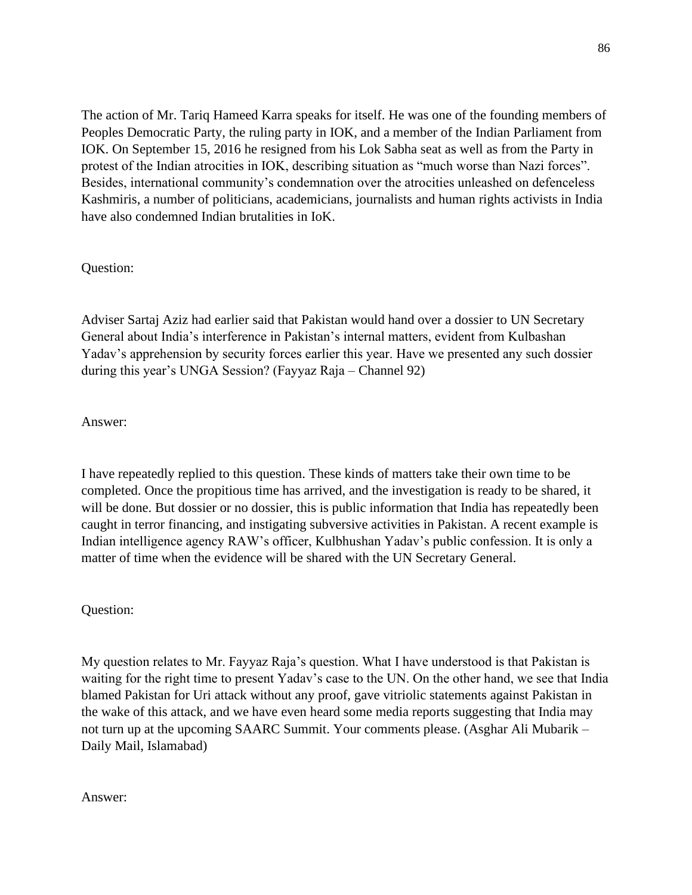The action of Mr. Tariq Hameed Karra speaks for itself. He was one of the founding members of Peoples Democratic Party, the ruling party in IOK, and a member of the Indian Parliament from IOK. On September 15, 2016 he resigned from his Lok Sabha seat as well as from the Party in protest of the Indian atrocities in IOK, describing situation as "much worse than Nazi forces". Besides, international community's condemnation over the atrocities unleashed on defenceless Kashmiris, a number of politicians, academicians, journalists and human rights activists in India have also condemned Indian brutalities in IoK.

## Question:

Adviser Sartaj Aziz had earlier said that Pakistan would hand over a dossier to UN Secretary General about India's interference in Pakistan's internal matters, evident from Kulbashan Yadav's apprehension by security forces earlier this year. Have we presented any such dossier during this year's UNGA Session? (Fayyaz Raja – Channel 92)

## Answer:

I have repeatedly replied to this question. These kinds of matters take their own time to be completed. Once the propitious time has arrived, and the investigation is ready to be shared, it will be done. But dossier or no dossier, this is public information that India has repeatedly been caught in terror financing, and instigating subversive activities in Pakistan. A recent example is Indian intelligence agency RAW's officer, Kulbhushan Yadav's public confession. It is only a matter of time when the evidence will be shared with the UN Secretary General.

Question:

My question relates to Mr. Fayyaz Raja's question. What I have understood is that Pakistan is waiting for the right time to present Yadav's case to the UN. On the other hand, we see that India blamed Pakistan for Uri attack without any proof, gave vitriolic statements against Pakistan in the wake of this attack, and we have even heard some media reports suggesting that India may not turn up at the upcoming SAARC Summit. Your comments please. (Asghar Ali Mubarik – Daily Mail, Islamabad)

Answer: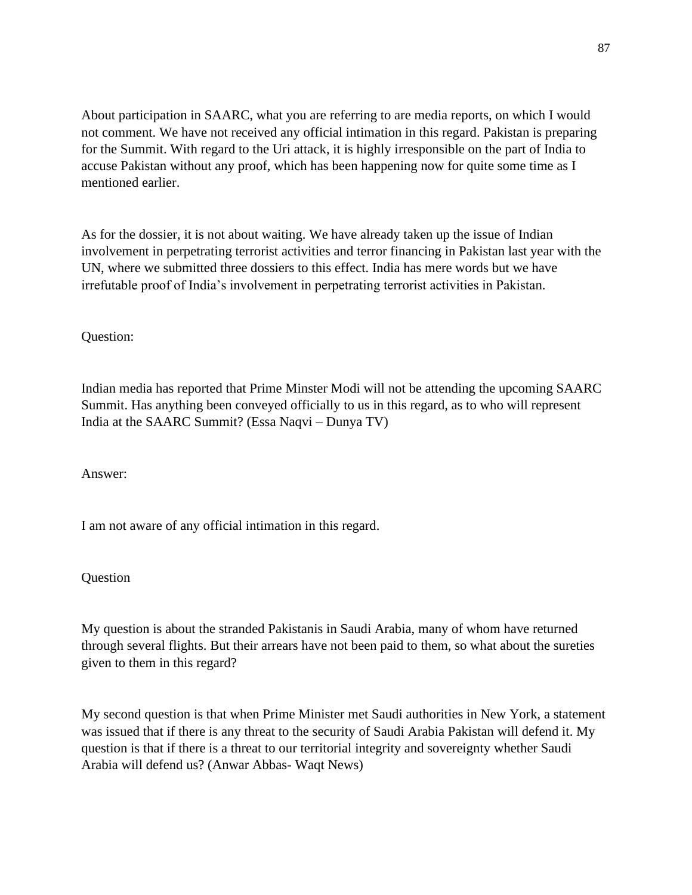About participation in SAARC, what you are referring to are media reports, on which I would not comment. We have not received any official intimation in this regard. Pakistan is preparing for the Summit. With regard to the Uri attack, it is highly irresponsible on the part of India to accuse Pakistan without any proof, which has been happening now for quite some time as I mentioned earlier.

As for the dossier, it is not about waiting. We have already taken up the issue of Indian involvement in perpetrating terrorist activities and terror financing in Pakistan last year with the UN, where we submitted three dossiers to this effect. India has mere words but we have irrefutable proof of India's involvement in perpetrating terrorist activities in Pakistan.

Question:

Indian media has reported that Prime Minster Modi will not be attending the upcoming SAARC Summit. Has anything been conveyed officially to us in this regard, as to who will represent India at the SAARC Summit? (Essa Naqvi – Dunya TV)

Answer:

I am not aware of any official intimation in this regard.

**Ouestion** 

My question is about the stranded Pakistanis in Saudi Arabia, many of whom have returned through several flights. But their arrears have not been paid to them, so what about the sureties given to them in this regard?

My second question is that when Prime Minister met Saudi authorities in New York, a statement was issued that if there is any threat to the security of Saudi Arabia Pakistan will defend it. My question is that if there is a threat to our territorial integrity and sovereignty whether Saudi Arabia will defend us? (Anwar Abbas- Waqt News)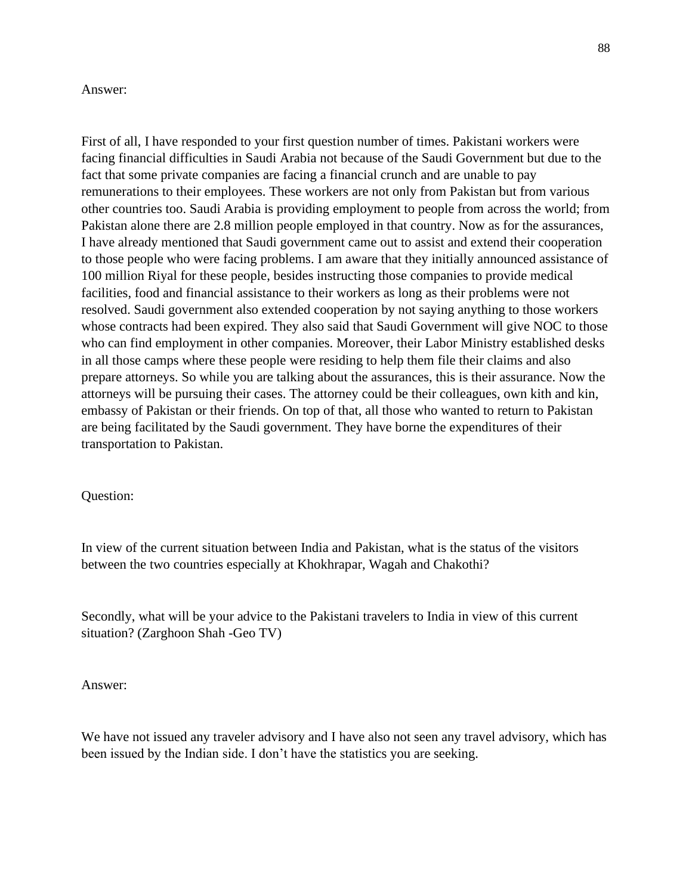#### Answer:

First of all, I have responded to your first question number of times. Pakistani workers were facing financial difficulties in Saudi Arabia not because of the Saudi Government but due to the fact that some private companies are facing a financial crunch and are unable to pay remunerations to their employees. These workers are not only from Pakistan but from various other countries too. Saudi Arabia is providing employment to people from across the world; from Pakistan alone there are 2.8 million people employed in that country. Now as for the assurances, I have already mentioned that Saudi government came out to assist and extend their cooperation to those people who were facing problems. I am aware that they initially announced assistance of 100 million Riyal for these people, besides instructing those companies to provide medical facilities, food and financial assistance to their workers as long as their problems were not resolved. Saudi government also extended cooperation by not saying anything to those workers whose contracts had been expired. They also said that Saudi Government will give NOC to those who can find employment in other companies. Moreover, their Labor Ministry established desks in all those camps where these people were residing to help them file their claims and also prepare attorneys. So while you are talking about the assurances, this is their assurance. Now the attorneys will be pursuing their cases. The attorney could be their colleagues, own kith and kin, embassy of Pakistan or their friends. On top of that, all those who wanted to return to Pakistan are being facilitated by the Saudi government. They have borne the expenditures of their transportation to Pakistan.

#### Question:

In view of the current situation between India and Pakistan, what is the status of the visitors between the two countries especially at Khokhrapar, Wagah and Chakothi?

Secondly, what will be your advice to the Pakistani travelers to India in view of this current situation? (Zarghoon Shah -Geo TV)

#### Answer:

We have not issued any traveler advisory and I have also not seen any travel advisory, which has been issued by the Indian side. I don't have the statistics you are seeking.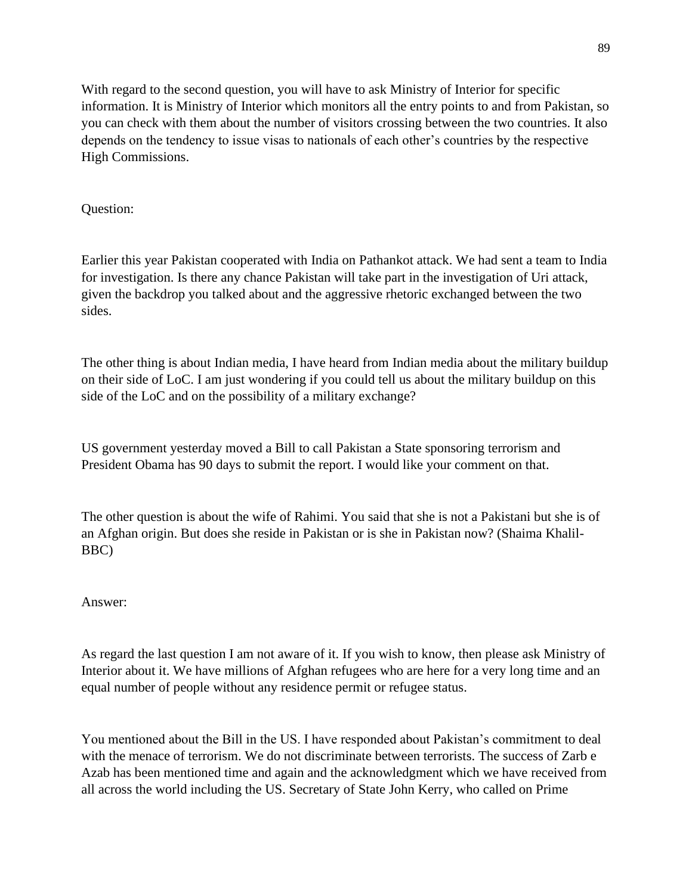With regard to the second question, you will have to ask Ministry of Interior for specific information. It is Ministry of Interior which monitors all the entry points to and from Pakistan, so you can check with them about the number of visitors crossing between the two countries. It also depends on the tendency to issue visas to nationals of each other's countries by the respective High Commissions.

Question:

Earlier this year Pakistan cooperated with India on Pathankot attack. We had sent a team to India for investigation. Is there any chance Pakistan will take part in the investigation of Uri attack, given the backdrop you talked about and the aggressive rhetoric exchanged between the two sides.

The other thing is about Indian media, I have heard from Indian media about the military buildup on their side of LoC. I am just wondering if you could tell us about the military buildup on this side of the LoC and on the possibility of a military exchange?

US government yesterday moved a Bill to call Pakistan a State sponsoring terrorism and President Obama has 90 days to submit the report. I would like your comment on that.

The other question is about the wife of Rahimi. You said that she is not a Pakistani but she is of an Afghan origin. But does she reside in Pakistan or is she in Pakistan now? (Shaima Khalil-BBC)

# Answer:

As regard the last question I am not aware of it. If you wish to know, then please ask Ministry of Interior about it. We have millions of Afghan refugees who are here for a very long time and an equal number of people without any residence permit or refugee status.

You mentioned about the Bill in the US. I have responded about Pakistan's commitment to deal with the menace of terrorism. We do not discriminate between terrorists. The success of Zarb e Azab has been mentioned time and again and the acknowledgment which we have received from all across the world including the US. Secretary of State John Kerry, who called on Prime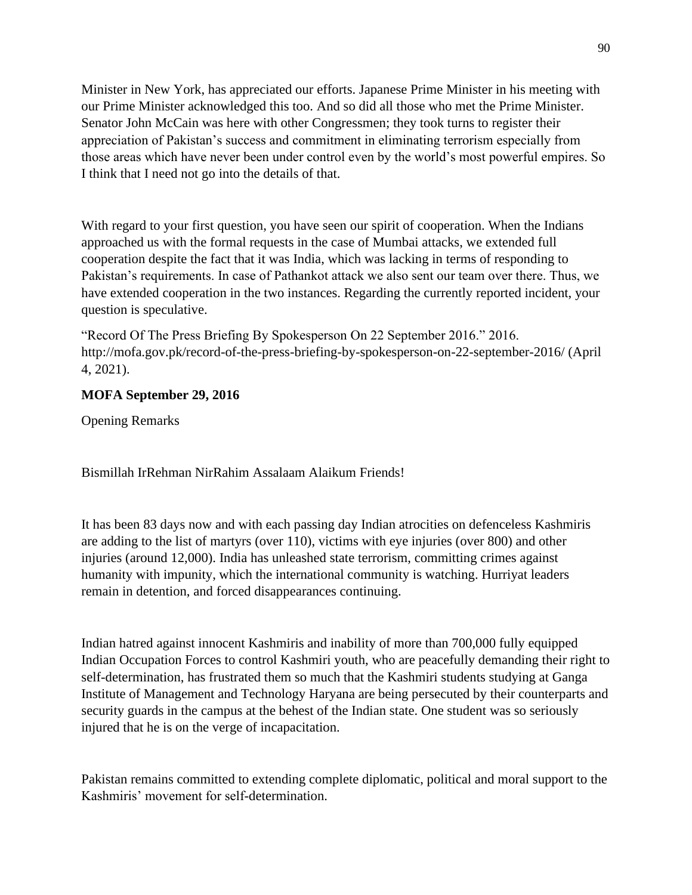Minister in New York, has appreciated our efforts. Japanese Prime Minister in his meeting with our Prime Minister acknowledged this too. And so did all those who met the Prime Minister. Senator John McCain was here with other Congressmen; they took turns to register their appreciation of Pakistan's success and commitment in eliminating terrorism especially from those areas which have never been under control even by the world's most powerful empires. So I think that I need not go into the details of that.

With regard to your first question, you have seen our spirit of cooperation. When the Indians approached us with the formal requests in the case of Mumbai attacks, we extended full cooperation despite the fact that it was India, which was lacking in terms of responding to Pakistan's requirements. In case of Pathankot attack we also sent our team over there. Thus, we have extended cooperation in the two instances. Regarding the currently reported incident, your question is speculative.

"Record Of The Press Briefing By Spokesperson On 22 September 2016." 2016. http://mofa.gov.pk/record-of-the-press-briefing-by-spokesperson-on-22-september-2016/ (April 4, 2021).

# **MOFA September 29, 2016**

Opening Remarks

Bismillah IrRehman NirRahim Assalaam Alaikum Friends!

It has been 83 days now and with each passing day Indian atrocities on defenceless Kashmiris are adding to the list of martyrs (over 110), victims with eye injuries (over 800) and other injuries (around 12,000). India has unleashed state terrorism, committing crimes against humanity with impunity, which the international community is watching. Hurriyat leaders remain in detention, and forced disappearances continuing.

Indian hatred against innocent Kashmiris and inability of more than 700,000 fully equipped Indian Occupation Forces to control Kashmiri youth, who are peacefully demanding their right to self-determination, has frustrated them so much that the Kashmiri students studying at Ganga Institute of Management and Technology Haryana are being persecuted by their counterparts and security guards in the campus at the behest of the Indian state. One student was so seriously injured that he is on the verge of incapacitation.

Pakistan remains committed to extending complete diplomatic, political and moral support to the Kashmiris' movement for self-determination.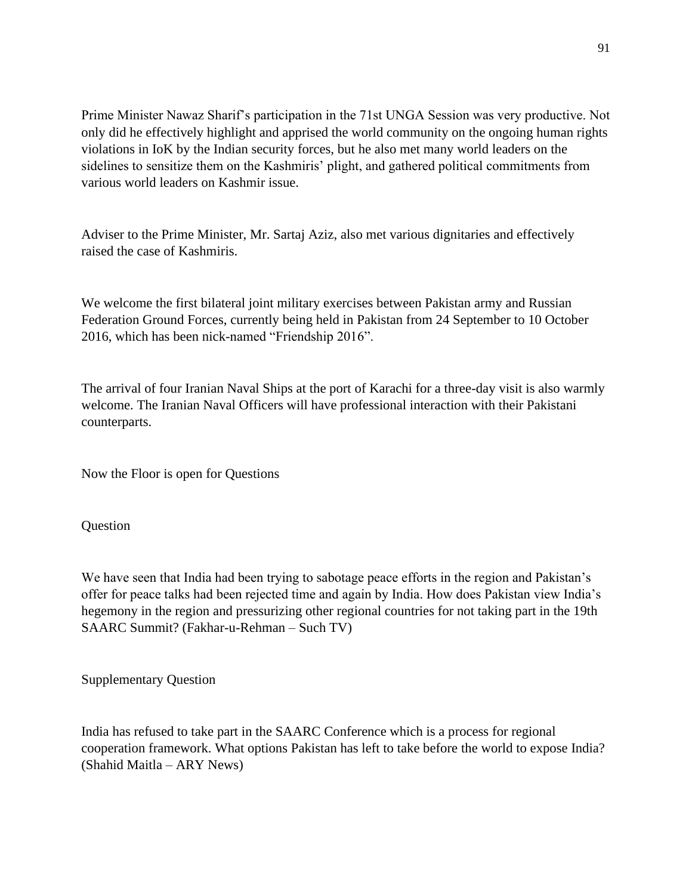Prime Minister Nawaz Sharif's participation in the 71st UNGA Session was very productive. Not only did he effectively highlight and apprised the world community on the ongoing human rights violations in IoK by the Indian security forces, but he also met many world leaders on the sidelines to sensitize them on the Kashmiris' plight, and gathered political commitments from various world leaders on Kashmir issue.

Adviser to the Prime Minister, Mr. Sartaj Aziz, also met various dignitaries and effectively raised the case of Kashmiris.

We welcome the first bilateral joint military exercises between Pakistan army and Russian Federation Ground Forces, currently being held in Pakistan from 24 September to 10 October 2016, which has been nick-named "Friendship 2016".

The arrival of four Iranian Naval Ships at the port of Karachi for a three-day visit is also warmly welcome. The Iranian Naval Officers will have professional interaction with their Pakistani counterparts.

Now the Floor is open for Questions

**Ouestion** 

We have seen that India had been trying to sabotage peace efforts in the region and Pakistan's offer for peace talks had been rejected time and again by India. How does Pakistan view India's hegemony in the region and pressurizing other regional countries for not taking part in the 19th SAARC Summit? (Fakhar-u-Rehman – Such TV)

Supplementary Question

India has refused to take part in the SAARC Conference which is a process for regional cooperation framework. What options Pakistan has left to take before the world to expose India? (Shahid Maitla – ARY News)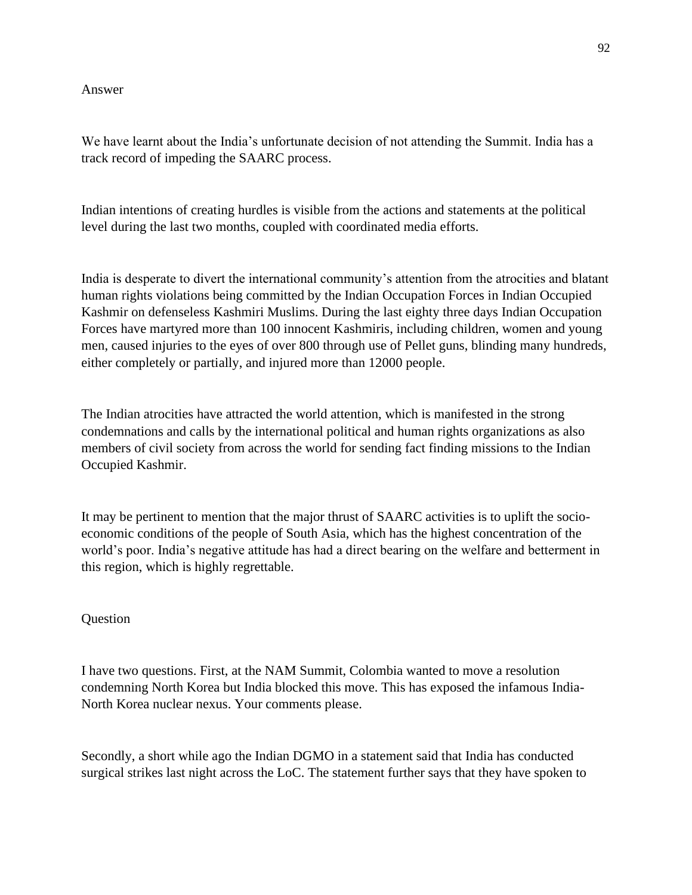## Answer

We have learnt about the India's unfortunate decision of not attending the Summit. India has a track record of impeding the SAARC process.

Indian intentions of creating hurdles is visible from the actions and statements at the political level during the last two months, coupled with coordinated media efforts.

India is desperate to divert the international community's attention from the atrocities and blatant human rights violations being committed by the Indian Occupation Forces in Indian Occupied Kashmir on defenseless Kashmiri Muslims. During the last eighty three days Indian Occupation Forces have martyred more than 100 innocent Kashmiris, including children, women and young men, caused injuries to the eyes of over 800 through use of Pellet guns, blinding many hundreds, either completely or partially, and injured more than 12000 people.

The Indian atrocities have attracted the world attention, which is manifested in the strong condemnations and calls by the international political and human rights organizations as also members of civil society from across the world for sending fact finding missions to the Indian Occupied Kashmir.

It may be pertinent to mention that the major thrust of SAARC activities is to uplift the socioeconomic conditions of the people of South Asia, which has the highest concentration of the world's poor. India's negative attitude has had a direct bearing on the welfare and betterment in this region, which is highly regrettable.

## **Ouestion**

I have two questions. First, at the NAM Summit, Colombia wanted to move a resolution condemning North Korea but India blocked this move. This has exposed the infamous India-North Korea nuclear nexus. Your comments please.

Secondly, a short while ago the Indian DGMO in a statement said that India has conducted surgical strikes last night across the LoC. The statement further says that they have spoken to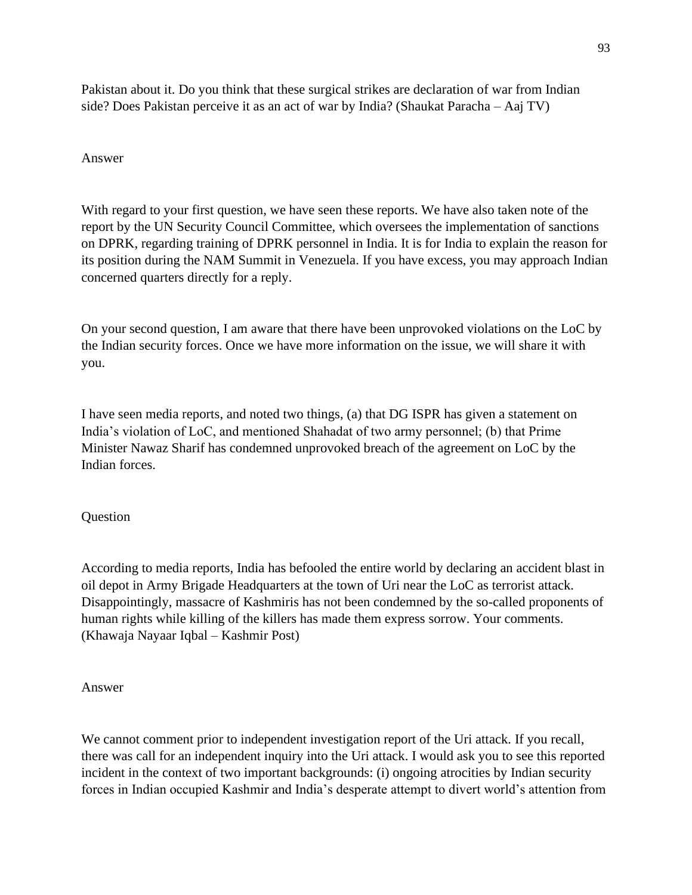Pakistan about it. Do you think that these surgical strikes are declaration of war from Indian side? Does Pakistan perceive it as an act of war by India? (Shaukat Paracha – Aaj TV)

Answer

With regard to your first question, we have seen these reports. We have also taken note of the report by the UN Security Council Committee, which oversees the implementation of sanctions on DPRK, regarding training of DPRK personnel in India. It is for India to explain the reason for its position during the NAM Summit in Venezuela. If you have excess, you may approach Indian concerned quarters directly for a reply.

On your second question, I am aware that there have been unprovoked violations on the LoC by the Indian security forces. Once we have more information on the issue, we will share it with you.

I have seen media reports, and noted two things, (a) that DG ISPR has given a statement on India's violation of LoC, and mentioned Shahadat of two army personnel; (b) that Prime Minister Nawaz Sharif has condemned unprovoked breach of the agreement on LoC by the Indian forces.

**Question** 

According to media reports, India has befooled the entire world by declaring an accident blast in oil depot in Army Brigade Headquarters at the town of Uri near the LoC as terrorist attack. Disappointingly, massacre of Kashmiris has not been condemned by the so-called proponents of human rights while killing of the killers has made them express sorrow. Your comments. (Khawaja Nayaar Iqbal – Kashmir Post)

Answer

We cannot comment prior to independent investigation report of the Uri attack. If you recall, there was call for an independent inquiry into the Uri attack. I would ask you to see this reported incident in the context of two important backgrounds: (i) ongoing atrocities by Indian security forces in Indian occupied Kashmir and India's desperate attempt to divert world's attention from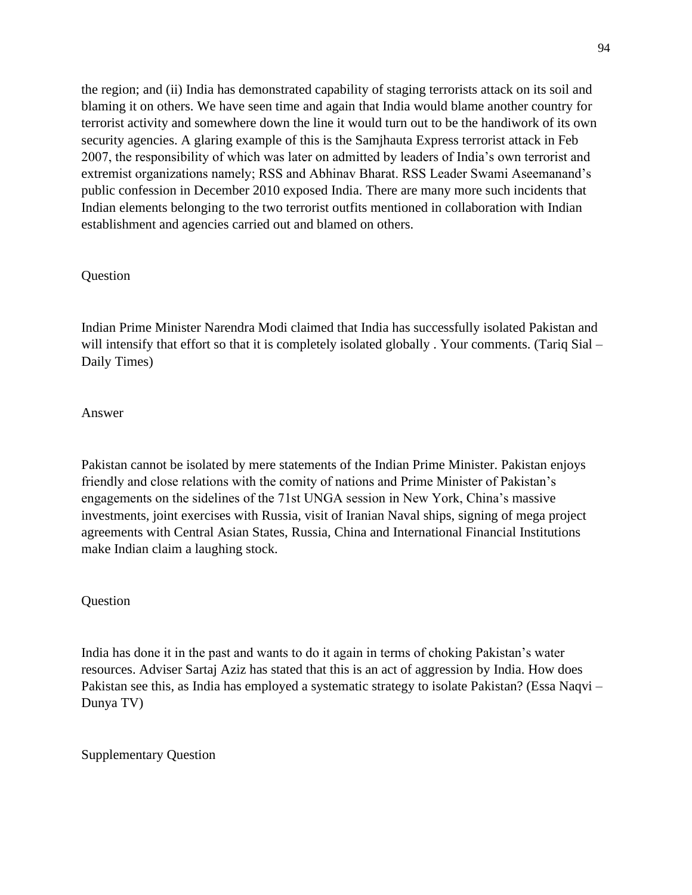the region; and (ii) India has demonstrated capability of staging terrorists attack on its soil and blaming it on others. We have seen time and again that India would blame another country for terrorist activity and somewhere down the line it would turn out to be the handiwork of its own security agencies. A glaring example of this is the Samjhauta Express terrorist attack in Feb 2007, the responsibility of which was later on admitted by leaders of India's own terrorist and extremist organizations namely; RSS and Abhinav Bharat. RSS Leader Swami Aseemanand's public confession in December 2010 exposed India. There are many more such incidents that Indian elements belonging to the two terrorist outfits mentioned in collaboration with Indian establishment and agencies carried out and blamed on others.

### **Question**

Indian Prime Minister Narendra Modi claimed that India has successfully isolated Pakistan and will intensify that effort so that it is completely isolated globally . Your comments. (Tariq Sial – Daily Times)

### Answer

Pakistan cannot be isolated by mere statements of the Indian Prime Minister. Pakistan enjoys friendly and close relations with the comity of nations and Prime Minister of Pakistan's engagements on the sidelines of the 71st UNGA session in New York, China's massive investments, joint exercises with Russia, visit of Iranian Naval ships, signing of mega project agreements with Central Asian States, Russia, China and International Financial Institutions make Indian claim a laughing stock.

**Question** 

India has done it in the past and wants to do it again in terms of choking Pakistan's water resources. Adviser Sartaj Aziz has stated that this is an act of aggression by India. How does Pakistan see this, as India has employed a systematic strategy to isolate Pakistan? (Essa Naqvi – Dunya TV)

Supplementary Question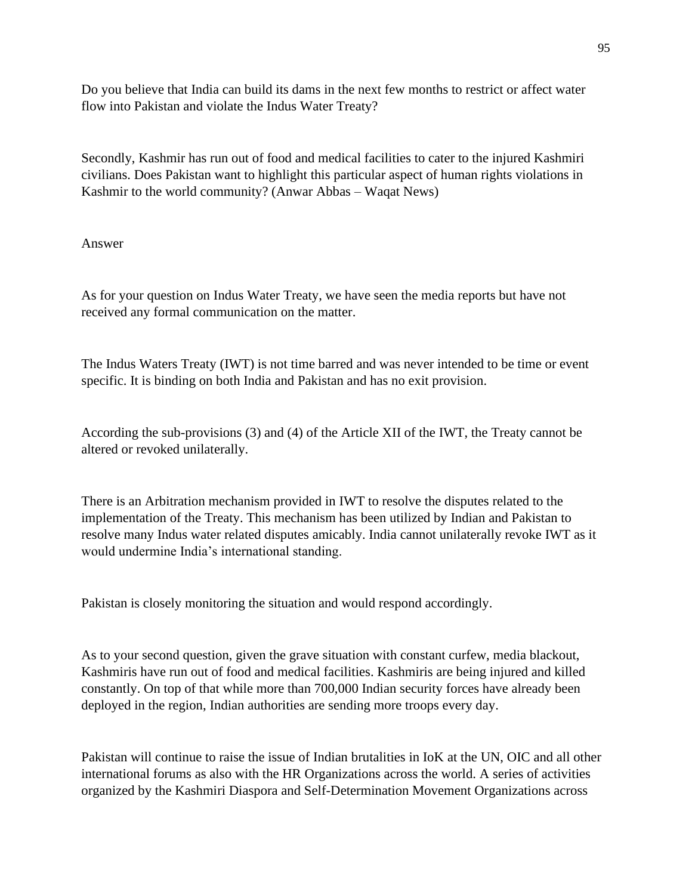Do you believe that India can build its dams in the next few months to restrict or affect water flow into Pakistan and violate the Indus Water Treaty?

Secondly, Kashmir has run out of food and medical facilities to cater to the injured Kashmiri civilians. Does Pakistan want to highlight this particular aspect of human rights violations in Kashmir to the world community? (Anwar Abbas – Waqat News)

## Answer

As for your question on Indus Water Treaty, we have seen the media reports but have not received any formal communication on the matter.

The Indus Waters Treaty (IWT) is not time barred and was never intended to be time or event specific. It is binding on both India and Pakistan and has no exit provision.

According the sub-provisions (3) and (4) of the Article XII of the IWT, the Treaty cannot be altered or revoked unilaterally.

There is an Arbitration mechanism provided in IWT to resolve the disputes related to the implementation of the Treaty. This mechanism has been utilized by Indian and Pakistan to resolve many Indus water related disputes amicably. India cannot unilaterally revoke IWT as it would undermine India's international standing.

Pakistan is closely monitoring the situation and would respond accordingly.

As to your second question, given the grave situation with constant curfew, media blackout, Kashmiris have run out of food and medical facilities. Kashmiris are being injured and killed constantly. On top of that while more than 700,000 Indian security forces have already been deployed in the region, Indian authorities are sending more troops every day.

Pakistan will continue to raise the issue of Indian brutalities in IoK at the UN, OIC and all other international forums as also with the HR Organizations across the world. A series of activities organized by the Kashmiri Diaspora and Self-Determination Movement Organizations across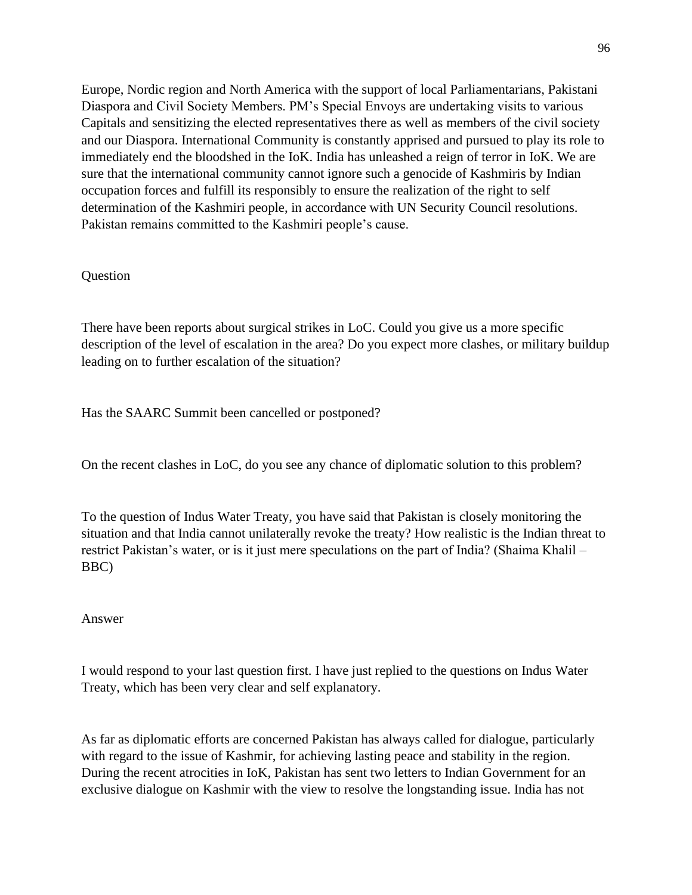Europe, Nordic region and North America with the support of local Parliamentarians, Pakistani Diaspora and Civil Society Members. PM's Special Envoys are undertaking visits to various Capitals and sensitizing the elected representatives there as well as members of the civil society and our Diaspora. International Community is constantly apprised and pursued to play its role to immediately end the bloodshed in the IoK. India has unleashed a reign of terror in IoK. We are sure that the international community cannot ignore such a genocide of Kashmiris by Indian occupation forces and fulfill its responsibly to ensure the realization of the right to self determination of the Kashmiri people, in accordance with UN Security Council resolutions. Pakistan remains committed to the Kashmiri people's cause.

# **Question**

There have been reports about surgical strikes in LoC. Could you give us a more specific description of the level of escalation in the area? Do you expect more clashes, or military buildup leading on to further escalation of the situation?

Has the SAARC Summit been cancelled or postponed?

On the recent clashes in LoC, do you see any chance of diplomatic solution to this problem?

To the question of Indus Water Treaty, you have said that Pakistan is closely monitoring the situation and that India cannot unilaterally revoke the treaty? How realistic is the Indian threat to restrict Pakistan's water, or is it just mere speculations on the part of India? (Shaima Khalil – BBC)

Answer

I would respond to your last question first. I have just replied to the questions on Indus Water Treaty, which has been very clear and self explanatory.

As far as diplomatic efforts are concerned Pakistan has always called for dialogue, particularly with regard to the issue of Kashmir, for achieving lasting peace and stability in the region. During the recent atrocities in IoK, Pakistan has sent two letters to Indian Government for an exclusive dialogue on Kashmir with the view to resolve the longstanding issue. India has not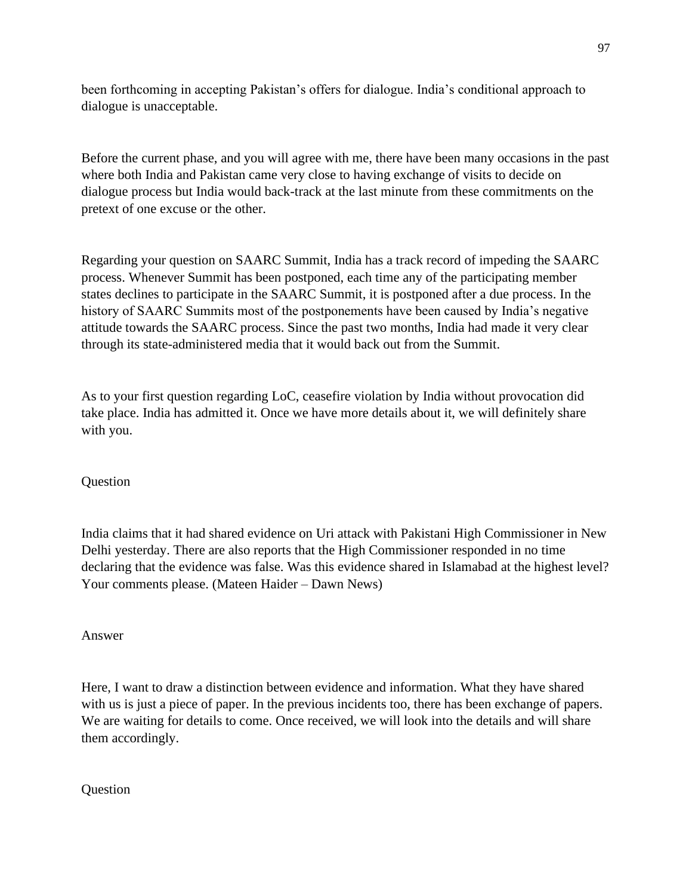been forthcoming in accepting Pakistan's offers for dialogue. India's conditional approach to dialogue is unacceptable.

Before the current phase, and you will agree with me, there have been many occasions in the past where both India and Pakistan came very close to having exchange of visits to decide on dialogue process but India would back-track at the last minute from these commitments on the pretext of one excuse or the other.

Regarding your question on SAARC Summit, India has a track record of impeding the SAARC process. Whenever Summit has been postponed, each time any of the participating member states declines to participate in the SAARC Summit, it is postponed after a due process. In the history of SAARC Summits most of the postponements have been caused by India's negative attitude towards the SAARC process. Since the past two months, India had made it very clear through its state-administered media that it would back out from the Summit.

As to your first question regarding LoC, ceasefire violation by India without provocation did take place. India has admitted it. Once we have more details about it, we will definitely share with you.

**Question** 

India claims that it had shared evidence on Uri attack with Pakistani High Commissioner in New Delhi yesterday. There are also reports that the High Commissioner responded in no time declaring that the evidence was false. Was this evidence shared in Islamabad at the highest level? Your comments please. (Mateen Haider – Dawn News)

Answer

Here, I want to draw a distinction between evidence and information. What they have shared with us is just a piece of paper. In the previous incidents too, there has been exchange of papers. We are waiting for details to come. Once received, we will look into the details and will share them accordingly.

**Question**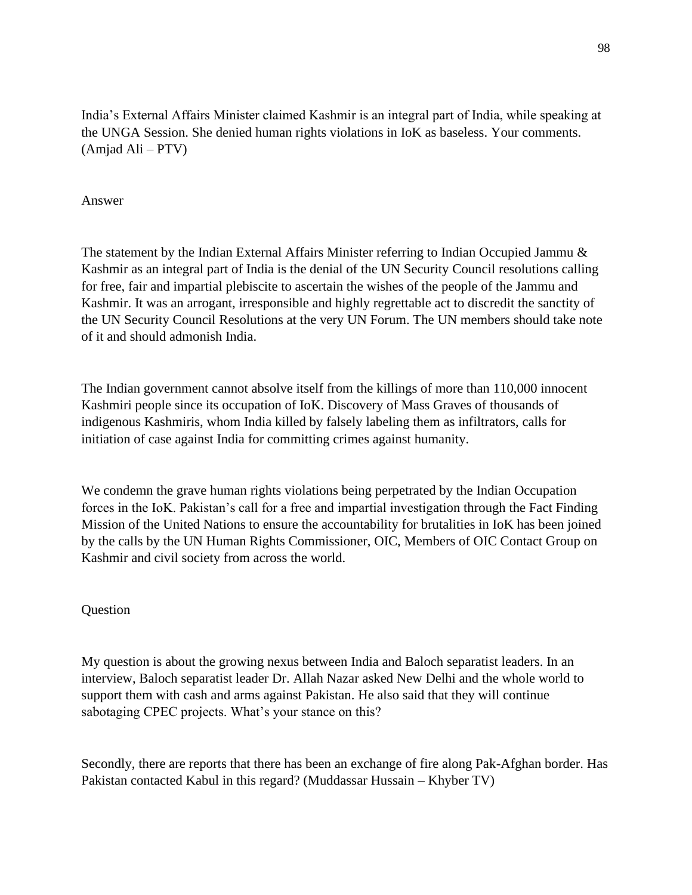India's External Affairs Minister claimed Kashmir is an integral part of India, while speaking at the UNGA Session. She denied human rights violations in IoK as baseless. Your comments. (Amjad Ali – PTV)

## Answer

The statement by the Indian External Affairs Minister referring to Indian Occupied Jammu & Kashmir as an integral part of India is the denial of the UN Security Council resolutions calling for free, fair and impartial plebiscite to ascertain the wishes of the people of the Jammu and Kashmir. It was an arrogant, irresponsible and highly regrettable act to discredit the sanctity of the UN Security Council Resolutions at the very UN Forum. The UN members should take note of it and should admonish India.

The Indian government cannot absolve itself from the killings of more than 110,000 innocent Kashmiri people since its occupation of IoK. Discovery of Mass Graves of thousands of indigenous Kashmiris, whom India killed by falsely labeling them as infiltrators, calls for initiation of case against India for committing crimes against humanity.

We condemn the grave human rights violations being perpetrated by the Indian Occupation forces in the IoK. Pakistan's call for a free and impartial investigation through the Fact Finding Mission of the United Nations to ensure the accountability for brutalities in IoK has been joined by the calls by the UN Human Rights Commissioner, OIC, Members of OIC Contact Group on Kashmir and civil society from across the world.

## **Question**

My question is about the growing nexus between India and Baloch separatist leaders. In an interview, Baloch separatist leader Dr. Allah Nazar asked New Delhi and the whole world to support them with cash and arms against Pakistan. He also said that they will continue sabotaging CPEC projects. What's your stance on this?

Secondly, there are reports that there has been an exchange of fire along Pak-Afghan border. Has Pakistan contacted Kabul in this regard? (Muddassar Hussain – Khyber TV)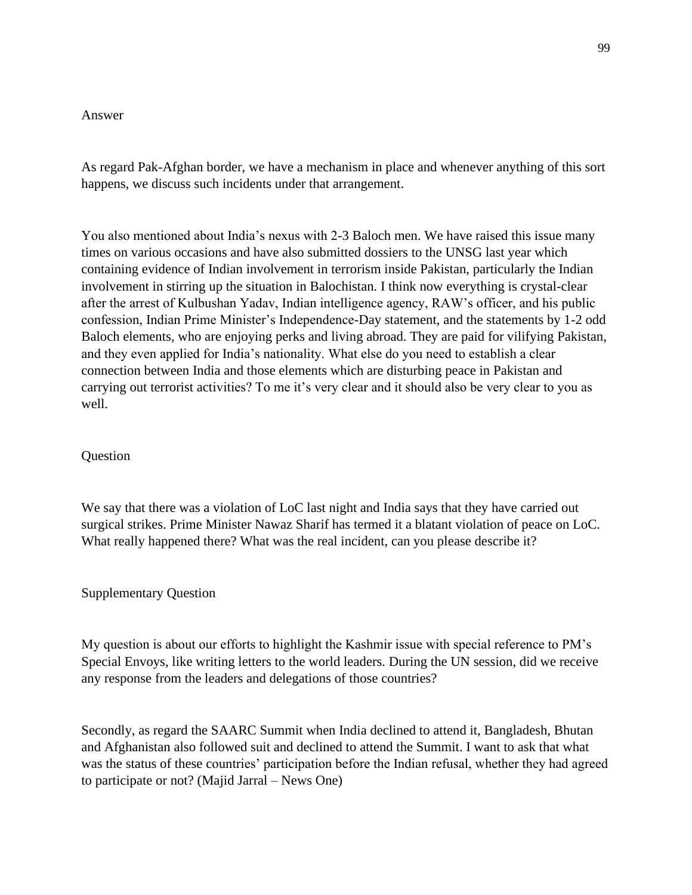## Answer

As regard Pak-Afghan border, we have a mechanism in place and whenever anything of this sort happens, we discuss such incidents under that arrangement.

You also mentioned about India's nexus with 2-3 Baloch men. We have raised this issue many times on various occasions and have also submitted dossiers to the UNSG last year which containing evidence of Indian involvement in terrorism inside Pakistan, particularly the Indian involvement in stirring up the situation in Balochistan. I think now everything is crystal-clear after the arrest of Kulbushan Yadav, Indian intelligence agency, RAW's officer, and his public confession, Indian Prime Minister's Independence-Day statement, and the statements by 1-2 odd Baloch elements, who are enjoying perks and living abroad. They are paid for vilifying Pakistan, and they even applied for India's nationality. What else do you need to establish a clear connection between India and those elements which are disturbing peace in Pakistan and carrying out terrorist activities? To me it's very clear and it should also be very clear to you as well.

## **Question**

We say that there was a violation of LoC last night and India says that they have carried out surgical strikes. Prime Minister Nawaz Sharif has termed it a blatant violation of peace on LoC. What really happened there? What was the real incident, can you please describe it?

## Supplementary Question

My question is about our efforts to highlight the Kashmir issue with special reference to PM's Special Envoys, like writing letters to the world leaders. During the UN session, did we receive any response from the leaders and delegations of those countries?

Secondly, as regard the SAARC Summit when India declined to attend it, Bangladesh, Bhutan and Afghanistan also followed suit and declined to attend the Summit. I want to ask that what was the status of these countries' participation before the Indian refusal, whether they had agreed to participate or not? (Majid Jarral – News One)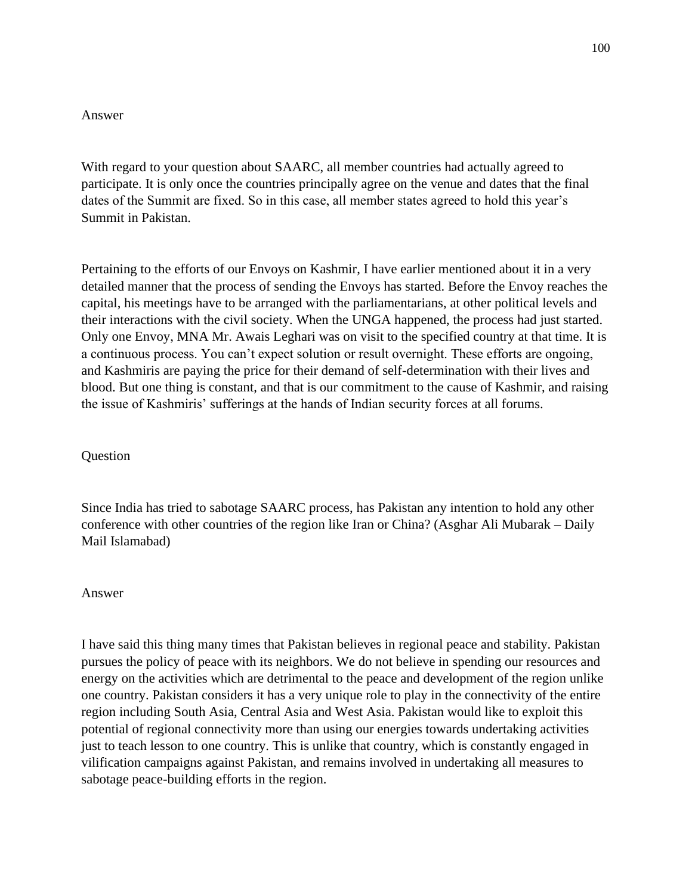#### Answer

With regard to your question about SAARC, all member countries had actually agreed to participate. It is only once the countries principally agree on the venue and dates that the final dates of the Summit are fixed. So in this case, all member states agreed to hold this year's Summit in Pakistan.

Pertaining to the efforts of our Envoys on Kashmir, I have earlier mentioned about it in a very detailed manner that the process of sending the Envoys has started. Before the Envoy reaches the capital, his meetings have to be arranged with the parliamentarians, at other political levels and their interactions with the civil society. When the UNGA happened, the process had just started. Only one Envoy, MNA Mr. Awais Leghari was on visit to the specified country at that time. It is a continuous process. You can't expect solution or result overnight. These efforts are ongoing, and Kashmiris are paying the price for their demand of self-determination with their lives and blood. But one thing is constant, and that is our commitment to the cause of Kashmir, and raising the issue of Kashmiris' sufferings at the hands of Indian security forces at all forums.

### Question

Since India has tried to sabotage SAARC process, has Pakistan any intention to hold any other conference with other countries of the region like Iran or China? (Asghar Ali Mubarak – Daily Mail Islamabad)

### Answer

I have said this thing many times that Pakistan believes in regional peace and stability. Pakistan pursues the policy of peace with its neighbors. We do not believe in spending our resources and energy on the activities which are detrimental to the peace and development of the region unlike one country. Pakistan considers it has a very unique role to play in the connectivity of the entire region including South Asia, Central Asia and West Asia. Pakistan would like to exploit this potential of regional connectivity more than using our energies towards undertaking activities just to teach lesson to one country. This is unlike that country, which is constantly engaged in vilification campaigns against Pakistan, and remains involved in undertaking all measures to sabotage peace-building efforts in the region.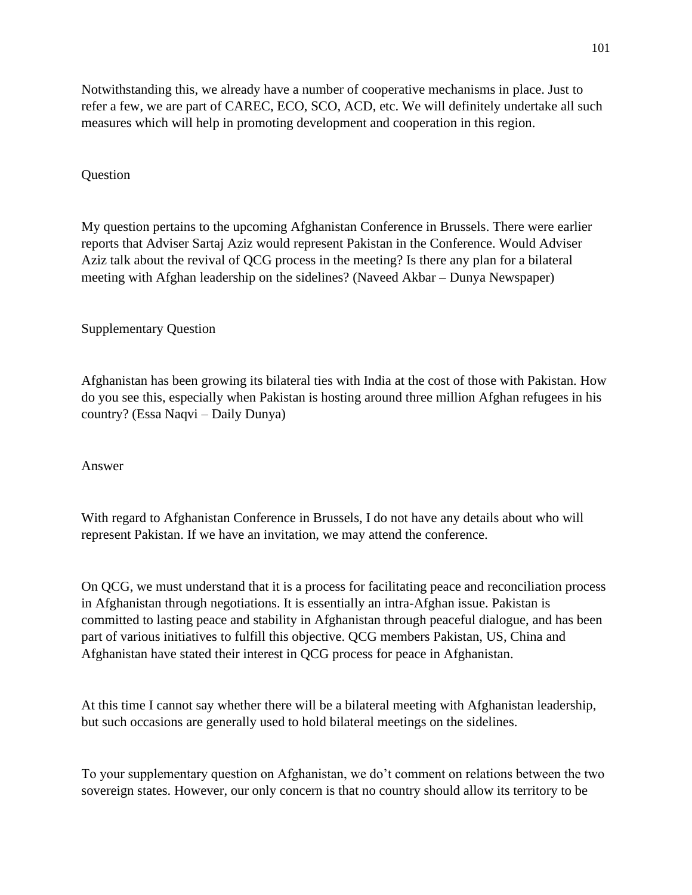Notwithstanding this, we already have a number of cooperative mechanisms in place. Just to refer a few, we are part of CAREC, ECO, SCO, ACD, etc. We will definitely undertake all such measures which will help in promoting development and cooperation in this region.

# **Question**

My question pertains to the upcoming Afghanistan Conference in Brussels. There were earlier reports that Adviser Sartaj Aziz would represent Pakistan in the Conference. Would Adviser Aziz talk about the revival of QCG process in the meeting? Is there any plan for a bilateral meeting with Afghan leadership on the sidelines? (Naveed Akbar – Dunya Newspaper)

# Supplementary Question

Afghanistan has been growing its bilateral ties with India at the cost of those with Pakistan. How do you see this, especially when Pakistan is hosting around three million Afghan refugees in his country? (Essa Naqvi – Daily Dunya)

### Answer

With regard to Afghanistan Conference in Brussels, I do not have any details about who will represent Pakistan. If we have an invitation, we may attend the conference.

On QCG, we must understand that it is a process for facilitating peace and reconciliation process in Afghanistan through negotiations. It is essentially an intra-Afghan issue. Pakistan is committed to lasting peace and stability in Afghanistan through peaceful dialogue, and has been part of various initiatives to fulfill this objective. QCG members Pakistan, US, China and Afghanistan have stated their interest in QCG process for peace in Afghanistan.

At this time I cannot say whether there will be a bilateral meeting with Afghanistan leadership, but such occasions are generally used to hold bilateral meetings on the sidelines.

To your supplementary question on Afghanistan, we do't comment on relations between the two sovereign states. However, our only concern is that no country should allow its territory to be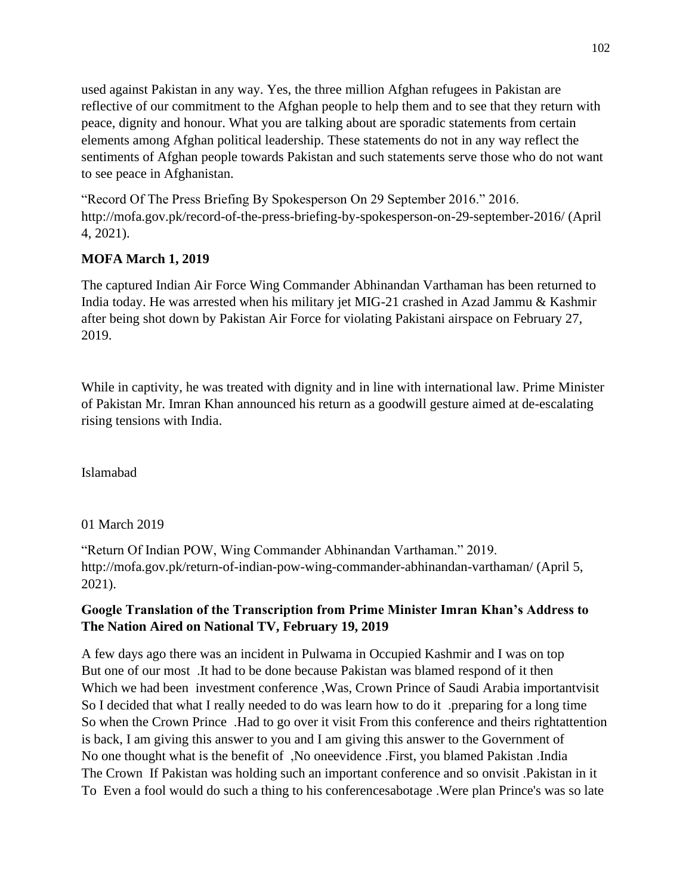used against Pakistan in any way. Yes, the three million Afghan refugees in Pakistan are reflective of our commitment to the Afghan people to help them and to see that they return with peace, dignity and honour. What you are talking about are sporadic statements from certain elements among Afghan political leadership. These statements do not in any way reflect the sentiments of Afghan people towards Pakistan and such statements serve those who do not want to see peace in Afghanistan.

"Record Of The Press Briefing By Spokesperson On 29 September 2016." 2016. http://mofa.gov.pk/record-of-the-press-briefing-by-spokesperson-on-29-september-2016/ (April 4, 2021).

## **MOFA March 1, 2019**

The captured Indian Air Force Wing Commander Abhinandan Varthaman has been returned to India today. He was arrested when his military jet MIG-21 crashed in Azad Jammu & Kashmir after being shot down by Pakistan Air Force for violating Pakistani airspace on February 27, 2019.

While in captivity, he was treated with dignity and in line with international law. Prime Minister of Pakistan Mr. Imran Khan announced his return as a goodwill gesture aimed at de-escalating rising tensions with India.

Islamabad

### 01 March 2019

"Return Of Indian POW, Wing Commander Abhinandan Varthaman." 2019. http://mofa.gov.pk/return-of-indian-pow-wing-commander-abhinandan-varthaman/ (April 5, 2021).

# **Google Translation of the Transcription from Prime Minister Imran Khan's Address to The Nation Aired on National TV, February 19, 2019**

A few days ago there was an incident in Pulwama in Occupied Kashmir and I was on top But one of our most .It had to be done because Pakistan was blamed respond of it then Which we had been investment conference ,Was, Crown Prince of Saudi Arabia importantvisit So I decided that what I really needed to do was learn how to do it .preparing for a long time So when the Crown Prince .Had to go over it visit From this conference and theirs rightattention is back, I am giving this answer to you and I am giving this answer to the Government of No one thought what is the benefit of ,No oneevidence .First, you blamed Pakistan .India The Crown If Pakistan was holding such an important conference and so onvisit .Pakistan in it To Even a fool would do such a thing to his conferencesabotage .Were plan Prince's was so late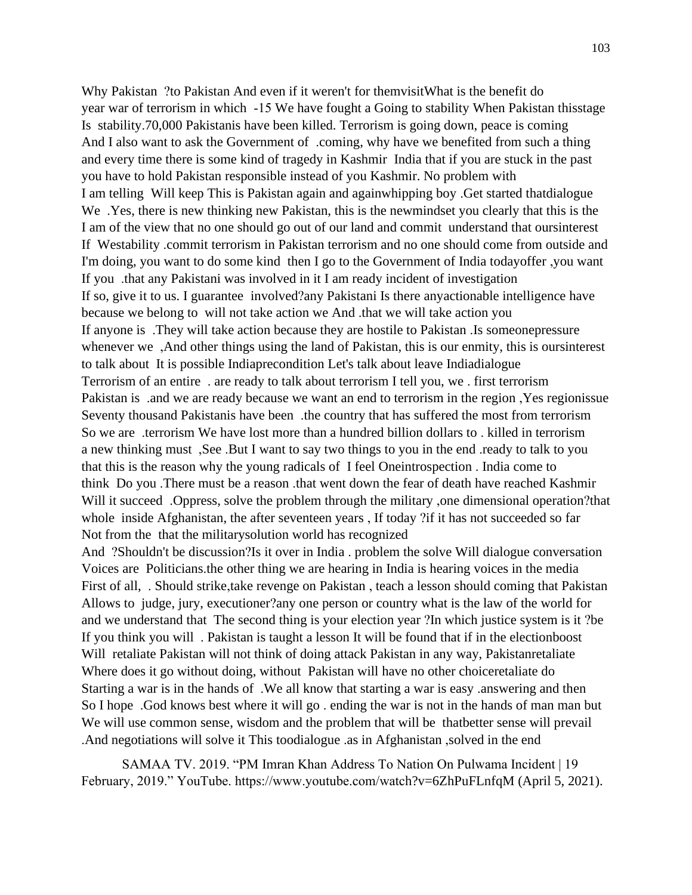Why Pakistan ?to Pakistan And even if it weren't for themvisitWhat is the benefit do year war of terrorism in which -15 We have fought a Going to stability When Pakistan thisstage Is stability.70,000 Pakistanis have been killed. Terrorism is going down, peace is coming And I also want to ask the Government of .coming, why have we benefited from such a thing and every time there is some kind of tragedy in Kashmir India that if you are stuck in the past you have to hold Pakistan responsible instead of you Kashmir. No problem with I am telling Will keep This is Pakistan again and againwhipping boy .Get started thatdialogue We .Yes, there is new thinking new Pakistan, this is the newmindset you clearly that this is the I am of the view that no one should go out of our land and commit understand that oursinterest If Westability .commit terrorism in Pakistan terrorism and no one should come from outside and I'm doing, you want to do some kind then I go to the Government of India todayoffer ,you want If you .that any Pakistani was involved in it I am ready incident of investigation If so, give it to us. I guarantee involved?any Pakistani Is there anyactionable intelligence have because we belong to will not take action we And .that we will take action you If anyone is .They will take action because they are hostile to Pakistan .Is someonepressure whenever we ,And other things using the land of Pakistan, this is our enmity, this is oursinterest to talk about It is possible Indiaprecondition Let's talk about leave Indiadialogue Terrorism of an entire . are ready to talk about terrorism I tell you, we . first terrorism Pakistan is .and we are ready because we want an end to terrorism in the region ,Yes regionissue Seventy thousand Pakistanis have been .the country that has suffered the most from terrorism So we are .terrorism We have lost more than a hundred billion dollars to . killed in terrorism a new thinking must ,See .But I want to say two things to you in the end .ready to talk to you that this is the reason why the young radicals of I feel Oneintrospection . India come to think Do you .There must be a reason .that went down the fear of death have reached Kashmir Will it succeed. Oppress, solve the problem through the military, one dimensional operation?that whole inside Afghanistan, the after seventeen years , If today ?if it has not succeeded so far Not from the that the militarysolution world has recognized

And ?Shouldn't be discussion?Is it over in India . problem the solve Will dialogue conversation Voices are Politicians.the other thing we are hearing in India is hearing voices in the media First of all, . Should strike,take revenge on Pakistan , teach a lesson should coming that Pakistan Allows to judge, jury, executioner?any one person or country what is the law of the world for and we understand that The second thing is your election year ?In which justice system is it ?be If you think you will . Pakistan is taught a lesson It will be found that if in the electionboost Will retaliate Pakistan will not think of doing attack Pakistan in any way, Pakistanretaliate Where does it go without doing, without Pakistan will have no other choiceretaliate do Starting a war is in the hands of .We all know that starting a war is easy .answering and then So I hope .God knows best where it will go . ending the war is not in the hands of man man but We will use common sense, wisdom and the problem that will be thatbetter sense will prevail .And negotiations will solve it This toodialogue .as in Afghanistan ,solved in the end

SAMAA TV. 2019. "PM Imran Khan Address To Nation On Pulwama Incident | 19 February, 2019." YouTube. https://www.youtube.com/watch?v=6ZhPuFLnfqM (April 5, 2021).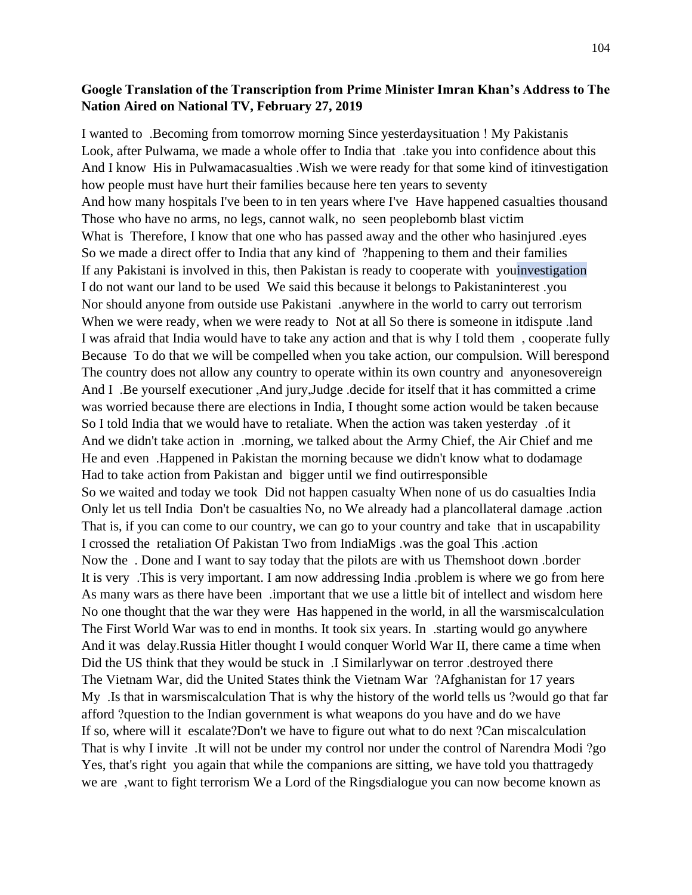### **Google Translation of the Transcription from Prime Minister Imran Khan's Address to The Nation Aired on National TV, February 27, 2019**

I wanted to .Becoming from tomorrow morning Since yesterdaysituation ! My Pakistanis Look, after Pulwama, we made a whole offer to India that .take you into confidence about this And I know His in Pulwamacasualties .Wish we were ready for that some kind of itinvestigation how people must have hurt their families because here ten years to seventy And how many hospitals I've been to in ten years where I've Have happened casualties thousand Those who have no arms, no legs, cannot walk, no seen peoplebomb blast victim What is Therefore, I know that one who has passed away and the other who hasinjured .eyes So we made a direct offer to India that any kind of ?happening to them and their families If any Pakistani is involved in this, then Pakistan is ready to cooperate with youinvestigation I do not want our land to be used We said this because it belongs to Pakistaninterest .you Nor should anyone from outside use Pakistani .anywhere in the world to carry out terrorism When we were ready, when we were ready to Not at all So there is someone in itdispute .land I was afraid that India would have to take any action and that is why I told them , cooperate fully Because To do that we will be compelled when you take action, our compulsion. Will berespond The country does not allow any country to operate within its own country and anyonesovereign And I .Be yourself executioner ,And jury,Judge .decide for itself that it has committed a crime was worried because there are elections in India, I thought some action would be taken because So I told India that we would have to retaliate. When the action was taken yesterday .of it And we didn't take action in .morning, we talked about the Army Chief, the Air Chief and me He and even .Happened in Pakistan the morning because we didn't know what to dodamage Had to take action from Pakistan and bigger until we find outirresponsible So we waited and today we took Did not happen casualty When none of us do casualties India Only let us tell India Don't be casualties No, no We already had a plancollateral damage .action That is, if you can come to our country, we can go to your country and take that in uscapability I crossed the retaliation Of Pakistan Two from IndiaMigs .was the goal This .action Now the . Done and I want to say today that the pilots are with us Themshoot down .border It is very .This is very important. I am now addressing India .problem is where we go from here As many wars as there have been .important that we use a little bit of intellect and wisdom here No one thought that the war they were Has happened in the world, in all the warsmiscalculation The First World War was to end in months. It took six years. In .starting would go anywhere And it was delay.Russia Hitler thought I would conquer World War II, there came a time when Did the US think that they would be stuck in .I Similarlywar on terror .destroyed there The Vietnam War, did the United States think the Vietnam War ?Afghanistan for 17 years My .Is that in warsmiscalculation That is why the history of the world tells us ?would go that far afford ?question to the Indian government is what weapons do you have and do we have If so, where will it escalate?Don't we have to figure out what to do next ?Can miscalculation That is why I invite .It will not be under my control nor under the control of Narendra Modi ?go Yes, that's right you again that while the companions are sitting, we have told you thattragedy we are ,want to fight terrorism We a Lord of the Ringsdialogue you can now become known as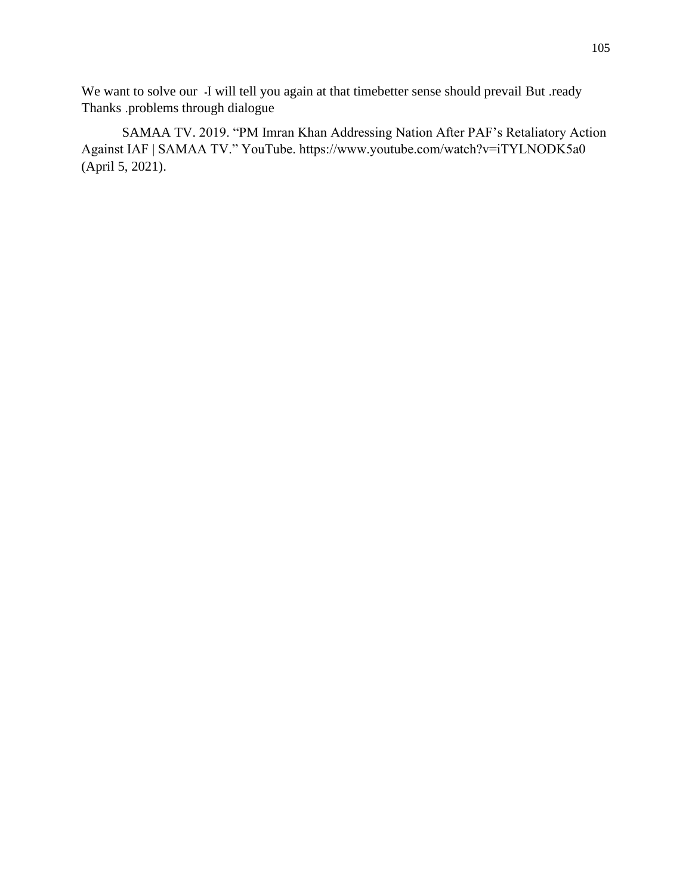We want to solve our ۔I will tell you again at that timebetter sense should prevail But .ready Thanks .problems through dialogue

SAMAA TV. 2019. "PM Imran Khan Addressing Nation After PAF's Retaliatory Action Against IAF | SAMAA TV." YouTube. https://www.youtube.com/watch?v=iTYLNODK5a0 (April 5, 2021).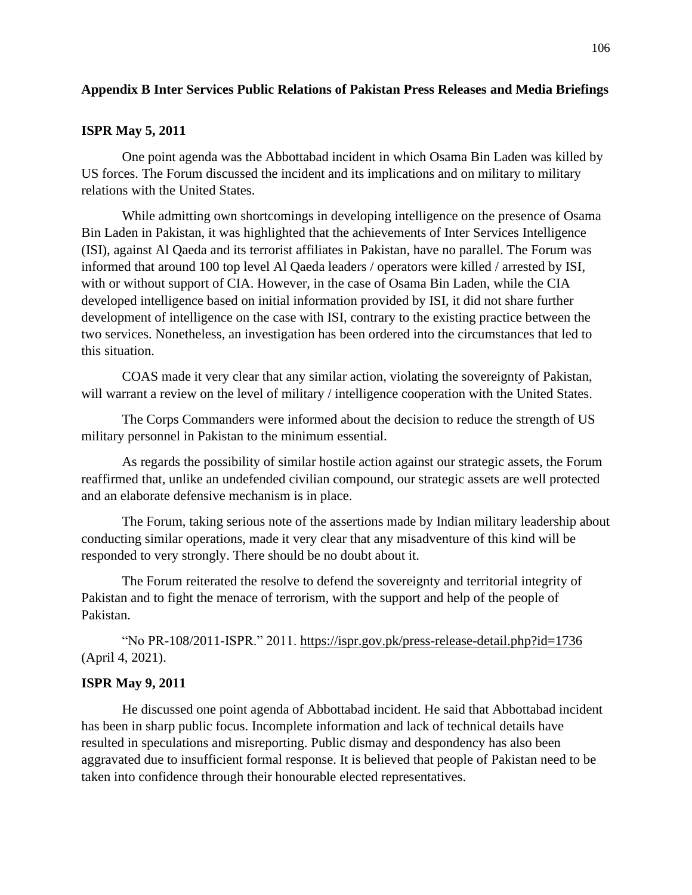### **Appendix B Inter Services Public Relations of Pakistan Press Releases and Media Briefings**

#### **ISPR May 5, 2011**

One point agenda was the Abbottabad incident in which Osama Bin Laden was killed by US forces. The Forum discussed the incident and its implications and on military to military relations with the United States.

While admitting own shortcomings in developing intelligence on the presence of Osama Bin Laden in Pakistan, it was highlighted that the achievements of Inter Services Intelligence (ISI), against Al Qaeda and its terrorist affiliates in Pakistan, have no parallel. The Forum was informed that around 100 top level Al Qaeda leaders / operators were killed / arrested by ISI, with or without support of CIA. However, in the case of Osama Bin Laden, while the CIA developed intelligence based on initial information provided by ISI, it did not share further development of intelligence on the case with ISI, contrary to the existing practice between the two services. Nonetheless, an investigation has been ordered into the circumstances that led to this situation.

COAS made it very clear that any similar action, violating the sovereignty of Pakistan, will warrant a review on the level of military / intelligence cooperation with the United States.

The Corps Commanders were informed about the decision to reduce the strength of US military personnel in Pakistan to the minimum essential.

As regards the possibility of similar hostile action against our strategic assets, the Forum reaffirmed that, unlike an undefended civilian compound, our strategic assets are well protected and an elaborate defensive mechanism is in place.

The Forum, taking serious note of the assertions made by Indian military leadership about conducting similar operations, made it very clear that any misadventure of this kind will be responded to very strongly. There should be no doubt about it.

The Forum reiterated the resolve to defend the sovereignty and territorial integrity of Pakistan and to fight the menace of terrorism, with the support and help of the people of Pakistan.

"No PR-108/2011-ISPR." 2011.<https://ispr.gov.pk/press-release-detail.php?id=1736> (April 4, 2021).

#### **ISPR May 9, 2011**

He discussed one point agenda of Abbottabad incident. He said that Abbottabad incident has been in sharp public focus. Incomplete information and lack of technical details have resulted in speculations and misreporting. Public dismay and despondency has also been aggravated due to insufficient formal response. It is believed that people of Pakistan need to be taken into confidence through their honourable elected representatives.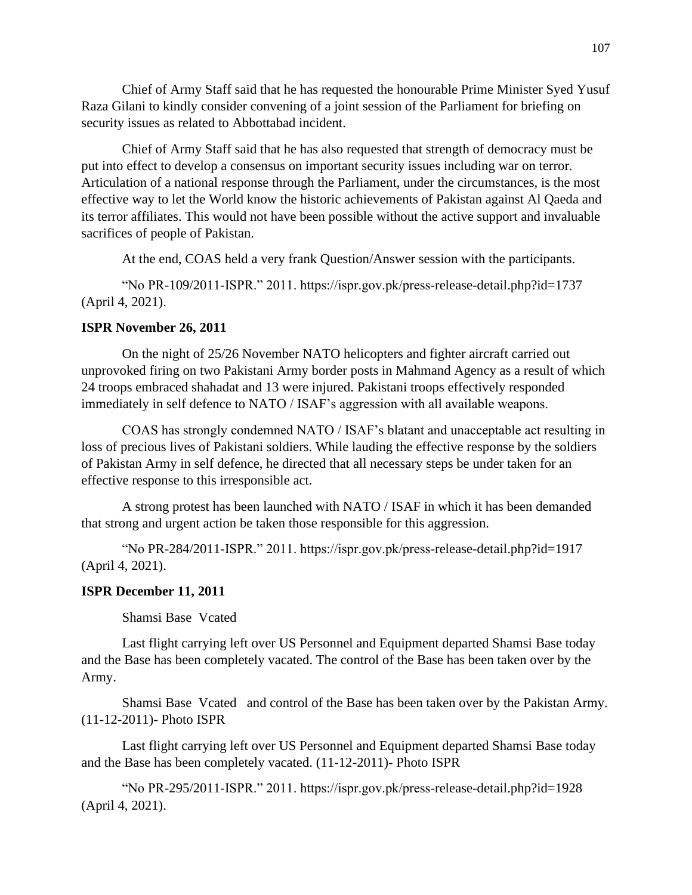Chief of Army Staff said that he has requested the honourable Prime Minister Syed Yusuf Raza Gilani to kindly consider convening of a joint session of the Parliament for briefing on security issues as related to Abbottabad incident.

Chief of Army Staff said that he has also requested that strength of democracy must be put into effect to develop a consensus on important security issues including war on terror. Articulation of a national response through the Parliament, under the circumstances, is the most effective way to let the World know the historic achievements of Pakistan against Al Qaeda and its terror affiliates. This would not have been possible without the active support and invaluable sacrifices of people of Pakistan.

At the end, COAS held a very frank Question/Answer session with the participants.

"No PR-109/2011-ISPR." 2011. https://ispr.gov.pk/press-release-detail.php?id=1737 (April 4, 2021).

### **ISPR November 26, 2011**

On the night of 25/26 November NATO helicopters and fighter aircraft carried out unprovoked firing on two Pakistani Army border posts in Mahmand Agency as a result of which 24 troops embraced shahadat and 13 were injured. Pakistani troops effectively responded immediately in self defence to NATO / ISAF's aggression with all available weapons.

COAS has strongly condemned NATO / ISAF's blatant and unacceptable act resulting in loss of precious lives of Pakistani soldiers. While lauding the effective response by the soldiers of Pakistan Army in self defence, he directed that all necessary steps be under taken for an effective response to this irresponsible act.

A strong protest has been launched with NATO / ISAF in which it has been demanded that strong and urgent action be taken those responsible for this aggression.

"No PR-284/2011-ISPR." 2011. https://ispr.gov.pk/press-release-detail.php?id=1917 (April 4, 2021).

### **ISPR December 11, 2011**

Shamsi Base Vcated

Last flight carrying left over US Personnel and Equipment departed Shamsi Base today and the Base has been completely vacated. The control of the Base has been taken over by the Army.

Shamsi Base Vcated and control of the Base has been taken over by the Pakistan Army. (11-12-2011)- Photo ISPR

Last flight carrying left over US Personnel and Equipment departed Shamsi Base today and the Base has been completely vacated. (11-12-2011)- Photo ISPR

"No PR-295/2011-ISPR." 2011. https://ispr.gov.pk/press-release-detail.php?id=1928 (April 4, 2021).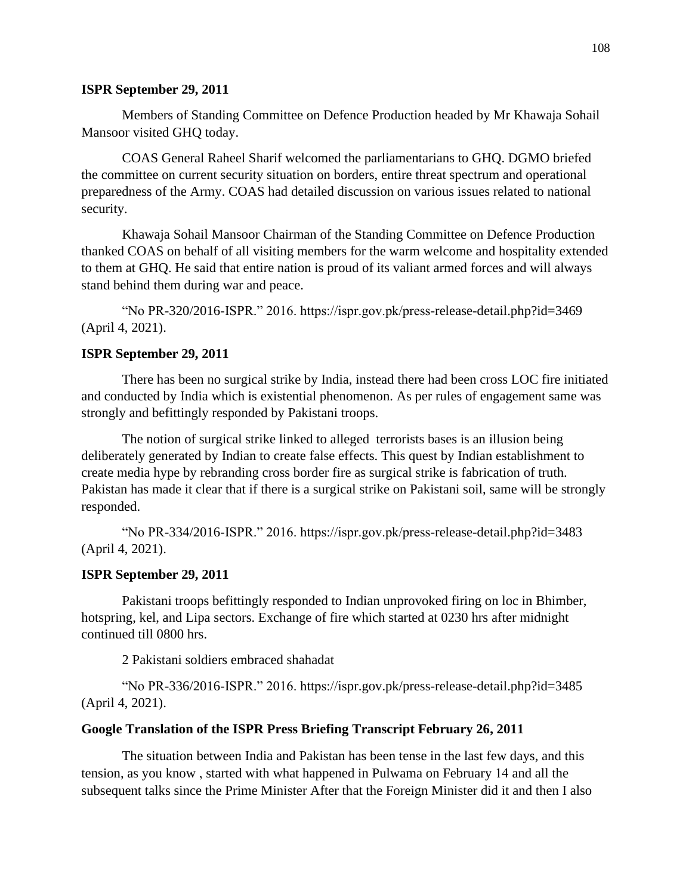### **ISPR September 29, 2011**

Members of Standing Committee on Defence Production headed by Mr Khawaja Sohail Mansoor visited GHQ today.

COAS General Raheel Sharif welcomed the parliamentarians to GHQ. DGMO briefed the committee on current security situation on borders, entire threat spectrum and operational preparedness of the Army. COAS had detailed discussion on various issues related to national security.

Khawaja Sohail Mansoor Chairman of the Standing Committee on Defence Production thanked COAS on behalf of all visiting members for the warm welcome and hospitality extended to them at GHQ. He said that entire nation is proud of its valiant armed forces and will always stand behind them during war and peace.

"No PR-320/2016-ISPR." 2016. https://ispr.gov.pk/press-release-detail.php?id=3469 (April 4, 2021).

## **ISPR September 29, 2011**

There has been no surgical strike by India, instead there had been cross LOC fire initiated and conducted by India which is existential phenomenon. As per rules of engagement same was strongly and befittingly responded by Pakistani troops.

The notion of surgical strike linked to alleged terrorists bases is an illusion being deliberately generated by Indian to create false effects. This quest by Indian establishment to create media hype by rebranding cross border fire as surgical strike is fabrication of truth. Pakistan has made it clear that if there is a surgical strike on Pakistani soil, same will be strongly responded.

"No PR-334/2016-ISPR." 2016. https://ispr.gov.pk/press-release-detail.php?id=3483 (April 4, 2021).

### **ISPR September 29, 2011**

Pakistani troops befittingly responded to Indian unprovoked firing on loc in Bhimber, hotspring, kel, and Lipa sectors. Exchange of fire which started at 0230 hrs after midnight continued till 0800 hrs.

2 Pakistani soldiers embraced shahadat

"No PR-336/2016-ISPR." 2016. https://ispr.gov.pk/press-release-detail.php?id=3485 (April 4, 2021).

### **Google Translation of the ISPR Press Briefing Transcript February 26, 2011**

The situation between India and Pakistan has been tense in the last few days, and this tension, as you know , started with what happened in Pulwama on February 14 and all the subsequent talks since the Prime Minister After that the Foreign Minister did it and then I also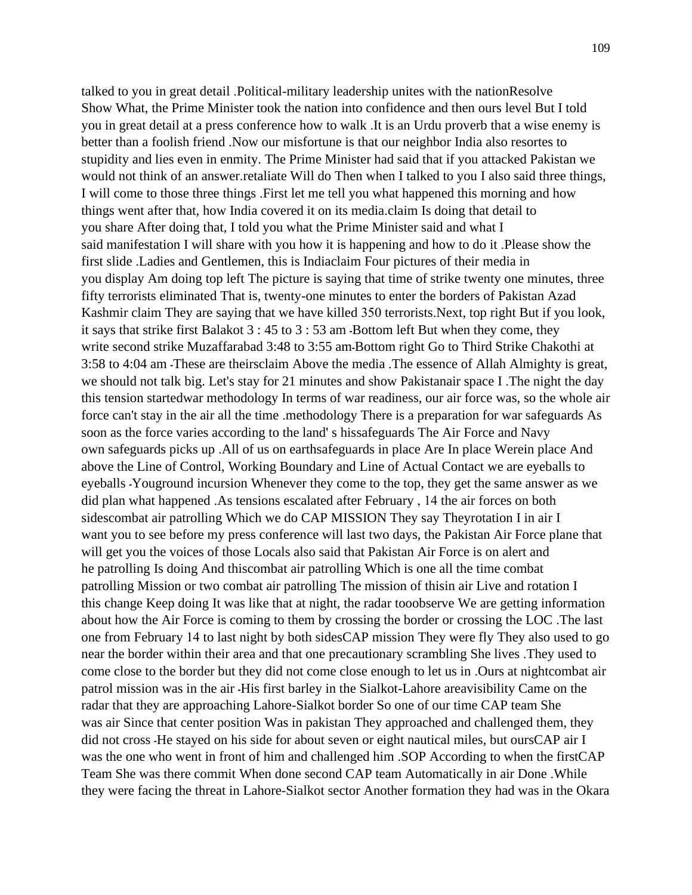talked to you in great detail .Political-military leadership unites with the nationResolve Show What, the Prime Minister took the nation into confidence and then ours level But I told you in great detail at a press conference how to walk .It is an Urdu proverb that a wise enemy is better than a foolish friend .Now our misfortune is that our neighbor India also resortes to stupidity and lies even in enmity. The Prime Minister had said that if you attacked Pakistan we would not think of an answer.retaliate Will do Then when I talked to you I also said three things, I will come to those three things .First let me tell you what happened this morning and how things went after that, how India covered it on its media.claim Is doing that detail to you share After doing that, I told you what the Prime Minister said and what I said manifestation I will share with you how it is happening and how to do it .Please show the first slide .Ladies and Gentlemen, this is Indiaclaim Four pictures of their media in you display Am doing top left The picture is saying that time of strike twenty one minutes, three fifty terrorists eliminated That is, twenty-one minutes to enter the borders of Pakistan Azad Kashmir claim They are saying that we have killed 350 terrorists.Next, top right But if you look, it says that strike first Balakot 3 : 45 to 3 : 53 am ۔Bottom left But when they come, they write second strike Muzaffarabad 3:48 to 3:55 am۔Bottom right Go to Third Strike Chakothi at 3:58 to 4:04 am ۔These are theirsclaim Above the media .The essence of Allah Almighty is great, we should not talk big. Let's stay for 21 minutes and show Pakistanair space I .The night the day this tension startedwar methodology In terms of war readiness, our air force was, so the whole air force can't stay in the air all the time .methodology There is a preparation for war safeguards As soon as the force varies according to the land' s hissafeguards The Air Force and Navy own safeguards picks up .All of us on earthsafeguards in place Are In place Werein place And above the Line of Control, Working Boundary and Line of Actual Contact we are eyeballs to eyeballs ۔Youground incursion Whenever they come to the top, they get the same answer as we did plan what happened .As tensions escalated after February , 14 the air forces on both sidescombat air patrolling Which we do CAP MISSION They say Theyrotation I in air I want you to see before my press conference will last two days, the Pakistan Air Force plane that will get you the voices of those Locals also said that Pakistan Air Force is on alert and he patrolling Is doing And thiscombat air patrolling Which is one all the time combat patrolling Mission or two combat air patrolling The mission of thisin air Live and rotation I this change Keep doing It was like that at night, the radar tooobserve We are getting information about how the Air Force is coming to them by crossing the border or crossing the LOC .The last one from February 14 to last night by both sidesCAP mission They were fly They also used to go near the border within their area and that one precautionary scrambling She lives .They used to come close to the border but they did not come close enough to let us in .Ours at nightcombat air patrol mission was in the air ۔His first barley in the Sialkot-Lahore areavisibility Came on the radar that they are approaching Lahore-Sialkot border So one of our time CAP team She was air Since that center position Was in pakistan They approached and challenged them, they did not cross ۔He stayed on his side for about seven or eight nautical miles, but oursCAP air I was the one who went in front of him and challenged him .SOP According to when the firstCAP Team She was there commit When done second CAP team Automatically in air Done .While they were facing the threat in Lahore-Sialkot sector Another formation they had was in the Okara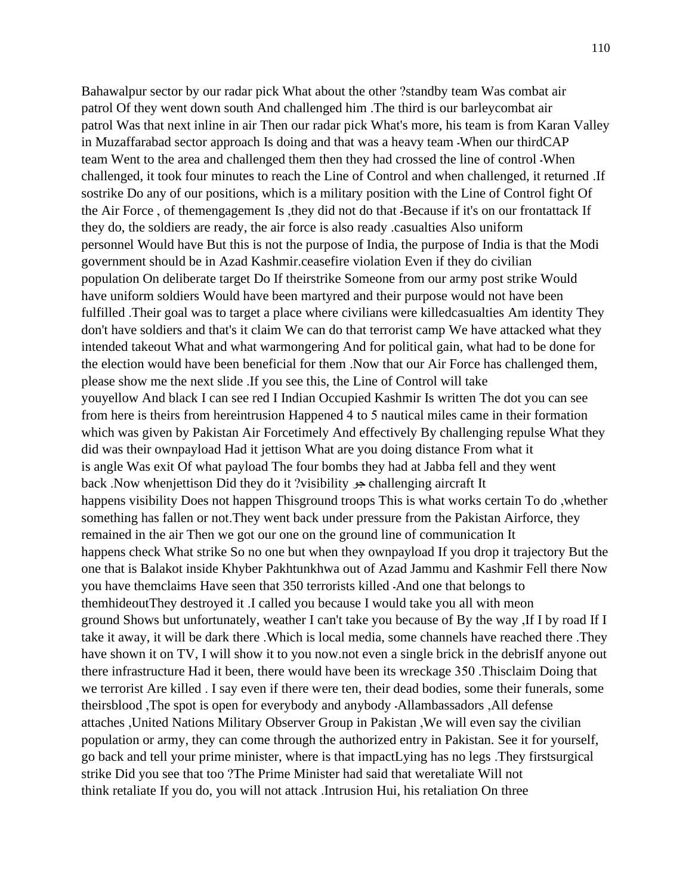Bahawalpur sector by our radar pick What about the other ?standby team Was combat air patrol Of they went down south And challenged him .The third is our barleycombat air patrol Was that next inline in air Then our radar pick What's more, his team is from Karan Valley in Muzaffarabad sector approach Is doing and that was a heavy team ۔When our thirdCAP team Went to the area and challenged them then they had crossed the line of control ۔When challenged, it took four minutes to reach the Line of Control and when challenged, it returned .If sostrike Do any of our positions, which is a military position with the Line of Control fight Of the Air Force , of themengagement Is ,they did not do that ۔Because if it's on our frontattack If they do, the soldiers are ready, the air force is also ready .casualties Also uniform personnel Would have But this is not the purpose of India, the purpose of India is that the Modi government should be in Azad Kashmir.ceasefire violation Even if they do civilian population On deliberate target Do If theirstrike Someone from our army post strike Would have uniform soldiers Would have been martyred and their purpose would not have been fulfilled .Their goal was to target a place where civilians were killedcasualties Am identity They don't have soldiers and that's it claim We can do that terrorist camp We have attacked what they intended takeout What and what warmongering And for political gain, what had to be done for the election would have been beneficial for them .Now that our Air Force has challenged them, please show me the next slide .If you see this, the Line of Control will take youyellow And black I can see red I Indian Occupied Kashmir Is written The dot you can see from here is theirs from hereintrusion Happened 4 to 5 nautical miles came in their formation which was given by Pakistan Air Forcetimely And effectively By challenging repulse What they did was their ownpayload Had it jettison What are you doing distance From what it is angle Was exit Of what payload The four bombs they had at Jabba fell and they went back .Now whenjettison Did they do it ?visibility جو challenging aircraft It happens visibility Does not happen Thisground troops This is what works certain To do ,whether something has fallen or not.They went back under pressure from the Pakistan Airforce, they remained in the air Then we got our one on the ground line of communication It happens check What strike So no one but when they ownpayload If you drop it trajectory But the one that is Balakot inside Khyber Pakhtunkhwa out of Azad Jammu and Kashmir Fell there Now you have themclaims Have seen that 350 terrorists killed ۔And one that belongs to themhideoutThey destroyed it .I called you because I would take you all with meon ground Shows but unfortunately, weather I can't take you because of By the way ,If I by road If I take it away, it will be dark there .Which is local media, some channels have reached there .They have shown it on TV, I will show it to you now.not even a single brick in the debrisIf anyone out there infrastructure Had it been, there would have been its wreckage 350 .Thisclaim Doing that we terrorist Are killed . I say even if there were ten, their dead bodies, some their funerals, some theirsblood ,The spot is open for everybody and anybody ۔Allambassadors ,All defense attaches ,United Nations Military Observer Group in Pakistan ,We will even say the civilian population or army, they can come through the authorized entry in Pakistan. See it for yourself, go back and tell your prime minister, where is that impactLying has no legs .They firstsurgical strike Did you see that too ?The Prime Minister had said that weretaliate Will not think retaliate If you do, you will not attack .Intrusion Hui, his retaliation On three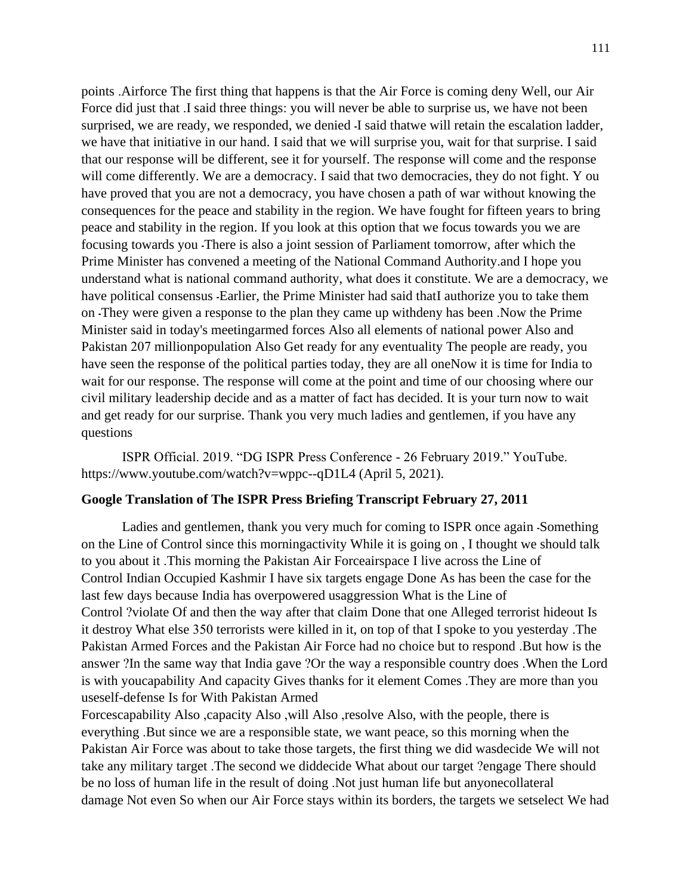points .Airforce The first thing that happens is that the Air Force is coming deny Well, our Air Force did just that .I said three things: you will never be able to surprise us, we have not been surprised, we are ready, we responded, we denied ۔I said thatwe will retain the escalation ladder, we have that initiative in our hand. I said that we will surprise you, wait for that surprise. I said that our response will be different, see it for yourself. The response will come and the response will come differently. We are a democracy. I said that two democracies, they do not fight. Y ou have proved that you are not a democracy, you have chosen a path of war without knowing the consequences for the peace and stability in the region. We have fought for fifteen years to bring peace and stability in the region. If you look at this option that we focus towards you we are focusing towards you ۔There is also a joint session of Parliament tomorrow, after which the Prime Minister has convened a meeting of the National Command Authority.and I hope you understand what is national command authority, what does it constitute. We are a democracy, we have political consensus -Earlier, the Prime Minister had said thatI authorize you to take them on ۔They were given a response to the plan they came up withdeny has been .Now the Prime Minister said in today's meetingarmed forces Also all elements of national power Also and Pakistan 207 millionpopulation Also Get ready for any eventuality The people are ready, you have seen the response of the political parties today, they are all oneNow it is time for India to wait for our response. The response will come at the point and time of our choosing where our civil military leadership decide and as a matter of fact has decided. It is your turn now to wait and get ready for our surprise. Thank you very much ladies and gentlemen, if you have any questions

ISPR Official. 2019. "DG ISPR Press Conference - 26 February 2019." YouTube. https://www.youtube.com/watch?v=wppc--qD1L4 (April 5, 2021).

#### **Google Translation of The ISPR Press Briefing Transcript February 27, 2011**

Ladies and gentlemen, thank you very much for coming to ISPR once again ۔Something on the Line of Control since this morningactivity While it is going on , I thought we should talk to you about it .This morning the Pakistan Air Forceairspace I live across the Line of Control Indian Occupied Kashmir I have six targets engage Done As has been the case for the last few days because India has overpowered usaggression What is the Line of Control ?violate Of and then the way after that claim Done that one Alleged terrorist hideout Is it destroy What else 350 terrorists were killed in it, on top of that I spoke to you yesterday .The Pakistan Armed Forces and the Pakistan Air Force had no choice but to respond .But how is the answer ?In the same way that India gave ?Or the way a responsible country does .When the Lord is with youcapability And capacity Gives thanks for it element Comes .They are more than you useself-defense Is for With Pakistan Armed

Forcescapability Also ,capacity Also ,will Also ,resolve Also, with the people, there is everything .But since we are a responsible state, we want peace, so this morning when the Pakistan Air Force was about to take those targets, the first thing we did wasdecide We will not take any military target .The second we diddecide What about our target ?engage There should be no loss of human life in the result of doing .Not just human life but anyonecollateral damage Not even So when our Air Force stays within its borders, the targets we setselect We had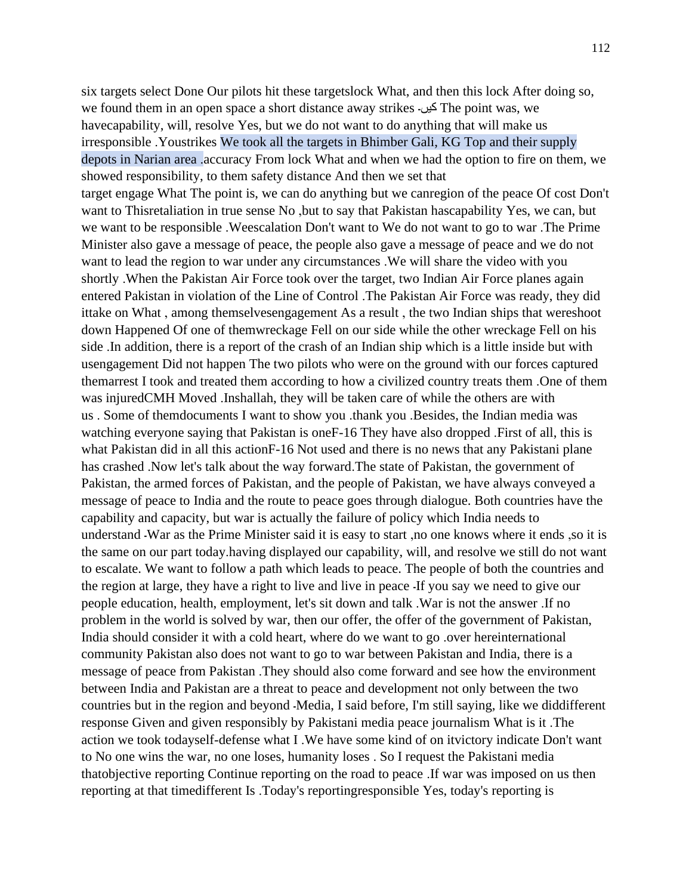six targets select Done Our pilots hit these targetslock What, and then this lock After doing so, we found them in an open space a short distance away strikes کیں۔ The point was, we havecapability, will, resolve Yes, but we do not want to do anything that will make us irresponsible .Youstrikes We took all the targets in Bhimber Gali, KG Top and their supply depots in Narian area .accuracy From lock What and when we had the option to fire on them, we showed responsibility, to them safety distance And then we set that target engage What The point is, we can do anything but we canregion of the peace Of cost Don't want to Thisretaliation in true sense No ,but to say that Pakistan hascapability Yes, we can, but we want to be responsible .Weescalation Don't want to We do not want to go to war .The Prime Minister also gave a message of peace, the people also gave a message of peace and we do not want to lead the region to war under any circumstances .We will share the video with you shortly .When the Pakistan Air Force took over the target, two Indian Air Force planes again entered Pakistan in violation of the Line of Control .The Pakistan Air Force was ready, they did ittake on What , among themselvesengagement As a result , the two Indian ships that wereshoot down Happened Of one of themwreckage Fell on our side while the other wreckage Fell on his side .In addition, there is a report of the crash of an Indian ship which is a little inside but with usengagement Did not happen The two pilots who were on the ground with our forces captured themarrest I took and treated them according to how a civilized country treats them .One of them was injuredCMH Moved .Inshallah, they will be taken care of while the others are with us . Some of themdocuments I want to show you .thank you .Besides, the Indian media was watching everyone saying that Pakistan is oneF-16 They have also dropped .First of all, this is what Pakistan did in all this actionF-16 Not used and there is no news that any Pakistani plane has crashed .Now let's talk about the way forward .The state of Pakistan, the government of Pakistan, the armed forces of Pakistan, and the people of Pakistan, we have always conveyed a message of peace to India and the route to peace goes through dialogue. Both countries have the capability and capacity, but war is actually the failure of policy which India needs to understand ۔War as the Prime Minister said it is easy to start ,no one knows where it ends ,so it is the same on our part today.having displayed our capability, will, and resolve we still do not want to escalate. We want to follow a path which leads to peace. The people of both the countries and the region at large, they have a right to live and live in peace ۔If you say we need to give our people education, health, employment, let's sit down and talk .War is not the answer .If no problem in the world is solved by war, then our offer, the offer of the government of Pakistan, India should consider it with a cold heart, where do we want to go .over hereinternational community Pakistan also does not want to go to war between Pakistan and India, there is a message of peace from Pakistan .They should also come forward and see how the environment between India and Pakistan are a threat to peace and development not only between the two countries but in the region and beyond ۔Media, I said before, I'm still saying, like we diddifferent response Given and given responsibly by Pakistani media peace journalism What is it .The action we took todayself-defense what I .We have some kind of on itvictory indicate Don't want to No one wins the war, no one loses, humanity loses . So I request the Pakistani media thatobjective reporting Continue reporting on the road to peace .If war was imposed on us then reporting at that timedifferent Is .Today's reportingresponsible Yes, today's reporting is